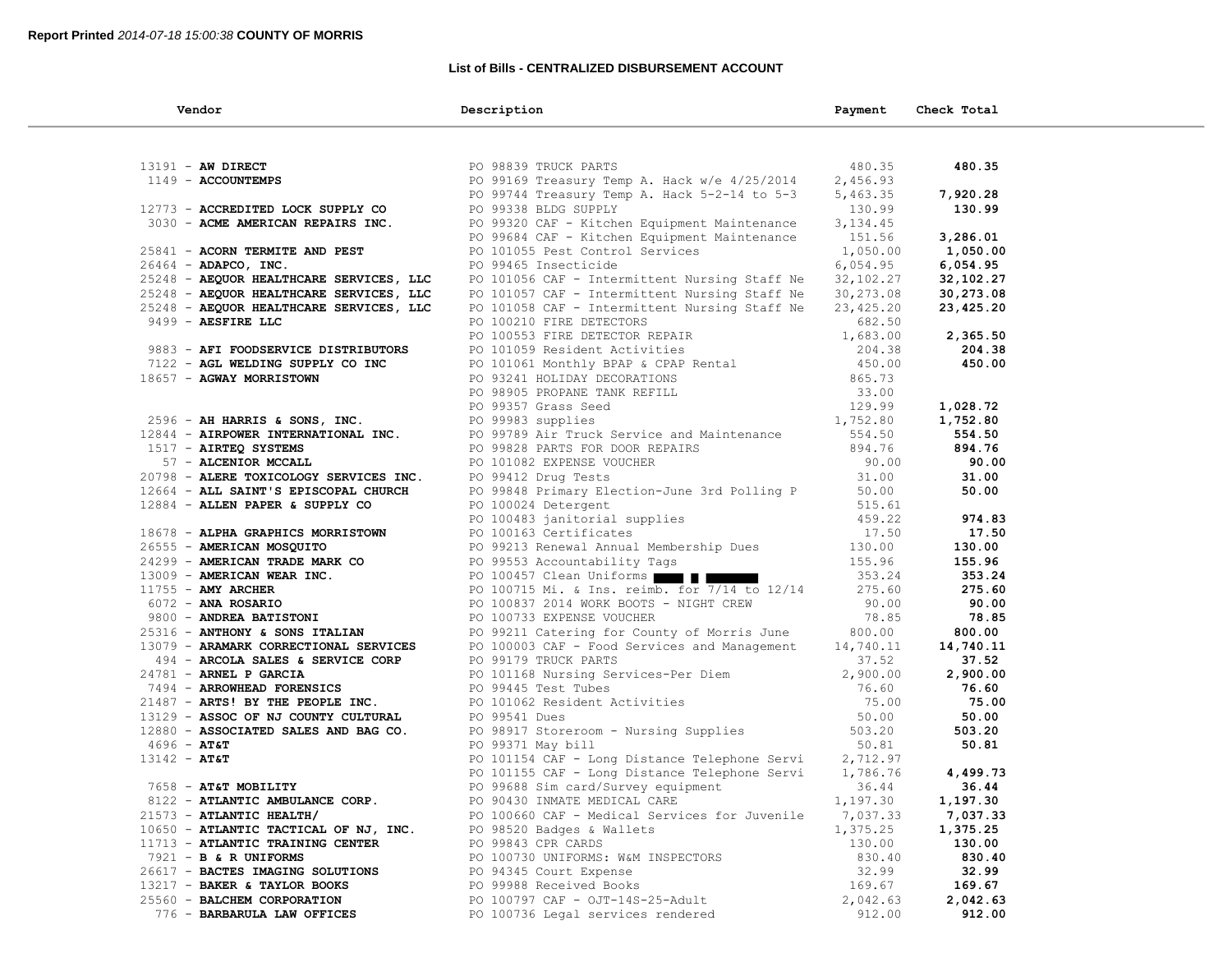## **List of Bills - CENTRALIZED DISBURSEMENT ACCOUNT**

| Vendor                                                     | Description                                                                                                                                                                                                                     | Payment   | Check Total |
|------------------------------------------------------------|---------------------------------------------------------------------------------------------------------------------------------------------------------------------------------------------------------------------------------|-----------|-------------|
|                                                            |                                                                                                                                                                                                                                 |           |             |
| $13191 - AN DIRECT$                                        | PO 98839 TRUCK PARTS                                                                                                                                                                                                            | 480.35    | 480.35      |
| 1149 - ACCOUNTEMPS                                         | PO 99169 Treasury Temp A. Hack w/e 4/25/2014                                                                                                                                                                                    | 2,456.93  |             |
|                                                            | PO 99744 Treasury Temp A. Hack 5-2-14 to 5-3                                                                                                                                                                                    | 5,463.35  | 7,920.28    |
| 12773 - ACCREDITED LOCK SUPPLY CO                          | PO 99338 BLDG SUPPLY                                                                                                                                                                                                            | 130.99    | 130.99      |
| 3030 - ACME AMERICAN REPAIRS INC.                          | PO 99320 CAF - Kitchen Equipment Maintenance                                                                                                                                                                                    | 3, 134.45 |             |
|                                                            | PO 99684 CAF - Kitchen Equipment Maintenance                                                                                                                                                                                    | 151.56    | 3,286.01    |
| 25841 - ACORN TERMITE AND PEST                             | PO 101055 Pest Control Services                                                                                                                                                                                                 | 1,050.00  | 1,050.00    |
| $26464$ - ADAPCO, INC.                                     | PO 99465 Insecticide                                                                                                                                                                                                            | 6,054.95  | 6,054.95    |
| 25248 - AEQUOR HEALTHCARE SERVICES, LLC                    | PO 101056 CAF - Intermittent Nursing Staff Ne                                                                                                                                                                                   | 32,102.27 | 32,102.27   |
| 25248 - AEQUOR HEALTHCARE SERVICES, LLC                    | PO 101057 CAF - Intermittent Nursing Staff Ne                                                                                                                                                                                   | 30,273.08 | 30,273.08   |
| 25248 - AEQUOR HEALTHCARE SERVICES, LLC                    | PO 101058 CAF - Intermittent Nursing Staff Ne                                                                                                                                                                                   | 23,425.20 | 23,425.20   |
| 9499 - AESFIRE LLC                                         | PO 100210 FIRE DETECTORS                                                                                                                                                                                                        | 682.50    |             |
|                                                            | PO 100553 FIRE DETECTOR REPAIR                                                                                                                                                                                                  | 1,683.00  | 2,365.50    |
| 9883 - AFI FOODSERVICE DISTRIBUTORS                        | PO 101059 Resident Activities<br>PO 101061 Monthly BPAP & CPAP Rental<br>PO 93241 HOLIDAY DECORATIONS<br>PO 98905 PROPANE TANK REFILL<br>PO 99357 Grass Seed<br>PO 99983 supplies<br>PO 99789 Air Truck Service and Mainters of | 204.38    | 204.38      |
| 7122 - AGL WELDING SUPPLY CO INC                           |                                                                                                                                                                                                                                 | 450.00    | 450.00      |
| 18657 - AGWAY MORRISTOWN                                   |                                                                                                                                                                                                                                 | 865.73    |             |
|                                                            |                                                                                                                                                                                                                                 | 33.00     |             |
|                                                            |                                                                                                                                                                                                                                 | 129.99    | 1,028.72    |
| 2596 - AH HARRIS & SONS, INC.                              | PO 99983 supplies                                                                                                                                                                                                               | 1,752.80  | 1,752.80    |
| 12844 - AIRPOWER INTERNATIONAL INC.                        | PO 99789 Air Truck Service and Maintenance                                                                                                                                                                                      | 554.50    | 554.50      |
| $1517$ - AIRTEQ SYSTEMS                                    | PO 99828 PARTS FOR DOOR REPAIRS<br>PO 101082 EXPENSE VOUCHER<br>PO 99412 Drug Tests                                                                                                                                             | 894.76    | 894.76      |
| 57 - ALCENIOR MCCALL                                       |                                                                                                                                                                                                                                 | 90.00     | 90.00       |
| 20798 - ALERE TOXICOLOGY SERVICES INC. PO 99412 Drug Tests |                                                                                                                                                                                                                                 | 31.00     | 31.00       |
| 12664 - ALL SAINT'S EPISCOPAL CHURCH                       | PO 99848 Primary Election-June 3rd Polling P                                                                                                                                                                                    | 50.00     | 50.00       |
| 12884 - ALLEN PAPER & SUPPLY CO                            | PO 100024 Detergent                                                                                                                                                                                                             | 515.61    |             |
|                                                            | PO 100483 janitorial supplies                                                                                                                                                                                                   | 459.22    | 974.83      |
| 18678 - ALPHA GRAPHICS MORRISTOWN                          | PO 100163 Certificates                                                                                                                                                                                                          | 17.50     | 17.50       |
| 26555 - AMERICAN MOSQUITO                                  | PO 99213 Renewal Annual Membership Dues<br>PO 99553 Accountability Tags                                                                                                                                                         | 130.00    | 130.00      |
| 24299 - AMERICAN TRADE MARK CO                             |                                                                                                                                                                                                                                 | 155.96    | 155.96      |
|                                                            | 13009 - AMERICAN WEAR INC.<br>11755 - AMY ARCHER BOLOGO BOLOGO PO 100715 Mi. & Ins. reimb. for 7/14 to 12/14                                                                                                                    | 353.24    | 353.24      |
|                                                            |                                                                                                                                                                                                                                 | 275.60    | 275.60      |
| 6072 - ANA ROSARIO                                         | PO 100837 2014 WORK BOOTS - NIGHT CREW                                                                                                                                                                                          | 90.00     | 90.00       |
| 9800 - ANDREA BATISTONI                                    | PO 100733 EXPENSE VOUCHER                                                                                                                                                                                                       | 78.85     | 78.85       |
| 25316 - ANTHONY & SONS ITALIAN                             | PO 99211 Catering for County of Morris June                                                                                                                                                                                     | 800.00    | 800.00      |
| 13079 - ARAMARK CORRECTIONAL SERVICES                      | PO 100003 CAF - Food Services and Management 14,740.11                                                                                                                                                                          |           | 14,740.11   |
| 494 - ARCOLA SALES & SERVICE CORP                          | PO 99179 TRUCK PARTS                                                                                                                                                                                                            | 37.52     | 37.52       |
| 24781 - ARNEL P GARCIA                                     | PO 101168 Nursing Services-Per Diem                                                                                                                                                                                             | 2,900.00  | 2,900.00    |
| 7494 - ARROWHEAD FORENSICS                                 | PO 99445 Test Tubes                                                                                                                                                                                                             | 76.60     | 76.60       |
| 21487 - ARTS! BY THE PEOPLE INC.                           | PO 99440 ICSL INDUCT<br>PO 101062 Resident Activities<br>PO 99541 Dues                                                                                                                                                          | 75.00     | 75.00       |
| 13129 - ASSOC OF NJ COUNTY CULTURAL                        |                                                                                                                                                                                                                                 | 50.00     | 50.00       |
| 12880 - ASSOCIATED SALES AND BAG CO.                       | PO 98917 Storeroom - Nursing Supplies<br>PO 99371 May bill                                                                                                                                                                      | 503.20    | 503.20      |
| $4696 - AT&T$                                              | PO 99371 May bill                                                                                                                                                                                                               | 50.81     | 50.81       |
| $13142 - AT&T$                                             | PO 101154 CAF - Long Distance Telephone Servi                                                                                                                                                                                   | 2,712.97  |             |
|                                                            | PO 101155 CAF - Long Distance Telephone Servi                                                                                                                                                                                   | 1,786.76  | 4,499.73    |
| 7658 - AT&T MOBILITY                                       | PO 99688 Sim card/Survey equipment                                                                                                                                                                                              | 36.44     | 36.44       |
| 8122 - ATLANTIC AMBULANCE CORP.                            | PO 90430 INMATE MEDICAL CARE                                                                                                                                                                                                    | 1,197.30  | 1,197.30    |
| $21573$ - ATLANTIC HEALTH/                                 | PO 100660 CAF - Medical Services for Juvenile                                                                                                                                                                                   | 7,037.33  | 7,037.33    |
| 10650 - ATLANTIC TACTICAL OF NJ, INC.                      | PO 98520 Badges & Wallets                                                                                                                                                                                                       | 1,375.25  | 1,375.25    |
| 11713 - ATLANTIC TRAINING CENTER                           | PO 99843 CPR CARDS                                                                                                                                                                                                              | 130.00    | 130.00      |
| 7921 - <b>B &amp; R UNIFORMS</b>                           | PO 100730 UNIFORMS: W&M INSPECTORS                                                                                                                                                                                              | 830.40    | 830.40      |
| 26617 - BACTES IMAGING SOLUTIONS                           | PO 94345 Court Expense                                                                                                                                                                                                          | 32.99     | 32.99       |
| 13217 - BAKER & TAYLOR BOOKS                               | PO 99988 Received Books                                                                                                                                                                                                         | 169.67    | 169.67      |
| 25560 - BALCHEM CORPORATION                                | PO 100797 CAF - OJT-14S-25-Adult                                                                                                                                                                                                | 2,042.63  | 2,042.63    |
| 776 - BARBARULA LAW OFFICES                                | PO 100736 Legal services rendered                                                                                                                                                                                               | 912.00    | 912.00      |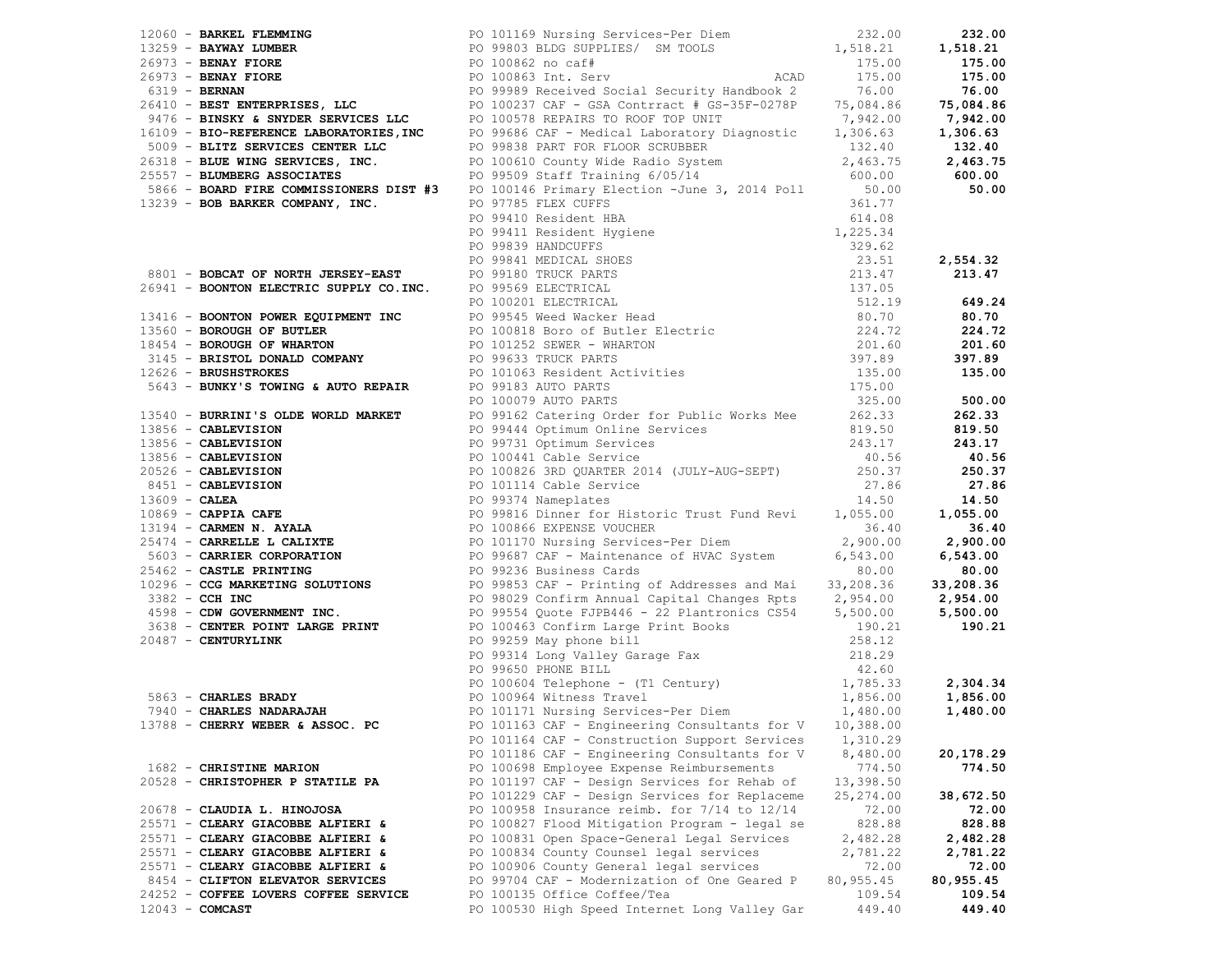|                                      | 1990, SAMIRI FLAMENTER (1991), 1992, 1992, 1992, 1992, 1992, 1992, 1992, 1992, 1992, 1992, 1992, 1992, 1992, 1992, 1992, 1992, 1992, 1992, 1992, 1992, 1992, 1992, 1992, 1992, 1992, 1992, 1992, 1992, 1992, 1992, 1992, 1992 |            |           |
|--------------------------------------|-------------------------------------------------------------------------------------------------------------------------------------------------------------------------------------------------------------------------------|------------|-----------|
|                                      |                                                                                                                                                                                                                               |            |           |
| 13788 - CHERRY WEBER & ASSOC. PC     |                                                                                                                                                                                                                               |            |           |
|                                      | PO 101164 CAF - Construction Support Services                                                                                                                                                                                 | 1,310.29   |           |
|                                      | PO 101186 CAF - Engineering Consultants for V                                                                                                                                                                                 | 8,480.00   | 20,178.29 |
| 1682 - CHRISTINE MARION              | PO 100698 Employee Expense Reimbursements                                                                                                                                                                                     | 774.50     | 774.50    |
| 20528 - CHRISTOPHER P STATILE PA     | PO 101197 CAF - Design Services for Rehab of                                                                                                                                                                                  | 13,398.50  |           |
|                                      | PO 101229 CAF - Design Services for Replaceme                                                                                                                                                                                 | 25, 274.00 | 38,672.50 |
| 20678 - CLAUDIA L. HINOJOSA          | PO 100958 Insurance reimb. for $7/14$ to $12/14$                                                                                                                                                                              | 72.00      | 72.00     |
| 25571 - CLEARY GIACOBBE ALFIERI &    | PO 100827 Flood Mitigation Program - legal se                                                                                                                                                                                 | 828.88     | 828.88    |
| 25571 - CLEARY GIACOBBE ALFIERI &    | PO 100831 Open Space-General Legal Services                                                                                                                                                                                   | 2,482.28   | 2,482.28  |
| 25571 - CLEARY GIACOBBE ALFIERI &    | PO 100834 County Counsel legal services                                                                                                                                                                                       | 2,781.22   | 2,781.22  |
| 25571 - CLEARY GIACOBBE ALFIERI &    | PO 100906 County General legal services                                                                                                                                                                                       | 72.00      | 72.00     |
| 8454 - CLIFTON ELEVATOR SERVICES     | PO 99704 CAF - Modernization of One Geared P                                                                                                                                                                                  | 80,955.45  | 80,955.45 |
| 24252 - COFFEE LOVERS COFFEE SERVICE | PO 100135 Office Coffee/Tea                                                                                                                                                                                                   | 109.54     | 109.54    |
| $12043 - COMCAST$                    | PO 100530 High Speed Internet Long Valley Gar                                                                                                                                                                                 | 449.40     | 449.40    |
|                                      |                                                                                                                                                                                                                               |            |           |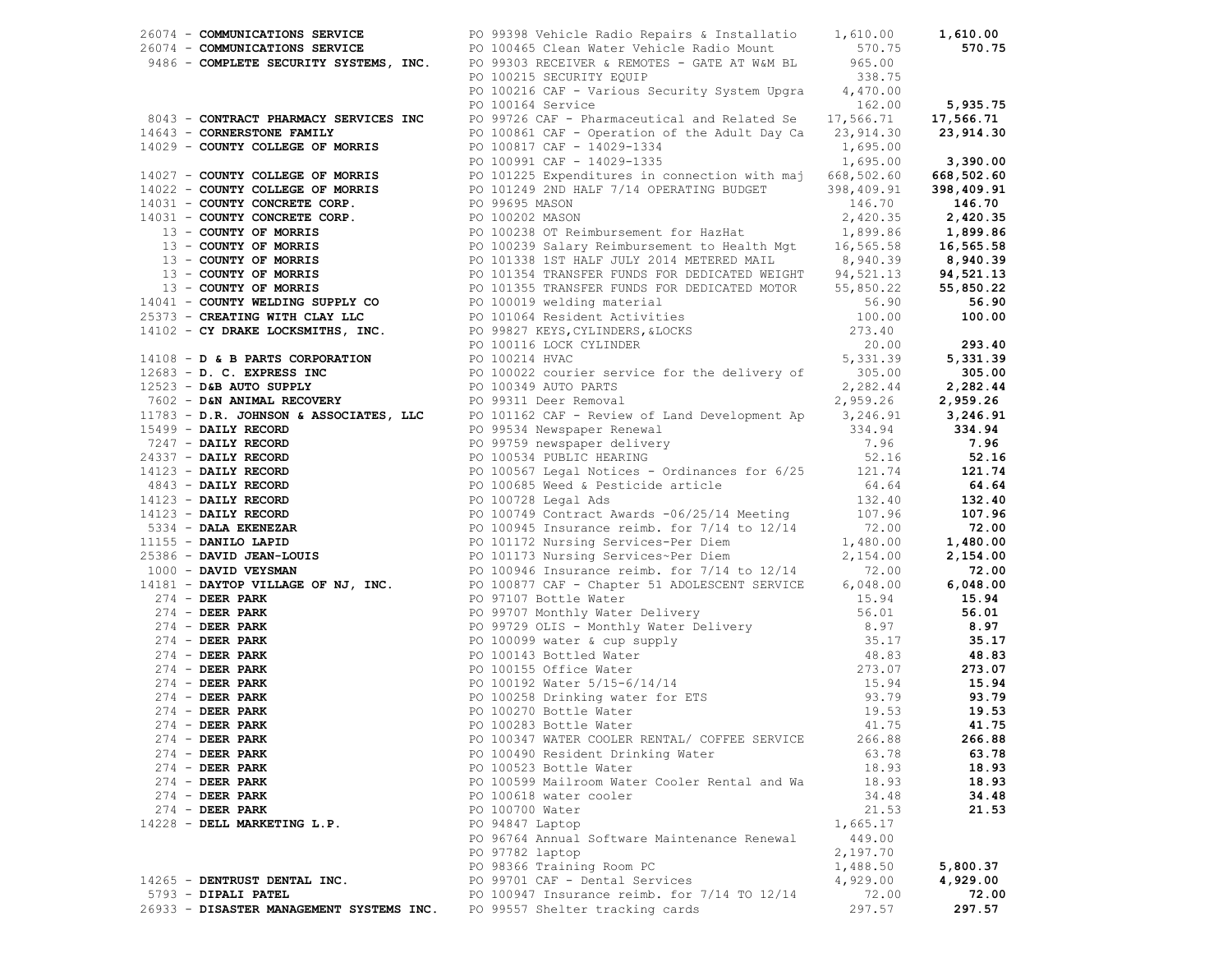|                              |                                                                                                                                                                                                                              |          | 1,610.00 |
|------------------------------|------------------------------------------------------------------------------------------------------------------------------------------------------------------------------------------------------------------------------|----------|----------|
|                              |                                                                                                                                                                                                                              |          | 570.75   |
|                              | 26074 - COMMUNICATIONS SERVICE <b>DENTISY EN ALLE DE COMMUNICATIONS SERVICE DENTISY OF A SERVICE DE 26074 - COMMUNICATIONS SERVICE DENTISY OF A SERVICE DENTISY OF A SERVICE DENTISY OF A SERVICE DENTISY OF A SERVI</b>     |          |          |
|                              |                                                                                                                                                                                                                              |          |          |
|                              |                                                                                                                                                                                                                              |          |          |
|                              | PO 100215 SECURITY EQUIP<br>PO 100216 CAF - Various Security System Upgra 4,470.00<br>162.00 5,935.75                                                                                                                        |          |          |
|                              | PO 100164 Service                                                                                                                                                                                                            |          |          |
|                              |                                                                                                                                                                                                                              |          |          |
|                              |                                                                                                                                                                                                                              |          |          |
|                              |                                                                                                                                                                                                                              |          |          |
|                              |                                                                                                                                                                                                                              |          |          |
|                              |                                                                                                                                                                                                                              |          |          |
|                              |                                                                                                                                                                                                                              |          |          |
|                              |                                                                                                                                                                                                                              |          |          |
|                              |                                                                                                                                                                                                                              |          |          |
|                              |                                                                                                                                                                                                                              |          |          |
|                              |                                                                                                                                                                                                                              |          |          |
|                              |                                                                                                                                                                                                                              |          |          |
|                              |                                                                                                                                                                                                                              |          |          |
|                              |                                                                                                                                                                                                                              |          |          |
|                              |                                                                                                                                                                                                                              |          |          |
|                              |                                                                                                                                                                                                                              |          |          |
|                              |                                                                                                                                                                                                                              |          |          |
|                              |                                                                                                                                                                                                                              |          |          |
|                              |                                                                                                                                                                                                                              |          |          |
|                              |                                                                                                                                                                                                                              |          |          |
|                              |                                                                                                                                                                                                                              |          |          |
|                              |                                                                                                                                                                                                                              |          |          |
|                              |                                                                                                                                                                                                                              |          |          |
|                              |                                                                                                                                                                                                                              |          |          |
|                              |                                                                                                                                                                                                                              |          |          |
|                              |                                                                                                                                                                                                                              |          |          |
|                              |                                                                                                                                                                                                                              |          |          |
|                              |                                                                                                                                                                                                                              |          |          |
|                              |                                                                                                                                                                                                                              |          |          |
|                              |                                                                                                                                                                                                                              |          |          |
|                              |                                                                                                                                                                                                                              |          |          |
|                              |                                                                                                                                                                                                                              |          |          |
|                              |                                                                                                                                                                                                                              |          |          |
|                              |                                                                                                                                                                                                                              |          |          |
|                              |                                                                                                                                                                                                                              |          |          |
|                              |                                                                                                                                                                                                                              |          |          |
|                              |                                                                                                                                                                                                                              |          |          |
|                              |                                                                                                                                                                                                                              |          |          |
|                              |                                                                                                                                                                                                                              |          |          |
|                              |                                                                                                                                                                                                                              |          |          |
|                              |                                                                                                                                                                                                                              |          |          |
|                              |                                                                                                                                                                                                                              |          |          |
|                              |                                                                                                                                                                                                                              |          |          |
|                              |                                                                                                                                                                                                                              |          |          |
|                              |                                                                                                                                                                                                                              |          |          |
|                              |                                                                                                                                                                                                                              |          |          |
|                              | 1914) CONTROL PRODUCE CONTROL 1920-2013 (1911) (1914) 2013 (1913) 2014) (1914) 2014) (1914) 2014) (1914) 2014) (1914) 2014) (1914) 2014) (1914) (1914) (1914) (1914) (1914) (1914) (1914) (1914) (1914) (1914) (1914) (1914) |          |          |
|                              |                                                                                                                                                                                                                              |          |          |
|                              |                                                                                                                                                                                                                              |          |          |
| 274 - DEER PARK              | PO 100283 Bottle Water                                                                                                                                                                                                       | 41.75    | 41.75    |
| $274$ - DEER PARK            | PO 100347 WATER COOLER RENTAL/ COFFEE SERVICE                                                                                                                                                                                | 266.88   | 266.88   |
| $274$ - DEER PARK            |                                                                                                                                                                                                                              | 63.78    | 63.78    |
|                              | PO 100490 Resident Drinking Water                                                                                                                                                                                            |          |          |
| $274$ - DEER PARK            | PO 100523 Bottle Water                                                                                                                                                                                                       | 18.93    | 18.93    |
| $274$ - DEER PARK            | PO 100599 Mailroom Water Cooler Rental and Wa                                                                                                                                                                                | 18.93    | 18.93    |
| $274$ - DEER PARK            | PO 100618 water cooler                                                                                                                                                                                                       | 34.48    | 34.48    |
| $274$ - DEER PARK            | PO 100700 Water                                                                                                                                                                                                              | 21.53    | 21.53    |
| 14228 - DELL MARKETING L.P.  | PO 94847 Laptop                                                                                                                                                                                                              | 1,665.17 |          |
|                              | PO 96764 Annual Software Maintenance Renewal                                                                                                                                                                                 | 449.00   |          |
|                              | PO 97782 laptop                                                                                                                                                                                                              | 2,197.70 |          |
|                              | PO 98366 Training Room PC                                                                                                                                                                                                    | 1,488.50 | 5,800.37 |
| 14265 - DENTRUST DENTAL INC. | PO 99701 CAF - Dental Services                                                                                                                                                                                               | 4,929.00 | 4,929.00 |
|                              |                                                                                                                                                                                                                              |          |          |
| 5793 - DIPALI PATEL          | PO 100947 Insurance reimb. for 7/14 TO 12/14                                                                                                                                                                                 | 72.00    | 72.00    |
|                              | 26933 - DISASTER MANAGEMENT SYSTEMS INC. PO 99557 Shelter tracking cards                                                                                                                                                     | 297.57   | 297.57   |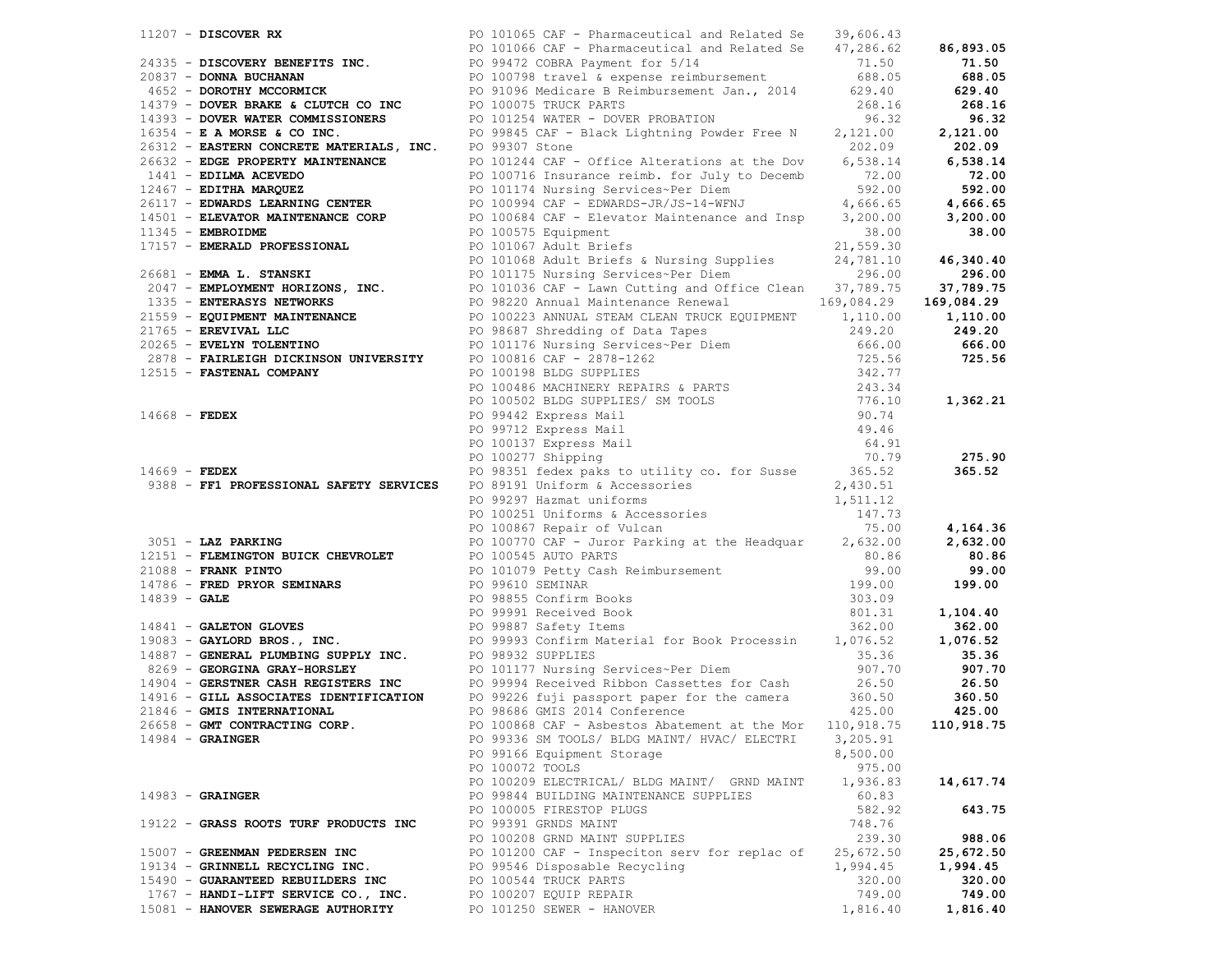|  |                                       | 2.411 - DESCRIPT DE COMPRESSION (1992) - 2003 - 2003 - 2003 - 2003 - 2003 - 2003 - 2003 - 2003 - 2003 - 2003 - 2003 - 2003 - 2003 - 2003 - 2003 - 2003 - 2003 - 2003 - 2003 - 2003 - 2003 - 2003 - 2003 - 2003 - 2003 - 2003 |           |           |
|--|---------------------------------------|------------------------------------------------------------------------------------------------------------------------------------------------------------------------------------------------------------------------------|-----------|-----------|
|  |                                       |                                                                                                                                                                                                                              |           |           |
|  |                                       |                                                                                                                                                                                                                              |           |           |
|  |                                       |                                                                                                                                                                                                                              |           |           |
|  |                                       |                                                                                                                                                                                                                              |           |           |
|  |                                       |                                                                                                                                                                                                                              |           |           |
|  |                                       |                                                                                                                                                                                                                              |           |           |
|  |                                       |                                                                                                                                                                                                                              |           |           |
|  |                                       |                                                                                                                                                                                                                              |           |           |
|  |                                       |                                                                                                                                                                                                                              |           |           |
|  |                                       |                                                                                                                                                                                                                              |           |           |
|  |                                       |                                                                                                                                                                                                                              |           |           |
|  |                                       |                                                                                                                                                                                                                              |           |           |
|  |                                       |                                                                                                                                                                                                                              |           |           |
|  |                                       |                                                                                                                                                                                                                              |           | 275.90    |
|  |                                       |                                                                                                                                                                                                                              |           |           |
|  |                                       |                                                                                                                                                                                                                              |           |           |
|  |                                       |                                                                                                                                                                                                                              |           |           |
|  |                                       |                                                                                                                                                                                                                              |           |           |
|  |                                       |                                                                                                                                                                                                                              |           |           |
|  |                                       |                                                                                                                                                                                                                              |           |           |
|  |                                       |                                                                                                                                                                                                                              |           |           |
|  |                                       |                                                                                                                                                                                                                              |           |           |
|  |                                       |                                                                                                                                                                                                                              |           |           |
|  |                                       |                                                                                                                                                                                                                              |           |           |
|  |                                       |                                                                                                                                                                                                                              |           |           |
|  |                                       |                                                                                                                                                                                                                              |           |           |
|  |                                       |                                                                                                                                                                                                                              |           |           |
|  |                                       |                                                                                                                                                                                                                              |           |           |
|  |                                       |                                                                                                                                                                                                                              |           |           |
|  |                                       |                                                                                                                                                                                                                              |           |           |
|  |                                       |                                                                                                                                                                                                                              |           |           |
|  |                                       |                                                                                                                                                                                                                              |           |           |
|  |                                       |                                                                                                                                                                                                                              |           |           |
|  | $14984 - \text{GRAINGER}$             | PO 99336 SM TOOLS/ BLDG MAINT/ HVAC/ ELECTRI                                                                                                                                                                                 | 3,205.91  |           |
|  |                                       | PO 99166 Equipment Storage                                                                                                                                                                                                   | 8,500.00  |           |
|  |                                       | PO 100072 TOOLS                                                                                                                                                                                                              | 975.00    |           |
|  |                                       | PO 100209 ELECTRICAL/ BLDG MAINT/ GRND MAINT                                                                                                                                                                                 | 1,936.83  | 14,617.74 |
|  | $14983 -$ GRAINGER                    | PO 99844 BUILDING MAINTENANCE SUPPLIES                                                                                                                                                                                       | 60.83     |           |
|  |                                       | PO 100005 FIRESTOP PLUGS                                                                                                                                                                                                     | 582.92    | 643.75    |
|  | 19122 - GRASS ROOTS TURF PRODUCTS INC | PO 99391 GRNDS MAINT                                                                                                                                                                                                         | 748.76    |           |
|  |                                       | PO 100208 GRND MAINT SUPPLIES                                                                                                                                                                                                | 239.30    | 988.06    |
|  | 15007 - GREENMAN PEDERSEN INC         | PO 101200 CAF - Inspeciton serv for replac of                                                                                                                                                                                | 25,672.50 | 25,672.50 |
|  | 19134 - GRINNELL RECYCLING INC.       | PO 99546 Disposable Recycling                                                                                                                                                                                                | 1,994.45  | 1,994.45  |
|  | 15490 - GUARANTEED REBUILDERS INC     | PO 100544 TRUCK PARTS                                                                                                                                                                                                        | 320.00    | 320.00    |
|  | 1767 - HANDI-LIFT SERVICE CO., INC.   | PO 100207 EQUIP REPAIR                                                                                                                                                                                                       | 749.00    | 749.00    |
|  | 15081 - HANOVER SEWERAGE AUTHORITY    | PO 101250 SEWER - HANOVER                                                                                                                                                                                                    | 1,816.40  | 1,816.40  |
|  |                                       |                                                                                                                                                                                                                              |           |           |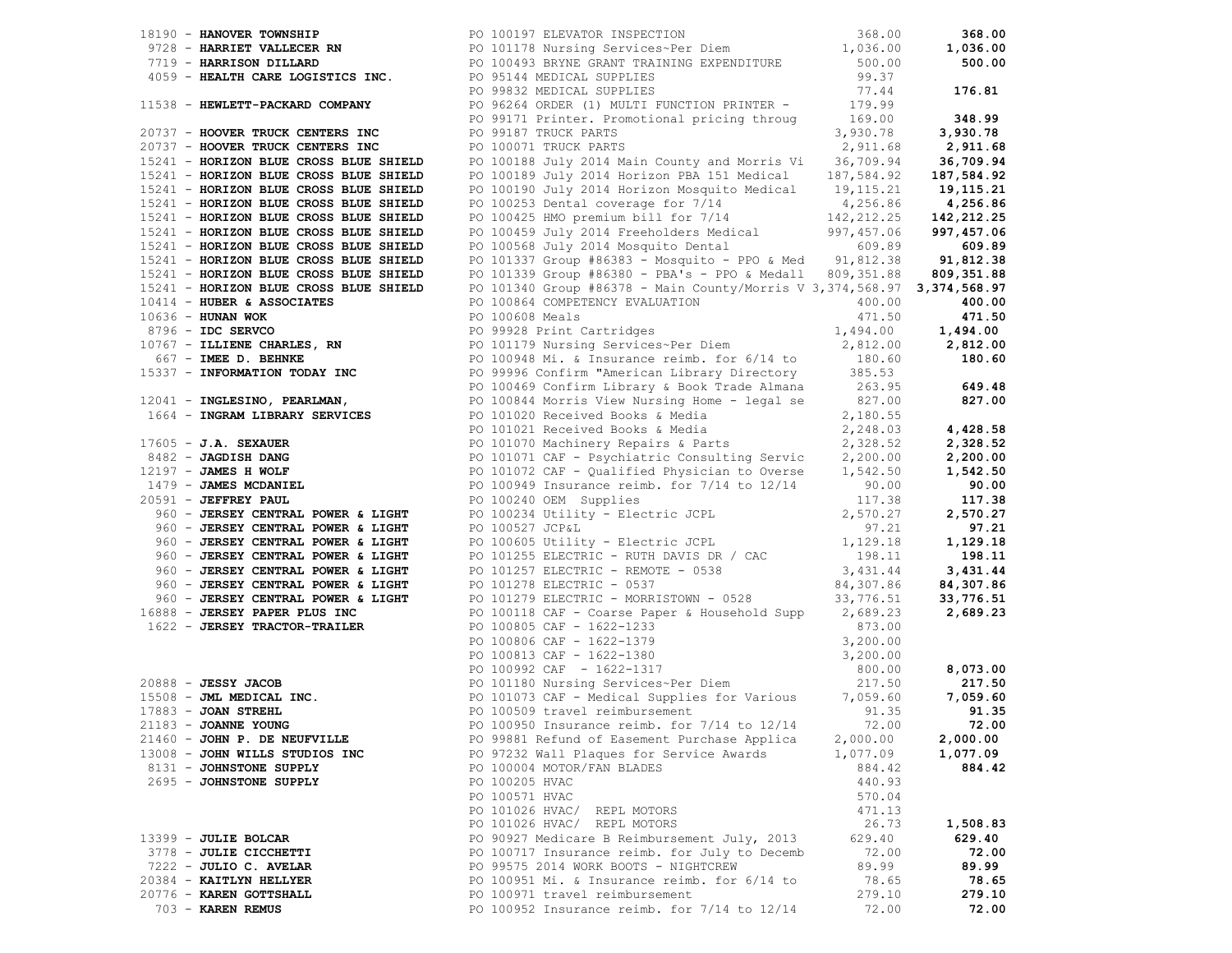|                                                                                             |                                                                                                                                                                                                                                                                        | 368.00     |                          |
|---------------------------------------------------------------------------------------------|------------------------------------------------------------------------------------------------------------------------------------------------------------------------------------------------------------------------------------------------------------------------|------------|--------------------------|
|                                                                                             | 18190 - <b>HANOVER TOWNSHIP</b><br>9728 - <b>HARRIET VALLECER RN</b> PO 101178 Nursing Services~Per Diem                       1,036.00<br>7719 - <b>HARRISON DILLARD</b> PO 100493 BRYNE GRANT TRA                                                                    |            | 368.00                   |
|                                                                                             |                                                                                                                                                                                                                                                                        |            | 1,036.00                 |
|                                                                                             |                                                                                                                                                                                                                                                                        |            | 500.00                   |
| 4059 - HEALTH CARE LOGISTICS INC. PO 95144 MEDICAL SUPPLIES                                 | PO 95144 MEDICAL SUPPLIES<br>PO 99832 MEDICAL SUPPLIES                                                                                                                                                                                                                 | 99.37      |                          |
|                                                                                             | PO 99832 MEDICAL SUFFILES<br>PO 96264 ORDER (1) MULTI FUNCTION PRINTER - 179.99<br>PO 96264 ORDER (1) MULTI FUNCTION PRINTER - 169.00 348.99                                                                                                                           |            |                          |
|                                                                                             |                                                                                                                                                                                                                                                                        |            |                          |
|                                                                                             |                                                                                                                                                                                                                                                                        |            |                          |
| 20737 - HOOVER TRUCK CENTERS INC                                                            | PO 99187 TRUCK PARTS                                                                                                                                                                                                                                                   | 3,930.78   | 3,930.78                 |
| 20737 - HOOVER TRUCK CENTERS INC                                                            | PO 100071 TRUCK PARTS                                                                                                                                                                                                                                                  | 2,911.68   | 2,911.68                 |
| 15241 - HORIZON BLUE CROSS BLUE SHIELD                                                      | PO 100188 July 2014 Main County and Morris Vi                                                                                                                                                                                                                          | 36,709.94  | 36,709.94                |
| 15241 - HORIZON BLUE CROSS BLUE SHIELD                                                      | PO 100189 July 2014 Horizon PBA 151 Medical                                                                                                                                                                                                                            | 187,584.92 | 187,584.92               |
| 15241 - HORIZON BLUE CROSS BLUE SHIELD                                                      | PO 100190 July 2014 Horizon Mosquito Medical 19,115.21                                                                                                                                                                                                                 |            | 19,115.21                |
| 15241 - HORIZON BLUE CROSS BLUE SHIELD                                                      | PO 100253 Dental coverage for 7/14                                                                                                                                                                                                                                     | 4,256.86   | 4,256.86                 |
| 15241 - HORIZON BLUE CROSS BLUE SHIELD                                                      | PO 100425 HMO premium bill for 7/14                                                                                                                                                                                                                                    | 142,212.25 | 142,212.25               |
| 15241 - HORIZON BLUE CROSS BLUE SHIELD                                                      | PO 100459 July 2014 Freeholders Medical 997,457.06<br>PO 100568 July 2014 Mosquito Dental 609.89                                                                                                                                                                       | 997,457.06 | 997,457.06               |
| 15241 - HORIZON BLUE CROSS BLUE SHIELD                                                      |                                                                                                                                                                                                                                                                        |            | 609.89                   |
| 15241 - HORIZON BLUE CROSS BLUE SHIELD                                                      | PO 101337 Group #86383 - Mosquito - PPO & Med 91,812.38                                                                                                                                                                                                                |            | 91,812.38                |
| 15241 - HORIZON BLUE CROSS BLUE SHIELD                                                      | PO 101339 Group #86380 - PBA's - PPO & Medall 809,351.88                                                                                                                                                                                                               |            | 809,351.88               |
| 15241 - HORIZON BLUE CROSS BLUE SHIELD                                                      | PO 101340 Group #86378 - Main County/Morris V 3,374,568.97 3,374,568.97                                                                                                                                                                                                |            |                          |
| $10414$ - HUBER & ASSOCIATES                                                                | PO 100864 COMPETENCY EVALUATION<br>PO 100608 Meals (2001)                                                                                                                                                                                                              |            | 400.00                   |
|                                                                                             | 10636 - HUNAN WOK<br>8796 - IDC SERVCO<br>10767 - ILLIENE CHARLES, RN BO 101179 Nursing Services~Per Diem 2,812.00<br>8796 - ILLIENE CHARLES, RN BO 101179 Nursing Services~Per Diem 2,812.00<br>867 - IMEE D. BEHNKE<br>8796 - IMEE D.                                |            |                          |
|                                                                                             |                                                                                                                                                                                                                                                                        |            |                          |
|                                                                                             |                                                                                                                                                                                                                                                                        |            |                          |
|                                                                                             |                                                                                                                                                                                                                                                                        |            |                          |
|                                                                                             | 15337 - <b>INFORMATION TODAY INC</b> PO 99996 Confirm "American Library Directory 385.53<br>PO 100469 Confirm Library & Book Trade Almana 263.95                                                                                                                       |            |                          |
|                                                                                             | 19 100844 Morris View Nursing Home - legal se 827.00<br>17605 - <b>J.A. SEXAUER</b><br>17605 - <b>J.A. SEXAUER</b><br>2,180.55<br>2,180.55<br>2,280.53<br>2,280.53<br>2,280.53<br>2,280.53<br>2,280.53<br>2,280.53<br>2,280.53<br>2,280.53<br>2,280.53<br>2,280.53<br> |            | 649.48                   |
|                                                                                             |                                                                                                                                                                                                                                                                        |            | 827.00                   |
|                                                                                             |                                                                                                                                                                                                                                                                        |            |                          |
|                                                                                             |                                                                                                                                                                                                                                                                        |            | 4,428.58                 |
|                                                                                             |                                                                                                                                                                                                                                                                        |            | 2,328.52                 |
|                                                                                             |                                                                                                                                                                                                                                                                        |            | 2,200.00                 |
|                                                                                             |                                                                                                                                                                                                                                                                        |            | 1,542.50                 |
|                                                                                             |                                                                                                                                                                                                                                                                        |            | 90.00                    |
|                                                                                             |                                                                                                                                                                                                                                                                        |            | 117.38                   |
| 960 - JERSEY CENTRAL POWER & LIGHT                                                          | PO 100234 Utility - Electric JCPL                                                                                                                                                                                                                                      | 2,570.27   | 2,570.27                 |
| 960 - JERSEY CENTRAL POWER & LIGHT                                                          | PO 100527 JCP&L                                                                                                                                                                                                                                                        | 97.21      | 97.21                    |
| 960 - JERSEY CENTRAL POWER & LIGHT                                                          | PO 100327 0CFWL<br>PO 100605 Utility - Electric JCPL<br>PO 101255 ELECTRIC - RUTH DAVIS DR / CAC                                                                                                                                                                       | 1,129.18   | 1,129.16<br>198.11       |
| 960 - JERSEY CENTRAL POWER & LIGHT                                                          |                                                                                                                                                                                                                                                                        | 198.11     |                          |
| 960 - JERSEY CENTRAL POWER & LIGHT                                                          | PO 101257 ELECTRIC - REMOTE - 0538<br>PO 101278 ELECTRIC - 0537                                                                                                                                                                                                        | 3,431.44   | 3,431.44                 |
| 960 - JERSEY CENTRAL POWER & LIGHT                                                          |                                                                                                                                                                                                                                                                        | 84,307.86  | 84,307.86                |
| 960 - JERSEY CENTRAL POWER & LIGHT                                                          | PO 101279 ELECTRIC - MORRISTOWN - 0528 33,776.51                                                                                                                                                                                                                       |            | 33,776.51                |
| 16888 - JERSEY PAPER PLUS INC                                                               | PO 100118 CAF - Coarse Paper & Household Supp 2,689.23                                                                                                                                                                                                                 |            | 2,689.23                 |
| 1622 - JERSEY TRACTOR-TRAILER                                                               |                                                                                                                                                                                                                                                                        |            |                          |
|                                                                                             |                                                                                                                                                                                                                                                                        |            |                          |
|                                                                                             |                                                                                                                                                                                                                                                                        |            |                          |
|                                                                                             | PO 100805 CAF - 1622-1233<br>PO 100806 CAF - 1622-1233<br>PO 100806 CAF - 1622-1379<br>PO 100813 CAF - 1622-1379<br>PO 100992 CAF - 1622-1317<br>PO 101180 Nursing Services~Per Diem<br>PO 101190 Nursing Services~Per Diem<br>217.50<br>PO 10                         |            | 8,073.00                 |
| 20888 - <b>JESSY JACOB</b><br>15508 - <b>JML MEDICAL INC.</b><br>17883 - <b>JOAN STREHL</b> |                                                                                                                                                                                                                                                                        |            | 217.50<br>$\overline{7}$ |
|                                                                                             |                                                                                                                                                                                                                                                                        |            | 7,059.60                 |
| $17883$ - JOAN STREHL                                                                       | PO 100509 travel reimbursement                                                                                                                                                                                                                                         | 91.35      | 91.35                    |
| $21183 - JOANNE YOUNG$                                                                      | PO 100950 Insurance reimb. for $7/14$ to $12/14$                                                                                                                                                                                                                       | 72.00      | 72.00                    |
| 21460 - JOHN P. DE NEUFVILLE                                                                | PO 99881 Refund of Easement Purchase Applica                                                                                                                                                                                                                           | 2,000.00   | 2,000.00                 |
| 13008 - JOHN WILLS STUDIOS INC                                                              | PO 97232 Wall Plaques for Service Awards                                                                                                                                                                                                                               | 1,077.09   | 1,077.09                 |
| 8131 - JOHNSTONE SUPPLY                                                                     | PO 100004 MOTOR/FAN BLADES                                                                                                                                                                                                                                             | 884.42     | 884.42                   |
| 2695 - JOHNSTONE SUPPLY                                                                     | PO 100205 HVAC                                                                                                                                                                                                                                                         | 440.93     |                          |
|                                                                                             | PO 100571 HVAC                                                                                                                                                                                                                                                         | 570.04     |                          |
|                                                                                             | PO 101026 HVAC/ REPL MOTORS                                                                                                                                                                                                                                            | 471.13     |                          |
|                                                                                             | PO 101026 HVAC/ REPL MOTORS                                                                                                                                                                                                                                            | 26.73      | 1,508.83                 |
| 13399 - JULIE BOLCAR                                                                        | PO 90927 Medicare B Reimbursement July, 2013                                                                                                                                                                                                                           | 629.40     | 629.40                   |
| 3778 - JULIE CICCHETTI                                                                      | PO 100717 Insurance reimb. for July to Decemb                                                                                                                                                                                                                          | 72.00      | 72.00                    |
| 7222 - JULIO C. AVELAR                                                                      | PO 99575 2014 WORK BOOTS - NIGHTCREW                                                                                                                                                                                                                                   | 89.99      | 89.99                    |
| 20384 - KAITLYN HELLYER                                                                     | PO 100951 Mi. & Insurance reimb. for 6/14 to                                                                                                                                                                                                                           | 78.65      | 78.65                    |
| 20776 - KAREN GOTTSHALL                                                                     | PO 100971 travel reimbursement                                                                                                                                                                                                                                         | 279.10     | 279.10                   |
| 703 - KAREN REMUS                                                                           | PO 100952 Insurance reimb. for 7/14 to 12/14                                                                                                                                                                                                                           | 72.00      | 72.00                    |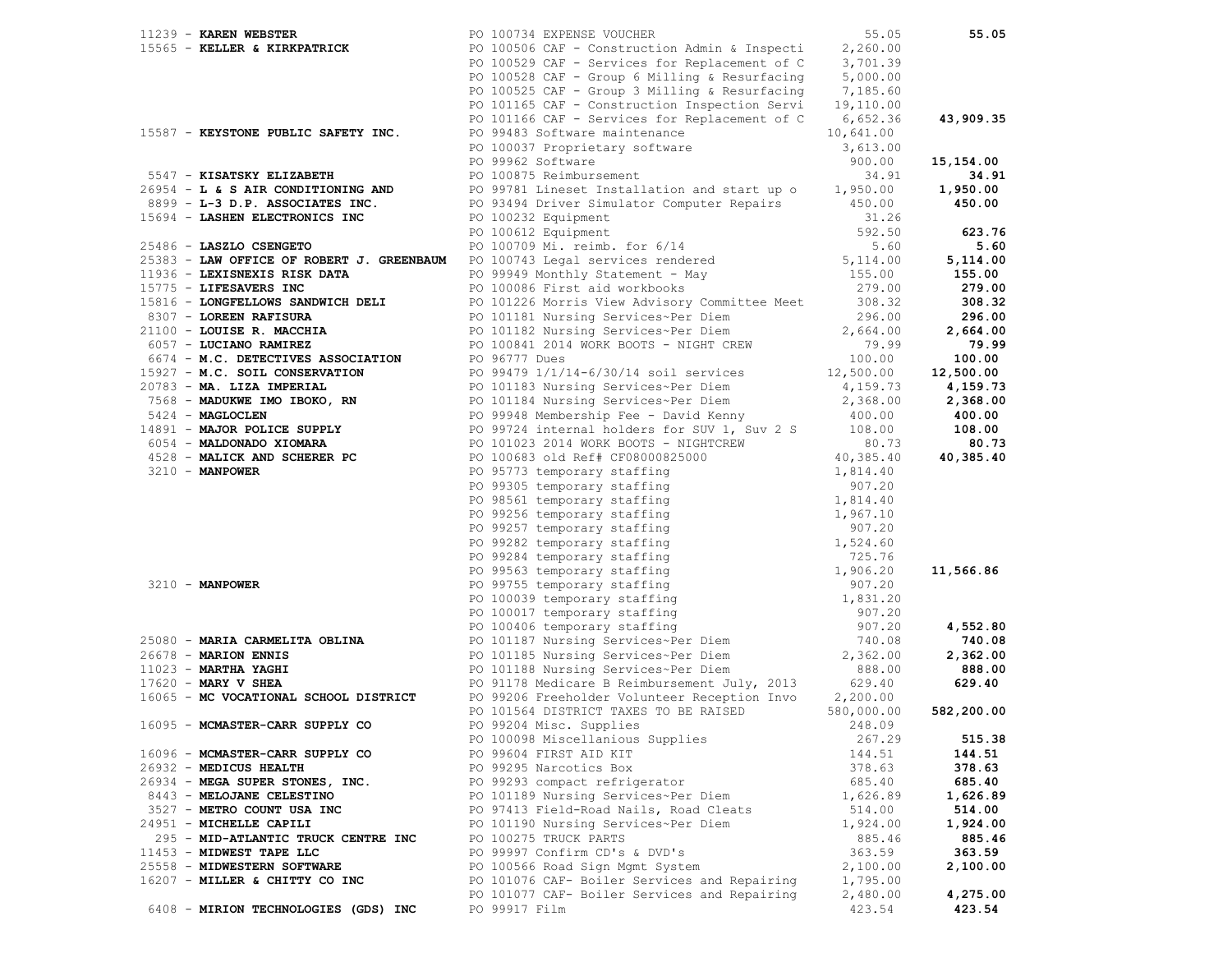|  | $11239$ - KAREN WEBSTER               | PO 100734 EXPENSE VOUCHER                                                                                                                                                                                                          | 55.05      | 55.05      |
|--|---------------------------------------|------------------------------------------------------------------------------------------------------------------------------------------------------------------------------------------------------------------------------------|------------|------------|
|  |                                       |                                                                                                                                                                                                                                    | 2,260.00   |            |
|  |                                       | 11233 INNER & KIRKPATRICK PO 100506 CAF - Construction Admin & Inspecti<br>PO 100529 CAF - Services for Replacement of C                                                                                                           | 3,701.39   |            |
|  |                                       | PO 100528 CAF - Group 6 Milling & Resurfacing                                                                                                                                                                                      | 5,000.00   |            |
|  |                                       | PO 100525 CAF - Group 3 Milling & Resurfacing $7,185.60$                                                                                                                                                                           |            |            |
|  |                                       | PO 101165 CAF - Construction Inspection Servi                                                                                                                                                                                      | 19,110.00  |            |
|  |                                       | PO 101166 CAF - Services for Replacement of C                                                                                                                                                                                      | 6,652.36   | 43,909.35  |
|  | 15587 - KEYSTONE PUBLIC SAFETY INC.   | PO 99483 Software maintenance                                                                                                                                                                                                      | 10,641.00  |            |
|  |                                       | PO 100037 Proprietary software                                                                                                                                                                                                     | 3,613.00   |            |
|  |                                       | PO 99962 Software                                                                                                                                                                                                                  | 900.00     | 15,154.00  |
|  | 5547 - KISATSKY ELIZABETH             | PO 100875 Reimbursement                                                                                                                                                                                                            | 34.91      | 34.91      |
|  |                                       |                                                                                                                                                                                                                                    |            |            |
|  |                                       | 26954 - L & S AIR CONDITIONING AND<br>8899 - L-3 D.P. ASSOCIATES INC.<br>PO 93494 Driver Simulator Computer Repairs 450.00                                                                                                         |            | 1,950.00   |
|  |                                       |                                                                                                                                                                                                                                    |            | 450.00     |
|  | 15694 - LASHEN ELECTRONICS INC        | PO 100232 Equipment                                                                                                                                                                                                                | 31.26      |            |
|  |                                       | PO 100612 Equipment                                                                                                                                                                                                                | 592.50     | 623.76     |
|  |                                       | 25486 - LASZLO CSENGETO PO 100709 Mi. reimb. for $6/14$ 5.60<br>25383 - LAW OFFICE OF ROBERT J. GREENBAUM PO 100743 Legal services rendered 5,114.00                                                                               |            | 5.60       |
|  |                                       |                                                                                                                                                                                                                                    |            | 5,114.00   |
|  | 11936 - LEXISNEXIS RISK DATA          | PO 99949 Monthly Statement - May<br>PO 100086 First aid workbooks                                                                                                                                                                  | 155.00     | 155.00     |
|  | 15775 - LIFESAVERS INC                |                                                                                                                                                                                                                                    | 279.00     | 279.00     |
|  | 15816 - LONGFELLOWS SANDWICH DELI     | PO 101226 Morris View Advisory Committee Meet 308.32                                                                                                                                                                               |            | 308.32     |
|  | 8307 - LOREEN RAFISURA                | PO 101181 Nursing Services~Per Diem                                                                                                                                                                                                | 296.00     | 296.00     |
|  | 21100 - LOUISE R. MACCHIA             | PO 101182 Nursing Services~Per Diem 2,664.00                                                                                                                                                                                       |            | 2,664.00   |
|  | 6057 - LUCIANO RAMIREZ                | PO 100841 2014 WORK BOOTS - NIGHT CREW                                                                                                                                                                                             | 79.99      | 79.99      |
|  |                                       |                                                                                                                                                                                                                                    |            | 100.00     |
|  |                                       |                                                                                                                                                                                                                                    |            | 12,500.00  |
|  |                                       |                                                                                                                                                                                                                                    |            | 4,159.73   |
|  |                                       |                                                                                                                                                                                                                                    |            | 2,368.00   |
|  |                                       |                                                                                                                                                                                                                                    |            | 400.00     |
|  |                                       |                                                                                                                                                                                                                                    |            | 108.00     |
|  |                                       |                                                                                                                                                                                                                                    |            | 80.73      |
|  |                                       |                                                                                                                                                                                                                                    |            | 40,385.40  |
|  |                                       |                                                                                                                                                                                                                                    |            |            |
|  |                                       | 4057 - LOCENNO RANGER PO 100841 2014 WORK BODTS - NIGHT CREW 27001.<br>16057 - LOCENNO RANGER PO 100841 2014 WORK BODTS - NIGHT CREW 2700.00<br>17922 - M.C. SOIL CONSERVATION PO 99479 1/1/14-6/30/14 soil services 12,500.00<br> |            |            |
|  |                                       |                                                                                                                                                                                                                                    |            |            |
|  |                                       |                                                                                                                                                                                                                                    |            |            |
|  |                                       |                                                                                                                                                                                                                                    |            |            |
|  |                                       |                                                                                                                                                                                                                                    |            |            |
|  |                                       |                                                                                                                                                                                                                                    |            |            |
|  |                                       |                                                                                                                                                                                                                                    |            |            |
|  |                                       |                                                                                                                                                                                                                                    |            | 11,566.86  |
|  |                                       |                                                                                                                                                                                                                                    |            |            |
|  |                                       |                                                                                                                                                                                                                                    |            |            |
|  |                                       |                                                                                                                                                                                                                                    |            |            |
|  |                                       |                                                                                                                                                                                                                                    |            | 4,552.80   |
|  |                                       |                                                                                                                                                                                                                                    |            | 740.08     |
|  |                                       |                                                                                                                                                                                                                                    |            | 2,362.00   |
|  |                                       |                                                                                                                                                                                                                                    |            | 888.00     |
|  | $17620$ - MARY V SHEA                 | PO 91178 Medicare B Reimbursement July, 2013 629.40<br>PO 99206 Freeholder Volunteer Reception Invo 2,200.00                                                                                                                       |            | 629.40     |
|  | 16065 - MC VOCATIONAL SCHOOL DISTRICT |                                                                                                                                                                                                                                    |            |            |
|  |                                       | PO 101564 DISTRICT TAXES TO BE RAISED                                                                                                                                                                                              | 580,000.00 | 582,200.00 |
|  | 16095 - MCMASTER-CARR SUPPLY CO       | PO 99204 Misc. Supplies                                                                                                                                                                                                            | 248.09     |            |
|  |                                       | PO 100098 Miscellanious Supplies                                                                                                                                                                                                   | 267.29     | 515.38     |
|  | 16096 - MCMASTER-CARR SUPPLY CO       | PO 99604 FIRST AID KIT                                                                                                                                                                                                             | 144.51     | 144.51     |
|  | 26932 - MEDICUS HEALTH                | PO 99295 Narcotics Box                                                                                                                                                                                                             | 378.63     | 378.63     |
|  | 26934 - MEGA SUPER STONES, INC.       | PO 99293 compact refrigerator                                                                                                                                                                                                      | 685.40     | 685.40     |
|  | 8443 - MELOJANE CELESTINO             | PO 101189 Nursing Services~Per Diem                                                                                                                                                                                                | 1,626.89   | 1,626.89   |
|  | 3527 - METRO COUNT USA INC            | PO 97413 Field-Road Nails, Road Cleats                                                                                                                                                                                             | 514.00     | 514.00     |
|  | 24951 - MICHELLE CAPILI               | PO 101190 Nursing Services~Per Diem                                                                                                                                                                                                | 1,924.00   | 1,924.00   |
|  |                                       |                                                                                                                                                                                                                                    | 885.46     | 885.46     |
|  | 295 - MID-ATLANTIC TRUCK CENTRE INC   | PO 100275 TRUCK PARTS                                                                                                                                                                                                              |            |            |
|  | 11453 - MIDWEST TAPE LLC              | PO 99997 Confirm CD's & DVD's                                                                                                                                                                                                      | 363.59     | 363.59     |
|  | 25558 - MIDWESTERN SOFTWARE           | PO 100566 Road Sign Mgmt System                                                                                                                                                                                                    | 2,100.00   | 2,100.00   |
|  | 16207 - MILLER & CHITTY CO INC        | PO 101076 CAF- Boiler Services and Repairing                                                                                                                                                                                       | 1,795.00   |            |
|  |                                       | PO 101077 CAF- Boiler Services and Repairing                                                                                                                                                                                       | 2,480.00   | 4,275.00   |
|  | 6408 - MIRION TECHNOLOGIES (GDS) INC  | PO 99917 Film                                                                                                                                                                                                                      | 423.54     | 423.54     |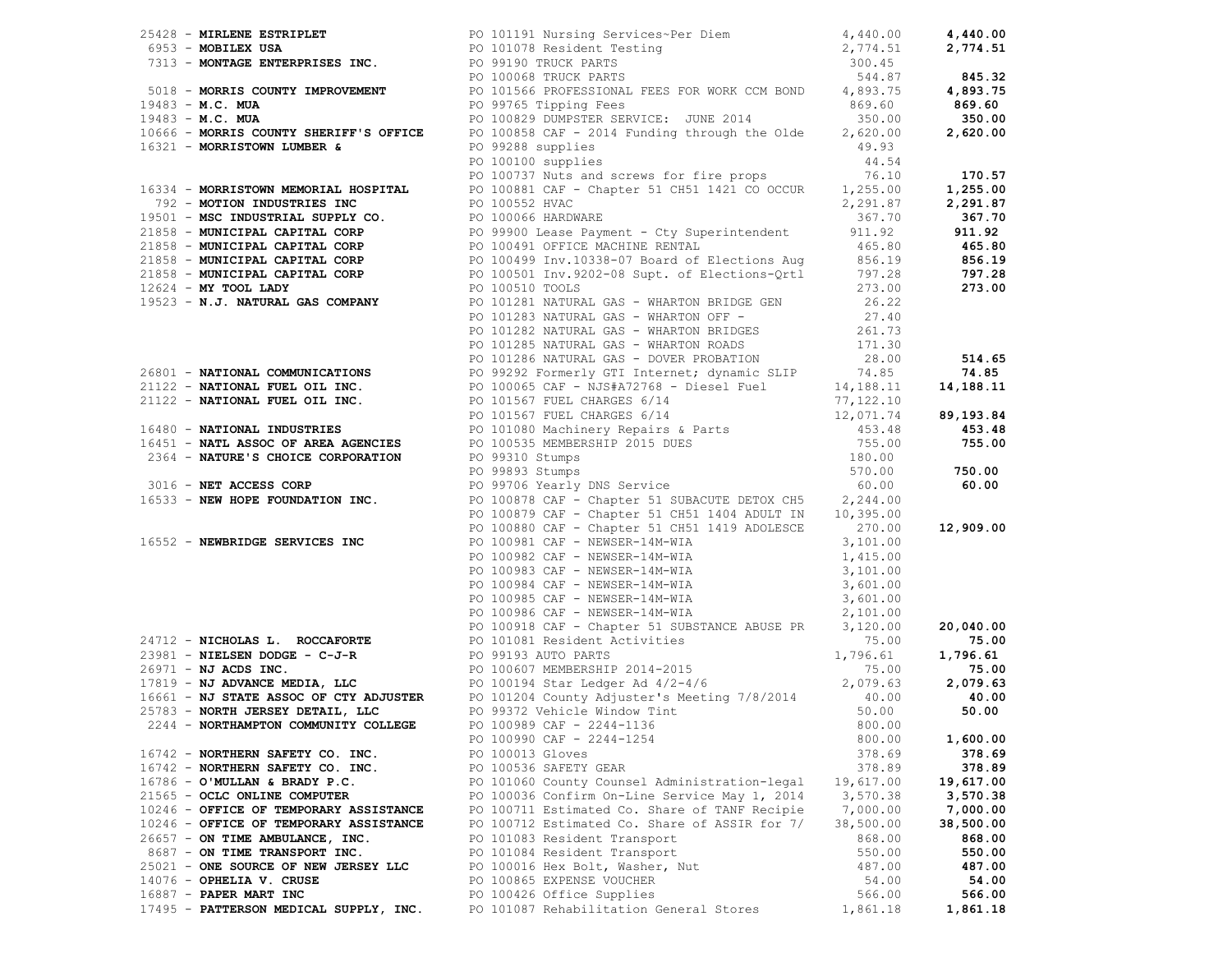|                                        | 26428 <b>- MIKILENE ESTRIPLET</b><br><b>FOLD 10119 Numising Services-Fer Dien<br/> FOLD 1019 Nesident Testing Pervises-Fer Dien<br/> 27,774.51 <b>2,774.51 2,774.51</b><br/> <b>FOLD 26. MIN</b><br/> <b>FOLD 26. MINE THE STRIP CONTRESS TOWER PARTS</b><br/> <b>FOLD 313 </b></b>                                                               |           |           |
|----------------------------------------|---------------------------------------------------------------------------------------------------------------------------------------------------------------------------------------------------------------------------------------------------------------------------------------------------------------------------------------------------|-----------|-----------|
|                                        |                                                                                                                                                                                                                                                                                                                                                   |           |           |
|                                        |                                                                                                                                                                                                                                                                                                                                                   |           |           |
|                                        |                                                                                                                                                                                                                                                                                                                                                   |           |           |
|                                        |                                                                                                                                                                                                                                                                                                                                                   |           |           |
|                                        |                                                                                                                                                                                                                                                                                                                                                   |           |           |
|                                        |                                                                                                                                                                                                                                                                                                                                                   |           |           |
|                                        |                                                                                                                                                                                                                                                                                                                                                   |           |           |
|                                        |                                                                                                                                                                                                                                                                                                                                                   |           |           |
|                                        |                                                                                                                                                                                                                                                                                                                                                   |           |           |
|                                        |                                                                                                                                                                                                                                                                                                                                                   |           |           |
|                                        |                                                                                                                                                                                                                                                                                                                                                   |           |           |
|                                        |                                                                                                                                                                                                                                                                                                                                                   |           |           |
|                                        |                                                                                                                                                                                                                                                                                                                                                   |           |           |
|                                        |                                                                                                                                                                                                                                                                                                                                                   |           |           |
|                                        |                                                                                                                                                                                                                                                                                                                                                   |           |           |
|                                        |                                                                                                                                                                                                                                                                                                                                                   |           |           |
|                                        |                                                                                                                                                                                                                                                                                                                                                   |           |           |
|                                        |                                                                                                                                                                                                                                                                                                                                                   |           |           |
|                                        |                                                                                                                                                                                                                                                                                                                                                   |           |           |
|                                        |                                                                                                                                                                                                                                                                                                                                                   |           |           |
|                                        | PO 101283 NATURAL GAS - WHARTON OFF -                                                                                                                                                                                                                                                                                                             | 27.40     |           |
|                                        |                                                                                                                                                                                                                                                                                                                                                   |           |           |
|                                        |                                                                                                                                                                                                                                                                                                                                                   |           |           |
|                                        |                                                                                                                                                                                                                                                                                                                                                   |           |           |
|                                        |                                                                                                                                                                                                                                                                                                                                                   |           |           |
|                                        |                                                                                                                                                                                                                                                                                                                                                   |           |           |
|                                        |                                                                                                                                                                                                                                                                                                                                                   |           |           |
|                                        |                                                                                                                                                                                                                                                                                                                                                   |           |           |
|                                        |                                                                                                                                                                                                                                                                                                                                                   |           |           |
|                                        |                                                                                                                                                                                                                                                                                                                                                   |           |           |
|                                        |                                                                                                                                                                                                                                                                                                                                                   |           |           |
|                                        |                                                                                                                                                                                                                                                                                                                                                   |           |           |
|                                        | $[0 101283 NATURAL COMMUNICATIONS\n1011228 NATURAL CAS - WIARTIONS B1D1228 NATURAL GAS - WIARTIONS B1D128\n101228 NATURAL CAS - WIARTIONS B1D130\n101228 NATURAL CAS - WIARTIONS B1D130\n101228 NATURAL CAS - WIARTIONS A2D103\n101229 - NATIONAL FUBL OF\n21122 - NATIONAL FULL OF\n21122 - NATIONAL FUBL OF\n21122 - NATIONAL FUBL OF\n21122 -$ |           |           |
|                                        |                                                                                                                                                                                                                                                                                                                                                   |           |           |
|                                        |                                                                                                                                                                                                                                                                                                                                                   |           |           |
|                                        |                                                                                                                                                                                                                                                                                                                                                   |           |           |
|                                        |                                                                                                                                                                                                                                                                                                                                                   |           |           |
|                                        |                                                                                                                                                                                                                                                                                                                                                   |           |           |
|                                        |                                                                                                                                                                                                                                                                                                                                                   |           |           |
|                                        | 16552 - NEWBRIDGE SERVICES INC<br>PO 100981 CAF - NEWSER-14M-WIA<br>PO 100982 CAF - NEWSER-14M-WIA<br>PO 100983 CAF - NEWSER-14M-WIA<br>PO 100984 CAF - NEWSER-14M-WIA<br>PO 100986 CAF - NEWSER-14M-WIA<br>PO 100986 CAF - NEWSER-14M-WI                                                                                                         |           |           |
|                                        |                                                                                                                                                                                                                                                                                                                                                   |           |           |
|                                        |                                                                                                                                                                                                                                                                                                                                                   |           |           |
|                                        |                                                                                                                                                                                                                                                                                                                                                   |           |           |
|                                        |                                                                                                                                                                                                                                                                                                                                                   |           |           |
|                                        |                                                                                                                                                                                                                                                                                                                                                   |           |           |
|                                        | PO 100986 CAF - NEWSER-14M-WIA 2,101.00<br>PO 100918 CAF - Chapter 51 SUBSTANCE ABUSE PR<br>23981 - NIELSEN DODGE - C-J-R<br>26971 - NJ ACDS INC.<br>26971 - NJ ACDS INC.<br>26971 - NJ ACDS INC.<br>278.00<br>278.00<br>278.00<br>278.00<br>2799.                                                                                                |           |           |
|                                        |                                                                                                                                                                                                                                                                                                                                                   |           |           |
|                                        |                                                                                                                                                                                                                                                                                                                                                   |           |           |
|                                        |                                                                                                                                                                                                                                                                                                                                                   |           |           |
|                                        |                                                                                                                                                                                                                                                                                                                                                   |           |           |
|                                        |                                                                                                                                                                                                                                                                                                                                                   |           |           |
|                                        | PO 100990 CAF - 2244-1254                                                                                                                                                                                                                                                                                                                         | 800.00    | 1,600.00  |
| 16742 - NORTHERN SAFETY CO. INC.       | PO 100013 Gloves                                                                                                                                                                                                                                                                                                                                  | 378.69    | 378.69    |
| 16742 - NORTHERN SAFETY CO. INC.       | PO 100536 SAFETY GEAR                                                                                                                                                                                                                                                                                                                             | 378.89    | 378.89    |
| $16786 - O'MULLAN & BRADY P.C.$        | PO 101060 County Counsel Administration-legal                                                                                                                                                                                                                                                                                                     | 19,617.00 | 19,617.00 |
| 21565 - OCLC ONLINE COMPUTER           | PO 100036 Confirm On-Line Service May 1, 2014                                                                                                                                                                                                                                                                                                     | 3,570.38  | 3,570.38  |
| 10246 - OFFICE OF TEMPORARY ASSISTANCE | PO 100711 Estimated Co. Share of TANF Recipie                                                                                                                                                                                                                                                                                                     | 7,000.00  | 7,000.00  |
| 10246 - OFFICE OF TEMPORARY ASSISTANCE | PO 100712 Estimated Co. Share of ASSIR for 7/                                                                                                                                                                                                                                                                                                     | 38,500.00 | 38,500.00 |
| 26657 - ON TIME AMBULANCE, INC.        | PO 101083 Resident Transport                                                                                                                                                                                                                                                                                                                      | 868.00    | 868.00    |
| 8687 - ON TIME TRANSPORT INC.          | PO 101084 Resident Transport                                                                                                                                                                                                                                                                                                                      | 550.00    | 550.00    |
| 25021 - ONE SOURCE OF NEW JERSEY LLC   | PO 100016 Hex Bolt, Washer, Nut                                                                                                                                                                                                                                                                                                                   | 487.00    | 487.00    |
| 14076 - OPHELIA V. CRUSE               | PO 100865 EXPENSE VOUCHER                                                                                                                                                                                                                                                                                                                         | 54.00     | 54.00     |
| 16887 - PAPER MART INC                 |                                                                                                                                                                                                                                                                                                                                                   |           |           |
|                                        | PO 100426 Office Supplies                                                                                                                                                                                                                                                                                                                         | 566.00    | 566.00    |
| 17495 - PATTERSON MEDICAL SUPPLY, INC. | PO 101087 Rehabilitation General Stores                                                                                                                                                                                                                                                                                                           | 1,861.18  | 1,861.18  |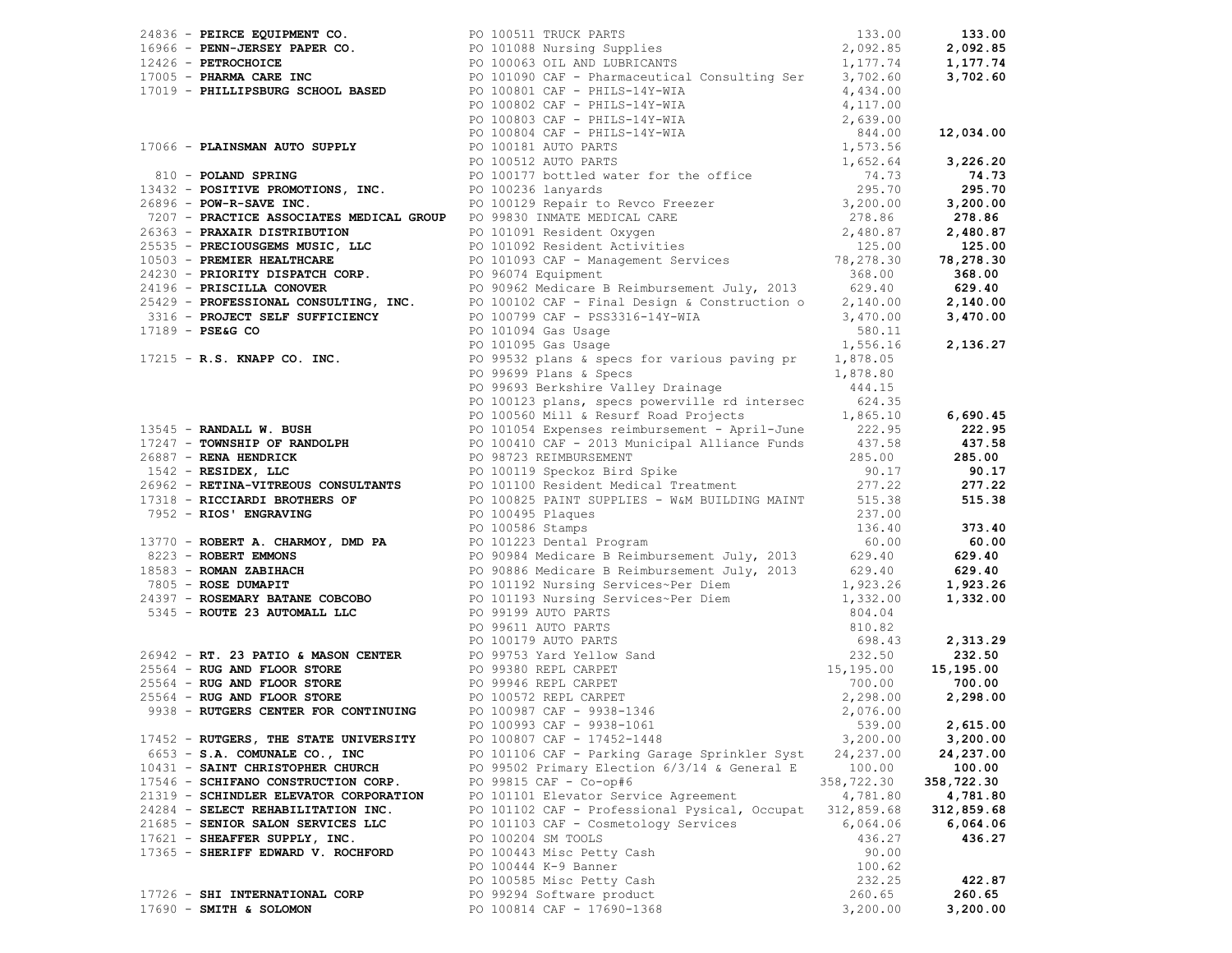|                                        | 24896 <b>- PERICE ROUTHERNT CO.</b> PO 100511 TRUCK FARTS<br>16966 <b>- PERIC-DIRENT PAPER CO.</b> PO 10068 Nursing Supplies<br>17005 <b>- PERICAND CARE INC.</b> PO 10069 OIL AND IDENTCANTS<br>17007 <b>- PHILLIPSBURG SCHOOL BASED</b><br>17007 <b>- PHI</b> |            |            |
|----------------------------------------|-----------------------------------------------------------------------------------------------------------------------------------------------------------------------------------------------------------------------------------------------------------------|------------|------------|
|                                        | 17215 <b>- R.S. KNAPP CO. INC.</b> PO 99532 plans & specs for various paving pr $1,878.05$<br>PO 99699 Plans & Specs 1,878.80                                                                                                                                   |            |            |
|                                        |                                                                                                                                                                                                                                                                 |            |            |
|                                        |                                                                                                                                                                                                                                                                 |            |            |
|                                        |                                                                                                                                                                                                                                                                 |            |            |
|                                        |                                                                                                                                                                                                                                                                 |            |            |
|                                        |                                                                                                                                                                                                                                                                 |            |            |
|                                        |                                                                                                                                                                                                                                                                 |            |            |
|                                        |                                                                                                                                                                                                                                                                 |            |            |
|                                        |                                                                                                                                                                                                                                                                 |            |            |
|                                        |                                                                                                                                                                                                                                                                 |            |            |
|                                        |                                                                                                                                                                                                                                                                 |            |            |
|                                        |                                                                                                                                                                                                                                                                 |            |            |
|                                        |                                                                                                                                                                                                                                                                 |            |            |
|                                        |                                                                                                                                                                                                                                                                 |            |            |
|                                        |                                                                                                                                                                                                                                                                 |            |            |
|                                        |                                                                                                                                                                                                                                                                 |            |            |
|                                        |                                                                                                                                                                                                                                                                 |            |            |
|                                        |                                                                                                                                                                                                                                                                 |            |            |
|                                        |                                                                                                                                                                                                                                                                 |            |            |
|                                        |                                                                                                                                                                                                                                                                 |            |            |
|                                        |                                                                                                                                                                                                                                                                 |            |            |
|                                        | 17215 - R.S. RUAPP CO. INC. 2018 19919191 - R.S. RUAPP CO. INC. 2439.26 (1992)<br>1735-15 - R.S. RUAPP CO. INC. 25 (1993) 2018 and the spectra of the surface of $\frac{1}{2}$<br>1735-15 - RANDALL W. BUSH 2019 2013 and the spectra                           |            |            |
|                                        |                                                                                                                                                                                                                                                                 |            |            |
|                                        |                                                                                                                                                                                                                                                                 |            |            |
|                                        |                                                                                                                                                                                                                                                                 |            |            |
|                                        |                                                                                                                                                                                                                                                                 |            |            |
| 17452 - RUTGERS, THE STATE UNIVERSITY  | PO 100807 CAF - 17452-1448                                                                                                                                                                                                                                      | 3,200.00   | 3,200.00   |
| 6653 - S.A. COMUNALE CO., INC          | PO 101106 CAF - Parking Garage Sprinkler Syst                                                                                                                                                                                                                   | 24,237.00  | 24,237.00  |
| 10431 - SAINT CHRISTOPHER CHURCH       | PO 99502 Primary Election 6/3/14 & General E                                                                                                                                                                                                                    | 100.00     | 100.00     |
| 17546 - SCHIFANO CONSTRUCTION CORP.    | PO 99815 CAF - Co-op#6                                                                                                                                                                                                                                          | 358,722.30 | 358,722.30 |
| 21319 - SCHINDLER ELEVATOR CORPORATION | PO 101101 Elevator Service Agreement                                                                                                                                                                                                                            | 4,781.80   | 4,781.80   |
| 24284 - SELECT REHABILITATION INC.     | PO 101102 CAF - Professional Pysical, Occupat                                                                                                                                                                                                                   | 312,859.68 | 312,859.68 |
| 21685 - SENIOR SALON SERVICES LLC      | PO 101103 CAF - Cosmetology Services                                                                                                                                                                                                                            | 6,064.06   | 6,064.06   |
| 17621 - SHEAFFER SUPPLY, INC.          | PO 100204 SM TOOLS                                                                                                                                                                                                                                              | 436.27     | 436.27     |
| 17365 - SHERIFF EDWARD V. ROCHFORD     | PO 100443 Misc Petty Cash                                                                                                                                                                                                                                       | 90.00      |            |
|                                        | PO 100444 K-9 Banner                                                                                                                                                                                                                                            | 100.62     |            |
|                                        | PO 100585 Misc Petty Cash                                                                                                                                                                                                                                       | 232.25     | 422.87     |
| 17726 - SHI INTERNATIONAL CORP         | PO 99294 Software product                                                                                                                                                                                                                                       | 260.65     | 260.65     |
| $17690$ - SMITH & SOLOMON              | PO 100814 CAF - 17690-1368                                                                                                                                                                                                                                      | 3,200.00   | 3,200.00   |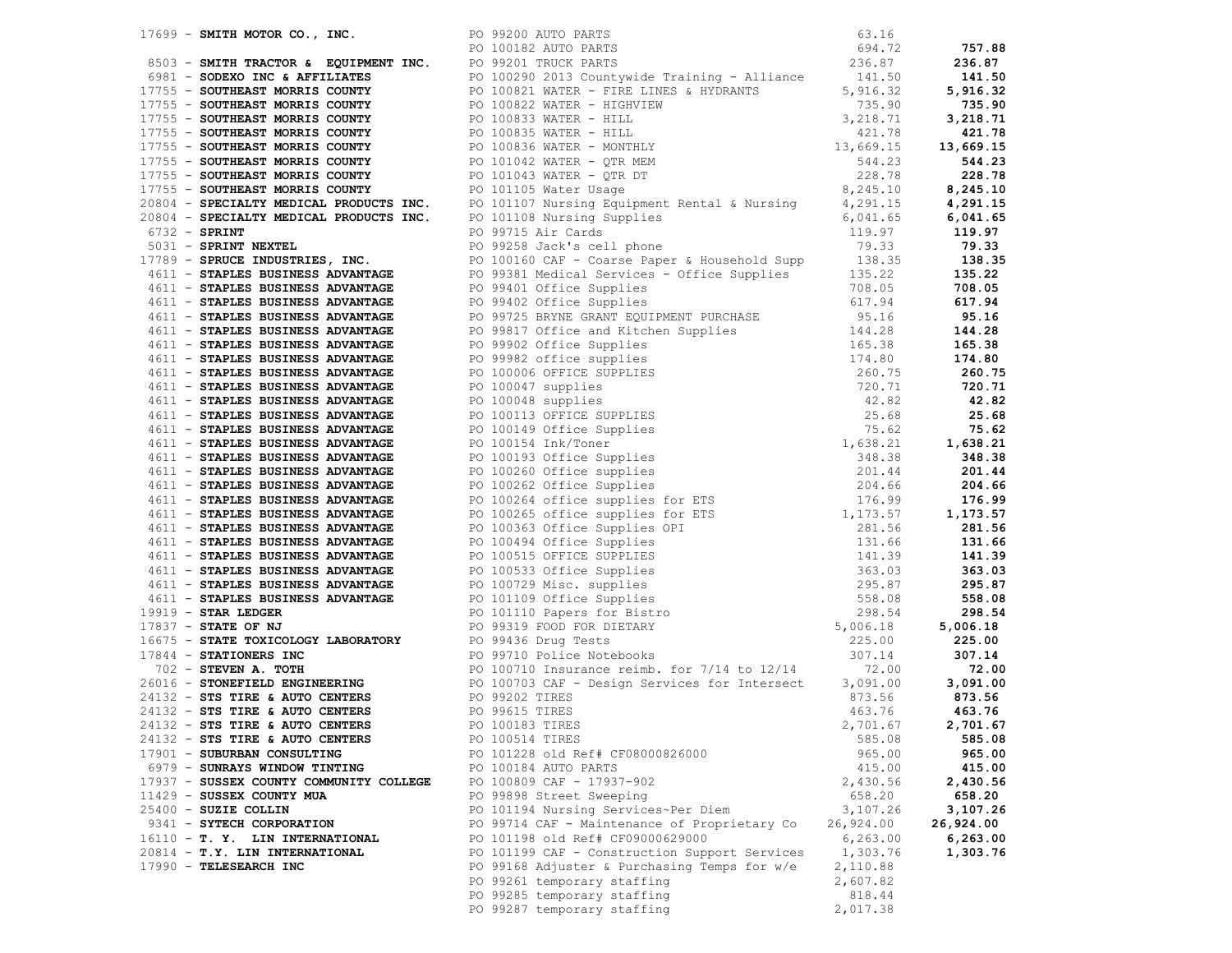|                                         | $\begin{tabular}{  c   c   c   c  } \hline & $16471 & $2690 & $1690 & $1690 & $1690 & $1690 & $1690 & $1690 & $1690 & $1690 & $1690 & $1690 & $1690 & $1690 & $1690 & $1690 & $1690 & $1690 & $1690 & $1690 & $1690 & $1690 & $1690 & $1690 & $1690 & $1690 & $1690 & $1690 & $1690 & $1690 & $1690 & $1690 & $1690 & $$ |           |           |
|-----------------------------------------|--------------------------------------------------------------------------------------------------------------------------------------------------------------------------------------------------------------------------------------------------------------------------------------------------------------------------|-----------|-----------|
|                                         |                                                                                                                                                                                                                                                                                                                          |           |           |
|                                         |                                                                                                                                                                                                                                                                                                                          |           |           |
|                                         |                                                                                                                                                                                                                                                                                                                          |           |           |
|                                         |                                                                                                                                                                                                                                                                                                                          |           |           |
| 24132 - STS TIRE & AUTO CENTERS         | PO 100514 TIRES                                                                                                                                                                                                                                                                                                          | 585.08    | 585.08    |
| 17901 - SUBURBAN CONSULTING             | PO 101228 old Ref# CF08000826000                                                                                                                                                                                                                                                                                         | 965.00    | 965.00    |
| 6979 - SUNRAYS WINDOW TINTING           | PO 100184 AUTO PARTS                                                                                                                                                                                                                                                                                                     | 415.00    | 415.00    |
| 17937 - SUSSEX COUNTY COMMUNITY COLLEGE | PO 100809 CAF - 17937-902                                                                                                                                                                                                                                                                                                | 2,430.56  | 2,430.56  |
| 11429 - SUSSEX COUNTY MUA               | PO 99898 Street Sweeping                                                                                                                                                                                                                                                                                                 | 658.20    | 658.20    |
| $25400 - SUBIE COLLIN$                  | PO 101194 Nursing Services~Per Diem                                                                                                                                                                                                                                                                                      | 3,107.26  | 3,107.26  |
| 9341 - SYTECH CORPORATION               | PO 99714 CAF - Maintenance of Proprietary Co                                                                                                                                                                                                                                                                             | 26,924.00 | 26,924.00 |
| 16110 - T. Y. LIN INTERNATIONAL         | PO 101198 old Ref# CF09000629000                                                                                                                                                                                                                                                                                         | 6, 263.00 | 6,263.00  |
| 20814 - T.Y. LIN INTERNATIONAL          | PO 101199 CAF - Construction Support Services                                                                                                                                                                                                                                                                            | 1,303.76  | 1,303.76  |
| 17990 - TELESEARCH INC                  | PO 99168 Adjuster & Purchasing Temps for w/e                                                                                                                                                                                                                                                                             | 2,110.88  |           |
|                                         | PO 99261 temporary staffing                                                                                                                                                                                                                                                                                              | 2,607.82  |           |
|                                         | PO 99285 temporary staffing                                                                                                                                                                                                                                                                                              | 818.44    |           |
|                                         | PO 99287 temporary staffing                                                                                                                                                                                                                                                                                              | 2,017.38  |           |
|                                         |                                                                                                                                                                                                                                                                                                                          |           |           |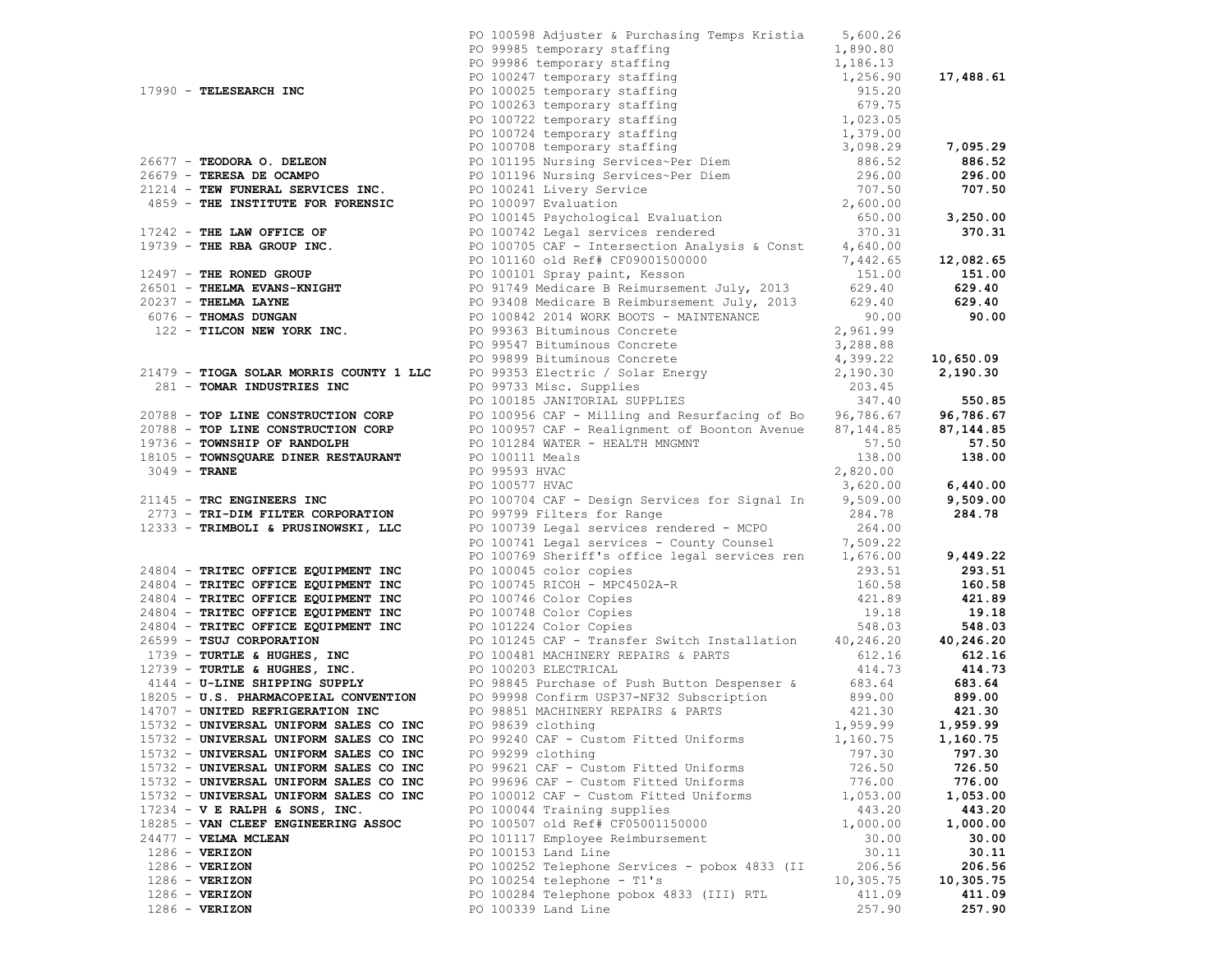|                                                          | PO 100598 Adjuster & Purchasing Temps Kristia 5,600.26                                                                                                                                                                                     |                   |           |
|----------------------------------------------------------|--------------------------------------------------------------------------------------------------------------------------------------------------------------------------------------------------------------------------------------------|-------------------|-----------|
|                                                          |                                                                                                                                                                                                                                            |                   |           |
|                                                          |                                                                                                                                                                                                                                            |                   |           |
|                                                          |                                                                                                                                                                                                                                            |                   | 17,488.61 |
|                                                          |                                                                                                                                                                                                                                            |                   |           |
|                                                          |                                                                                                                                                                                                                                            |                   |           |
|                                                          |                                                                                                                                                                                                                                            |                   |           |
|                                                          |                                                                                                                                                                                                                                            |                   |           |
|                                                          |                                                                                                                                                                                                                                            |                   | 7,095.29  |
|                                                          |                                                                                                                                                                                                                                            |                   | 886.52    |
|                                                          |                                                                                                                                                                                                                                            |                   | 296.00    |
|                                                          |                                                                                                                                                                                                                                            |                   | 707.50    |
|                                                          |                                                                                                                                                                                                                                            |                   |           |
|                                                          |                                                                                                                                                                                                                                            |                   | 3,250.00  |
|                                                          |                                                                                                                                                                                                                                            |                   | 370.31    |
|                                                          |                                                                                                                                                                                                                                            |                   |           |
|                                                          |                                                                                                                                                                                                                                            |                   |           |
|                                                          |                                                                                                                                                                                                                                            |                   |           |
|                                                          |                                                                                                                                                                                                                                            |                   |           |
|                                                          |                                                                                                                                                                                                                                            |                   |           |
|                                                          |                                                                                                                                                                                                                                            |                   |           |
|                                                          |                                                                                                                                                                                                                                            |                   |           |
|                                                          |                                                                                                                                                                                                                                            |                   |           |
|                                                          |                                                                                                                                                                                                                                            |                   |           |
|                                                          |                                                                                                                                                                                                                                            |                   |           |
|                                                          |                                                                                                                                                                                                                                            |                   |           |
|                                                          |                                                                                                                                                                                                                                            |                   |           |
|                                                          |                                                                                                                                                                                                                                            |                   |           |
|                                                          |                                                                                                                                                                                                                                            |                   |           |
|                                                          |                                                                                                                                                                                                                                            |                   |           |
|                                                          |                                                                                                                                                                                                                                            |                   |           |
|                                                          |                                                                                                                                                                                                                                            |                   |           |
|                                                          | 19739 - THE REAL GROUP INC.<br>19739 - THE ENERGY DESCRIPT - POLOID (100 OI REAL FORDOLSODODOD)<br>19739 - THE ENERGY BOND CONTRESS POLOID (100 OI SPACE PRESS)<br>20237 - THEIMA LAYNE<br>20237 - THEIMA LAYNE<br>20237 - THEIMA LAYNE    |                   | 6,440.00  |
|                                                          | PO 100577 HVAC 3,620.00<br>PO 100704 CAF - Design Services for Signal In 9,509.00                                                                                                                                                          |                   | 9,509.00  |
|                                                          |                                                                                                                                                                                                                                            | 284.78            | 284.78    |
| 12333 - TRIMBOLI & PRUSINOWSKI, LLC                      |                                                                                                                                                                                                                                            | 264.00            |           |
|                                                          |                                                                                                                                                                                                                                            |                   |           |
|                                                          | PO 100741 Legal services - County Counsel 7,509.22<br>PO 100769 Sheriff's office legal services ren 1,676.00 9,449.22                                                                                                                      |                   |           |
|                                                          |                                                                                                                                                                                                                                            |                   | 293.51    |
|                                                          |                                                                                                                                                                                                                                            |                   |           |
|                                                          |                                                                                                                                                                                                                                            |                   |           |
|                                                          |                                                                                                                                                                                                                                            |                   |           |
|                                                          |                                                                                                                                                                                                                                            |                   |           |
|                                                          |                                                                                                                                                                                                                                            |                   |           |
|                                                          |                                                                                                                                                                                                                                            |                   |           |
|                                                          |                                                                                                                                                                                                                                            |                   |           |
|                                                          |                                                                                                                                                                                                                                            |                   |           |
|                                                          | 24804 - TRITEC OFFICE EQUIPMENT INC<br>24804 - TRITEC OFFICE EQUIPMENT INC<br>24804 - TRITEC OFFICE EQUIPMENT INC<br>24804 - TRITEC OFFICE EQUIPMENT INC<br>24804 - TRITEC OFFICE EQUIPMENT INC<br>24804 - TRITEC OFFICE EQUIPMENT INC<br> |                   |           |
|                                                          |                                                                                                                                                                                                                                            |                   |           |
| 15732 - UNIVERSAL UNIFORM SALES CO INC PO 98639 clothing |                                                                                                                                                                                                                                            | 1,959.99 1,959.99 |           |
| 15732 - UNIVERSAL UNIFORM SALES CO INC                   | PO 99240 CAF - Custom Fitted Uniforms                                                                                                                                                                                                      | 1,160.75          | 1,160.75  |
| 15732 - UNIVERSAL UNIFORM SALES CO INC                   | PO 99299 clothing                                                                                                                                                                                                                          | 797.30            | 797.30    |
| 15732 - UNIVERSAL UNIFORM SALES CO INC                   | PO 99621 CAF - Custom Fitted Uniforms                                                                                                                                                                                                      | 726.50            | 726.50    |
| 15732 - UNIVERSAL UNIFORM SALES CO INC                   | PO 99696 CAF - Custom Fitted Uniforms                                                                                                                                                                                                      | 776.00            | 776.00    |
| 15732 - UNIVERSAL UNIFORM SALES CO INC                   | PO 100012 CAF - Custom Fitted Uniforms                                                                                                                                                                                                     | 1,053.00          | 1,053.00  |
| $17234 - V$ E RALPH & SONS, INC.                         | PO 100044 Training supplies                                                                                                                                                                                                                | 443.20            | 443.20    |
| 18285 - VAN CLEEF ENGINEERING ASSOC                      | PO 100507 old Ref# CF05001150000                                                                                                                                                                                                           | 1,000.00          | 1,000.00  |
| 24477 - VELMA MCLEAN                                     | PO 101117 Employee Reimbursement                                                                                                                                                                                                           | 30.00             | 30.00     |
| $1286 - VERIZON$                                         | PO 100153 Land Line                                                                                                                                                                                                                        | 30.11             | 30.11     |
| $1286$ - VERIZON                                         | PO 100252 Telephone Services - pobox 4833 (II                                                                                                                                                                                              | 206.56            | 206.56    |
| $1286$ - VERIZON                                         | PO 100254 telephone - T1's                                                                                                                                                                                                                 | 10,305.75         | 10,305.75 |
| $1286$ - VERIZON                                         |                                                                                                                                                                                                                                            |                   |           |
|                                                          | PO 100284 Telephone pobox 4833 (III) RTL                                                                                                                                                                                                   | 411.09            | 411.09    |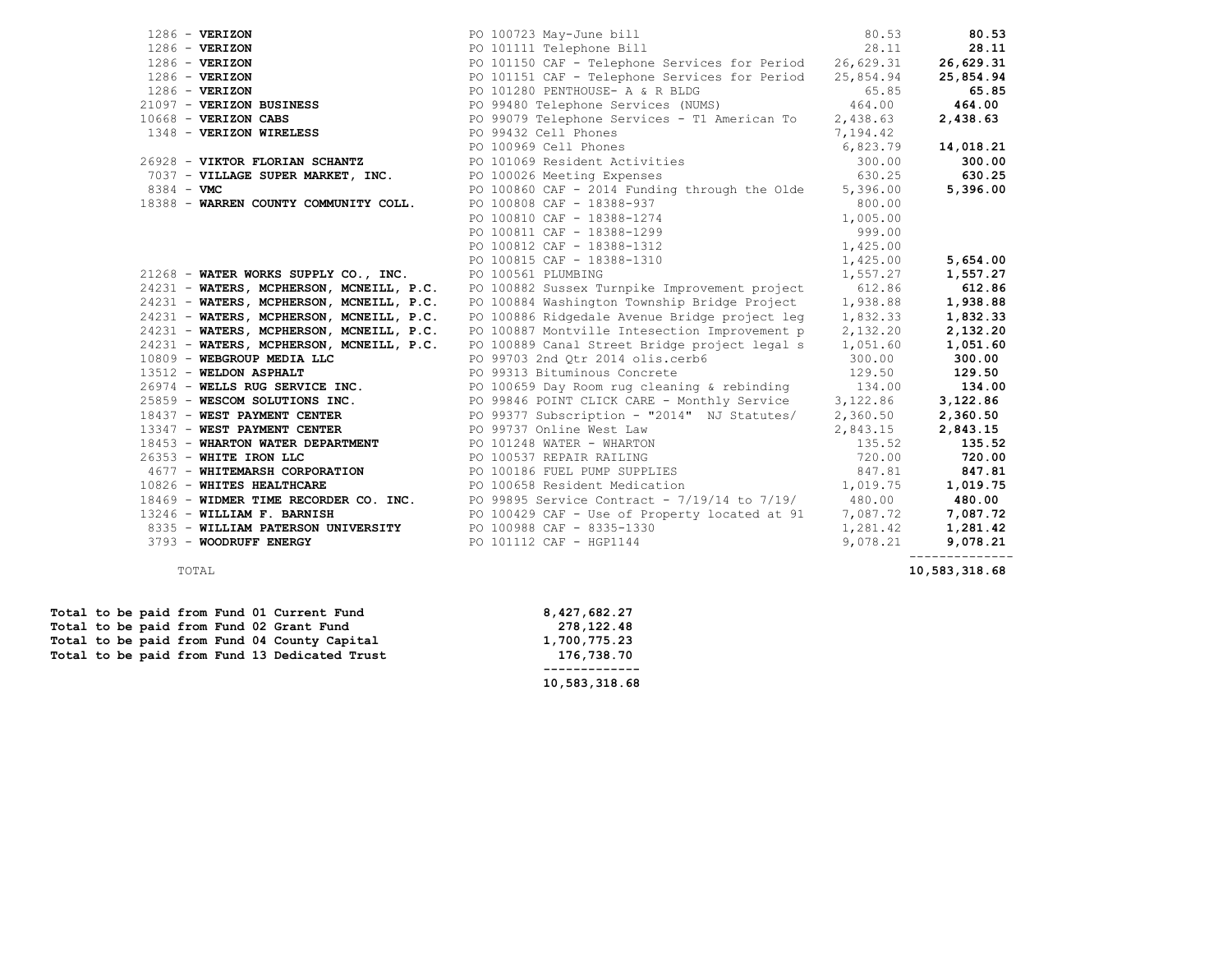| $1286$ - VERIZON                         | PO 100723 May-June bill<br>PO 101111 Telephone Bill                                                                                                                                                                                          | 80.53    | 80.53     |
|------------------------------------------|----------------------------------------------------------------------------------------------------------------------------------------------------------------------------------------------------------------------------------------------|----------|-----------|
| $1286 - VERIZON$                         |                                                                                                                                                                                                                                              | 28.11    | 28.11     |
| $1286 - VERIZON$                         | PO 101150 CAF - Telephone Services for Period 26,629.31                                                                                                                                                                                      |          | 26,629.31 |
| $1286$ - VERIZON                         | PO 101151 CAF - Telephone Services for Period 25,854.94                                                                                                                                                                                      |          | 25,854.94 |
| $1286 - VERIZON$                         |                                                                                                                                                                                                                                              |          | 65.85     |
| 21097 - VERIZON BUSINESS                 |                                                                                                                                                                                                                                              |          | 464.00    |
| $10668$ - VERIZON CABS                   | FO 101280 PENTHOUSE - A & R BLDG<br>PO 99480 Telephone Services (NUMS)<br>PO 99079 Telephone Services - T1 American To 2,438.63<br>PO 99432 Cell Phones<br>PO 100262 Cell Phones                                                             |          | 2,438.63  |
| 1348 - VERIZON WIRELESS                  |                                                                                                                                                                                                                                              |          |           |
|                                          | PO 99432 Cell Phones<br>PO 100969 Cell Phones                                                                                                                                                                                                | 6,823.79 | 14,018.21 |
| 26928 - VIKTOR FLORIAN SCHANTZ           | PO 101069 Resident Activities                                                                                                                                                                                                                | 300.00   | 300.00    |
|                                          | $7037$ - VIKTOR FLORIAN SCRANTA (26928 - VIKTOR EXPERSES 630.25<br>$7037$ - VILLAGE SUPER MARKET, INC. PO 100860 CAF - 2014 Funding through the Olde 5,396.00<br>PO 100860 CAF - 2014 Funding through the Olde 5,396.00                      |          | 630.25    |
|                                          |                                                                                                                                                                                                                                              |          | 5,396.00  |
| 18388 - WARREN COUNTY COMMUNITY COLL.    | 10 100000 CAF - 18388-937<br>PO 100810 CAF - 18388-1274<br>PO 100811 CAF - 18388-1299<br>PO 100812 CAF - 18388-1299                                                                                                                          | 800.00   |           |
|                                          |                                                                                                                                                                                                                                              | 1,005.00 |           |
|                                          |                                                                                                                                                                                                                                              | 999.00   |           |
|                                          | PO 100812 CAF - 18388-1312                                                                                                                                                                                                                   | 1,425.00 |           |
|                                          | PO 100815 CAF - 18388-1310<br>PO 100815 CAF - 18388-1310<br>PO 100561 PLUMBING<br>1,557.27                                                                                                                                                   |          | 5,654.00  |
| 21268 - WATER WORKS SUPPLY CO., INC.     |                                                                                                                                                                                                                                              | 1,557.27 | 1,557.27  |
|                                          | 24231 - WATERS, MCPHERSON, MCNEILL, P.C. PO 100882 Sussex Turnpike Improvement project 612.86                                                                                                                                                |          | 612.86    |
| 24231 - WATERS, MCPHERSON, MCNEILL, P.C. | PO 100884 Washington Township Bridge Project 1,938.88                                                                                                                                                                                        |          | 1,938.88  |
| 24231 - WATERS, MCPHERSON, MCNEILL, P.C. | PO 100886 Ridgedale Avenue Bridge project leg 1,832.33                                                                                                                                                                                       |          | 1,832.33  |
| 24231 - WATERS, MCPHERSON, MCNEILL, P.C. | PO 100887 Montville Intesection Improvement p 2, 132.20                                                                                                                                                                                      |          | 2,132.20  |
|                                          | 24231 - WATERS, MCPHERSON, MCNEILL, P.C. PO 100889 Canal Street Bridge project legal s 1,051.60                                                                                                                                              |          | 1,051.60  |
|                                          | $10809$ – WEBGROUP MEDIA LLC $PQ99703$ 2nd Qtr 2014 olis.cerb6 $300.00$                                                                                                                                                                      |          | 300.00    |
| 13512 - WELDON ASPHALT                   | PO 99313 Bituminous Concrete                                                                                                                                                                                                                 | 129.50   | 129.50    |
|                                          |                                                                                                                                                                                                                                              |          | 134.00    |
|                                          |                                                                                                                                                                                                                                              |          | 3,122.86  |
|                                          | 18437 - WEST PAYMENT CENTER TO PO 99377 Subscription - "2014" NJ Statutes/ 2,360.50                                                                                                                                                          |          | 2,360.50  |
|                                          | 13347 - WEST PAYMENT CENTER<br>PO 99737 Online West Law                                                                                                                                                                                      | 2,843.15 | 2,843.15  |
|                                          |                                                                                                                                                                                                                                              |          | 135.52    |
|                                          |                                                                                                                                                                                                                                              |          | 720.00    |
|                                          |                                                                                                                                                                                                                                              |          | 847.81    |
|                                          | 18453 - WHARTON WATER DEPARTMENT<br>26353 - WHITE IRON LLC<br>4677 - WHITEMARSH CORPORATION<br>19826 - WHITES HEALTHCARE<br>20100558 Resident Medication<br>20100658 Resident Medication<br>20100658 Resident Medication<br>20100658 Residen |          | 1,019.75  |
|                                          | 18469 - WIDMER TIME RECORDER CO. INC. PO 99895 Service Contract - 7/19/14 to 7/19/ 480.00                                                                                                                                                    |          | 480.00    |
| 13246 - WILLIAM F. BARNISH               | PO 100429 CAF - Use of Property located at 91 $7,087.72$                                                                                                                                                                                     |          | 7,087.72  |
|                                          | 8335 - WILLIAM PATERSON UNIVERSITY PO 100988 CAF - 8335-1330                                                                                                                                                                                 | 1,281.42 | 1,281.42  |
| 3793 - WOODRUFF ENERGY                   | PO 101112 CAF - HGP1144                                                                                                                                                                                                                      | 9,078.21 | 9,078.21  |
|                                          |                                                                                                                                                                                                                                              |          |           |

| 1,700,775.23<br>176,738.70 |
|----------------------------|
| 10,583,318.68              |
|                            |

TOTAL **10,583,318.68**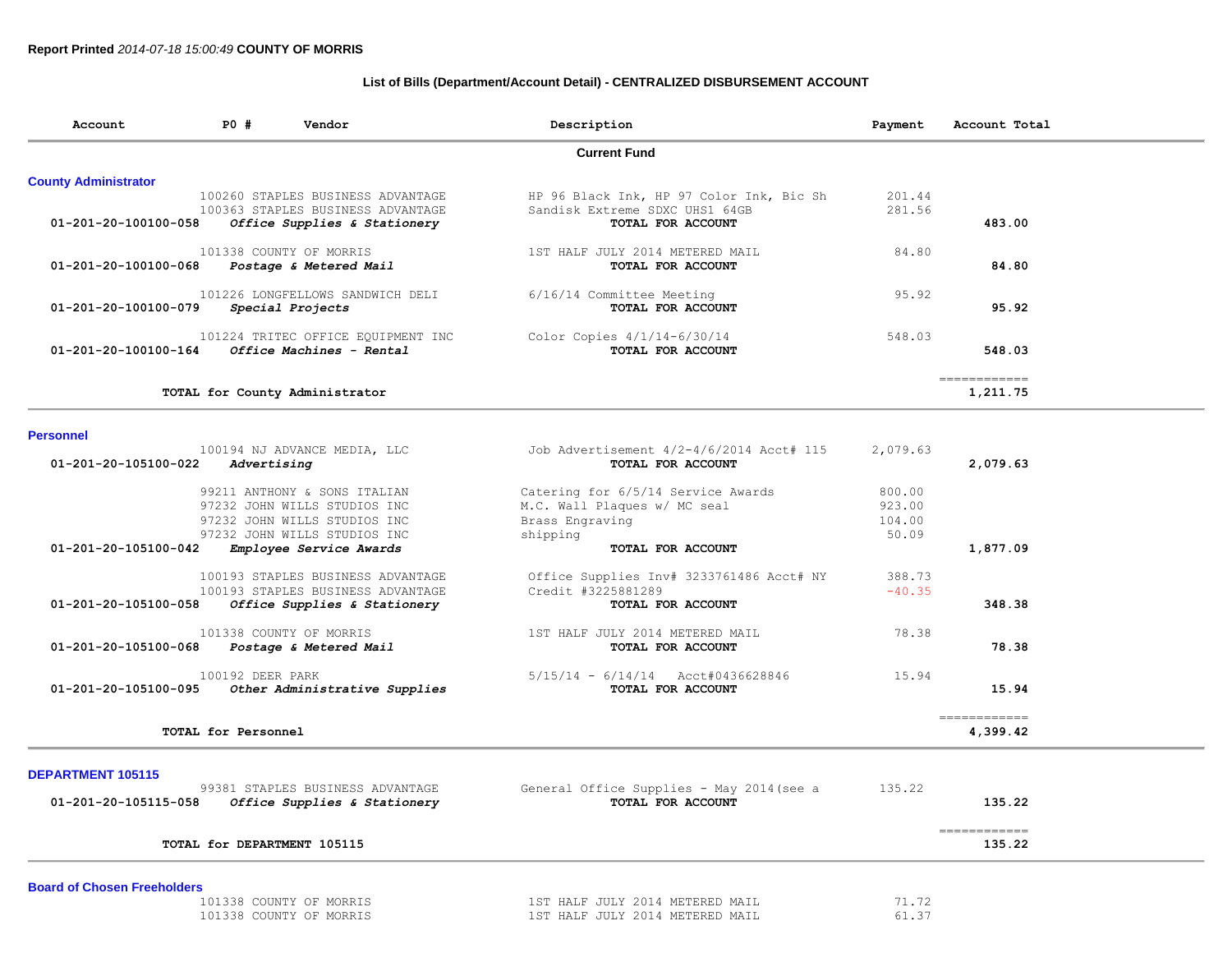## **List of Bills (Department/Account Detail) - CENTRALIZED DISBURSEMENT ACCOUNT**

| Account                        | PO # | Vendor                                                                                                 | Description                                                                                     | Payment          | Account Total            |
|--------------------------------|------|--------------------------------------------------------------------------------------------------------|-------------------------------------------------------------------------------------------------|------------------|--------------------------|
|                                |      |                                                                                                        | <b>Current Fund</b>                                                                             |                  |                          |
| <b>County Administrator</b>    |      |                                                                                                        |                                                                                                 |                  |                          |
| 01-201-20-100100-058           |      | 100260 STAPLES BUSINESS ADVANTAGE<br>100363 STAPLES BUSINESS ADVANTAGE<br>Office Supplies & Stationery | HP 96 Black Ink, HP 97 Color Ink, Bic Sh<br>Sandisk Extreme SDXC UHS1 64GB<br>TOTAL FOR ACCOUNT | 201.44<br>281.56 | 483.00                   |
| 01-201-20-100100-068           |      | 101338 COUNTY OF MORRIS<br>Postage & Metered Mail                                                      | 1ST HALF JULY 2014 METERED MAIL<br>TOTAL FOR ACCOUNT                                            | 84.80            | 84.80                    |
| 01-201-20-100100-079           |      | 101226 LONGFELLOWS SANDWICH DELI<br>Special Projects                                                   | 6/16/14 Committee Meeting<br>TOTAL FOR ACCOUNT                                                  | 95.92            | 95.92                    |
| $01 - 201 - 20 - 100100 - 164$ |      | 101224 TRITEC OFFICE EQUIPMENT INC<br>Office Machines - Rental                                         | Color Copies $4/1/14-6/30/14$<br>TOTAL FOR ACCOUNT                                              | 548.03           | 548.03                   |
|                                |      | TOTAL for County Administrator                                                                         |                                                                                                 |                  | ------------<br>1,211.75 |

## **Personnel**

| 100194 NJ ADVANCE MEDIA, LLC                          | Job Advertisement 4/2-4/6/2014 Acct# 115 | 2,079.63 |          |
|-------------------------------------------------------|------------------------------------------|----------|----------|
| 01-201-20-105100-022<br>Advertising                   | TOTAL FOR ACCOUNT                        |          | 2,079.63 |
| 99211 ANTHONY & SONS ITALIAN                          | Catering for 6/5/14 Service Awards       | 800.00   |          |
| 97232 JOHN WILLS STUDIOS INC                          | M.C. Wall Plaques w/ MC seal             | 923.00   |          |
| 97232 JOHN WILLS STUDIOS INC                          | Brass Engraving                          | 104.00   |          |
| 97232 JOHN WILLS STUDIOS INC                          | shipping                                 | 50.09    |          |
| 01-201-20-105100-042<br>Employee Service Awards       | TOTAL FOR ACCOUNT                        |          | 1,877.09 |
| 100193 STAPLES BUSINESS ADVANTAGE                     | Office Supplies Inv# 3233761486 Acct# NY | 388.73   |          |
| 100193 STAPLES BUSINESS ADVANTAGE                     | Credit #3225881289                       | $-40.35$ |          |
| Office Supplies & Stationery<br>01-201-20-105100-058  | TOTAL FOR ACCOUNT                        |          | 348.38   |
| 101338 COUNTY OF MORRIS                               | 1ST HALF JULY 2014 METERED MAIL          | 78.38    |          |
| 01-201-20-105100-068<br>Postage & Metered Mail        | TOTAL FOR ACCOUNT                        |          | 78.38    |
| 100192 DEER PARK                                      | $5/15/14 - 6/14/14$ Acct#0436628846      | 15.94    |          |
| 01-201-20-105100-095<br>Other Administrative Supplies | TOTAL FOR ACCOUNT                        |          | 15.94    |

## **DEPARTMENT 105115**

| 99381 STAPLES BUSINESS ADVANTAGE<br>01-201-20-105115-058<br>Office Supplies & Stationery | General Office Supplies - May 2014 (see a<br>TOTAL FOR ACCOUNT | 135.22<br>135.22 |  |
|------------------------------------------------------------------------------------------|----------------------------------------------------------------|------------------|--|
| TOTAL for DEPARTMENT 105115                                                              |                                                                | 135.22           |  |
| _ _ _ _ _<br>__ _ _ _                                                                    |                                                                |                  |  |

|  |  | <b>Board of Chosen Freeholders</b> |  |
|--|--|------------------------------------|--|
|--|--|------------------------------------|--|

| COUNTY<br>38.<br>() H  | MORRIS                   | 2014<br>METERED<br>.THT.Y  | $ -$<br>MAIL       |
|------------------------|--------------------------|----------------------------|--------------------|
| $\cap$ otinty .<br>くろび | $H \Delta T.F$<br>MORRIS | 2014<br>.TITT.V<br>METERED | $\sim$ $-$<br>MATT |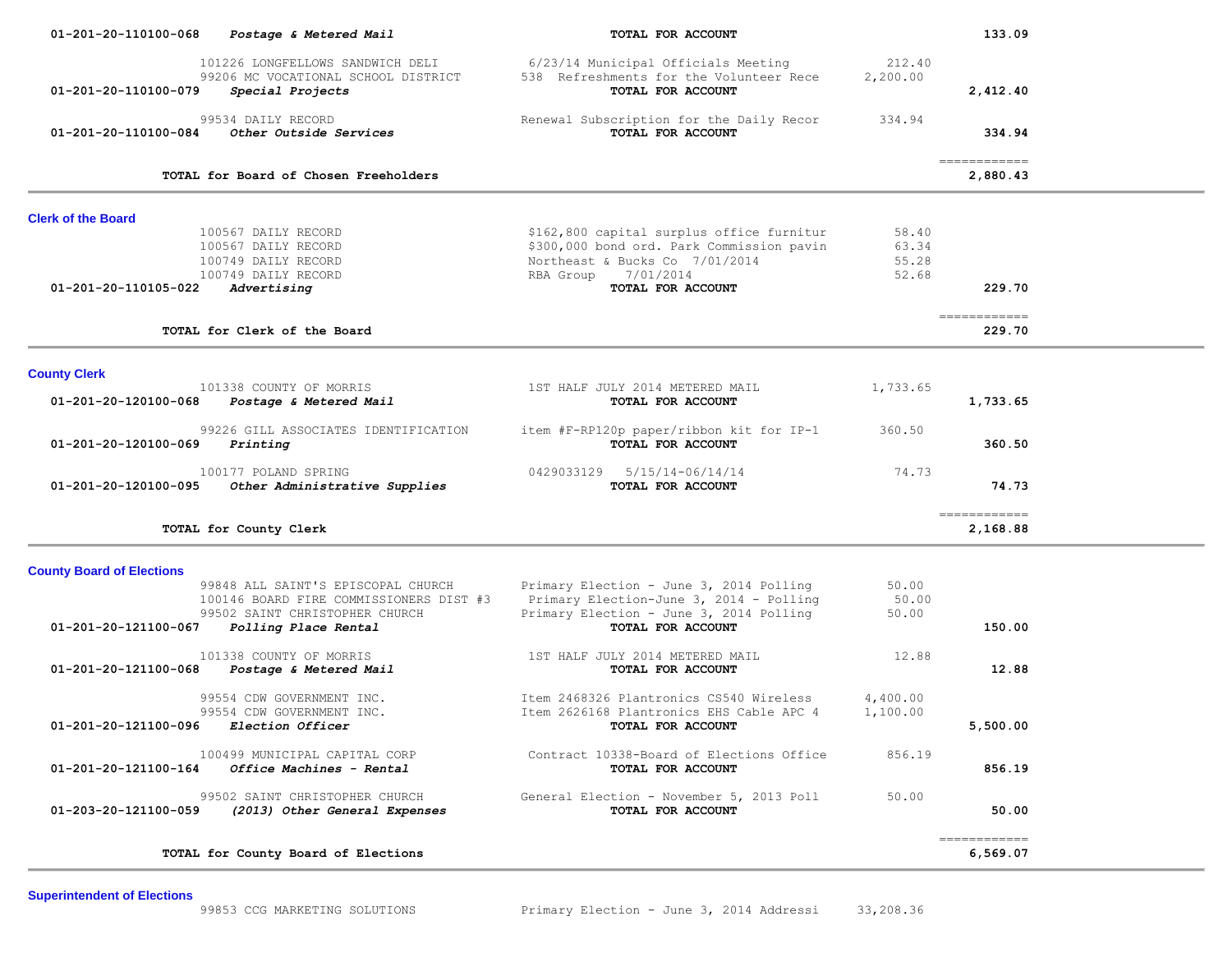| 01-201-20-110100-068                                     | Postage & Metered Mail                                                                                                                  | TOTAL FOR ACCOUNT                                                                                                                                                    |                                  | 133.09                    |  |
|----------------------------------------------------------|-----------------------------------------------------------------------------------------------------------------------------------------|----------------------------------------------------------------------------------------------------------------------------------------------------------------------|----------------------------------|---------------------------|--|
| 01-201-20-110100-079                                     | 101226 LONGFELLOWS SANDWICH DELI<br>99206 MC VOCATIONAL SCHOOL DISTRICT<br>Special Projects                                             | 6/23/14 Municipal Officials Meeting<br>538 Refreshments for the Volunteer Rece<br>TOTAL FOR ACCOUNT                                                                  | 212.40<br>2,200.00               | 2,412.40                  |  |
| 01-201-20-110100-084                                     | 99534 DAILY RECORD<br>Other Outside Services                                                                                            | Renewal Subscription for the Daily Recor<br>TOTAL FOR ACCOUNT                                                                                                        | 334.94                           | 334.94                    |  |
|                                                          | TOTAL for Board of Chosen Freeholders                                                                                                   |                                                                                                                                                                      |                                  | -------------<br>2,880.43 |  |
| <b>Clerk of the Board</b>                                |                                                                                                                                         |                                                                                                                                                                      |                                  |                           |  |
| 01-201-20-110105-022                                     | 100567 DAILY RECORD<br>100567 DAILY RECORD<br>100749 DAILY RECORD<br>100749 DAILY RECORD<br>Advertising                                 | \$162,800 capital surplus office furnitur<br>\$300,000 bond ord. Park Commission pavin<br>Northeast & Bucks Co 7/01/2014<br>RBA Group 7/01/2014<br>TOTAL FOR ACCOUNT | 58.40<br>63.34<br>55.28<br>52.68 | 229.70                    |  |
|                                                          | TOTAL for Clerk of the Board                                                                                                            |                                                                                                                                                                      |                                  | 229.70                    |  |
| <b>County Clerk</b>                                      |                                                                                                                                         |                                                                                                                                                                      |                                  |                           |  |
|                                                          | 101338 COUNTY OF MORRIS<br>01-201-20-120100-068 Postage & Metered Mail                                                                  | 1ST HALF JULY 2014 METERED MAIL<br>TOTAL FOR ACCOUNT                                                                                                                 | 1,733.65                         | 1,733.65                  |  |
| 01-201-20-120100-069                                     | 99226 GILL ASSOCIATES IDENTIFICATION<br>Printing                                                                                        | item #F-RP120p paper/ribbon kit for IP-1<br>TOTAL FOR ACCOUNT                                                                                                        | 360.50                           | 360.50                    |  |
| 01-201-20-120100-095                                     | 100177 POLAND SPRING<br>Other Administrative Supplies                                                                                   | 0429033129  5/15/14-06/14/14<br>TOTAL FOR ACCOUNT                                                                                                                    | 74.73                            | 74.73                     |  |
|                                                          | TOTAL for County Clerk                                                                                                                  |                                                                                                                                                                      |                                  | 2,168.88                  |  |
| <b>County Board of Elections</b><br>01-201-20-121100-067 | 99848 ALL SAINT'S EPISCOPAL CHURCH<br>100146 BOARD FIRE COMMISSIONERS DIST #3<br>99502 SAINT CHRISTOPHER CHURCH<br>Polling Place Rental | Primary Election - June 3, 2014 Polling<br>Primary Election-June 3, 2014 - Polling<br>Primary Election - June 3, 2014 Polling<br>TOTAL FOR ACCOUNT                   | 50.00<br>50.00<br>50.00          | 150.00                    |  |
| 01-201-20-121100-068                                     | 101338 COUNTY OF MORRIS<br>Postage & Metered Mail                                                                                       | 1ST HALF JULY 2014 METERED MAIL<br>TOTAL FOR ACCOUNT                                                                                                                 | 12.88                            | 12.88                     |  |
| 01-201-20-121100-096 Election Officer                    | 99554 CDW GOVERNMENT INC.<br>99554 CDW GOVERNMENT INC.                                                                                  | Item 2468326 Plantronics CS540 Wireless<br>Item 2626168 Plantronics EHS Cable APC 4<br>TOTAL FOR ACCOUNT                                                             | 4,400.00<br>1,100.00             | 5,500.00                  |  |
| 01-201-20-121100-164                                     | 100499 MUNICIPAL CAPITAL CORP<br>Office Machines - Rental                                                                               | Contract 10338-Board of Elections Office<br>TOTAL FOR ACCOUNT                                                                                                        | 856.19                           | 856.19                    |  |
| 01-203-20-121100-059                                     | 99502 SAINT CHRISTOPHER CHURCH<br>(2013) Other General Expenses                                                                         | General Election - November 5, 2013 Poll<br>TOTAL FOR ACCOUNT                                                                                                        | 50.00                            | 50.00                     |  |
|                                                          | TOTAL for County Board of Elections                                                                                                     |                                                                                                                                                                      |                                  | -------------<br>6,569.07 |  |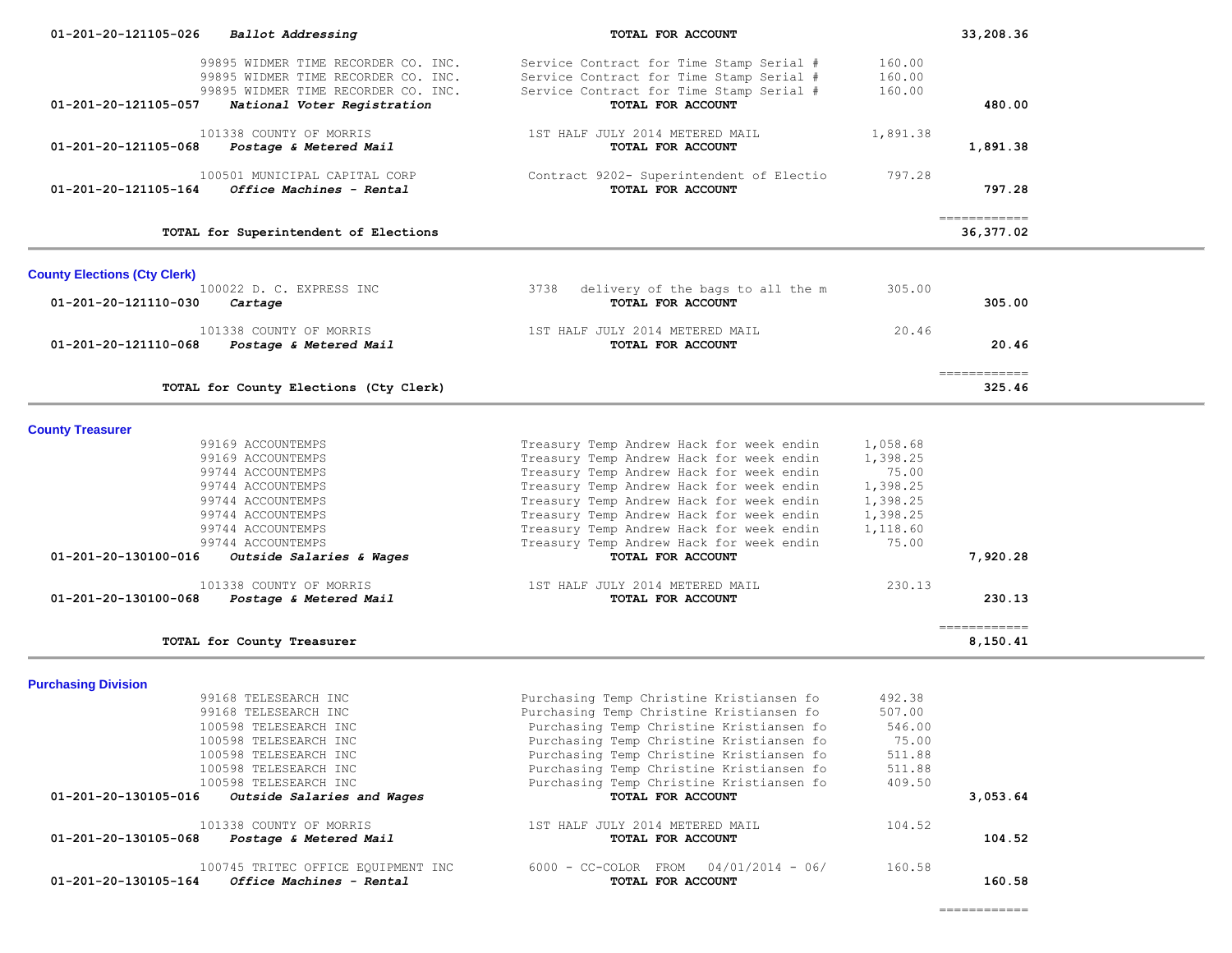| 01-201-20-121105-026                | Ballot Addressing                                       | TOTAL FOR ACCOUNT                                                                    |                      | 33,208.36                   |  |
|-------------------------------------|---------------------------------------------------------|--------------------------------------------------------------------------------------|----------------------|-----------------------------|--|
|                                     | 99895 WIDMER TIME RECORDER CO. INC.                     | Service Contract for Time Stamp Serial #                                             | 160.00               |                             |  |
|                                     | 99895 WIDMER TIME RECORDER CO. INC.                     | Service Contract for Time Stamp Serial #                                             | 160.00               |                             |  |
|                                     | 99895 WIDMER TIME RECORDER CO. INC.                     | Service Contract for Time Stamp Serial #                                             | 160.00               |                             |  |
| 01-201-20-121105-057                | National Voter Registration                             | TOTAL FOR ACCOUNT                                                                    |                      | 480.00                      |  |
|                                     | 101338 COUNTY OF MORRIS                                 | 1ST HALF JULY 2014 METERED MAIL                                                      | 1,891.38             |                             |  |
| 01-201-20-121105-068                | <i>Postage &amp; Metered Mail</i>                       | TOTAL FOR ACCOUNT                                                                    |                      | 1,891.38                    |  |
|                                     |                                                         |                                                                                      |                      |                             |  |
|                                     | 100501 MUNICIPAL CAPITAL CORP                           | Contract 9202- Superintendent of Electio                                             | 797.28               |                             |  |
| $01 - 201 - 20 - 121105 - 164$      | Office Machines - Rental                                | TOTAL FOR ACCOUNT                                                                    |                      | 797.28                      |  |
|                                     | TOTAL for Superintendent of Elections                   |                                                                                      |                      | -------------<br>36,377.02  |  |
|                                     |                                                         |                                                                                      |                      |                             |  |
| <b>County Elections (Cty Clerk)</b> |                                                         |                                                                                      |                      |                             |  |
|                                     | 100022 D. C. EXPRESS INC                                | 3738<br>delivery of the bags to all the m                                            | 305.00               |                             |  |
| 01-201-20-121110-030                | Cartage                                                 | TOTAL FOR ACCOUNT                                                                    |                      | 305.00                      |  |
|                                     | 101338 COUNTY OF MORRIS                                 | 1ST HALF JULY 2014 METERED MAIL                                                      | 20.46                |                             |  |
|                                     | 01-201-20-121110-068 Postage & Metered Mail             | TOTAL FOR ACCOUNT                                                                    |                      | 20.46                       |  |
|                                     |                                                         |                                                                                      |                      | $=$ = = = = = = = = = = = = |  |
|                                     | TOTAL for County Elections (Cty Clerk)                  |                                                                                      |                      | 325.46                      |  |
|                                     |                                                         |                                                                                      |                      |                             |  |
| <b>County Treasurer</b>             | 99169 ACCOUNTEMPS                                       |                                                                                      |                      |                             |  |
|                                     | 99169 ACCOUNTEMPS                                       | Treasury Temp Andrew Hack for week endin<br>Treasury Temp Andrew Hack for week endin | 1,058.68<br>1,398.25 |                             |  |
|                                     | 99744 ACCOUNTEMPS                                       | Treasury Temp Andrew Hack for week endin                                             | 75.00                |                             |  |
|                                     | 99744 ACCOUNTEMPS                                       | Treasury Temp Andrew Hack for week endin                                             | 1,398.25             |                             |  |
|                                     | 99744 ACCOUNTEMPS                                       | Treasury Temp Andrew Hack for week endin                                             | 1,398.25             |                             |  |
|                                     | 99744 ACCOUNTEMPS                                       | Treasury Temp Andrew Hack for week endin                                             | 1,398.25             |                             |  |
|                                     | 99744 ACCOUNTEMPS                                       | Treasury Temp Andrew Hack for week endin                                             | 1,118.60             |                             |  |
|                                     | 99744 ACCOUNTEMPS                                       | Treasury Temp Andrew Hack for week endin                                             | 75.00                |                             |  |
| 01-201-20-130100-016                | Outside Salaries & Wages                                | TOTAL FOR ACCOUNT                                                                    |                      | 7,920.28                    |  |
|                                     | 101338 COUNTY OF MORRIS                                 | 1ST HALF JULY 2014 METERED MAIL                                                      | 230.13               |                             |  |
| 01-201-20-130100-068                | <i>Postage &amp; Metered Mail</i>                       | TOTAL FOR ACCOUNT                                                                    |                      | 230.13                      |  |
|                                     |                                                         |                                                                                      |                      | -------------               |  |
|                                     | TOTAL for County Treasurer                              |                                                                                      |                      | 8,150.41                    |  |
| <b>Purchasing Division</b>          |                                                         |                                                                                      |                      |                             |  |
|                                     | 99168 TELESEARCH INC                                    | Purchasing Temp Christine Kristiansen fo                                             | 492.38               |                             |  |
|                                     | 99168 TELESEARCH INC                                    | Purchasing Temp Christine Kristiansen fo                                             | 507.00               |                             |  |
|                                     | 100598 TELESEARCH INC                                   | Purchasing Temp Christine Kristiansen fo                                             | 546.00               |                             |  |
|                                     | 100598 TELESEARCH INC                                   | Purchasing Temp Christine Kristiansen fo                                             | 75.00                |                             |  |
|                                     | 100598 TELESEARCH INC                                   | Purchasing Temp Christine Kristiansen fo                                             | 511.88               |                             |  |
|                                     | 100598 TELESEARCH INC                                   | Purchasing Temp Christine Kristiansen fo                                             | 511.88               |                             |  |
|                                     | 100598 TELESEARCH INC                                   | Purchasing Temp Christine Kristiansen fo                                             | 409.50               |                             |  |
|                                     | $01-201-20-130105-016$ Outside Salaries and Wages       | TOTAL FOR ACCOUNT                                                                    |                      | 3,053.64                    |  |
|                                     | 101338 COUNTY OF MORRIS                                 | 1ST HALF JULY 2014 METERED MAIL                                                      | 104.52               |                             |  |
|                                     | 01-201-20-130105-068 Postage & Metered Mail             | TOTAL FOR ACCOUNT                                                                    |                      | 104.52                      |  |
|                                     | 100745 TRITEC OFFICE EQUIPMENT INC                      | $6000 - CC-COLOR$ FROM $04/01/2014 - 06/$                                            | 160.58               |                             |  |
|                                     | $01 - 201 - 20 - 130105 - 164$ Office Machines - Rental | TOTAL FOR ACCOUNT                                                                    |                      | 160.58                      |  |

============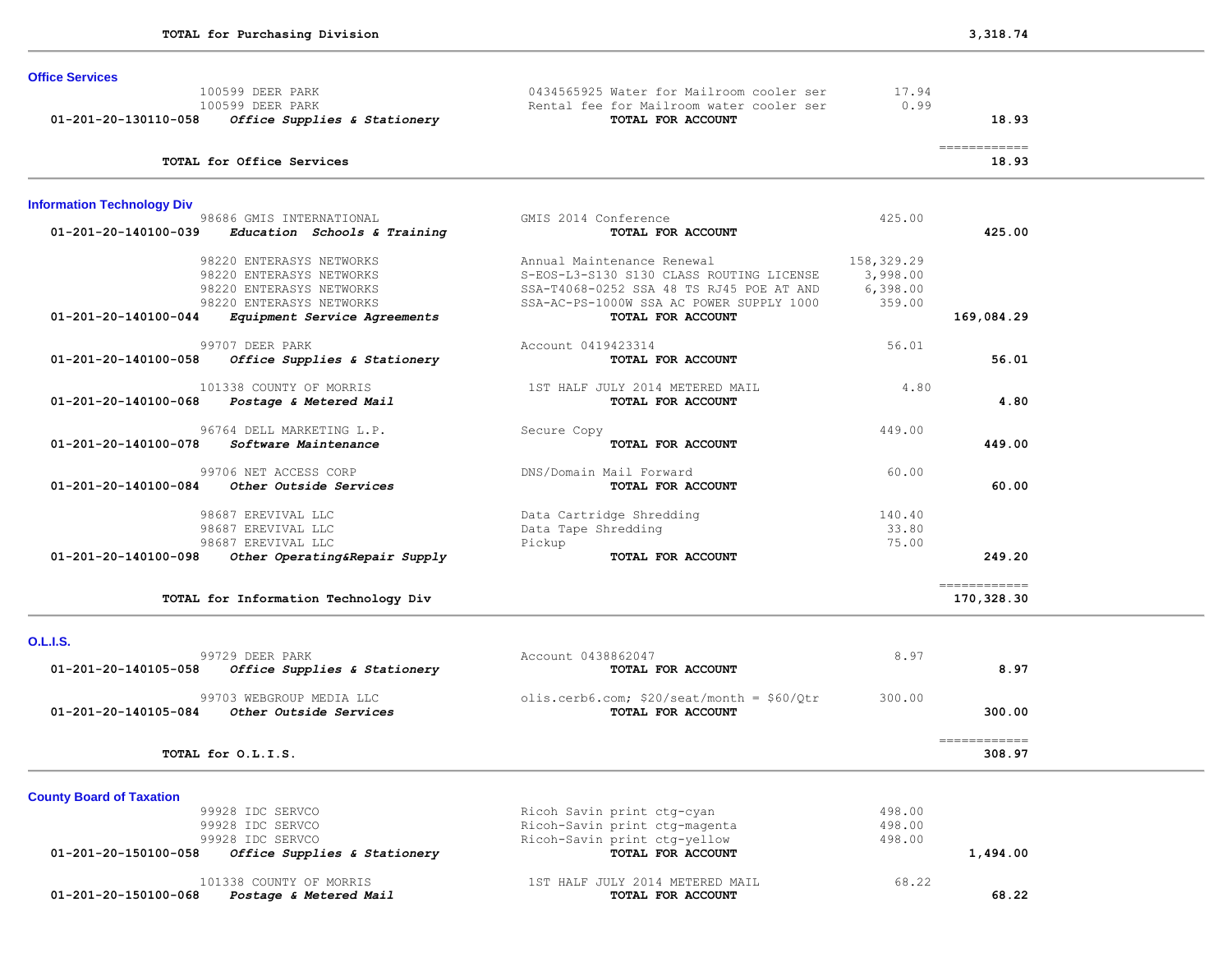| <b>Office Services</b>                   |                                      |                                                               |            |                                      |  |
|------------------------------------------|--------------------------------------|---------------------------------------------------------------|------------|--------------------------------------|--|
| 100599 DEER PARK                         |                                      | 0434565925 Water for Mailroom cooler ser                      | 17.94      |                                      |  |
| 100599 DEER PARK<br>01-201-20-130110-058 | Office Supplies & Stationery         | Rental fee for Mailroom water cooler ser<br>TOTAL FOR ACCOUNT | 0.99       | 18.93                                |  |
|                                          |                                      |                                                               |            |                                      |  |
| TOTAL for Office Services                |                                      |                                                               |            | $=$ = = = = = = = = = = = =<br>18.93 |  |
| <b>Information Technology Div</b>        |                                      |                                                               |            |                                      |  |
|                                          | 98686 GMIS INTERNATIONAL             | GMIS 2014 Conference                                          | 425.00     |                                      |  |
| 01-201-20-140100-039                     | Education Schools & Training         | TOTAL FOR ACCOUNT                                             |            | 425.00                               |  |
|                                          | 98220 ENTERASYS NETWORKS             | Annual Maintenance Renewal                                    | 158,329.29 |                                      |  |
|                                          | 98220 ENTERASYS NETWORKS             | S-EOS-L3-S130 S130 CLASS ROUTING LICENSE                      | 3,998.00   |                                      |  |
|                                          | 98220 ENTERASYS NETWORKS             | SSA-T4068-0252 SSA 48 TS RJ45 POE AT AND                      | 6,398.00   |                                      |  |
|                                          | 98220 ENTERASYS NETWORKS             | SSA-AC-PS-1000W SSA AC POWER SUPPLY 1000                      | 359.00     |                                      |  |
| 01-201-20-140100-044                     | Equipment Service Agreements         | TOTAL FOR ACCOUNT                                             |            | 169,084.29                           |  |
| 99707 DEER PARK                          |                                      | Account 0419423314                                            | 56.01      |                                      |  |
| 01-201-20-140100-058                     | Office Supplies & Stationery         | TOTAL FOR ACCOUNT                                             |            | 56.01                                |  |
|                                          | 101338 COUNTY OF MORRIS              | 1ST HALF JULY 2014 METERED MAIL                               | 4.80       |                                      |  |
| 01-201-20-140100-068                     | Postage & Metered Mail               | TOTAL FOR ACCOUNT                                             |            | 4.80                                 |  |
|                                          |                                      |                                                               |            |                                      |  |
|                                          | 96764 DELL MARKETING L.P.            | Secure Copy                                                   | 449.00     |                                      |  |
| 01-201-20-140100-078                     | Software Maintenance                 | TOTAL FOR ACCOUNT                                             |            | 449.00                               |  |
|                                          | 99706 NET ACCESS CORP                | DNS/Domain Mail Forward                                       | 60.00      |                                      |  |
| 01-201-20-140100-084                     | Other Outside Services               | TOTAL FOR ACCOUNT                                             |            | 60.00                                |  |
| 98687 EREVIVAL LLC                       |                                      | Data Cartridge Shredding                                      | 140.40     |                                      |  |
| 98687 EREVIVAL LLC                       |                                      | Data Tape Shredding                                           | 33.80      |                                      |  |
| 98687 EREVIVAL LLC                       |                                      | Pickup                                                        | 75.00      |                                      |  |
| 01-201-20-140100-098                     | Other Operating&Repair Supply        | TOTAL FOR ACCOUNT                                             |            | 249.20                               |  |
|                                          |                                      |                                                               |            | ============                         |  |
|                                          | TOTAL for Information Technology Div |                                                               |            | 170,328.30                           |  |
| <b>O.L.I.S.</b>                          |                                      |                                                               |            |                                      |  |
| 99729 DEER PARK                          |                                      | Account 0438862047                                            | 8.97       |                                      |  |
| 01-201-20-140105-058                     | Office Supplies & Stationery         | TOTAL FOR ACCOUNT                                             |            | 8.97                                 |  |
|                                          | 99703 WEBGROUP MEDIA LLC             | olis.cerb6.com; $$20/seat/month = $60/Qtr$                    | 300.00     |                                      |  |
| 01-201-20-140105-084                     | Other Outside Services               | TOTAL FOR ACCOUNT                                             |            | 300.00                               |  |
| TOTAL for O.L.I.S.                       |                                      |                                                               |            | ------------<br>308.97               |  |
|                                          |                                      |                                                               |            |                                      |  |
| <b>County Board of Taxation</b>          |                                      |                                                               |            |                                      |  |
| 99928 IDC SERVCO                         |                                      | Ricoh Savin print ctg-cyan                                    | 498.00     |                                      |  |
| 99928 IDC SERVCO                         |                                      | Ricoh-Savin print ctg-magenta                                 | 498.00     |                                      |  |
| 99928 IDC SERVCO                         |                                      | Ricoh-Savin print ctg-yellow                                  | 498.00     |                                      |  |
| 01-201-20-150100-058                     | Office Supplies & Stationery         | TOTAL FOR ACCOUNT                                             |            | 1,494.00                             |  |
|                                          | 101338 COUNTY OF MORRIS              | 1ST HALF JULY 2014 METERED MAIL                               | 68.22      |                                      |  |
| 01-201-20-150100-068                     | Postage & Metered Mail               | TOTAL FOR ACCOUNT                                             |            | 68.22                                |  |
|                                          |                                      |                                                               |            |                                      |  |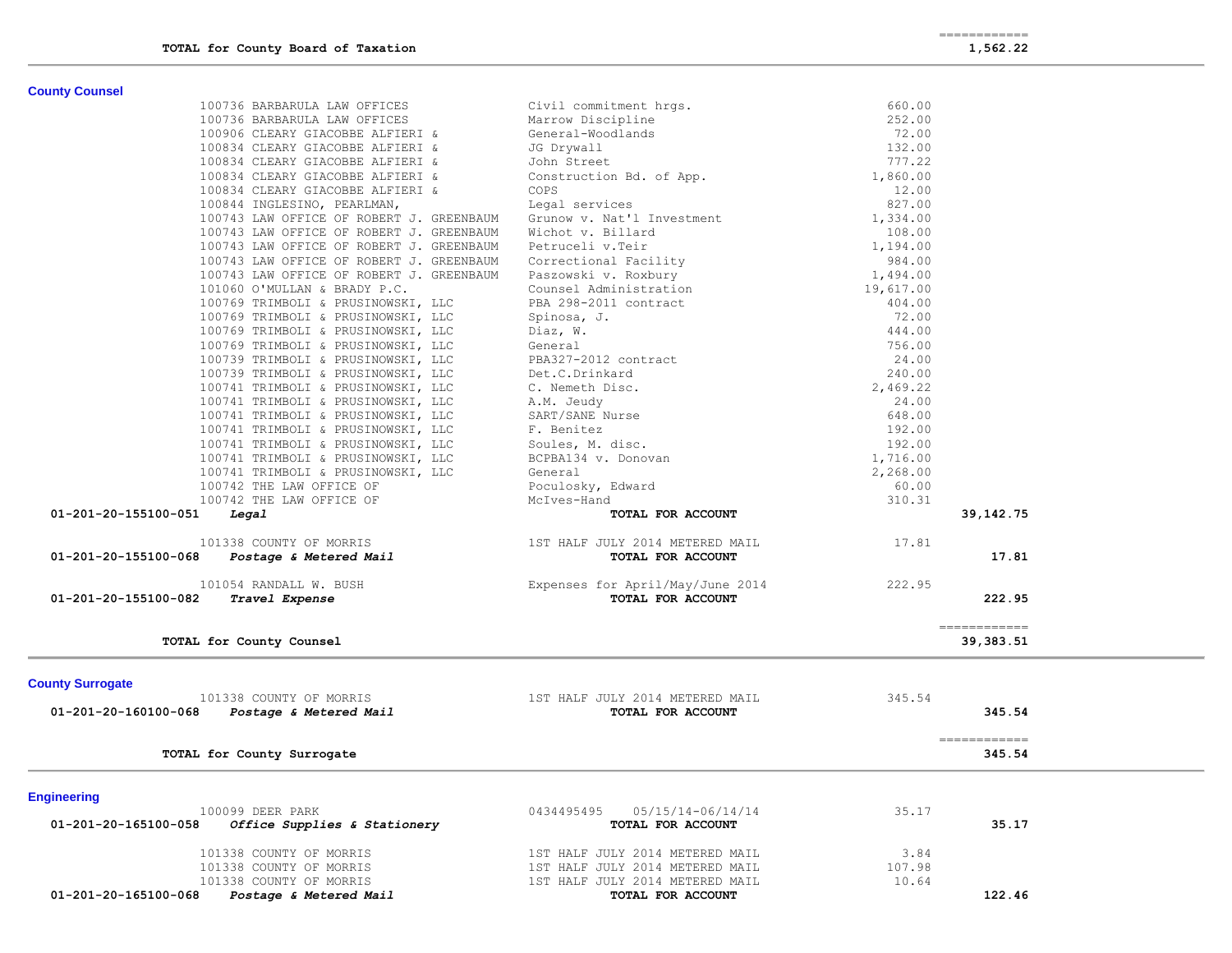**County Counsel** 

| <b>County Counsel</b>                                               |                                                                                                                                                                                                                                                                    |                    |                                                                                                                                                                                                                                                                                                                                                                                                                                                                                                  |
|---------------------------------------------------------------------|--------------------------------------------------------------------------------------------------------------------------------------------------------------------------------------------------------------------------------------------------------------------|--------------------|--------------------------------------------------------------------------------------------------------------------------------------------------------------------------------------------------------------------------------------------------------------------------------------------------------------------------------------------------------------------------------------------------------------------------------------------------------------------------------------------------|
| 100736 BARBARULA LAW OFFICES                                        | $\mathsf{gs}$ .<br>Civil commitment hrgs.                                                                                                                                                                                                                          | 660.00             |                                                                                                                                                                                                                                                                                                                                                                                                                                                                                                  |
| 100736 BARBARULA LAW OFFICES                                        | Marrow Discipline                                                                                                                                                                                                                                                  | 252.00             |                                                                                                                                                                                                                                                                                                                                                                                                                                                                                                  |
| 100906 CLEARY GIACOBBE ALFIERI &                                    | General-Woodlands                                                                                                                                                                                                                                                  | 72.00              |                                                                                                                                                                                                                                                                                                                                                                                                                                                                                                  |
| 100834 CLEARY GIACOBBE ALFIERI &                                    | JG Drywall                                                                                                                                                                                                                                                         | 132.00             |                                                                                                                                                                                                                                                                                                                                                                                                                                                                                                  |
| 100834 CLEARY GIACOBBE ALFIERI &                                    | John Street                                                                                                                                                                                                                                                        | 777.22             |                                                                                                                                                                                                                                                                                                                                                                                                                                                                                                  |
| 100834 CLEARY GIACOBBE ALFIERI &                                    | John Street<br>Construction Bd. of App.                                                                                                                                                                                                                            | 1,860.00           |                                                                                                                                                                                                                                                                                                                                                                                                                                                                                                  |
| 100834 CLEARY GIACOBBE ALFIERI &                                    | COPS                                                                                                                                                                                                                                                               | 12.00              |                                                                                                                                                                                                                                                                                                                                                                                                                                                                                                  |
| 100844 INGLESINO, PEARLMAN,                                         | Legal services                                                                                                                                                                                                                                                     | 827.00             |                                                                                                                                                                                                                                                                                                                                                                                                                                                                                                  |
| 100743 LAW OFFICE OF ROBERT J. GREENBAUM Grunow v. Nat'l Investment |                                                                                                                                                                                                                                                                    | 1,334.00           |                                                                                                                                                                                                                                                                                                                                                                                                                                                                                                  |
| 100743 LAW OFFICE OF ROBERT J. GREENBAUM                            | Wichot v. Billard                                                                                                                                                                                                                                                  | 108.00             |                                                                                                                                                                                                                                                                                                                                                                                                                                                                                                  |
| 100743 LAW OFFICE OF ROBERT J. GREENBAUM Petruceli v. Teir          |                                                                                                                                                                                                                                                                    | 1,194.00           |                                                                                                                                                                                                                                                                                                                                                                                                                                                                                                  |
| 100743 LAW OFFICE OF ROBERT J. GREENBAUM                            | Wichot v. Billard<br>Petruceli v.Teir<br>Correctional Facility<br>Paszowski v. Roxbury<br>Counsel Administration                                                                                                                                                   | 984.00             |                                                                                                                                                                                                                                                                                                                                                                                                                                                                                                  |
| 100743 LAW OFFICE OF ROBERT J. GREENBAUM                            |                                                                                                                                                                                                                                                                    | 1,494.00           |                                                                                                                                                                                                                                                                                                                                                                                                                                                                                                  |
| 101060 O'MULLAN & BRADY P.C.                                        |                                                                                                                                                                                                                                                                    | 19,617.00          |                                                                                                                                                                                                                                                                                                                                                                                                                                                                                                  |
| 100769 TRIMBOLI & PRUSINOWSKI, LLC                                  |                                                                                                                                                                                                                                                                    | 404.00             |                                                                                                                                                                                                                                                                                                                                                                                                                                                                                                  |
| 100769 TRIMBOLI & PRUSINOWSKI, LLC                                  |                                                                                                                                                                                                                                                                    | 72.00              |                                                                                                                                                                                                                                                                                                                                                                                                                                                                                                  |
| 100769 TRIMBOLI & PRUSINOWSKI, LLC                                  |                                                                                                                                                                                                                                                                    | 444.00             |                                                                                                                                                                                                                                                                                                                                                                                                                                                                                                  |
| 100769 TRIMBOLI & PRUSINOWSKI, LLC                                  |                                                                                                                                                                                                                                                                    | 756.00             |                                                                                                                                                                                                                                                                                                                                                                                                                                                                                                  |
| 100739 TRIMBOLI & PRUSINOWSKI, LLC                                  |                                                                                                                                                                                                                                                                    | 24.00              |                                                                                                                                                                                                                                                                                                                                                                                                                                                                                                  |
| 100739 TRIMBOLI & PRUSINOWSKI, LLC                                  |                                                                                                                                                                                                                                                                    | 240.00             |                                                                                                                                                                                                                                                                                                                                                                                                                                                                                                  |
| 100741 TRIMBOLI & PRUSINOWSKI, LLC                                  |                                                                                                                                                                                                                                                                    | 2,469.22           |                                                                                                                                                                                                                                                                                                                                                                                                                                                                                                  |
| 100741 TRIMBOLI & PRUSINOWSKI, LLC                                  | Counsel Administration<br>PBA 298-2011 contract<br>Spinosa, J.<br>Diaz, W.<br>General<br>General<br>PBA327-2012 contract<br>Det.C.Drinkard<br>C. Nemeth Disc.<br>A.M. Jeudy<br>SART/SANE Nurse<br>F. Benitez<br>Soules, M. disc.<br>BCPBA134 v. Donovan<br>General | 24.00              |                                                                                                                                                                                                                                                                                                                                                                                                                                                                                                  |
| 100741 TRIMBOLI & PRUSINOWSKI, LLC                                  |                                                                                                                                                                                                                                                                    | 648.00<br>192.00   |                                                                                                                                                                                                                                                                                                                                                                                                                                                                                                  |
| 100741 TRIMBOLI & PRUSINOWSKI, LLC                                  |                                                                                                                                                                                                                                                                    |                    |                                                                                                                                                                                                                                                                                                                                                                                                                                                                                                  |
| 100741 TRIMBOLI & PRUSINOWSKI, LLC                                  |                                                                                                                                                                                                                                                                    | 192.00<br>1,716.00 |                                                                                                                                                                                                                                                                                                                                                                                                                                                                                                  |
| 100741 TRIMBOLI & PRUSINOWSKI, LLC                                  | General                                                                                                                                                                                                                                                            | 2,268.00           |                                                                                                                                                                                                                                                                                                                                                                                                                                                                                                  |
| 100741 TRIMBOLI & PRUSINOWSKI, LLC<br>100742 THE LAW OFFICE OF      |                                                                                                                                                                                                                                                                    | 60.00              |                                                                                                                                                                                                                                                                                                                                                                                                                                                                                                  |
| 100742 THE LAW OFFICE OF                                            | Poculosky, Edward<br>McIves-Hand                                                                                                                                                                                                                                   | 310.31             |                                                                                                                                                                                                                                                                                                                                                                                                                                                                                                  |
| 01-201-20-155100-051<br>Legal                                       | TOTAL FOR ACCOUNT                                                                                                                                                                                                                                                  |                    | 39, 142. 75                                                                                                                                                                                                                                                                                                                                                                                                                                                                                      |
|                                                                     |                                                                                                                                                                                                                                                                    |                    |                                                                                                                                                                                                                                                                                                                                                                                                                                                                                                  |
| 101338 COUNTY OF MORRIS                                             |                                                                                                                                                                                                                                                                    | 17.81              |                                                                                                                                                                                                                                                                                                                                                                                                                                                                                                  |
| 01-201-20-155100-068                                                | 338 COUNTY OF MORRIS<br>Postage & Metered Mail Marie (1993)<br>Postage & Metered Mail (1994) TOTAL FOR ACCOUNT                                                                                                                                                     |                    | 17.81                                                                                                                                                                                                                                                                                                                                                                                                                                                                                            |
| 101054 RANDALL W. BUSH                                              | Expenses for April/May/June 2014 222.95                                                                                                                                                                                                                            |                    |                                                                                                                                                                                                                                                                                                                                                                                                                                                                                                  |
| 01-201-20-155100-082<br>Travel Expense                              | TOTAL FOR ACCOUNT                                                                                                                                                                                                                                                  |                    | 222.95                                                                                                                                                                                                                                                                                                                                                                                                                                                                                           |
|                                                                     |                                                                                                                                                                                                                                                                    |                    | ============                                                                                                                                                                                                                                                                                                                                                                                                                                                                                     |
| TOTAL for County Counsel                                            |                                                                                                                                                                                                                                                                    |                    | 39,383.51                                                                                                                                                                                                                                                                                                                                                                                                                                                                                        |
|                                                                     |                                                                                                                                                                                                                                                                    |                    |                                                                                                                                                                                                                                                                                                                                                                                                                                                                                                  |
| <b>County Surrogate</b><br>101338 COUNTY OF MORRIS                  | 1ST HALF JULY 2014 METERED MAIL                                                                                                                                                                                                                                    | 345.54             |                                                                                                                                                                                                                                                                                                                                                                                                                                                                                                  |
| 01-201-20-160100-068                                                | TOTAL FOR ACCOUNT                                                                                                                                                                                                                                                  |                    | 345.54                                                                                                                                                                                                                                                                                                                                                                                                                                                                                           |
| Postage & Metered Mail                                              |                                                                                                                                                                                                                                                                    |                    |                                                                                                                                                                                                                                                                                                                                                                                                                                                                                                  |
| TOTAL for County Surrogate                                          |                                                                                                                                                                                                                                                                    |                    | $\begin{array}{cccccccccc} \multicolumn{2}{c}{} & \multicolumn{2}{c}{} & \multicolumn{2}{c}{} & \multicolumn{2}{c}{} & \multicolumn{2}{c}{} & \multicolumn{2}{c}{} & \multicolumn{2}{c}{} & \multicolumn{2}{c}{} & \multicolumn{2}{c}{} & \multicolumn{2}{c}{} & \multicolumn{2}{c}{} & \multicolumn{2}{c}{} & \multicolumn{2}{c}{} & \multicolumn{2}{c}{} & \multicolumn{2}{c}{} & \multicolumn{2}{c}{} & \multicolumn{2}{c}{} & \multicolumn{2}{c}{} & \multicolumn{2}{c}{} & \mult$<br>345.54 |
|                                                                     |                                                                                                                                                                                                                                                                    |                    |                                                                                                                                                                                                                                                                                                                                                                                                                                                                                                  |
| <b>Engineering</b>                                                  |                                                                                                                                                                                                                                                                    |                    |                                                                                                                                                                                                                                                                                                                                                                                                                                                                                                  |
| 100099 DEER PARK                                                    | 0434495495<br>05/15/14-06/14/14                                                                                                                                                                                                                                    | 35.17              |                                                                                                                                                                                                                                                                                                                                                                                                                                                                                                  |
| 01-201-20-165100-058<br>Office Supplies & Stationery                | TOTAL FOR ACCOUNT                                                                                                                                                                                                                                                  |                    | 35.17                                                                                                                                                                                                                                                                                                                                                                                                                                                                                            |
|                                                                     |                                                                                                                                                                                                                                                                    |                    |                                                                                                                                                                                                                                                                                                                                                                                                                                                                                                  |

| 01-201-20-165100-068<br><i>Postage &amp; Metered Mail</i> | TOTAL FOR ACCOUNT               | 122.46 |
|-----------------------------------------------------------|---------------------------------|--------|
| 101338 COUNTY OF MORRIS                                   | 1ST HALF JULY 2014 METERED MAIL | 10.64  |
| 101338 COUNTY OF MORRIS                                   | 1ST HALF JULY 2014 METERED MAIL | 107.98 |
| 101338 COUNTY OF MORRIS                                   | 1ST HALF JULY 2014 METERED MAIL | 3.84   |
|                                                           |                                 |        |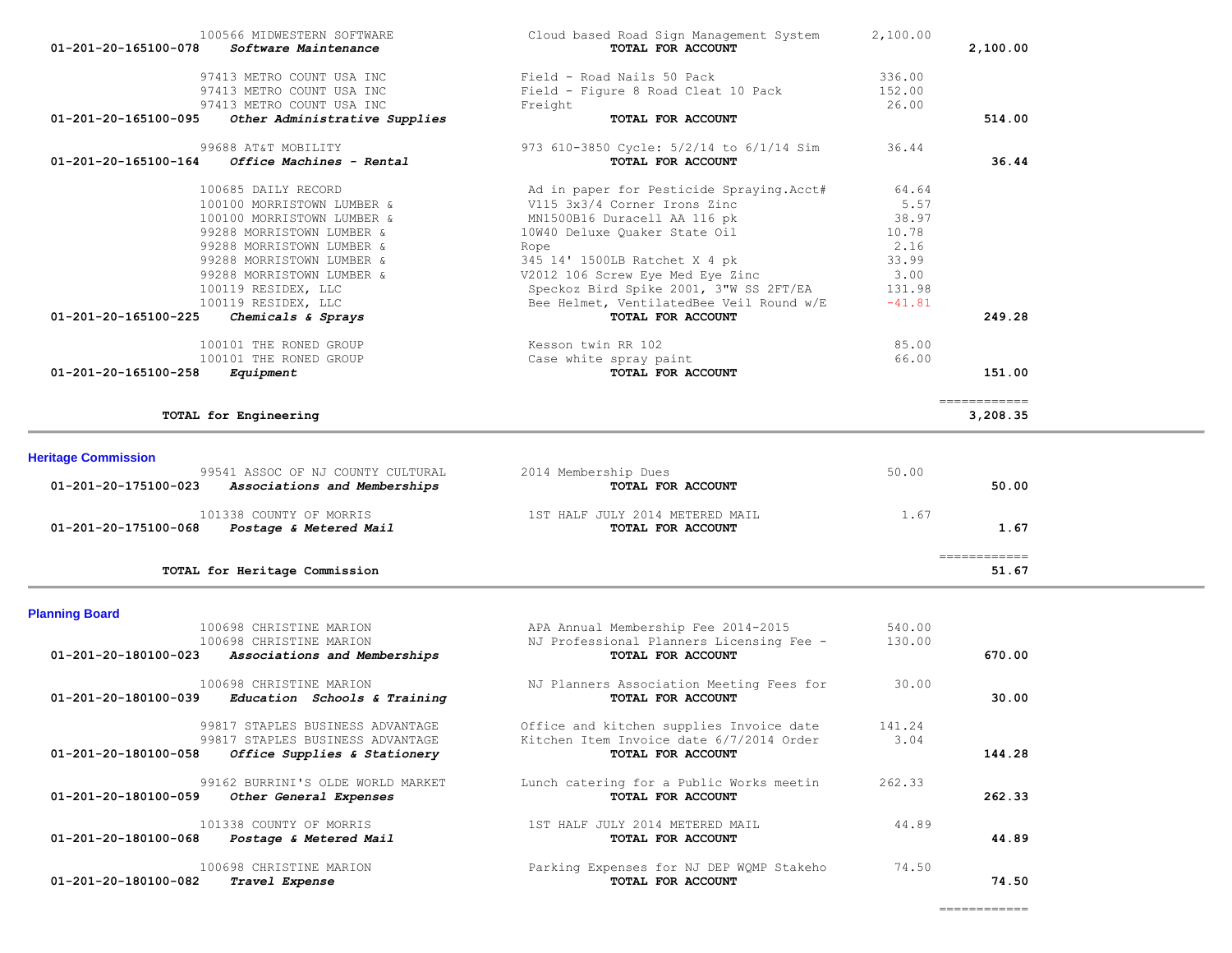| 01-201-20-165100-078       | 100566 MIDWESTERN SOFTWARE<br>Software Maintenance               | Cloud based Road Sign Management System<br>TOTAL FOR ACCOUNT                         | 2,100.00        | 2,100.00                                                                                                                                                                                                                                                                                                                                                                                                                                                                               |  |
|----------------------------|------------------------------------------------------------------|--------------------------------------------------------------------------------------|-----------------|----------------------------------------------------------------------------------------------------------------------------------------------------------------------------------------------------------------------------------------------------------------------------------------------------------------------------------------------------------------------------------------------------------------------------------------------------------------------------------------|--|
|                            |                                                                  |                                                                                      |                 |                                                                                                                                                                                                                                                                                                                                                                                                                                                                                        |  |
|                            | 97413 METRO COUNT USA INC                                        | Field - Road Nails 50 Pack                                                           | 336.00          |                                                                                                                                                                                                                                                                                                                                                                                                                                                                                        |  |
|                            | 97413 METRO COUNT USA INC                                        | Field - Figure 8 Road Cleat 10 Pack                                                  | 152.00<br>26.00 |                                                                                                                                                                                                                                                                                                                                                                                                                                                                                        |  |
| 01-201-20-165100-095       | 97413 METRO COUNT USA INC<br>Other Administrative Supplies       | Freight<br>TOTAL FOR ACCOUNT                                                         |                 | 514.00                                                                                                                                                                                                                                                                                                                                                                                                                                                                                 |  |
|                            |                                                                  |                                                                                      |                 |                                                                                                                                                                                                                                                                                                                                                                                                                                                                                        |  |
|                            | 99688 AT&T MOBILITY                                              | 973 610-3850 Cycle: 5/2/14 to 6/1/14 Sim                                             | 36.44           |                                                                                                                                                                                                                                                                                                                                                                                                                                                                                        |  |
| 01-201-20-165100-164       | Office Machines - Rental                                         | TOTAL FOR ACCOUNT                                                                    |                 | 36.44                                                                                                                                                                                                                                                                                                                                                                                                                                                                                  |  |
|                            | 100685 DAILY RECORD                                              | Ad in paper for Pesticide Spraying. Acct#                                            | 64.64           |                                                                                                                                                                                                                                                                                                                                                                                                                                                                                        |  |
|                            | 100100 MORRISTOWN LUMBER &                                       | V115 3x3/4 Corner Irons Zinc                                                         | 5.57            |                                                                                                                                                                                                                                                                                                                                                                                                                                                                                        |  |
|                            | 100100 MORRISTOWN LUMBER &                                       | MN1500B16 Duracell AA 116 pk                                                         | 38.97           |                                                                                                                                                                                                                                                                                                                                                                                                                                                                                        |  |
|                            | 99288 MORRISTOWN LUMBER &                                        | 10W40 Deluxe Quaker State Oil                                                        | 10.78           |                                                                                                                                                                                                                                                                                                                                                                                                                                                                                        |  |
|                            | 99288 MORRISTOWN LUMBER &                                        | Rope                                                                                 | 2.16            |                                                                                                                                                                                                                                                                                                                                                                                                                                                                                        |  |
|                            | 99288 MORRISTOWN LUMBER &                                        | 345 14' 1500LB Ratchet X 4 pk                                                        | 33.99           |                                                                                                                                                                                                                                                                                                                                                                                                                                                                                        |  |
|                            | 99288 MORRISTOWN LUMBER &                                        | V2012 106 Screw Eye Med Eye Zinc                                                     | 3.00            |                                                                                                                                                                                                                                                                                                                                                                                                                                                                                        |  |
|                            | 100119 RESIDEX, LLC                                              | Speckoz Bird Spike 2001, 3"W SS 2FT/EA                                               | 131.98          |                                                                                                                                                                                                                                                                                                                                                                                                                                                                                        |  |
|                            | 100119 RESIDEX, LLC                                              | Bee Helmet, VentilatedBee Veil Round w/E                                             | $-41.81$        |                                                                                                                                                                                                                                                                                                                                                                                                                                                                                        |  |
| 01-201-20-165100-225       | Chemicals & Sprays                                               | TOTAL FOR ACCOUNT                                                                    |                 | 249.28                                                                                                                                                                                                                                                                                                                                                                                                                                                                                 |  |
|                            | 100101 THE RONED GROUP                                           | Kesson twin RR 102                                                                   | 85.00           |                                                                                                                                                                                                                                                                                                                                                                                                                                                                                        |  |
|                            | 100101 THE RONED GROUP                                           | Case white spray paint                                                               | 66.00           |                                                                                                                                                                                                                                                                                                                                                                                                                                                                                        |  |
| 01-201-20-165100-258       | Equipment                                                        | TOTAL FOR ACCOUNT                                                                    |                 | 151.00                                                                                                                                                                                                                                                                                                                                                                                                                                                                                 |  |
|                            |                                                                  |                                                                                      |                 | $\begin{array}{cccccccccc} \multicolumn{2}{c}{} & \multicolumn{2}{c}{} & \multicolumn{2}{c}{} & \multicolumn{2}{c}{} & \multicolumn{2}{c}{} & \multicolumn{2}{c}{} & \multicolumn{2}{c}{} & \multicolumn{2}{c}{} & \multicolumn{2}{c}{} & \multicolumn{2}{c}{} & \multicolumn{2}{c}{} & \multicolumn{2}{c}{} & \multicolumn{2}{c}{} & \multicolumn{2}{c}{} & \multicolumn{2}{c}{} & \multicolumn{2}{c}{} & \multicolumn{2}{c}{} & \multicolumn{2}{c}{} & \multicolumn{2}{c}{} & \mult$ |  |
|                            | TOTAL for Engineering                                            |                                                                                      |                 | 3,208.35                                                                                                                                                                                                                                                                                                                                                                                                                                                                               |  |
| <b>Heritage Commission</b> |                                                                  |                                                                                      |                 |                                                                                                                                                                                                                                                                                                                                                                                                                                                                                        |  |
|                            | 99541 ASSOC OF NJ COUNTY CULTURAL                                | 2014 Membership Dues                                                                 | 50.00           |                                                                                                                                                                                                                                                                                                                                                                                                                                                                                        |  |
| 01-201-20-175100-023       | Associations and Memberships                                     | TOTAL FOR ACCOUNT                                                                    |                 | 50.00                                                                                                                                                                                                                                                                                                                                                                                                                                                                                  |  |
|                            |                                                                  |                                                                                      |                 |                                                                                                                                                                                                                                                                                                                                                                                                                                                                                        |  |
| 01-201-20-175100-068       | 101338 COUNTY OF MORRIS                                          | 1ST HALF JULY 2014 METERED MAIL<br>TOTAL FOR ACCOUNT                                 | 1.67            | 1.67                                                                                                                                                                                                                                                                                                                                                                                                                                                                                   |  |
|                            | Postage & Metered Mail                                           |                                                                                      |                 |                                                                                                                                                                                                                                                                                                                                                                                                                                                                                        |  |
|                            |                                                                  |                                                                                      |                 | $\begin{array}{cccccccccc} \multicolumn{2}{c}{} & \multicolumn{2}{c}{} & \multicolumn{2}{c}{} & \multicolumn{2}{c}{} & \multicolumn{2}{c}{} & \multicolumn{2}{c}{} & \multicolumn{2}{c}{} & \multicolumn{2}{c}{} & \multicolumn{2}{c}{} & \multicolumn{2}{c}{} & \multicolumn{2}{c}{} & \multicolumn{2}{c}{} & \multicolumn{2}{c}{} & \multicolumn{2}{c}{} & \multicolumn{2}{c}{} & \multicolumn{2}{c}{} & \multicolumn{2}{c}{} & \multicolumn{2}{c}{} & \multicolumn{2}{c}{} & \mult$ |  |
|                            | TOTAL for Heritage Commission                                    |                                                                                      |                 | 51.67                                                                                                                                                                                                                                                                                                                                                                                                                                                                                  |  |
|                            |                                                                  |                                                                                      |                 |                                                                                                                                                                                                                                                                                                                                                                                                                                                                                        |  |
| <b>Planning Board</b>      | 100698 CHRISTINE MARION                                          |                                                                                      | 540.00          |                                                                                                                                                                                                                                                                                                                                                                                                                                                                                        |  |
|                            | 100698 CHRISTINE MARION                                          | APA Annual Membership Fee 2014-2015<br>NJ Professional Planners Licensing Fee -      | 130.00          |                                                                                                                                                                                                                                                                                                                                                                                                                                                                                        |  |
| 01-201-20-180100-023       | Associations and Memberships                                     | TOTAL FOR ACCOUNT                                                                    |                 | 670.00                                                                                                                                                                                                                                                                                                                                                                                                                                                                                 |  |
|                            |                                                                  |                                                                                      |                 |                                                                                                                                                                                                                                                                                                                                                                                                                                                                                        |  |
|                            | 100698 CHRISTINE MARION                                          | NJ Planners Association Meeting Fees for                                             | 30.00           |                                                                                                                                                                                                                                                                                                                                                                                                                                                                                        |  |
| 01-201-20-180100-039       | Education Schools & Training                                     | TOTAL FOR ACCOUNT                                                                    |                 | 30.00                                                                                                                                                                                                                                                                                                                                                                                                                                                                                  |  |
|                            |                                                                  |                                                                                      |                 |                                                                                                                                                                                                                                                                                                                                                                                                                                                                                        |  |
|                            |                                                                  |                                                                                      |                 |                                                                                                                                                                                                                                                                                                                                                                                                                                                                                        |  |
|                            | 99817 STAPLES BUSINESS ADVANTAGE                                 | Office and kitchen supplies Invoice date<br>Kitchen Item Invoice date 6/7/2014 Order | 141.24<br>3.04  |                                                                                                                                                                                                                                                                                                                                                                                                                                                                                        |  |
| 01-201-20-180100-058       | 99817 STAPLES BUSINESS ADVANTAGE<br>Office Supplies & Stationery | TOTAL FOR ACCOUNT                                                                    |                 | 144.28                                                                                                                                                                                                                                                                                                                                                                                                                                                                                 |  |

99162 BURRINI'S OLDE WORLD MARKET Lunch catering for a Public Works meetin 262.33<br>**9** Other General Expenses **Example 262.33** TOTAL FOR ACCOUNT

 **01-201-20-180100-059** *Other General Expenses* **TOTAL FOR ACCOUNT 262.33** 101338 COUNTY OF MORRIS 1ST HALF JULY 2014 METERED MAIL 44.89<br>1999 - Toral For Account  **01-201-20-180100-068** *Postage & Metered Mail* **TOTAL FOR ACCOUNT 44.89** 100698 CHRISTINE MARION 100698 CHRISTINE MARION 1999 CHRISTINE MARION 1999 Parking Expenses for NJ DEP WQMP Stakeho<br>32 Travel Expense

 **01-201-20-180100-082** *Travel Expense* **TOTAL FOR ACCOUNT 74.50**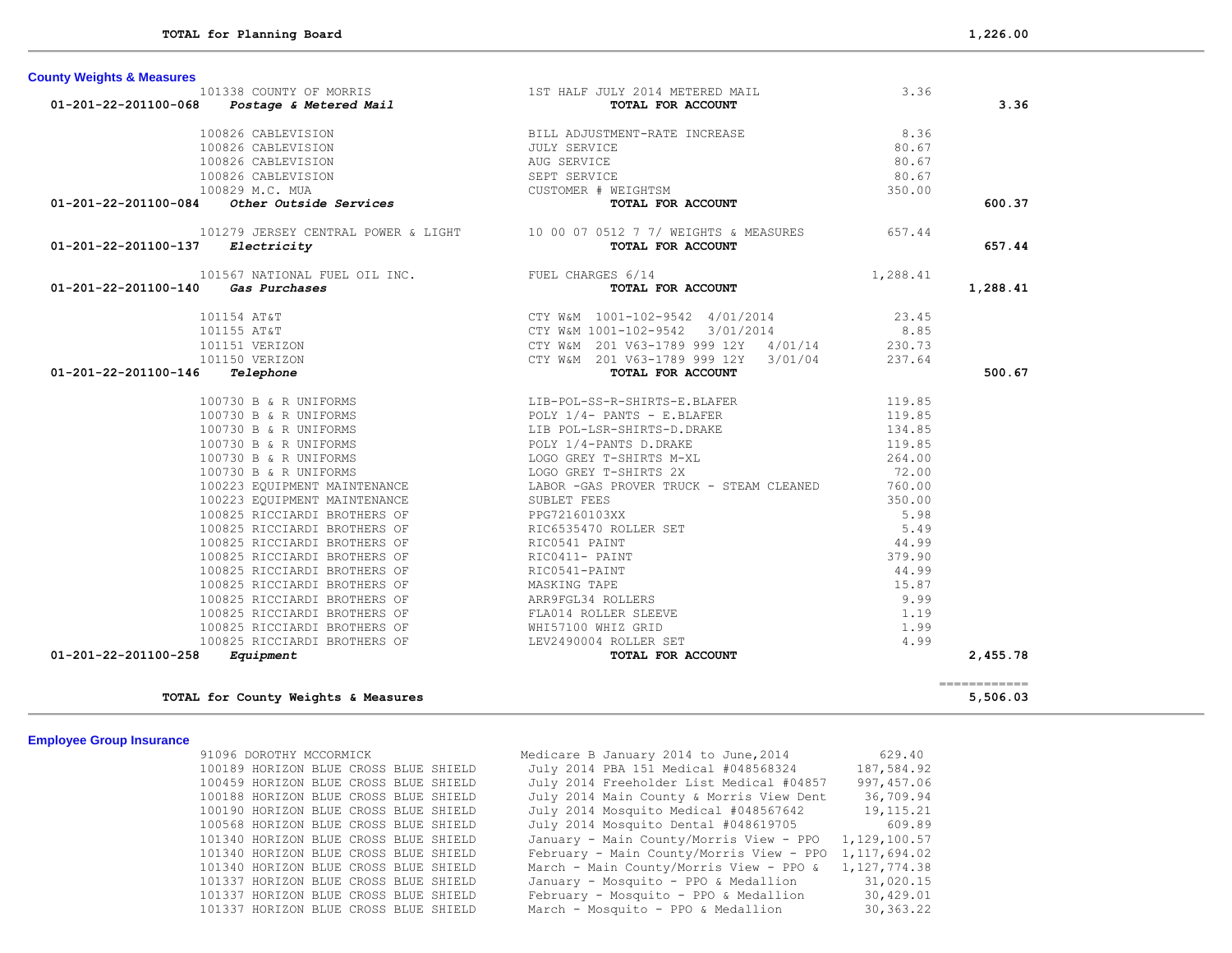| <b>County Weights &amp; Measures</b>                                                                                                                                                               |                                                                                                                                                                                                                                                 |          |          |
|----------------------------------------------------------------------------------------------------------------------------------------------------------------------------------------------------|-------------------------------------------------------------------------------------------------------------------------------------------------------------------------------------------------------------------------------------------------|----------|----------|
|                                                                                                                                                                                                    |                                                                                                                                                                                                                                                 | 3.36     |          |
| 01-201-22-201100-068                                                                                                                                                                               |                                                                                                                                                                                                                                                 |          | 3.36     |
| 100826 CABLEVISION                                                                                                                                                                                 | BILL ADJUSTMENT-RATE INCREASE<br>JULY SERVICE<br>AUG SERVICE                                                                                                                                                                                    | 8.36     |          |
| 100826 CABLEVISION                                                                                                                                                                                 |                                                                                                                                                                                                                                                 | 80.67    |          |
| 100826 CABLEVISION                                                                                                                                                                                 |                                                                                                                                                                                                                                                 | 80.67    |          |
| 100826 CABLEVISION                                                                                                                                                                                 |                                                                                                                                                                                                                                                 | 80.67    |          |
| 100829 M.C. MUA                                                                                                                                                                                    | SEPT SERVICE<br>CUSTOMER # WEIGHTSM                                                                                                                                                                                                             | 350.00   |          |
| 01-201-22-201100-084<br>Other Outside Services                                                                                                                                                     | TOTAL FOR ACCOUNT                                                                                                                                                                                                                               |          | 600.37   |
|                                                                                                                                                                                                    | 101279 JERSEY CENTRAL POWER & LIGHT 10 00 07 0512 7 7/ WEIGHTS & MEASURES 657.44                                                                                                                                                                |          |          |
| 01-201-22-201100-137<br>Electricity                                                                                                                                                                | TOTAL FOR ACCOUNT                                                                                                                                                                                                                               |          | 657.44   |
| 101567 NATIONAL FUEL OIL INC. FUEL CHARGES 6/14                                                                                                                                                    |                                                                                                                                                                                                                                                 | 1,288.41 |          |
| Gas Purchases<br>01-201-22-201100-140                                                                                                                                                              | TOTAL FOR ACCOUNT                                                                                                                                                                                                                               |          | 1,288.41 |
| 101154 AT&T                                                                                                                                                                                        | CTY W&M 1001-102-9542 4/01/2014 23.45<br>CTY W&M 1001-102-9542 3/01/2014 8.85<br>CTY W&M 201 V63-1789 999 12Y 4/01/14 230.73<br>CTY W&M 201 V63-1789 999 12Y 3/01/04 237.64<br><b>TOTAL FOR ACCOUNT</b>                                         |          |          |
| 101155 AT&T                                                                                                                                                                                        |                                                                                                                                                                                                                                                 |          |          |
| 101151 VERIZON                                                                                                                                                                                     |                                                                                                                                                                                                                                                 |          |          |
| 101150 VERIZON                                                                                                                                                                                     |                                                                                                                                                                                                                                                 |          |          |
| 01-201-22-201100-146<br>Telephone                                                                                                                                                                  |                                                                                                                                                                                                                                                 |          | 500.67   |
|                                                                                                                                                                                                    | 100730 B & R UNIFORMS<br>100730 B & R UNIFORMS<br>100730 B & R UNIFORMS<br>100730 B & R UNIFORMS<br>100730 B & R UNIFORMS<br>100730 B & R UNIFORMS<br>100730 B & R UNIFORMS<br>100730 B & R UNIFORMS<br>100730 B & R UNIFORMS<br>100223 EQUIPME | 119.85   |          |
|                                                                                                                                                                                                    |                                                                                                                                                                                                                                                 | 119.85   |          |
|                                                                                                                                                                                                    |                                                                                                                                                                                                                                                 | 134.85   |          |
|                                                                                                                                                                                                    |                                                                                                                                                                                                                                                 | 119.85   |          |
|                                                                                                                                                                                                    |                                                                                                                                                                                                                                                 | 264.00   |          |
|                                                                                                                                                                                                    |                                                                                                                                                                                                                                                 | 72.00    |          |
|                                                                                                                                                                                                    |                                                                                                                                                                                                                                                 | 760.00   |          |
|                                                                                                                                                                                                    |                                                                                                                                                                                                                                                 | 350.00   |          |
|                                                                                                                                                                                                    |                                                                                                                                                                                                                                                 | 5.98     |          |
| 100825 RICCIARDI BROTHERS OF                                                                                                                                                                       | RIC6535470 ROLLER SET                                                                                                                                                                                                                           | 5.49     |          |
| 100825 RICCIARDI BROTHERS OF                                                                                                                                                                       | RIC0541 PAINT                                                                                                                                                                                                                                   | 44.99    |          |
| 100825 RICCIARDI BROTHERS OF                                                                                                                                                                       | RIC0411- PAINT                                                                                                                                                                                                                                  | 379.90   |          |
| 100825 RICCIARDI BROTHERS OF                                                                                                                                                                       | RIC0541-PAINT                                                                                                                                                                                                                                   | 44.99    |          |
|                                                                                                                                                                                                    |                                                                                                                                                                                                                                                 | 15.87    |          |
|                                                                                                                                                                                                    |                                                                                                                                                                                                                                                 | 9.99     |          |
| 100825 NICCIARDI BROTHERS OF MASKING TAPE<br>100825 RICCIARDI BROTHERS OF ARR9FGL34 ROLLERS<br>100825 RICCIARDI BROTHERS OF FLA014 ROLLER SLEEVE<br>100825 RICCIARDI BROTHERS OF WH57100 WHIZ GRID |                                                                                                                                                                                                                                                 | 1.19     |          |
|                                                                                                                                                                                                    |                                                                                                                                                                                                                                                 | 1.99     |          |
| 100825 RICCIARDI BROTHERS OF                                                                                                                                                                       | LEV2490004 ROLLER SET                                                                                                                                                                                                                           | 4.99     |          |
| 01-201-22-201100-258<br>Equipment                                                                                                                                                                  | TOTAL FOR ACCOUNT                                                                                                                                                                                                                               |          | 2,455.78 |

**TOTAL for County Weights & Measures 5,506.03**

## **Employee Group Insurance**

 91096 DOROTHY MCCORMICK Medicare B January 2014 to June,2014 629.40 100189 HORIZON BLUE CROSS BLUE SHIELD July 2014 PBA 151 Medical #048568324 187,584.92 100459 HORIZON BLUE CROSS BLUE SHIELD July 2014 Freeholder List Medical #04857 997,457.06 100188 HORIZON BLUE CROSS BLUE SHIELD July 2014 Main County & Morris View Dent 36,709.94<br>100190 HORIZON BLUE CROSS BLUE SHIELD July 2014 Mosquito Medical #048567642 19,115.21 100190 HORIZON BLUE CROSS BLUE SHIELD July 2014 Mosquito Medical #048567642 19,115.21 100568 HORIZON BLUE CROSS BLUE SHIELD July 2014 Mosquito Dental #048619705 609.89<br>101340 HORIZON BLUE CROSS BLUE SHIELD January - Main County/Morris View - PPO 1,129,100.57 January - Main County/Morris View - PPO  $1,129,100.57$  101340 HORIZON BLUE CROSS BLUE SHIELD February - Main County/Morris View - PPO 1,117,694.02 101340 HORIZON BLUE CROSS BLUE SHIELD March - Main County/Morris View - PPO & 1,127,774.38 101337 HORIZON BLUE CROSS BLUE SHIELD January - Mosquito - PPO & Medallion 31,020.15 101337 HORIZON BLUE CROSS BLUE SHIELD February - Mosquito - PPO & Medallion 30,429.01 101337 HORIZON BLUE CROSS BLUE SHIELD March - Mosquito - PPO & Medallion 30,363.22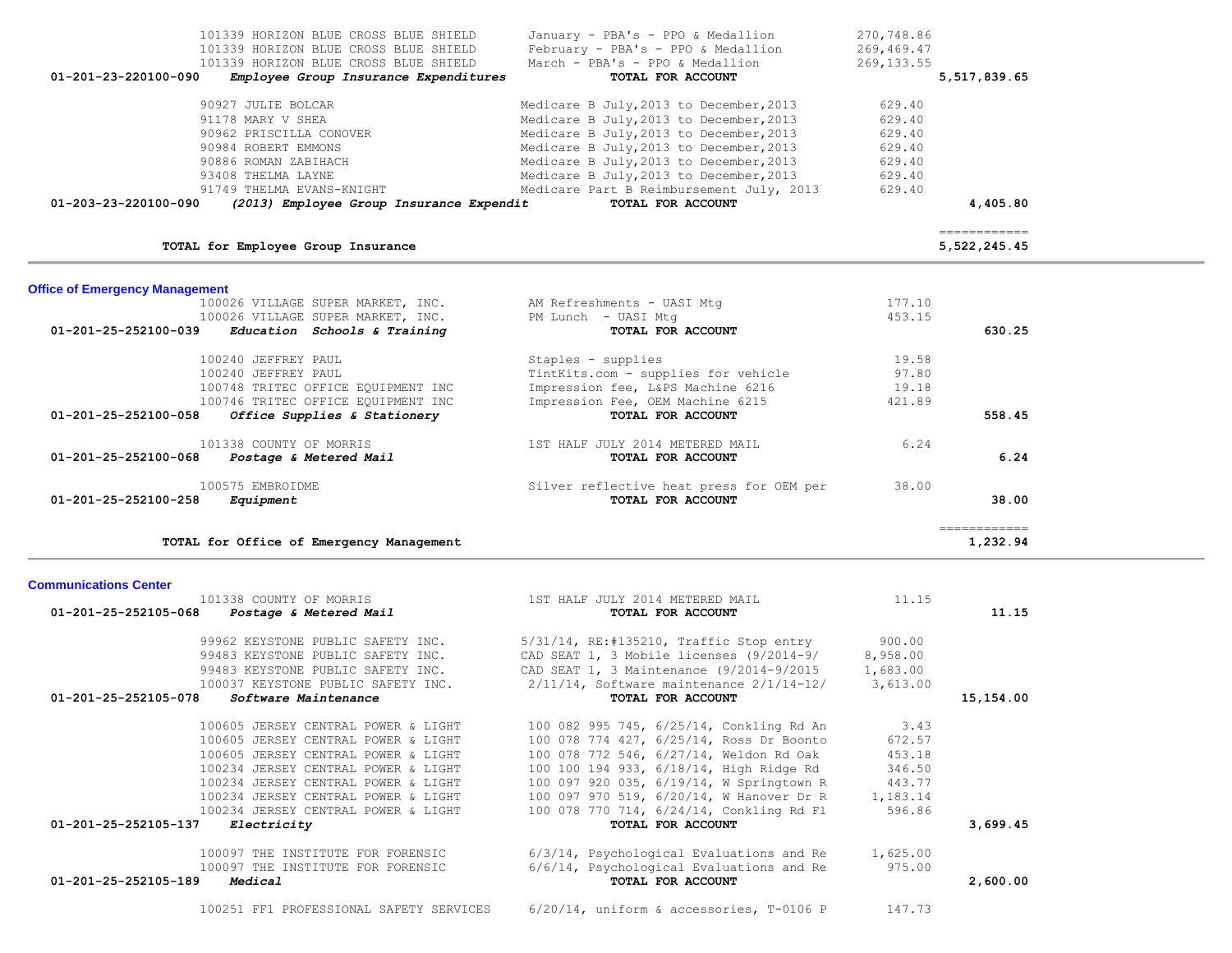| 101338 COUNTY OF MORRIS                                   | 1ST HALF JULY 2014 METERED MAIL                      | 11.15    |           |
|-----------------------------------------------------------|------------------------------------------------------|----------|-----------|
| 01-201-25-252105-068<br><i>Postage &amp; Metered Mail</i> | TOTAL FOR ACCOUNT                                    |          | 11.15     |
| 99962 KEYSTONE PUBLIC SAFETY INC.                         | $5/31/14$ , RE:#135210, Traffic Stop entry           | 900.00   |           |
| 99483 KEYSTONE PUBLIC SAFETY INC.                         | CAD SEAT 1, 3 Mobile licenses (9/2014-9/             | 8,958.00 |           |
| 99483 KEYSTONE PUBLIC SAFETY INC.                         | CAD SEAT 1, 3 Maintenance (9/2014-9/2015             | 1,683.00 |           |
| 100037 KEYSTONE PUBLIC SAFETY INC.                        | $2/11/14$ , Software maintenance $2/1/14-12/$        | 3,613.00 |           |
| 01-201-25-252105-078<br><i>Software Maintenance</i>       | TOTAL FOR ACCOUNT                                    |          | 15,154.00 |
| 100605 JERSEY CENTRAL POWER & LIGHT                       | 100 082 995 745, 6/25/14, Conkling Rd An             | 3.43     |           |
| 100605 JERSEY CENTRAL POWER & LIGHT                       | 100 078 774 427, 6/25/14, Ross Dr Boonto             | 672.57   |           |
| 100605 JERSEY CENTRAL POWER & LIGHT                       | 100 078 772 546, 6/27/14, Weldon Rd Oak              | 453.18   |           |
| 100234 JERSEY CENTRAL POWER & LIGHT                       | 100 100 194 933, 6/18/14, High Ridge Rd              | 346.50   |           |
| 100234 JERSEY CENTRAL POWER & LIGHT                       | 100 097 920 035, 6/19/14, W Springtown R             | 443.77   |           |
| 100234 JERSEY CENTRAL POWER & LIGHT                       | 100 097 970 519, 6/20/14, W Hanover Dr R 1,183.14    |          |           |
| 100234 JERSEY CENTRAL POWER & LIGHT                       | 100 078 770 714, 6/24/14, Conkling Rd Fl             | 596.86   |           |
| 01-201-25-252105-137<br><i>Electricity</i>                | TOTAL FOR ACCOUNT                                    |          | 3,699.45  |
| 100097 THE INSTITUTE FOR FORENSIC                         | $6/3/14$ , Psychological Evaluations and Re 1,625.00 |          |           |
| 100097 THE INSTITUTE FOR FORENSIC                         | 6/6/14, Psychological Evaluations and Re             | 975.00   |           |
| 01-201-25-252105-189<br>Medical                           | TOTAL FOR ACCOUNT                                    |          | 2,600.00  |
| 100251 FF1 PROFESSIONAL SAFETY SERVICES                   | $6/20/14$ , uniform & accessories, T-0106 P          | 147.73   |           |

## **Communications Center**

| TOTAL for Employee Group Insurance                   |                                          |        | .===========<br>5,522,245.45 |
|------------------------------------------------------|------------------------------------------|--------|------------------------------|
| <b>Office of Emergency Management</b>                |                                          |        |                              |
| 100026 VILLAGE SUPER MARKET, INC.                    | AM Refreshments - UASI Mtg               | 177.10 |                              |
| 100026 VILLAGE SUPER MARKET, INC.                    | PM Lunch - UASI Mtg                      | 453.15 |                              |
| 01-201-25-252100-039<br>Education Schools & Training | TOTAL FOR ACCOUNT                        |        | 630.25                       |
| 100240 JEFFREY PAUL                                  | Staples - supplies                       | 19.58  |                              |
| 100240 JEFFREY PAUL                                  | TintKits.com - supplies for vehicle      | 97.80  |                              |
| 100748 TRITEC OFFICE EQUIPMENT INC                   | Impression fee, L&PS Machine 6216        | 19.18  |                              |
| 100746 TRITEC OFFICE EQUIPMENT INC                   | Impression Fee, OEM Machine 6215         | 421.89 |                              |
| 01-201-25-252100-058<br>Office Supplies & Stationery | TOTAL FOR ACCOUNT                        |        | 558.45                       |
| 101338 COUNTY OF MORRIS                              | 1ST HALF JULY 2014 METERED MAIL          | 6.24   |                              |
| 01-201-25-252100-068<br>Postage & Metered Mail       | TOTAL FOR ACCOUNT                        |        | 6.24                         |
| 100575 EMBROIDME                                     | Silver reflective heat press for OEM per | 38.00  |                              |
| 01-201-25-252100-258<br>Equipment                    | TOTAL FOR ACCOUNT                        |        | 38.00                        |
|                                                      |                                          |        | ------------                 |
| TOTAL for Office of Emergency Management             |                                          |        | 1,232.94                     |

| 101339 HORIZON BLUE CROSS BLUE SHIELD<br>101339 HORIZON BLUE CROSS BLUE SHIELD | January - PBA's - PPO & Medallion<br>February - PBA's - PPO & Medallion | 270,748.86<br>269,469.47 |
|--------------------------------------------------------------------------------|-------------------------------------------------------------------------|--------------------------|
| 101339 HORIZON BLUE CROSS BLUE SHIELD<br>$01 - 201 - 23 - 220100 - 090$        | March - PBA's - PPO & Medallion<br>TOTAL FOR ACCOUNT                    | 269, 133.55              |
| Employee Group Insurance Expenditures                                          |                                                                         | 5,517,839.65             |
| 90927 JULIE BOLCAR                                                             | Medicare B July, 2013 to December, 2013                                 | 629.40                   |
| 91178 MARY V SHEA                                                              | Medicare B July, 2013 to December, 2013                                 | 629.40                   |
| 90962 PRISCILLA CONOVER                                                        | Medicare B July, 2013 to December, 2013                                 | 629.40                   |
| 90984 ROBERT EMMONS                                                            | Medicare B July, 2013 to December, 2013                                 | 629.40                   |
| 90886 ROMAN ZABIHACH                                                           | Medicare B July, 2013 to December, 2013                                 | 629.40                   |
| 93408 THELMA LAYNE                                                             | Medicare B July, 2013 to December, 2013                                 | 629.40                   |
| 91749 THELMA EVANS-KNIGHT                                                      | Medicare Part B Reimbursement July, 2013                                | 629.40                   |
| $01 - 203 - 23 - 220100 - 090$<br>(2013) Employee Group Insurance Expendit     | TOTAL FOR ACCOUNT                                                       | 4,405.80                 |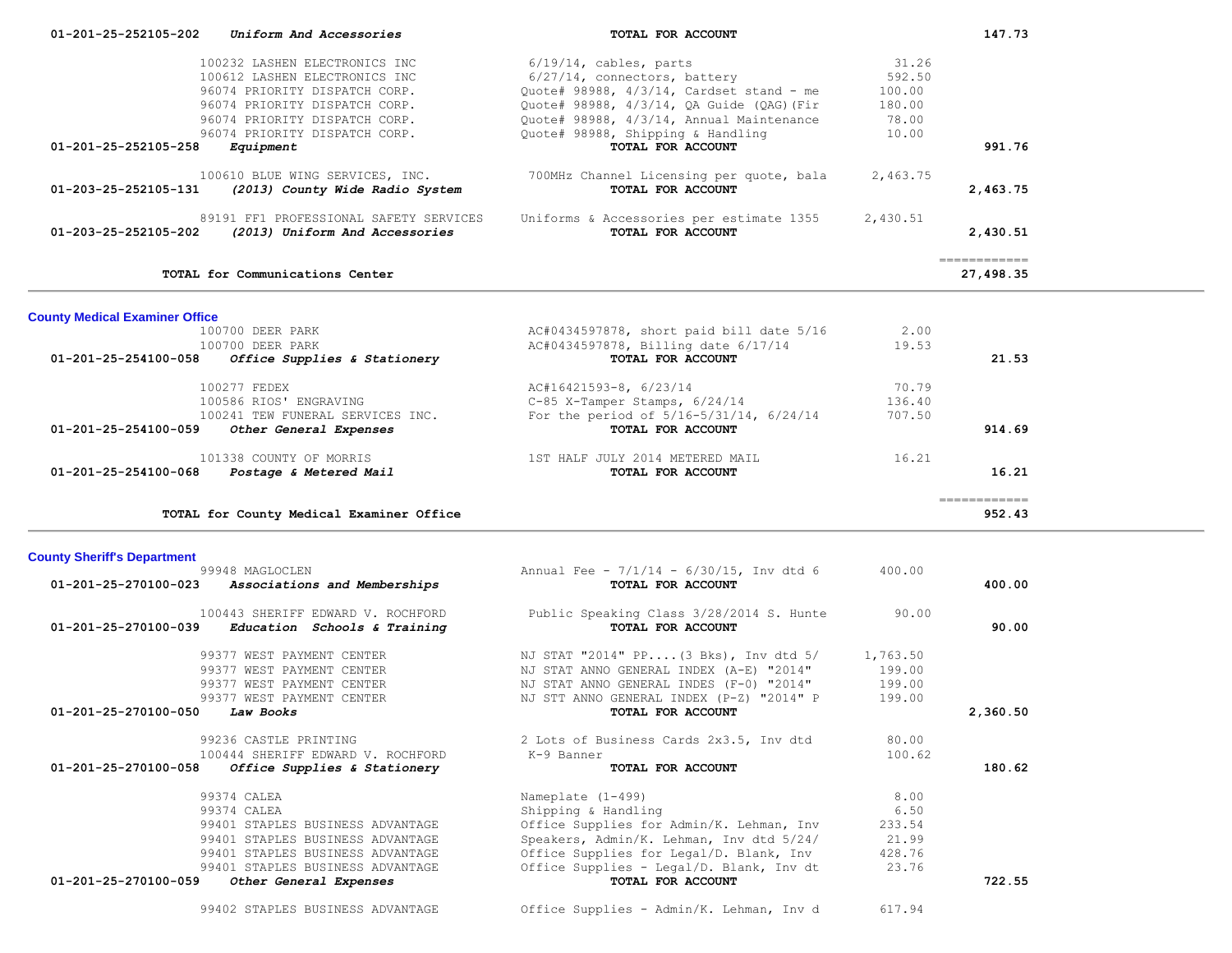| 01-201-25-252105-202                  | Uniform And Accessories                               | TOTAL FOR ACCOUNT                             |          | 147.73                      |  |
|---------------------------------------|-------------------------------------------------------|-----------------------------------------------|----------|-----------------------------|--|
|                                       |                                                       |                                               |          |                             |  |
|                                       | 100232 LASHEN ELECTRONICS INC                         | $6/19/14$ , cables, parts                     | 31.26    |                             |  |
|                                       | 100612 LASHEN ELECTRONICS INC                         | 6/27/14, connectors, battery                  | 592.50   |                             |  |
|                                       | 96074 PRIORITY DISPATCH CORP.                         | Quote# 98988, 4/3/14, Cardset stand - me      | 100.00   |                             |  |
|                                       | 96074 PRIORITY DISPATCH CORP.                         | Quote# 98988, 4/3/14, QA Guide (QAG) (Fir     | 180.00   |                             |  |
|                                       | 96074 PRIORITY DISPATCH CORP.                         | Quote# 98988, 4/3/14, Annual Maintenance      | 78.00    |                             |  |
|                                       | 96074 PRIORITY DISPATCH CORP.                         | Quote# 98988, Shipping & Handling             | 10.00    |                             |  |
| 01-201-25-252105-258                  | Equipment                                             | TOTAL FOR ACCOUNT                             |          | 991.76                      |  |
|                                       | 100610 BLUE WING SERVICES, INC.                       | 700MHz Channel Licensing per quote, bala      | 2,463.75 |                             |  |
| 01-203-25-252105-131                  | (2013) County Wide Radio System                       | TOTAL FOR ACCOUNT                             |          | 2,463.75                    |  |
|                                       |                                                       |                                               |          |                             |  |
|                                       | 89191 FF1 PROFESSIONAL SAFETY SERVICES                | Uniforms & Accessories per estimate 1355      | 2,430.51 |                             |  |
| 01-203-25-252105-202                  | (2013) Uniform And Accessories                        | TOTAL FOR ACCOUNT                             |          | 2,430.51                    |  |
|                                       |                                                       |                                               |          |                             |  |
|                                       |                                                       |                                               |          | ------------                |  |
|                                       | TOTAL for Communications Center                       |                                               |          | 27,498.35                   |  |
|                                       |                                                       |                                               |          |                             |  |
| <b>County Medical Examiner Office</b> |                                                       |                                               |          |                             |  |
|                                       | 100700 DEER PARK                                      | AC#0434597878, short paid bill date 5/16      | 2.00     |                             |  |
|                                       | 100700 DEER PARK                                      | AC#0434597878, Billing date 6/17/14           | 19.53    |                             |  |
| 01-201-25-254100-058                  | Office Supplies & Stationery                          | TOTAL FOR ACCOUNT                             |          | 21.53                       |  |
|                                       |                                                       |                                               |          |                             |  |
|                                       | 100277 FEDEX                                          | AC#16421593-8, 6/23/14                        | 70.79    |                             |  |
|                                       | 100586 RIOS' ENGRAVING                                | C-85 X-Tamper Stamps, 6/24/14                 | 136.40   |                             |  |
|                                       | 100241 TEW FUNERAL SERVICES INC.                      | For the period of $5/16-5/31/14$ , $6/24/14$  | 707.50   |                             |  |
| 01-201-25-254100-059                  | Other General Expenses                                | TOTAL FOR ACCOUNT                             |          | 914.69                      |  |
|                                       | 101338 COUNTY OF MORRIS                               | 1ST HALF JULY 2014 METERED MAIL               | 16.21    |                             |  |
|                                       | $01 - 201 - 25 - 254100 - 068$ Postage & Metered Mail |                                               |          | 16.21                       |  |
|                                       |                                                       |                                               |          |                             |  |
|                                       |                                                       | TOTAL FOR ACCOUNT                             |          |                             |  |
|                                       |                                                       |                                               |          | $=$ = = = = = = = = = = = = |  |
|                                       | TOTAL for County Medical Examiner Office              |                                               |          | 952.43                      |  |
|                                       |                                                       |                                               |          |                             |  |
| <b>County Sheriff's Department</b>    |                                                       |                                               |          |                             |  |
|                                       | 99948 MAGLOCLEN                                       | Annual Fee - $7/1/14$ - $6/30/15$ , Inv dtd 6 | 400.00   |                             |  |
| 01-201-25-270100-023                  | Associations and Memberships                          | TOTAL FOR ACCOUNT                             |          | 400.00                      |  |
|                                       |                                                       |                                               |          |                             |  |
|                                       | 100443 SHERIFF EDWARD V. ROCHFORD                     | Public Speaking Class 3/28/2014 S. Hunte      | 90.00    |                             |  |
| 01-201-25-270100-039                  | Education Schools & Training                          | TOTAL FOR ACCOUNT                             |          | 90.00                       |  |
|                                       |                                                       |                                               |          |                             |  |
|                                       | 99377 WEST PAYMENT CENTER                             | NJ STAT "2014" PP (3 Bks), Inv dtd 5/         | 1,763.50 |                             |  |
|                                       | 99377 WEST PAYMENT CENTER                             | NJ STAT ANNO GENERAL INDEX (A-E) "2014"       | 199.00   |                             |  |
|                                       | 99377 WEST PAYMENT CENTER                             | NJ STAT ANNO GENERAL INDES (F-0) "2014"       | 199.00   |                             |  |
| 01-201-25-270100-050                  | 99377 WEST PAYMENT CENTER                             | NJ STT ANNO GENERAL INDEX (P-Z) "2014" P      | 199.00   |                             |  |
|                                       | Law Books                                             | TOTAL FOR ACCOUNT                             |          | 2,360.50                    |  |
|                                       | 99236 CASTLE PRINTING                                 | 2 Lots of Business Cards 2x3.5, Inv dtd       | 80.00    |                             |  |
|                                       | 100444 SHERIFF EDWARD V. ROCHFORD                     | K-9 Banner                                    | 100.62   |                             |  |
| 01-201-25-270100-058                  | Office Supplies & Stationery                          | TOTAL FOR ACCOUNT                             |          | 180.62                      |  |
|                                       |                                                       |                                               |          |                             |  |
|                                       | 99374 CALEA                                           | Nameplate (1-499)                             | 8.00     |                             |  |
|                                       | 99374 CALEA                                           | Shipping & Handling                           | 6.50     |                             |  |
|                                       | 99401 STAPLES BUSINESS ADVANTAGE                      | Office Supplies for Admin/K. Lehman, Inv      | 233.54   |                             |  |
|                                       | 99401 STAPLES BUSINESS ADVANTAGE                      | Speakers, Admin/K. Lehman, Inv dtd 5/24/      | 21.99    |                             |  |
|                                       | 99401 STAPLES BUSINESS ADVANTAGE                      | Office Supplies for Legal/D. Blank, Inv       | 428.76   |                             |  |
|                                       | 99401 STAPLES BUSINESS ADVANTAGE                      | Office Supplies - Legal/D. Blank, Inv dt      | 23.76    |                             |  |
| 01-201-25-270100-059                  | Other General Expenses                                | TOTAL FOR ACCOUNT                             |          | 722.55                      |  |
|                                       | 99402 STAPLES BUSINESS ADVANTAGE                      | Office Supplies - Admin/K. Lehman, Inv d      | 617.94   |                             |  |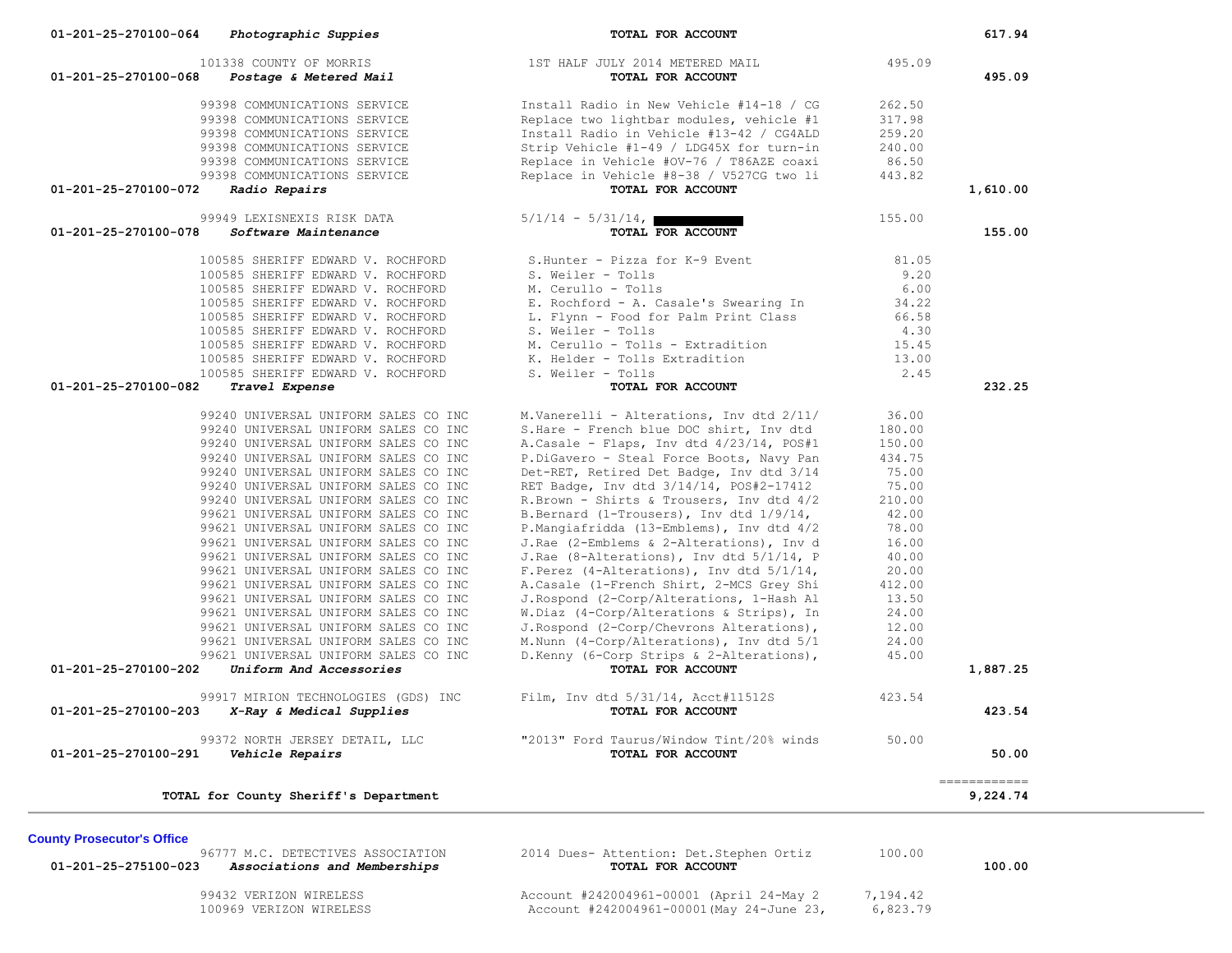| 101338 COUNTY OF MORRIS<br>01-201-25-270100-068<br>Postage & Metered Mail    | 1ST HALF JULY 2014 METERED MAIL<br>TOTAL FOR ACCOUNT                                  | 495.09          | 495.09                   |
|------------------------------------------------------------------------------|---------------------------------------------------------------------------------------|-----------------|--------------------------|
| 99398 COMMUNICATIONS SERVICE                                                 | Install Radio in New Vehicle #14-18 / CG                                              | 262.50          |                          |
| 99398 COMMUNICATIONS SERVICE                                                 | Replace two lightbar modules, vehicle #1                                              | 317.98          |                          |
| 99398 COMMUNICATIONS SERVICE                                                 | Install Radio in Vehicle #13-42 / CG4ALD                                              | 259.20          |                          |
| 99398 COMMUNICATIONS SERVICE                                                 | Strip Vehicle #1-49 / LDG45X for turn-in                                              | 240.00          |                          |
| 99398 COMMUNICATIONS SERVICE                                                 | Replace in Vehicle #OV-76 / T86AZE coaxi                                              | 86.50           |                          |
| 99398 COMMUNICATIONS SERVICE                                                 | Replace in Vehicle #8-38 / V527CG two li                                              | 443.82          |                          |
| 01-201-25-270100-072<br>Radio Repairs                                        | TOTAL FOR ACCOUNT                                                                     |                 | 1,610.00                 |
| 99949 LEXISNEXIS RISK DATA<br>01-201-25-270100-078<br>Software Maintenance   | $5/1/14 - 5/31/14$ ,<br>TOTAL FOR ACCOUNT                                             | 155.00          | 155.00                   |
| 100585 SHERIFF EDWARD V. ROCHFORD                                            | S.Hunter - Pizza for K-9 Event                                                        | 81.05           |                          |
| 100585 SHERIFF EDWARD V. ROCHFORD                                            | S. Weiler - Tolls                                                                     | 9.20            |                          |
| 100585 SHERIFF EDWARD V. ROCHFORD                                            | M. Cerullo - Tolls                                                                    | 6.00            |                          |
| 100585 SHERIFF EDWARD V. ROCHFORD                                            | E. Rochford - A. Casale's Swearing In                                                 | 34.22           |                          |
| 100585 SHERIFF EDWARD V. ROCHFORD                                            | L. Flynn - Food for Palm Print Class                                                  | 66.58           |                          |
| 100585 SHERIFF EDWARD V. ROCHFORD                                            | S. Weiler - Tolls                                                                     | 4.30            |                          |
| 100585 SHERIFF EDWARD V. ROCHFORD                                            | M. Cerullo - Tolls - Extradition                                                      | 15.45           |                          |
| 100585 SHERIFF EDWARD V. ROCHFORD                                            | K. Helder - Tolls Extradition                                                         | 13.00           |                          |
| 100585 SHERIFF EDWARD V. ROCHFORD                                            | S. Weiler - Tolls                                                                     | 2.45            |                          |
| 01-201-25-270100-082<br>Travel Expense                                       | TOTAL FOR ACCOUNT                                                                     |                 | 232.25                   |
| 99240 UNIVERSAL UNIFORM SALES CO INC                                         | M.Vanerelli - Alterations, Inv dtd 2/11/                                              | 36.00           |                          |
| 99240 UNIVERSAL UNIFORM SALES CO INC                                         | S. Hare - French blue DOC shirt, Inv dtd                                              | 180.00          |                          |
| 99240 UNIVERSAL UNIFORM SALES CO INC                                         | A.Casale - Flaps, Inv dtd 4/23/14, POS#1                                              | 150.00          |                          |
| 99240 UNIVERSAL UNIFORM SALES CO INC                                         | P.DiGavero - Steal Force Boots, Navy Pan                                              | 434.75          |                          |
| 99240 UNIVERSAL UNIFORM SALES CO INC                                         | Det-RET, Retired Det Badge, Inv dtd 3/14                                              | 75.00           |                          |
| 99240 UNIVERSAL UNIFORM SALES CO INC                                         | RET Badge, Inv dtd 3/14/14, POS#2-17412                                               | 75.00           |                          |
| 99240 UNIVERSAL UNIFORM SALES CO INC                                         | R.Brown - Shirts & Trousers, Inv dtd 4/2                                              | 210.00          |                          |
| 99621 UNIVERSAL UNIFORM SALES CO INC                                         | B.Bernard (1-Trousers), Inv dtd 1/9/14,                                               | 42.00           |                          |
| 99621 UNIVERSAL UNIFORM SALES CO INC                                         | P.Mangiafridda (13-Emblems), Inv dtd 4/2                                              | 78.00           |                          |
| 99621 UNIVERSAL UNIFORM SALES CO INC                                         | J.Rae (2-Emblems & 2-Alterations), Inv d                                              | 16.00           |                          |
| 99621 UNIVERSAL UNIFORM SALES CO INC                                         | J.Rae (8-Alterations), Inv dtd 5/1/14, P                                              | 40.00           |                          |
| 99621 UNIVERSAL UNIFORM SALES CO INC                                         | F. Perez (4-Alterations), Inv dtd $5/1/14$ ,                                          | 20.00           |                          |
| 99621 UNIVERSAL UNIFORM SALES CO INC<br>99621 UNIVERSAL UNIFORM SALES CO INC | A.Casale (1-French Shirt, 2-MCS Grey Shi<br>J. Rospond (2-Corp/Alterations, 1-Hash Al | 412.00<br>13.50 |                          |
| 99621 UNIVERSAL UNIFORM SALES CO INC                                         | W.Diaz (4-Corp/Alterations & Strips), In                                              | 24.00           |                          |
| 99621 UNIVERSAL UNIFORM SALES CO INC                                         | J. Rospond (2-Corp/Chevrons Alterations),                                             | 12.00           |                          |
| 99621 UNIVERSAL UNIFORM SALES CO INC                                         | M. Nunn (4-Corp/Alterations), Inv dtd 5/1                                             | 24.00           |                          |
| 99621 UNIVERSAL UNIFORM SALES CO INC                                         | D. Kenny (6-Corp Strips & 2-Alterations),                                             | 45.00           |                          |
| 01-201-25-270100-202<br>Uniform And Accessories                              | TOTAL FOR ACCOUNT                                                                     |                 | 1,887.25                 |
| 99917 MIRION TECHNOLOGIES (GDS) INC                                          | Film, Inv dtd 5/31/14, Acct#11512S                                                    | 423.54          |                          |
| 01-201-25-270100-203<br>X-Ray & Medical Supplies                             | TOTAL FOR ACCOUNT                                                                     |                 | 423.54                   |
| 99372 NORTH JERSEY DETAIL, LLC<br>01-201-25-270100-291<br>Vehicle Repairs    | "2013" Ford Taurus/Window Tint/20% winds<br>TOTAL FOR ACCOUNT                         | 50.00           | 50.00                    |
| TOTAL for County Sheriff's Department                                        |                                                                                       |                 | ============<br>9,224.74 |
|                                                                              |                                                                                       |                 |                          |
| <b>County Prosecutor's Office</b>                                            |                                                                                       |                 |                          |
| 96777 M.C. DETECTIVES ASSOCIATION                                            | 2014 Dues- Attention: Det.Stephen Ortiz                                               | 100.00          |                          |

 **01-201-25-275100-023** *Associations and Memberships* **TOTAL FOR ACCOUNT 100.00**

9677 2014 Dues- Attention: Det.Stephen Ortiz 100.00<br> **TOTAL FOR ACCOUNT** 

99432 VERIZON WIRELESS Account #242004961-00001 (April 24-May 2 7,194.42<br>100969 VERIZON WIRELESS Account #242004961-00001 (May 24-June 23, 6,823.79 100969 VERIZON WIRELESS Account #242004961-00001 (May 24-June 23,

## **01-201-25-270100-064** *Photographic Suppies* **TOTAL FOR ACCOUNT 617.94**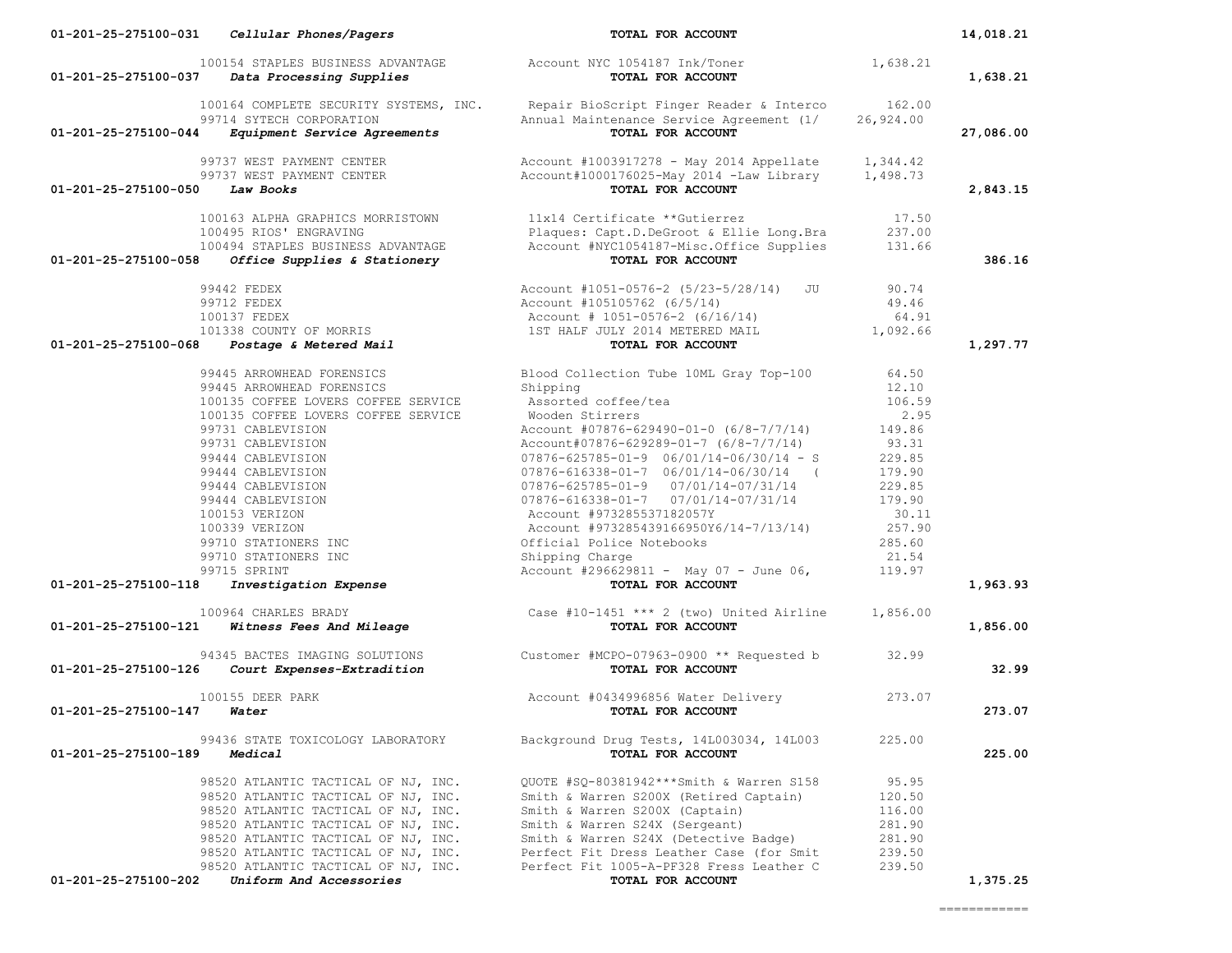| 01-201-25-275100-044             | 99714 SYTECH CORPORATION<br><i>Equipment Service Agreements</i>                | 100164 COMPLETE SECURITY SYSTEMS, INC. Repair BioScript Finger Reader & Interco<br>Annual Maintenance Service Agreement (1/<br>TOTAL FOR ACCOUNT                                                                                                                                                                                                                                       | 162.00<br>26,924.00 | 27,086.00 |
|----------------------------------|--------------------------------------------------------------------------------|----------------------------------------------------------------------------------------------------------------------------------------------------------------------------------------------------------------------------------------------------------------------------------------------------------------------------------------------------------------------------------------|---------------------|-----------|
|                                  | 99737 WEST PAYMENT CENTER                                                      | Account $#1003917278$ - May 2014 Appellate 1,344.42<br>Account#1000176025-May 2014 -Law Library 1,498.73                                                                                                                                                                                                                                                                               |                     |           |
| $01-201-25-275100-050$ Law Books | 99737 WEST PAYMENT CENTER                                                      | TOTAL FOR ACCOUNT                                                                                                                                                                                                                                                                                                                                                                      |                     | 2,843.15  |
|                                  | 100163 ALPHA GRAPHICS MORRISTOWN                                               | 11x14 Certificate **Gutierrez                                                                                                                                                                                                                                                                                                                                                          | 17.50               |           |
|                                  | 100495 RIOS' ENGRAVING                                                         | Plaques: Capt.D.DeGroot & Ellie Long.Bra                                                                                                                                                                                                                                                                                                                                               | 237.00              |           |
|                                  |                                                                                |                                                                                                                                                                                                                                                                                                                                                                                        | 131.66              |           |
| 01-201-25-275100-058             |                                                                                | 100494 STAPLES BUSINESS ADVANTAGE Account #NYC1054187-Misc.Office Supplies<br>3 <b>Office Supplies &amp; Stationery Exercise TOTAL FOR ACCOUNT</b>                                                                                                                                                                                                                                     |                     | 386.16    |
|                                  | 99442 FEDEX                                                                    | Account #1051-0576-2 (5/23-5/28/14) JU                                                                                                                                                                                                                                                                                                                                                 | 90.74               |           |
|                                  | 99712 FEDEX                                                                    | Account #105105762 (6/5/14)                                                                                                                                                                                                                                                                                                                                                            | 49.46               |           |
|                                  | 100137 FEDEX                                                                   | Account # 1051-0576-2 (6/16/14)                                                                                                                                                                                                                                                                                                                                                        | 64.91               |           |
|                                  |                                                                                |                                                                                                                                                                                                                                                                                                                                                                                        | 1,092.66            |           |
| 01-201-25-275100-068             | 100137 FEDEX<br>101338 COUNTY OF MORRIS<br><b>B Postage &amp; Metered Mail</b> |                                                                                                                                                                                                                                                                                                                                                                                        |                     | 1,297.77  |
|                                  | 99445 ARROWHEAD FORENSICS                                                      | Blood Collection Tube 10ML Gray Top-100                                                                                                                                                                                                                                                                                                                                                | 64.50               |           |
|                                  | 99445 ARROWHEAD FORENSICS                                                      | Shipping                                                                                                                                                                                                                                                                                                                                                                               | 12.10               |           |
|                                  | 100135 COFFEE LOVERS COFFEE SERVICE                                            | Assorted coffee/tea                                                                                                                                                                                                                                                                                                                                                                    | 106.59              |           |
|                                  | 100135 COFFEE LOVERS COFFEE SERVICE                                            |                                                                                                                                                                                                                                                                                                                                                                                        | 2.95                |           |
|                                  | 99731 CABLEVISION                                                              |                                                                                                                                                                                                                                                                                                                                                                                        | 149.86              |           |
|                                  | 99731 CABLEVISION                                                              |                                                                                                                                                                                                                                                                                                                                                                                        | 93.31               |           |
|                                  | 99444 CABLEVISION                                                              |                                                                                                                                                                                                                                                                                                                                                                                        | 229.85              |           |
|                                  | 99444 CABLEVISION                                                              |                                                                                                                                                                                                                                                                                                                                                                                        | 179.90              |           |
|                                  | 99444 CABLEVISION                                                              |                                                                                                                                                                                                                                                                                                                                                                                        | 229.85              |           |
|                                  | 99444 CABLEVISION                                                              |                                                                                                                                                                                                                                                                                                                                                                                        | 179.90              |           |
|                                  | 100153 VERIZON                                                                 |                                                                                                                                                                                                                                                                                                                                                                                        | 30.11               |           |
|                                  | 100339 VERIZON                                                                 |                                                                                                                                                                                                                                                                                                                                                                                        | 257.90              |           |
|                                  | 99710 STATIONERS INC                                                           |                                                                                                                                                                                                                                                                                                                                                                                        | 285.60              |           |
|                                  | 99710 STATIONERS INC                                                           |                                                                                                                                                                                                                                                                                                                                                                                        | 21.54               |           |
|                                  | 99715 SPRINT                                                                   |                                                                                                                                                                                                                                                                                                                                                                                        | 119.97              |           |
| 01-201-25-275100-118             | <b>Investigation Expense</b>                                                   |                                                                                                                                                                                                                                                                                                                                                                                        |                     | 1,963.93  |
|                                  | 100964 CHARLES BRADY                                                           | COFFEE SERVICE<br>Account #7876-b2.<br>Account #7876-b2.<br>07876-616338-01-9 06/01/14-06/30/13<br>07876-616338-01-7 06/01/14-06/30/13<br>07876-616338-01-7 07/01/14-07/31/14<br>07876-616338-01-7 07/01/14-07/31/14<br>07876-616338-01-7 0<br>964 CHARLES BRADY <b>Case #10-1451 *** 2</b> (two) United Airline 1,856.00<br><b>Witness Fees And Mileage Case #10-1451 FOR ACCOUNT</b> |                     |           |
| 01-201-25-275100-121             |                                                                                |                                                                                                                                                                                                                                                                                                                                                                                        |                     | 1,856.00  |
|                                  |                                                                                | 94345 BACTES IMAGING SOLUTIONS Customer #MCPO-07963-0900 ** Requested b 32.99<br><b>Court Expenses-Extradition</b> Customer #MCPO-07963-0900 ** Requested b 32.99                                                                                                                                                                                                                      |                     |           |
| 01-201-25-275100-126             |                                                                                |                                                                                                                                                                                                                                                                                                                                                                                        |                     | 32.99     |
|                                  | 100155 DEER PARK                                                               | Account #0434996856 Water Delivery                                                                                                                                                                                                                                                                                                                                                     | 273.07              |           |
| 01-201-25-275100-147             | Water                                                                          | TOTAL FOR ACCOUNT                                                                                                                                                                                                                                                                                                                                                                      |                     | 273.07    |
|                                  | 99436 STATE TOXICOLOGY LABORATORY                                              | Background Drug Tests, 14L003034, 14L003                                                                                                                                                                                                                                                                                                                                               | 225.00              |           |
| 01-201-25-275100-189             | Medical                                                                        | TOTAL FOR ACCOUNT                                                                                                                                                                                                                                                                                                                                                                      |                     | 225.00    |
|                                  | 98520 ATLANTIC TACTICAL OF NJ, INC.                                            | QUOTE #SQ-80381942***Smith & Warren S158                                                                                                                                                                                                                                                                                                                                               | 95.95               |           |
|                                  | 98520 ATLANTIC TACTICAL OF NJ, INC.                                            | Smith & Warren S200X (Retired Captain)                                                                                                                                                                                                                                                                                                                                                 | 120.50              |           |
|                                  |                                                                                |                                                                                                                                                                                                                                                                                                                                                                                        | 116.00              |           |
|                                  |                                                                                |                                                                                                                                                                                                                                                                                                                                                                                        | 281.90              |           |
|                                  |                                                                                |                                                                                                                                                                                                                                                                                                                                                                                        | 281.90              |           |
|                                  |                                                                                | 98520 ATLANTIC TACTICAL OF NJ, INC.<br>98520 ATLANTIC TACTICAL OF NJ, INC.<br>98520 ATLANTIC TACTICAL OF NJ, INC.<br>98520 ATLANTIC TACTICAL OF NJ, INC.<br>98520 ATLANTIC TACTICAL OF NJ, INC.<br>98520 ATLANTIC TACTICAL OF NJ, INC.<br>                                                                                                                                             | 239.50              |           |
|                                  |                                                                                |                                                                                                                                                                                                                                                                                                                                                                                        | 239.50              |           |
| 01-201-25-275100-202             | Uniform And Accessories                                                        | TOTAL FOR ACCOUNT                                                                                                                                                                                                                                                                                                                                                                      |                     | 1,375.25  |

100154 STAPLES BUSINESS ADVANTAGE Account NYC 1054187 Ink/Toner 1,638.21<br>1,638.21 **Data Processing Supplies 1,638.21 01-201-25-275100-037** *Data Processing Supplies* **TOTAL FOR ACCOUNT 1,638.21**

 **01-201-25-275100-031** *Cellular Phones/Pagers* **TOTAL FOR ACCOUNT 14,018.21**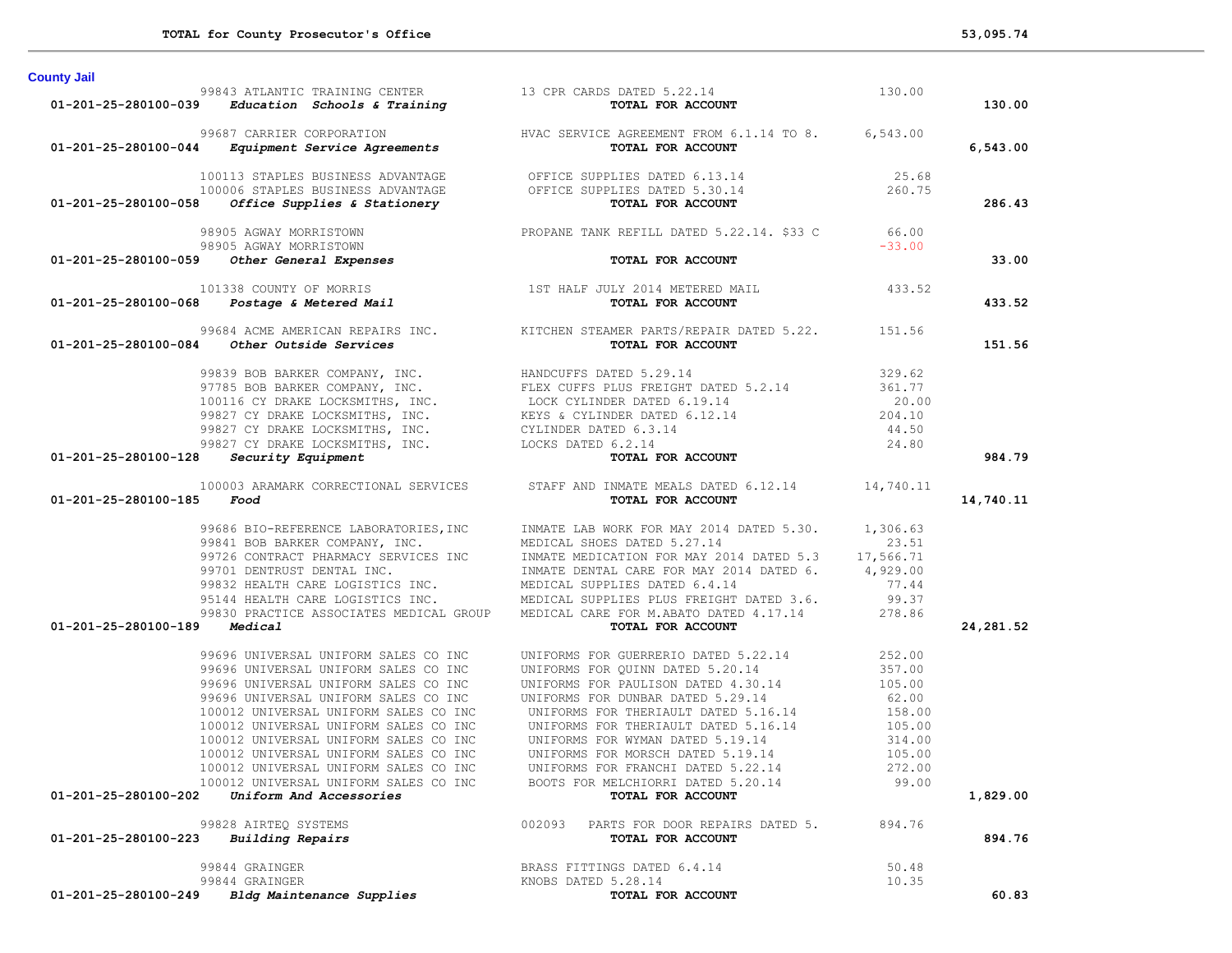| <b>County Jail</b>           |                                                                                                                                                    |                                                                                                                                                                                                                                                                                                                                                                              |                           |            |
|------------------------------|----------------------------------------------------------------------------------------------------------------------------------------------------|------------------------------------------------------------------------------------------------------------------------------------------------------------------------------------------------------------------------------------------------------------------------------------------------------------------------------------------------------------------------------|---------------------------|------------|
|                              |                                                                                                                                                    |                                                                                                                                                                                                                                                                                                                                                                              |                           | 130.00     |
|                              |                                                                                                                                                    | 99843 ATLANTIC TRAINING CENTER<br>99843 ATLANTIC TRAINING CENTER<br>99687 CARRIER CORPORATION<br>99687 CARRIER CORPORATION<br>99687 CARRIER CORPORATION<br>99687 CARRIER CORPORATION<br>99687 CARRIER CORPORATION<br>99687 CARRIER CORPORATI                                                                                                                                 |                           | 6,543.00   |
|                              |                                                                                                                                                    | 100113 STAPLES BUSINESS ADVANTAGE OFFICE SUPPLIES DATED 6.13.14<br>100006 STAPLES BUSINESS ADVANTAGE OFFICE SUPPLIES DATED 5.30.14<br><b>01-201-25-280100-058</b> Office Supplies & Stationery<br><b>TOTAL FOR ACCOUNT</b>                                                                                                                                                   |                           | 286.43     |
|                              |                                                                                                                                                    | 98905 AGWAY MORRISTOWN PROPANE TANK REFILL DATED 5.22.14. \$33 C 66.00                                                                                                                                                                                                                                                                                                       |                           |            |
|                              |                                                                                                                                                    | TOTAL FOR ACCOUNT                                                                                                                                                                                                                                                                                                                                                            | $-33.00$                  | 33.00      |
|                              |                                                                                                                                                    | 101338 COUNTY OF MORRIS<br>193.52 115T HALF JULY 2014 METERED MAIL<br><b>193.52 101-201-25-280100-068 Postage &amp; Metered Mail</b>                                                                                                                                                                                                                                         |                           | 433.52     |
|                              |                                                                                                                                                    |                                                                                                                                                                                                                                                                                                                                                                              |                           | 151.56     |
|                              |                                                                                                                                                    | 99684 ACME AMERICAN REPAIRS INC.<br><b>01-201-25-280100-084 Other Outside Services</b><br>99839 BOB BARKER COMPANY, INC.<br>97785 BOB BARKER COMPANY, INC.<br>97785 BOB BARKER COMPANY, INC.<br>97785 BOB BARKER COMPANY, INC.<br>97785 BOB BAR                                                                                                                              |                           | 984.79     |
| 01-201-25-280100-185 Food    |                                                                                                                                                    | 100003 ARAMARK CORRECTIONAL SERVICES STAFF AND INMATE MEALS DATED 6.12.14 14,740.11<br>TOTAL FOR ACCOUNT                                                                                                                                                                                                                                                                     |                           | 14,740.11  |
| 01-201-25-280100-189 Medical |                                                                                                                                                    | 99686 BIO-REFERENCE LABORATORIES, INC<br>99841 BOB BARKER COMPANY, INC.<br>99726 CONTRACT PHARMACY SERVICES INC<br>99726 CONTRACT PHARMACY SERVICES INC<br>99701 DENTRUST DENTAL INC.<br>99832 HEALTH CARE LOGISTICS INC.<br>99832 HEALTH<br>TOTAL FOR ACCOUNT                                                                                                               |                           | 24, 281.52 |
| 01-201-25-280100-202         | 100012 UNIVERSAL UNIFORM SALES CO INC<br>100012 UNIVERSAL UNIFORM SALES CO INC<br>100012 UNIVERSAL UNIFORM SALES CO INC<br>Uniform And Accessories | 99696 UNIVERSAL UNIFORM SALES CO INC<br>99696 UNIVERSAL UNIFORM SALES CO INC<br>99696 UNIVERSAL UNIFORM SALES CO INC<br>99696 UNIVERSAL UNIFORM SALES CO INC<br>99696 UNIVERSAL UNIFORM SALES CO INC<br>100012 UNIVERSAL UNIFORM SALES<br>UNIFORMS FOR MORSCH DATED 5.19.14<br>UNIFORMS FOR FRANCHI DATED 5.22.14<br>BOOTS FOR MELCHIORRI DATED 5.20.14<br>TOTAL FOR ACCOUNT | 105.00<br>272.00<br>99.00 | 1,829.00   |
| 01-201-25-280100-223         | 99828 AIRTEQ SYSTEMS<br><b>Building Repairs</b>                                                                                                    | 002093 PARTS FOR DOOR REPAIRS DATED 5.<br>TOTAL FOR ACCOUNT                                                                                                                                                                                                                                                                                                                  | 894.76                    | 894.76     |
| 01-201-25-280100-249         | 99844 GRAINGER<br>99844 GRAINGER<br>Bldg Maintenance Supplies                                                                                      | BRASS FITTINGS DATED 6.4.14<br>KNOBS DATED 5.28.14<br>TOTAL FOR ACCOUNT                                                                                                                                                                                                                                                                                                      | 50.48<br>10.35            | 60.83      |
|                              |                                                                                                                                                    |                                                                                                                                                                                                                                                                                                                                                                              |                           |            |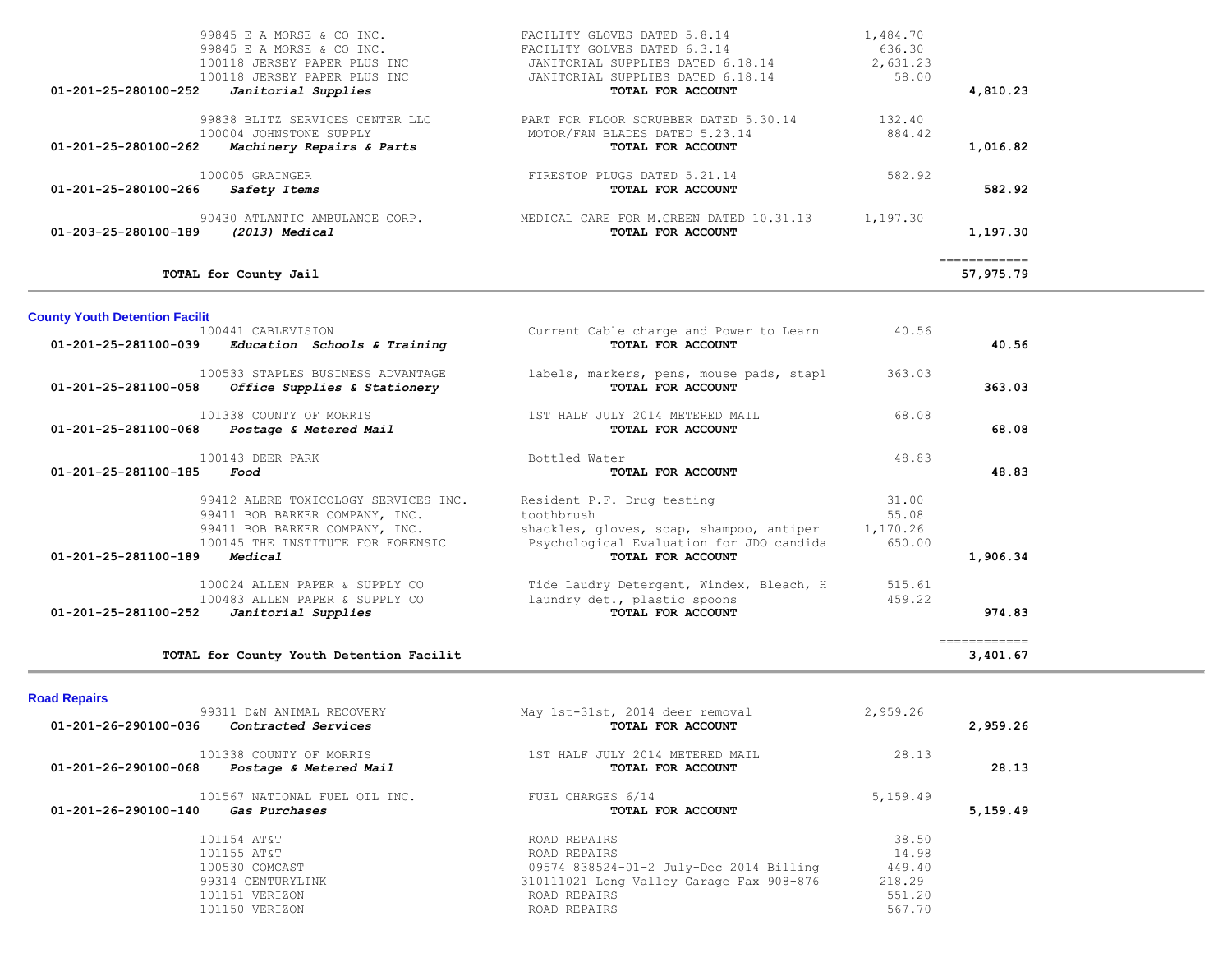|                                | TOTAL for County Jail                                                                                                                         |                                                                                                                                                             |                                         | ============<br>57,975.79 |
|--------------------------------|-----------------------------------------------------------------------------------------------------------------------------------------------|-------------------------------------------------------------------------------------------------------------------------------------------------------------|-----------------------------------------|---------------------------|
| 01-203-25-280100-189           | 90430 ATLANTIC AMBULANCE CORP.<br>(2013) Medical                                                                                              | MEDICAL CARE FOR M.GREEN DATED 10.31.13<br>TOTAL FOR ACCOUNT                                                                                                | 1,197.30                                | 1,197.30                  |
| 01-201-25-280100-266           | 100005 GRAINGER<br>Safety Items                                                                                                               | FIRESTOP PLUGS DATED 5.21.14<br>TOTAL FOR ACCOUNT                                                                                                           | 582.92                                  | 582.92                    |
| $01 - 201 - 25 - 280100 - 262$ | 99838 BLITZ SERVICES CENTER LLC<br>100004 JOHNSTONE SUPPLY<br>Machinery Repairs & Parts                                                       | PART FOR FLOOR SCRUBBER DATED 5.30.14<br>MOTOR/FAN BLADES DATED 5.23.14<br>TOTAL FOR ACCOUNT                                                                | 132.40<br>884.42                        | 1,016.82                  |
| $01 - 201 - 25 - 280100 - 252$ | 99845 E A MORSE & CO INC.<br>99845 E A MORSE & CO INC.<br>100118 JERSEY PAPER PLUS INC<br>100118 JERSEY PAPER PLUS INC<br>Janitorial Supplies | FACILITY GLOVES DATED 5.8.14<br>FACILITY GOLVES DATED 6.3.14<br>JANITORIAL SUPPLIES DATED 6.18.14<br>JANITORIAL SUPPLIES DATED 6.18.14<br>TOTAL FOR ACCOUNT | 1,484.70<br>636.30<br>2,631.23<br>58.00 | 4,810.23                  |

**County Youth Detention Facilit**

| 01-201-25-281100-039 | 100441 CABLEVISION<br>Education Schools & Training                                                                                                       | Current Cable charge and Power to Learn<br>TOTAL FOR ACCOUNT                                                                                          | 40.56                                | 40.56    |
|----------------------|----------------------------------------------------------------------------------------------------------------------------------------------------------|-------------------------------------------------------------------------------------------------------------------------------------------------------|--------------------------------------|----------|
| 01-201-25-281100-058 | 100533 STAPLES BUSINESS ADVANTAGE<br>Office Supplies & Stationery                                                                                        | labels, markers, pens, mouse pads, stapl<br>TOTAL FOR ACCOUNT                                                                                         | 363.03                               | 363.03   |
| 01-201-25-281100-068 | 101338 COUNTY OF MORRIS<br>Postage & Metered Mail                                                                                                        | 1ST HALF JULY 2014 METERED MAIL<br>TOTAL FOR ACCOUNT                                                                                                  | 68.08                                | 68.08    |
| 01-201-25-281100-185 | 100143 DEER PARK<br>Food                                                                                                                                 | Bottled Water<br>TOTAL FOR ACCOUNT                                                                                                                    | 48.83                                | 48.83    |
| 01-201-25-281100-189 | 99412 ALERE TOXICOLOGY SERVICES INC.<br>99411 BOB BARKER COMPANY, INC.<br>99411 BOB BARKER COMPANY, INC.<br>100145 THE INSTITUTE FOR FORENSIC<br>Medical | Resident P.F. Drug testing<br>toothbrush<br>shackles, gloves, soap, shampoo, antiper<br>Psychological Evaluation for JDO candida<br>TOTAL FOR ACCOUNT | 31.00<br>55.08<br>1,170.26<br>650.00 | 1,906.34 |
| 01-201-25-281100-252 | 100024 ALLEN PAPER & SUPPLY CO<br>100483 ALLEN PAPER & SUPPLY CO<br>Janitorial Supplies                                                                  | Tide Laudry Detergent, Windex, Bleach, H<br>laundry det., plastic spoons<br><b>TOTAL FOR ACCOUNT</b>                                                  | 515.61<br>459.22                     | 974.83   |

| <b>Road Repairs</b>                                                                            |                                                      |          |          |
|------------------------------------------------------------------------------------------------|------------------------------------------------------|----------|----------|
| 99311 D&N ANIMAL RECOVERY<br>01-201-26-290100-036<br>Contracted Services                       | May 1st-31st, 2014 deer removal<br>TOTAL FOR ACCOUNT | 2,959.26 | 2,959.26 |
| 101338 COUNTY OF MORRIS<br>01-201-26-290100-068<br>Postage & Metered Mail                      | 1ST HALF JULY 2014 METERED MAIL<br>TOTAL FOR ACCOUNT | 28.13    | 28.13    |
| 101567 NATIONAL FUEL OIL INC.<br>$01 - 201 - 26 - 290100 - 140$<br><i><b>Gas Purchases</b></i> | FUEL CHARGES 6/14<br>TOTAL FOR ACCOUNT               | 5,159.49 | 5,159.49 |
| 101154 AT&T                                                                                    | ROAD REPAIRS                                         | 38.50    |          |
| 101155 AT&T                                                                                    | ROAD REPAIRS                                         | 14.98    |          |
| 100530 COMCAST                                                                                 | 09574 838524-01-2 July-Dec 2014 Billing              | 449.40   |          |
| 99314 CENTURYLINK                                                                              | 310111021 Long Valley Garage Fax 908-876             | 218.29   |          |
| 101151 VERIZON                                                                                 | ROAD REPAIRS                                         | 551.20   |          |
| 101150 VERIZON                                                                                 | ROAD REPAIRS                                         | 567.70   |          |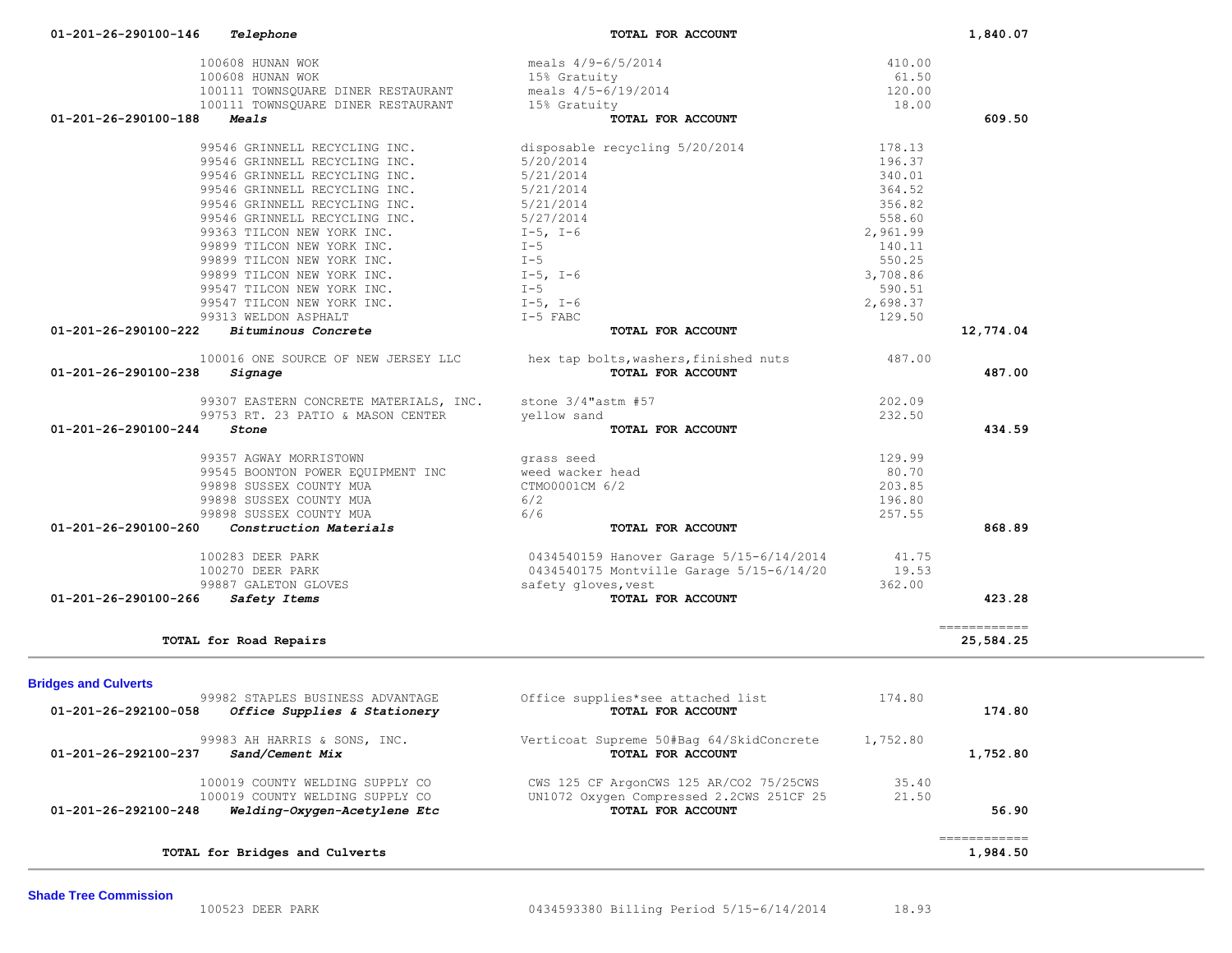| 100111 TOWNSQUARE DINER RESTAURANT                   | meals 4/5-6/19/2014                                        | 120.00   |                                                                                                                                                                                                                                                                                                                                                                                                                                                                                                    |
|------------------------------------------------------|------------------------------------------------------------|----------|----------------------------------------------------------------------------------------------------------------------------------------------------------------------------------------------------------------------------------------------------------------------------------------------------------------------------------------------------------------------------------------------------------------------------------------------------------------------------------------------------|
| 100111 TOWNSQUARE DINER RESTAURANT                   | 15% Gratuity                                               | 18.00    |                                                                                                                                                                                                                                                                                                                                                                                                                                                                                                    |
| 01-201-26-290100-188<br>Meals                        | TOTAL FOR ACCOUNT                                          |          | 609.50                                                                                                                                                                                                                                                                                                                                                                                                                                                                                             |
| 99546 GRINNELL RECYCLING INC.                        | disposable recycling 5/20/2014                             | 178.13   |                                                                                                                                                                                                                                                                                                                                                                                                                                                                                                    |
| 99546 GRINNELL RECYCLING INC.                        | 5/20/2014                                                  | 196.37   |                                                                                                                                                                                                                                                                                                                                                                                                                                                                                                    |
| 99546 GRINNELL RECYCLING INC.                        | 5/21/2014                                                  | 340.01   |                                                                                                                                                                                                                                                                                                                                                                                                                                                                                                    |
| 99546 GRINNELL RECYCLING INC.                        | 5/21/2014                                                  | 364.52   |                                                                                                                                                                                                                                                                                                                                                                                                                                                                                                    |
| 99546 GRINNELL RECYCLING INC.                        | 5/21/2014                                                  | 356.82   |                                                                                                                                                                                                                                                                                                                                                                                                                                                                                                    |
| 99546 GRINNELL RECYCLING INC.                        | 5/27/2014                                                  | 558.60   |                                                                                                                                                                                                                                                                                                                                                                                                                                                                                                    |
| 99363 TILCON NEW YORK INC.                           | $I-5$ , $I-6$                                              | 2,961.99 |                                                                                                                                                                                                                                                                                                                                                                                                                                                                                                    |
| 99899 TILCON NEW YORK INC.                           | $I - 5$                                                    | 140.11   |                                                                                                                                                                                                                                                                                                                                                                                                                                                                                                    |
| 99899 TILCON NEW YORK INC.                           | $I - 5$                                                    | 550.25   |                                                                                                                                                                                                                                                                                                                                                                                                                                                                                                    |
| 99899 TILCON NEW YORK INC.                           | $I-5$ , $I-6$                                              | 3,708.86 |                                                                                                                                                                                                                                                                                                                                                                                                                                                                                                    |
| 99547 TILCON NEW YORK INC.                           | $I - 5$                                                    | 590.51   |                                                                                                                                                                                                                                                                                                                                                                                                                                                                                                    |
| 99547 TILCON NEW YORK INC.                           | $I-5$ , $I-6$                                              | 2,698.37 |                                                                                                                                                                                                                                                                                                                                                                                                                                                                                                    |
| 99313 WELDON ASPHALT                                 | $I-5$ FABC                                                 | 129.50   |                                                                                                                                                                                                                                                                                                                                                                                                                                                                                                    |
| Bituminous Concrete<br>01-201-26-290100-222          | TOTAL FOR ACCOUNT                                          |          | 12,774.04                                                                                                                                                                                                                                                                                                                                                                                                                                                                                          |
|                                                      |                                                            | 487.00   |                                                                                                                                                                                                                                                                                                                                                                                                                                                                                                    |
| 100016 ONE SOURCE OF NEW JERSEY LLC                  | hex tap bolts, washers, finished nuts<br>TOTAL FOR ACCOUNT |          |                                                                                                                                                                                                                                                                                                                                                                                                                                                                                                    |
| 01-201-26-290100-238<br>Signage                      |                                                            |          | 487.00                                                                                                                                                                                                                                                                                                                                                                                                                                                                                             |
| 99307 EASTERN CONCRETE MATERIALS, INC.               | stone $3/4$ "astm #57                                      | 202.09   |                                                                                                                                                                                                                                                                                                                                                                                                                                                                                                    |
| 99753 RT. 23 PATIO & MASON CENTER                    | yellow sand                                                | 232.50   |                                                                                                                                                                                                                                                                                                                                                                                                                                                                                                    |
| 01-201-26-290100-244<br>Stone                        | TOTAL FOR ACCOUNT                                          |          | 434.59                                                                                                                                                                                                                                                                                                                                                                                                                                                                                             |
|                                                      |                                                            |          |                                                                                                                                                                                                                                                                                                                                                                                                                                                                                                    |
| 99357 AGWAY MORRISTOWN                               | grass seed                                                 | 129.99   |                                                                                                                                                                                                                                                                                                                                                                                                                                                                                                    |
| 99545 BOONTON POWER EQUIPMENT INC                    | weed wacker head                                           | 80.70    |                                                                                                                                                                                                                                                                                                                                                                                                                                                                                                    |
| 99898 SUSSEX COUNTY MUA                              | CTM00001CM 6/2                                             | 203.85   |                                                                                                                                                                                                                                                                                                                                                                                                                                                                                                    |
| 99898 SUSSEX COUNTY MUA                              | 6/2                                                        | 196.80   |                                                                                                                                                                                                                                                                                                                                                                                                                                                                                                    |
| 99898 SUSSEX COUNTY MUA                              | 6/6                                                        | 257.55   |                                                                                                                                                                                                                                                                                                                                                                                                                                                                                                    |
| 01-201-26-290100-260<br>Construction Materials       | TOTAL FOR ACCOUNT                                          |          | 868.89                                                                                                                                                                                                                                                                                                                                                                                                                                                                                             |
| 100283 DEER PARK                                     | 0434540159 Hanover Garage 5/15-6/14/2014                   | 41.75    |                                                                                                                                                                                                                                                                                                                                                                                                                                                                                                    |
| 100270 DEER PARK                                     | 0434540175 Montville Garage 5/15-6/14/20                   | 19.53    |                                                                                                                                                                                                                                                                                                                                                                                                                                                                                                    |
| 99887 GALETON GLOVES                                 | safety gloves, vest                                        | 362.00   |                                                                                                                                                                                                                                                                                                                                                                                                                                                                                                    |
| 01-201-26-290100-266<br>Safety Items                 | TOTAL FOR ACCOUNT                                          |          | 423.28                                                                                                                                                                                                                                                                                                                                                                                                                                                                                             |
|                                                      |                                                            |          |                                                                                                                                                                                                                                                                                                                                                                                                                                                                                                    |
| TOTAL for Road Repairs                               |                                                            |          | ------------<br>25,584.25                                                                                                                                                                                                                                                                                                                                                                                                                                                                          |
| <b>Bridges and Culverts</b>                          |                                                            |          |                                                                                                                                                                                                                                                                                                                                                                                                                                                                                                    |
| 99982 STAPLES BUSINESS ADVANTAGE                     | Office supplies*see attached list                          | 174.80   |                                                                                                                                                                                                                                                                                                                                                                                                                                                                                                    |
| Office Supplies & Stationery<br>01-201-26-292100-058 | TOTAL FOR ACCOUNT                                          |          | 174.80                                                                                                                                                                                                                                                                                                                                                                                                                                                                                             |
| 99983 AH HARRIS & SONS, INC.                         | Verticoat Supreme 50#Bag 64/SkidConcrete                   | 1,752.80 |                                                                                                                                                                                                                                                                                                                                                                                                                                                                                                    |
| 01-201-26-292100-237<br>Sand/Cement Mix              | TOTAL FOR ACCOUNT                                          |          | 1,752.80                                                                                                                                                                                                                                                                                                                                                                                                                                                                                           |
| 100019 COUNTY WELDING SUPPLY CO                      | CWS 125 CF ArgonCWS 125 AR/CO2 75/25CWS                    | 35.40    |                                                                                                                                                                                                                                                                                                                                                                                                                                                                                                    |
| 100019 COUNTY WELDING SUPPLY CO                      | UN1072 Oxygen Compressed 2.2CWS 251CF 25                   | 21.50    |                                                                                                                                                                                                                                                                                                                                                                                                                                                                                                    |
| 01-201-26-292100-248<br>Welding-Oxygen-Acetylene Etc | TOTAL FOR ACCOUNT                                          |          | 56.90                                                                                                                                                                                                                                                                                                                                                                                                                                                                                              |
|                                                      |                                                            |          |                                                                                                                                                                                                                                                                                                                                                                                                                                                                                                    |
| TOTAL for Bridges and Culverts                       |                                                            |          | $\begin{array}{cccccccccc} \multicolumn{2}{c}{} & \multicolumn{2}{c}{} & \multicolumn{2}{c}{} & \multicolumn{2}{c}{} & \multicolumn{2}{c}{} & \multicolumn{2}{c}{} & \multicolumn{2}{c}{} & \multicolumn{2}{c}{} & \multicolumn{2}{c}{} & \multicolumn{2}{c}{} & \multicolumn{2}{c}{} & \multicolumn{2}{c}{} & \multicolumn{2}{c}{} & \multicolumn{2}{c}{} & \multicolumn{2}{c}{} & \multicolumn{2}{c}{} & \multicolumn{2}{c}{} & \multicolumn{2}{c}{} & \multicolumn{2}{c}{} & \mult$<br>1,984.50 |

100608 HUNAN WOK 100608 HUNAN WOK 15% Gratuity 100608 HUNAN WOK 15% Gratuity 10.00

 **01-201-26-290100-146** *Telephone* **TOTAL FOR ACCOUNT 1,840.07**

100608 HUNAN WOK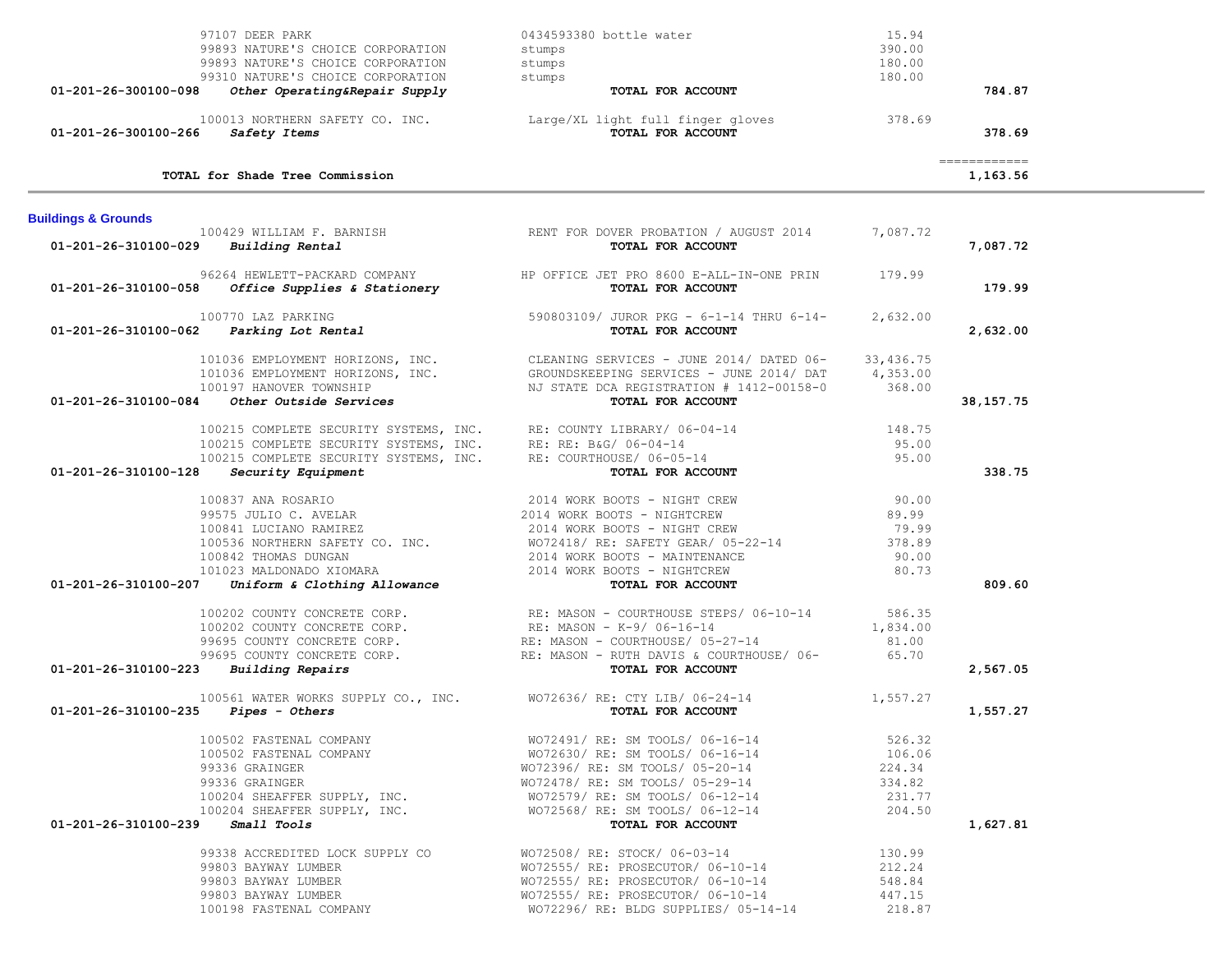|                                | 97107 DEER PARK                                                                                                                     | 0434593380 bottle water                                                   | 15.94      |                           |  |
|--------------------------------|-------------------------------------------------------------------------------------------------------------------------------------|---------------------------------------------------------------------------|------------|---------------------------|--|
|                                | 99893 NATURE'S CHOICE CORPORATION                                                                                                   | stumps                                                                    | 390.00     |                           |  |
|                                | 99893 NATURE'S CHOICE CORPORATION                                                                                                   | stumps                                                                    | 180.00     |                           |  |
| 01-201-26-300100-098           | 99310 NATURE'S CHOICE CORPORATION<br>Other Operating&Repair Supply                                                                  | stumps<br>TOTAL FOR ACCOUNT                                               | 180.00     | 784.87                    |  |
|                                |                                                                                                                                     |                                                                           |            |                           |  |
|                                |                                                                                                                                     | 100013 NORTHERN SAFETY CO. INC. Large/XL light full finger gloves         | 378.69     |                           |  |
| 01-201-26-300100-266           | Safety Items                                                                                                                        | TOTAL FOR ACCOUNT                                                         |            | 378.69                    |  |
|                                | TOTAL for Shade Tree Commission                                                                                                     |                                                                           |            | -------------<br>1,163.56 |  |
|                                |                                                                                                                                     |                                                                           |            |                           |  |
| <b>Buildings &amp; Grounds</b> |                                                                                                                                     |                                                                           |            |                           |  |
| 01-201-26-310100-029           | 100429 WILLIAM F. BARNISH<br>Building Rental                                                                                        | RENT FOR DOVER PROBATION / AUGUST 2014<br>TOTAL FOR ACCOUNT               | 7,087.72   | 7,087.72                  |  |
|                                |                                                                                                                                     |                                                                           |            |                           |  |
|                                | 96264 HEWLETT-PACKARD COMPANY                                                                                                       | HP OFFICE JET PRO 8600 E-ALL-IN-ONE PRIN                                  | 179.99     |                           |  |
| 01-201-26-310100-058           | Office Supplies & Stationery                                                                                                        | TOTAL FOR ACCOUNT                                                         |            | 179.99                    |  |
|                                | 100770 LAZ PARKING                                                                                                                  | 590803109/ JUROR PKG - 6-1-14 THRU 6-14-                                  | 2,632.00   |                           |  |
| 01-201-26-310100-062           | Parking Lot Rental                                                                                                                  | TOTAL FOR ACCOUNT                                                         |            | 2,632.00                  |  |
|                                |                                                                                                                                     | 101036 EMPLOYMENT HORIZONS, INC. CLEANING SERVICES - JUNE 2014/ DATED 06- | 33, 436.75 |                           |  |
|                                | 101036 EMPLOYMENT HORIZONS, INC.                                                                                                    | GROUNDSKEEPING SERVICES - JUNE 2014/ DAT                                  | 4,353.00   |                           |  |
|                                | 100197 HANOVER TOWNSHIP                                                                                                             | NJ STATE DCA REGISTRATION # 1412-00158-0                                  | 368.00     |                           |  |
| 01-201-26-310100-084           | Other Outside Services                                                                                                              | TOTAL FOR ACCOUNT                                                         |            | 38, 157. 75               |  |
|                                |                                                                                                                                     |                                                                           | 148.75     |                           |  |
|                                | 100215 COMPLETE SECURITY SYSTEMS, INC. RE: COUNTY LIBRARY/ 06-04-14<br>100215 COMPLETE SECURITY SYSTEMS, INC. RE: RE: B&G/ 06-04-14 |                                                                           | 95.00      |                           |  |
|                                | 100215 COMPLETE SECURITY SYSTEMS, INC.                                                                                              | RE: COURTHOUSE/ 06-05-14                                                  | 95.00      |                           |  |
| 01-201-26-310100-128           | Security Equipment                                                                                                                  | TOTAL FOR ACCOUNT                                                         |            | 338.75                    |  |
|                                | 100837 ANA ROSARIO                                                                                                                  | 2014 WORK BOOTS - NIGHT CREW                                              | 90.00      |                           |  |
|                                | 99575 JULIO C. AVELAR                                                                                                               | 2014 WORK BOOTS - NIGHTCREW                                               | 89.99      |                           |  |
|                                | 100841 LUCIANO RAMIREZ                                                                                                              | 2014 WORK BOOTS - NIGHT CREW                                              | 79.99      |                           |  |
|                                | 100536 NORTHERN SAFETY CO. INC.                                                                                                     | WO72418/ RE: SAFETY GEAR/ 05-22-14                                        | 378.89     |                           |  |
|                                | 100842 THOMAS DUNGAN                                                                                                                | 2014 WORK BOOTS - MAINTENANCE                                             | 90.00      |                           |  |
|                                | 101023 MALDONADO XIOMARA                                                                                                            | 2014 WORK BOOTS - NIGHTCREW                                               | 80.73      |                           |  |
| 01-201-26-310100-207           | Uniform & Clothing Allowance                                                                                                        | TOTAL FOR ACCOUNT                                                         |            | 809.60                    |  |
|                                | 100202 COUNTY CONCRETE CORP.                                                                                                        | RE: MASON - COURTHOUSE STEPS/ 06-10-14                                    | 586.35     |                           |  |
|                                | 100202 COUNTY CONCRETE CORP. RE: MASON - K-9/ 06-16-14                                                                              |                                                                           | 1,834.00   |                           |  |
|                                | 99695 COUNTY CONCRETE CORP.                                                                                                         | RE: MASON - COURTHOUSE/ 05-27-14                                          | 81.00      |                           |  |
|                                | 99695 COUNTY CONCRETE CORP.                                                                                                         | RE: MASON - RUTH DAVIS & COURTHOUSE/ 06-                                  | 65.70      |                           |  |
| 01-201-26-310100-223           | <b>Building Repairs</b>                                                                                                             | TOTAL FOR ACCOUNT                                                         |            | 2,567.05                  |  |
|                                | 100561 WATER WORKS SUPPLY CO., INC. WO72636/RE: CTY LIB/ 06-24-14                                                                   |                                                                           | 1,557.27   |                           |  |
| 01-201-26-310100-235           | Pipes - Others                                                                                                                      | TOTAL FOR ACCOUNT                                                         |            | 1,557.27                  |  |
|                                | 100502 FASTENAL COMPANY                                                                                                             | WO72491/ RE: SM TOOLS/ 06-16-14                                           | 526.32     |                           |  |
|                                | 100502 FASTENAL COMPANY                                                                                                             | WO72630/ RE: SM TOOLS/ 06-16-14                                           | 106.06     |                           |  |
|                                | 99336 GRAINGER                                                                                                                      | WO72396/ RE: SM TOOLS/ 05-20-14                                           | 224.34     |                           |  |
|                                | 99336 GRAINGER                                                                                                                      | WO72478/ RE: SM TOOLS/ 05-29-14                                           | 334.82     |                           |  |
|                                | 100204 SHEAFFER SUPPLY, INC.                                                                                                        | WO72579/ RE: SM TOOLS/ 06-12-14                                           | 231.77     |                           |  |
|                                | 100204 SHEAFFER SUPPLY, INC.                                                                                                        | WO72568/ RE: SM TOOLS/ 06-12-14                                           | 204.50     |                           |  |
| 01-201-26-310100-239           | Small Tools                                                                                                                         | TOTAL FOR ACCOUNT                                                         |            | 1,627.81                  |  |
|                                | 99338 ACCREDITED LOCK SUPPLY CO                                                                                                     | WO72508/ RE: STOCK/ 06-03-14                                              | 130.99     |                           |  |
|                                | 99803 BAYWAY LUMBER                                                                                                                 | WO72555/ RE: PROSECUTOR/ 06-10-14                                         | 212.24     |                           |  |
|                                | 99803 BAYWAY LUMBER                                                                                                                 | WO72555/ RE: PROSECUTOR/ 06-10-14                                         | 548.84     |                           |  |
|                                | 99803 BAYWAY LUMBER                                                                                                                 | WO72555/ RE: PROSECUTOR/ 06-10-14                                         | 447.15     |                           |  |
|                                | 100198 FASTENAL COMPANY                                                                                                             | WO72296/ RE: BLDG SUPPLIES/ 05-14-14                                      | 218.87     |                           |  |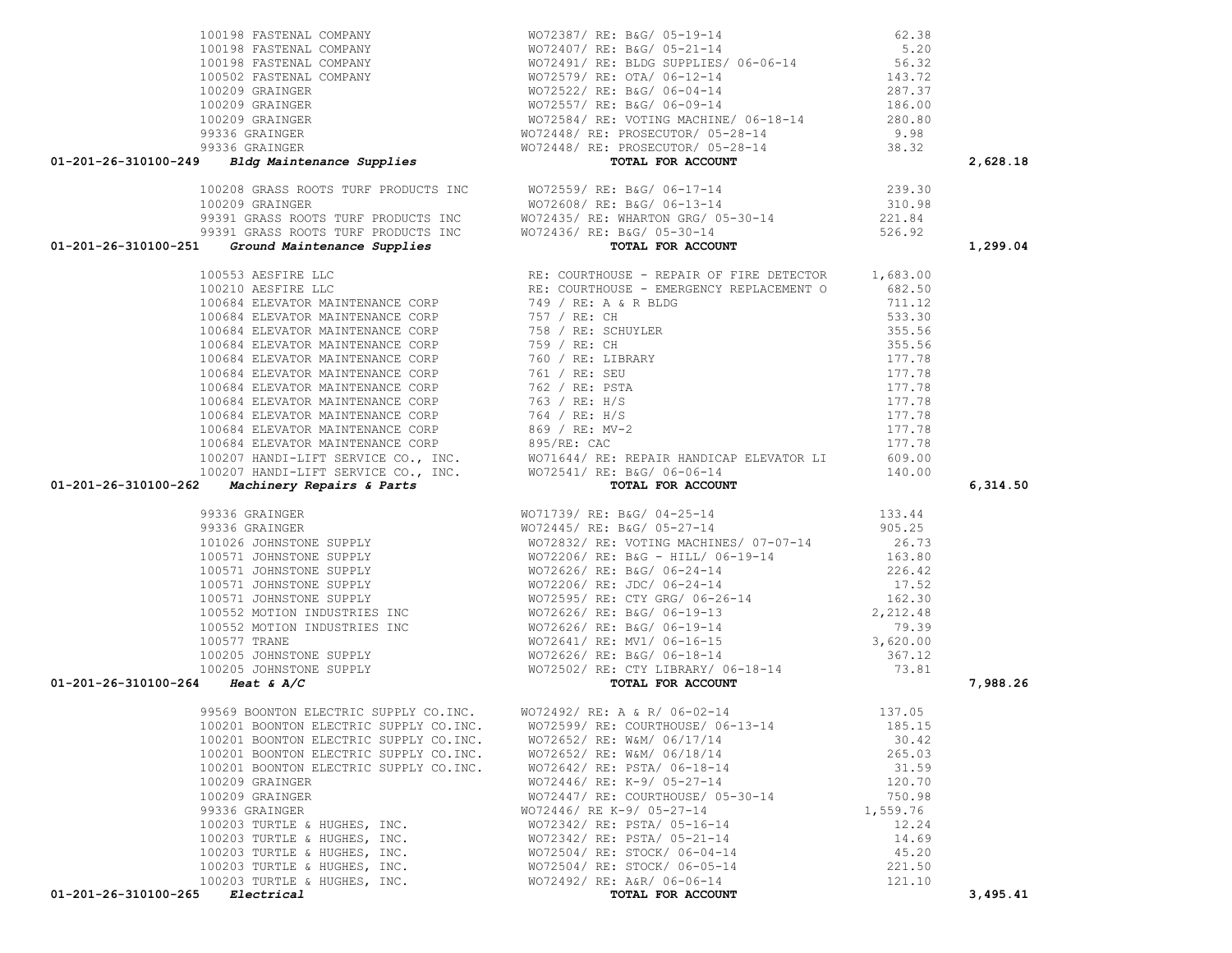| 100198 FASTENAL COMPANY $\text{MO}72387/\text{ RE: B4G}/05-19-14$ 62.38<br>100198 FASTENAL COMPANY $\text{MO}72407/\text{ RE: B4G}/05-21-14$ 5.20<br>100502 FASTENAL COMPANY $\text{WO}72491/\text{ RE: BUCS} \text{ SUPPLIES}/06-06-14$ 5.20<br>100502 FASTENAL COMPANY $\text{WO}725$ |                                                                                                                                                           |          | 2,628.18 |
|-----------------------------------------------------------------------------------------------------------------------------------------------------------------------------------------------------------------------------------------------------------------------------------------|-----------------------------------------------------------------------------------------------------------------------------------------------------------|----------|----------|
|                                                                                                                                                                                                                                                                                         |                                                                                                                                                           |          |          |
|                                                                                                                                                                                                                                                                                         |                                                                                                                                                           |          |          |
|                                                                                                                                                                                                                                                                                         |                                                                                                                                                           |          |          |
|                                                                                                                                                                                                                                                                                         |                                                                                                                                                           |          |          |
|                                                                                                                                                                                                                                                                                         |                                                                                                                                                           |          |          |
|                                                                                                                                                                                                                                                                                         |                                                                                                                                                           |          | 1,299.04 |
|                                                                                                                                                                                                                                                                                         |                                                                                                                                                           |          |          |
|                                                                                                                                                                                                                                                                                         |                                                                                                                                                           |          |          |
|                                                                                                                                                                                                                                                                                         |                                                                                                                                                           |          |          |
|                                                                                                                                                                                                                                                                                         |                                                                                                                                                           |          |          |
|                                                                                                                                                                                                                                                                                         |                                                                                                                                                           |          |          |
|                                                                                                                                                                                                                                                                                         |                                                                                                                                                           |          |          |
|                                                                                                                                                                                                                                                                                         |                                                                                                                                                           |          |          |
|                                                                                                                                                                                                                                                                                         |                                                                                                                                                           |          |          |
|                                                                                                                                                                                                                                                                                         |                                                                                                                                                           |          |          |
|                                                                                                                                                                                                                                                                                         |                                                                                                                                                           |          |          |
|                                                                                                                                                                                                                                                                                         |                                                                                                                                                           |          |          |
|                                                                                                                                                                                                                                                                                         |                                                                                                                                                           |          |          |
|                                                                                                                                                                                                                                                                                         |                                                                                                                                                           |          |          |
|                                                                                                                                                                                                                                                                                         |                                                                                                                                                           |          |          |
|                                                                                                                                                                                                                                                                                         |                                                                                                                                                           |          |          |
|                                                                                                                                                                                                                                                                                         |                                                                                                                                                           |          | 6,314.50 |
|                                                                                                                                                                                                                                                                                         |                                                                                                                                                           |          |          |
|                                                                                                                                                                                                                                                                                         |                                                                                                                                                           |          |          |
|                                                                                                                                                                                                                                                                                         |                                                                                                                                                           |          |          |
|                                                                                                                                                                                                                                                                                         |                                                                                                                                                           |          |          |
|                                                                                                                                                                                                                                                                                         |                                                                                                                                                           |          |          |
|                                                                                                                                                                                                                                                                                         |                                                                                                                                                           |          |          |
|                                                                                                                                                                                                                                                                                         |                                                                                                                                                           |          |          |
|                                                                                                                                                                                                                                                                                         |                                                                                                                                                           |          |          |
|                                                                                                                                                                                                                                                                                         |                                                                                                                                                           |          |          |
|                                                                                                                                                                                                                                                                                         |                                                                                                                                                           |          |          |
|                                                                                                                                                                                                                                                                                         |                                                                                                                                                           |          |          |
|                                                                                                                                                                                                                                                                                         |                                                                                                                                                           |          |          |
|                                                                                                                                                                                                                                                                                         |                                                                                                                                                           |          |          |
|                                                                                                                                                                                                                                                                                         |                                                                                                                                                           |          |          |
|                                                                                                                                                                                                                                                                                         |                                                                                                                                                           |          | 7,988.26 |
|                                                                                                                                                                                                                                                                                         |                                                                                                                                                           |          |          |
| 01-201-26-310100-249<br>$\begin{bmatrix} 0.1-201-26-31030-249 & -0.1449 & 0.01448 & 0.00448 & 0.00448 & 0.00448 & 0.00448 & 0.00448 & 0.00448 & 0.00448 & 0.00448 & 0.00448 & 0.00448 & 0.00448 & 0.00448 & 0.00448 & 0.00448 & 0.00448 & 0.00448 & 0.00448 &$                          | 99569 BOONTON ELECTRIC SUPPLY CO.INC. WO72492/RE: A & R/06-02-14 137.05<br>100201 BOONTON ELECTRIC SUPPLY CO.INC. WO72599/RE: COURTHOUSE/ 06-13-14 185.15 |          |          |
| 100201 BOONTON ELECTRIC SUPPLY CO.INC.                                                                                                                                                                                                                                                  | WO72652/ RE: W&M/ 06/17/14                                                                                                                                | 30.42    |          |
| 100201 BOONTON ELECTRIC SUPPLY CO.INC.                                                                                                                                                                                                                                                  | WO72652/ RE: W&M/ 06/18/14                                                                                                                                | 265.03   |          |
| 100201 BOONTON ELECTRIC SUPPLY CO.INC.                                                                                                                                                                                                                                                  | WO72642/ RE: PSTA/ 06-18-14                                                                                                                               | 31.59    |          |
| 100209 GRAINGER                                                                                                                                                                                                                                                                         | WO72446/ RE: K-9/ 05-27-14                                                                                                                                | 120.70   |          |
| 100209 GRAINGER                                                                                                                                                                                                                                                                         | WO72447/ RE: COURTHOUSE/ 05-30-14                                                                                                                         | 750.98   |          |
| 99336 GRAINGER                                                                                                                                                                                                                                                                          | WO72446/ RE K-9/ 05-27-14                                                                                                                                 | 1,559.76 |          |
| 100203 TURTLE & HUGHES, INC.                                                                                                                                                                                                                                                            | WO72342/ RE: PSTA/ 05-16-14                                                                                                                               | 12.24    |          |
| 100203 TURTLE & HUGHES, INC.                                                                                                                                                                                                                                                            | WO72342/ RE: PSTA/ 05-21-14                                                                                                                               | 14.69    |          |
| 100203 TURTLE & HUGHES, INC.                                                                                                                                                                                                                                                            | WO72504/ RE: STOCK/ 06-04-14                                                                                                                              | 45.20    |          |
| 100203 TURTLE & HUGHES, INC.                                                                                                                                                                                                                                                            | WO72504/ RE: STOCK/ 06-05-14                                                                                                                              | 221.50   |          |
| 100203 TURTLE & HUGHES, INC.<br>01-201-26-310100-265<br>Electrical                                                                                                                                                                                                                      | WO72492/ RE: A&R/ 06-06-14<br>TOTAL FOR ACCOUNT                                                                                                           | 121.10   | 3,495.41 |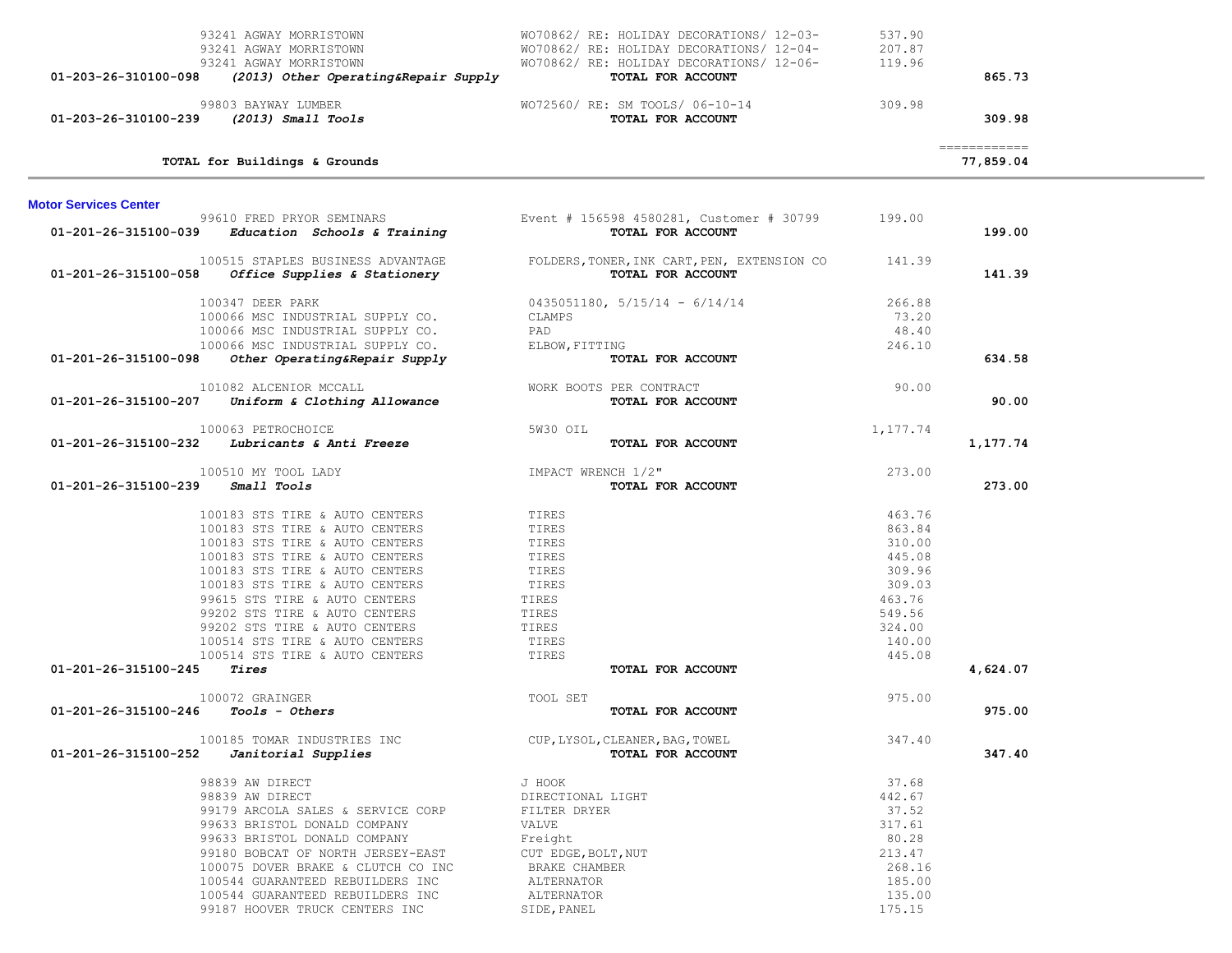| 01-203-26-310100-098         | 93241 AGWAY MORRISTOWN<br>93241 AGWAY MORRISTOWN<br>93241 AGWAY MORRISTOWN<br>(2013) Other Operating&Repair Supply                                                                                                                                                                                                                                                                       | WO70862/RE: HOLIDAY DECORATIONS/12-03-<br>WO70862/RE: HOLIDAY DECORATIONS/12-04-<br>WO70862/RE: HOLIDAY DECORATIONS/12-06-<br>TOTAL FOR ACCOUNT    | 537.90<br>207.87<br>119.96                                                                                 | 865.73                     |  |
|------------------------------|------------------------------------------------------------------------------------------------------------------------------------------------------------------------------------------------------------------------------------------------------------------------------------------------------------------------------------------------------------------------------------------|----------------------------------------------------------------------------------------------------------------------------------------------------|------------------------------------------------------------------------------------------------------------|----------------------------|--|
| 01-203-26-310100-239         | 99803 BAYWAY LUMBER<br>$(2013)$ Small Tools                                                                                                                                                                                                                                                                                                                                              | WO72560/ RE: SM TOOLS/ 06-10-14<br>TOTAL FOR ACCOUNT                                                                                               | 309.98                                                                                                     | 309.98                     |  |
|                              | TOTAL for Buildings & Grounds                                                                                                                                                                                                                                                                                                                                                            |                                                                                                                                                    |                                                                                                            | -------------<br>77,859.04 |  |
| <b>Motor Services Center</b> |                                                                                                                                                                                                                                                                                                                                                                                          |                                                                                                                                                    |                                                                                                            |                            |  |
| 01-201-26-315100-039         | 99610 FRED PRYOR SEMINARS<br>Education Schools & Training                                                                                                                                                                                                                                                                                                                                | Event # 156598 4580281, Customer # 30799<br>TOTAL FOR ACCOUNT                                                                                      | 199.00                                                                                                     | 199.00                     |  |
|                              | 100515 STAPLES BUSINESS ADVANTAGE<br>01-201-26-315100-058 Office Supplies & Stationery                                                                                                                                                                                                                                                                                                   | FOLDERS, TONER, INK CART, PEN, EXTENSION CO<br>TOTAL FOR ACCOUNT                                                                                   | 141.39                                                                                                     | 141.39                     |  |
| 01-201-26-315100-098         | 100347 DEER PARK<br>100066 MSC INDUSTRIAL SUPPLY CO.<br>100066 MSC INDUSTRIAL SUPPLY CO.<br>100066 MSC INDUSTRIAL SUPPLY CO.<br>Other Operating&Repair Supply                                                                                                                                                                                                                            | $0435051180, 5/15/14 - 6/14/14$<br>CLAMPS<br>PAD<br>ELBOW, FITTING<br>TOTAL FOR ACCOUNT                                                            | 266.88<br>73.20<br>48.40<br>246.10                                                                         | 634.58                     |  |
| 01-201-26-315100-207         | 101082 ALCENIOR MCCALL<br>Uniform & Clothing Allowance                                                                                                                                                                                                                                                                                                                                   | WORK BOOTS PER CONTRACT<br>TOTAL FOR ACCOUNT                                                                                                       | 90.00                                                                                                      | 90.00                      |  |
| 01-201-26-315100-232         | 100063 PETROCHOICE<br>Lubricants & Anti Freeze                                                                                                                                                                                                                                                                                                                                           | 5W30 OIL<br>TOTAL FOR ACCOUNT                                                                                                                      | 1,177.74                                                                                                   | 1,177.74                   |  |
| 01-201-26-315100-239         | 100510 MY TOOL LADY<br>Small Tools                                                                                                                                                                                                                                                                                                                                                       | IMPACT WRENCH 1/2"<br>TOTAL FOR ACCOUNT                                                                                                            | 273.00                                                                                                     | 273.00                     |  |
| 01-201-26-315100-245         | 100183 STS TIRE & AUTO CENTERS<br>100183 STS TIRE & AUTO CENTERS<br>100183 STS TIRE & AUTO CENTERS<br>100183 STS TIRE & AUTO CENTERS<br>100183 STS TIRE & AUTO CENTERS<br>100183 STS TIRE & AUTO CENTERS<br>99615 STS TIRE & AUTO CENTERS<br>99202 STS TIRE & AUTO CENTERS<br>99202 STS TIRE & AUTO CENTERS<br>100514 STS TIRE & AUTO CENTERS<br>100514 STS TIRE & AUTO CENTERS<br>Tires | TIRES<br>TIRES<br>TIRES<br>TIRES<br>TIRES<br>TIRES<br>TIRES<br>TIRES<br>TIRES<br>TIRES<br>TIRES<br>TOTAL FOR ACCOUNT                               | 463.76<br>863.84<br>310.00<br>445.08<br>309.96<br>309.03<br>463.76<br>549.56<br>324.00<br>140.00<br>445.08 | 4,624.07                   |  |
|                              | 100072 GRAINGER                                                                                                                                                                                                                                                                                                                                                                          | TOOL SET                                                                                                                                           | 975.00                                                                                                     |                            |  |
| 01-201-26-315100-246         | <i>Tools - Others</i>                                                                                                                                                                                                                                                                                                                                                                    | TOTAL FOR ACCOUNT                                                                                                                                  |                                                                                                            | 975.00                     |  |
| 01-201-26-315100-252         | 100185 TOMAR INDUSTRIES INC<br>Janitorial Supplies                                                                                                                                                                                                                                                                                                                                       | CUP, LYSOL, CLEANER, BAG, TOWEL<br>TOTAL FOR ACCOUNT                                                                                               | 347.40                                                                                                     | 347.40                     |  |
|                              | 98839 AW DIRECT<br>98839 AW DIRECT<br>99179 ARCOLA SALES & SERVICE CORP<br>99633 BRISTOL DONALD COMPANY<br>99633 BRISTOL DONALD COMPANY<br>99180 BOBCAT OF NORTH JERSEY-EAST<br>100075 DOVER BRAKE & CLUTCH CO INC<br>100544 GUARANTEED REBUILDERS INC<br>100544 GUARANTEED REBUILDERS INC<br>99187 HOOVER TRUCK CENTERS INC                                                             | J HOOK<br>DIRECTIONAL LIGHT<br>FILTER DRYER<br>VALVE<br>Freight<br>CUT EDGE, BOLT, NUT<br>BRAKE CHAMBER<br>ALTERNATOR<br>ALTERNATOR<br>SIDE, PANEL | 37.68<br>442.67<br>37.52<br>317.61<br>80.28<br>213.47<br>268.16<br>185.00<br>135.00<br>175.15              |                            |  |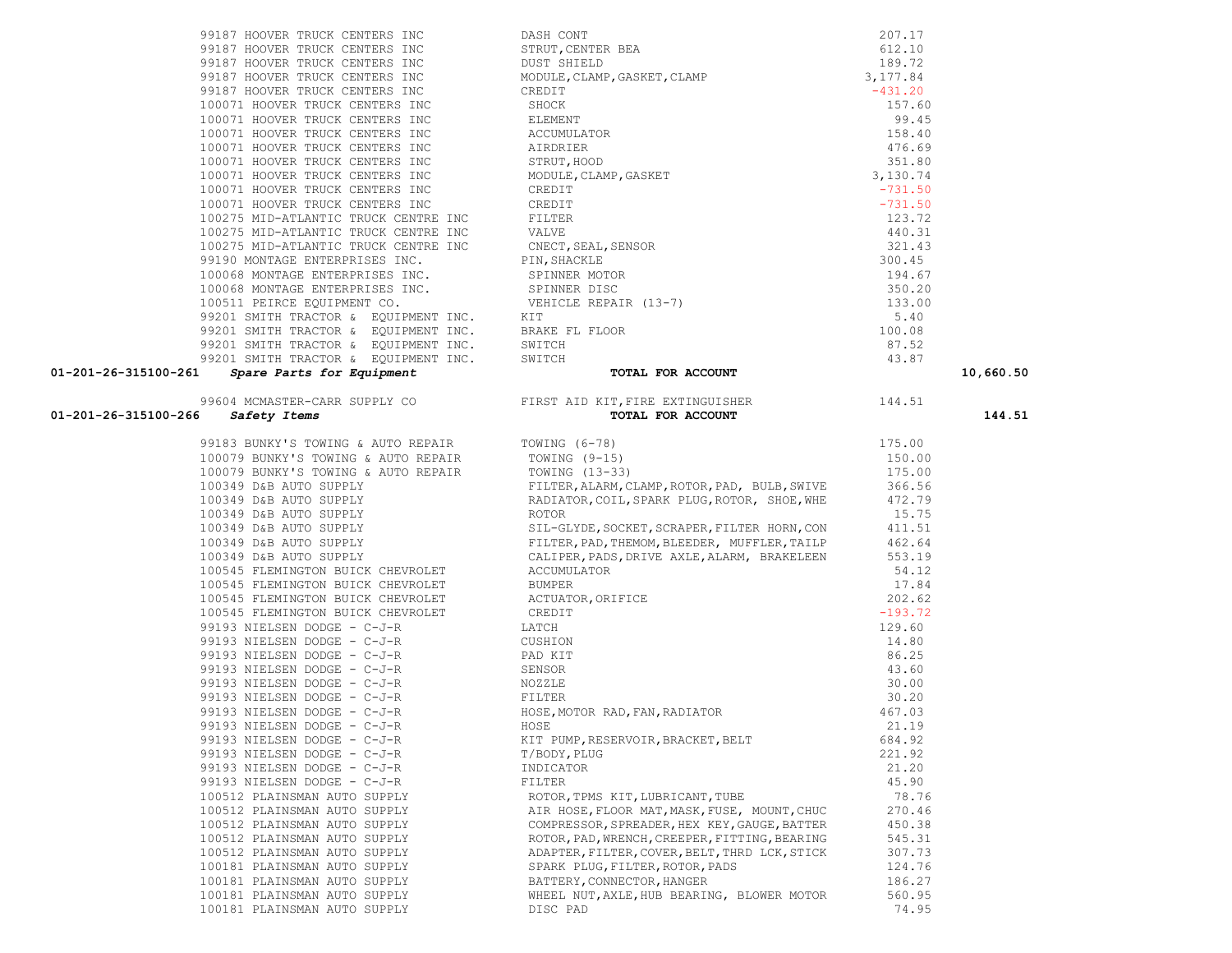| 99183 BUNKY'S TOWING & AUTO REPAIR TOWING (6-78)           |                                                               | 175.00    |
|------------------------------------------------------------|---------------------------------------------------------------|-----------|
| 100079 BUNKY'S TOWING & AUTO REPAIR TOWING (9-15)          |                                                               | 150.00    |
| 100079 BUNKY'S TOWING & AUTO REPAIR                        | TOWING (13-33)                                                | 175.00    |
| 100349 D&B AUTO SUPPLY                                     | FILTER, ALARM, CLAMP, ROTOR, PAD, BULB, SWIVE                 | 366.56    |
| 100349 D&B AUTO SUPPLY                                     | RADIATOR, COIL, SPARK PLUG, ROTOR, SHOE, WHE                  | 472.79    |
| 100349 D&B AUTO SUPPLY                                     | ROTOR                                                         | 15.75     |
| 100349 D&B AUTO SUPPLY                                     | SIL-GLYDE, SOCKET, SCRAPER, FILTER HORN, CON                  | 411.51    |
| 100349 D&B AUTO SUPPLY                                     | FILTER, PAD, THEMOM, BLEEDER, MUFFLER, TAILP                  | 462.64    |
| 100349 D&B AUTO SUPPLY                                     | CALIPER, PADS, DRIVE AXLE, ALARM, BRAKELEEN                   | 553.19    |
| 100545 FLEMINGTON BUICK CHEVROLET                          | ACCUMULATOR                                                   | 54.12     |
| 100545 FLEMINGTON BUICK CHEVROLET                          | BUMPER                                                        | 17.84     |
| 100545 FLEMINGTON BUICK CHEVROLET ACTUATOR, ORIFICE        |                                                               | 202.62    |
| 100545 FLEMINGTON BUICK CHEVROLET CREDIT                   |                                                               | $-193.72$ |
| 99193 NIELSEN DODGE - C-J-R                                | LATCH                                                         | 129.60    |
| 99193 NIELSEN DODGE - C-J-R                                | CUSHION                                                       | 14.80     |
| 99193 NIELSEN DODGE - C-J-R                                | PAD KIT                                                       | 86.25     |
| 99193 NIELSEN DODGE - C-J-R                                | SENSOR                                                        | 43.60     |
| 99193 NIELSEN DODGE - C-J-R                                | NOZZLE                                                        | 30.00     |
| 99193 NIELSEN DODGE - C-J-R FILTER                         |                                                               | 30.20     |
| 99193 NIELSEN DODGE - C-J-R HOSE, MOTOR RAD, FAN, RADIATOR |                                                               | 467.03    |
| 99193 NIELSEN DODGE - C-J-R                                | HOSE                                                          | 21.19     |
| 99193 NIELSEN DODGE - C-J-R                                | KIT PUMP, RESERVOIR, BRACKET, BELT                            | 684.92    |
| 99193 NIELSEN DODGE - C-J-R                                | T/BODY, PLUG                                                  | 221.92    |
| 99193 NIELSEN DODGE - C-J-R                                | INDICATOR                                                     | 21.20     |
| 99193 NIELSEN DODGE - C-J-R                                | FILTER                                                        | 45.90     |
|                                                            | 100512 PLAINSMAN AUTO SUPPLY ROTOR, TPMS KIT, LUBRICANT, TUBE | 78.76     |
| 100512 PLAINSMAN AUTO SUPPLY                               | AIR HOSE, FLOOR MAT, MASK, FUSE, MOUNT, CHUC                  | 270.46    |
| 100512 PLAINSMAN AUTO SUPPLY                               | COMPRESSOR, SPREADER, HEX KEY, GAUGE, BATTER                  | 450.38    |
| 100512 PLAINSMAN AUTO SUPPLY                               | ROTOR, PAD, WRENCH, CREEPER, FITTING, BEARING                 | 545.31    |
| 100512 PLAINSMAN AUTO SUPPLY                               | ADAPTER, FILTER, COVER, BELT, THRD LCK, STICK                 | 307.73    |
| 100181 PLAINSMAN AUTO SUPPLY                               | SPARK PLUG, FILTER, ROTOR, PADS                               | 124.76    |
| 100181 PLAINSMAN AUTO SUPPLY                               | BATTERY, CONNECTOR, HANGER                                    | 186.27    |
| 100181 PLAINSMAN AUTO SUPPLY                               | WHEEL NUT, AXLE, HUB BEARING, BLOWER MOTOR                    | 560.95    |
| 100181 PLAINSMAN AUTO SUPPLY                               | DISC PAD                                                      | 74.95     |

| VI 201 20 JIJI00 201              | ppare rarco ror squipment                          |                                                                                     |           |
|-----------------------------------|----------------------------------------------------|-------------------------------------------------------------------------------------|-----------|
| 01-201-26-315100-266 Safety Items |                                                    | 99604 MCMASTER-CARR SUPPLY CO FIRST AID KIT, FIRE EXTINGUISHER<br>TOTAL FOR ACCOUNT | 144.51    |
|                                   | 99183 BUNKY'S TOWING & AUTO REPAIR TOWING (6-78)   |                                                                                     | 175.00    |
|                                   | 100079 BUNKY'S TOWING & AUTO REPAIR TOWING (9-15)  |                                                                                     | 150.00    |
|                                   | 100079 BUNKY'S TOWING & AUTO REPAIR TOWING (13-33) |                                                                                     | 175.00    |
|                                   | 100349 D&B AUTO SUPPLY                             | FILTER, ALARM, CLAMP, ROTOR, PAD, BULB, SWIVE                                       | 366.56    |
|                                   | 100349 D&B AUTO SUPPLY                             | RADIATOR, COIL, SPARK PLUG, ROTOR, SHOE, WHE                                        | 472.79    |
|                                   | 100349 D&B AUTO SUPPLY                             | ROTOR                                                                               | 15.75     |
|                                   | 100349 D&B AUTO SUPPLY                             | SIL-GLYDE, SOCKET, SCRAPER, FILTER HORN, CON                                        | 411.51    |
|                                   | 100349 D&B AUTO SUPPLY                             | FILTER, PAD, THEMOM, BLEEDER, MUFFLER, TAILP                                        | 462.64    |
|                                   | 100349 D&B AUTO SUPPLY                             | CALIPER, PADS, DRIVE AXLE, ALARM, BRAKELEEN                                         | 553.19    |
|                                   | 100545 FLEMINGTON BUICK CHEVROLET                  | ACCUMULATOR                                                                         | 54.12     |
|                                   | 100545 FLEMINGTON BUICK CHEVROLET                  | BUMPER                                                                              | 17.84     |
|                                   | 100545 FLEMINGTON BUICK CHEVROLET                  | ACTUATOR, ORIFICE                                                                   | 202.62    |
|                                   | 100545 FLEMINGTON BUICK CHEVROLET                  | CREDIT                                                                              | $-193.72$ |
|                                   | 99193 NIELSEN DODGE - C-J-R                        | LATCH                                                                               | 129.60    |
|                                   | 99193 NIELSEN DODGE - C-J-R                        | CUSHION                                                                             | 14.80     |
|                                   | 99193 NIELSEN DODGE - C-J-R                        | PAD KIT                                                                             | 86.25     |
|                                   | 99193 NIELSEN DODGE - C-J-R                        | SENSOR                                                                              | 43.60     |
|                                   | 99193 NIELSEN DODGE - C-J-R                        | NOZZLE                                                                              | 30.00     |
|                                   | 99193 NIELSEN DODGE - C-J-R                        | FILTER                                                                              | 30.20     |
|                                   | 99193 NIELSEN DODGE - C-J-R                        | HOSE, MOTOR RAD, FAN, RADIATOR                                                      | 467.03    |
|                                   | 99193 NIELSEN DODGE - C-J-R                        | HOSE                                                                                | 21.19     |
|                                   | 99193 NIELSEN DODGE - C-J-R                        | KIT PUMP, RESERVOIR, BRACKET, BELT                                                  | 684.92    |
|                                   | 99193 NIELSEN DODGE - C-J-R                        | T/BODY, PLUG                                                                        | 221.92    |
|                                   | 99193 NIELSEN DODGE - C-J-R                        | INDICATOR                                                                           | 21.20     |
|                                   | 99193 NIELSEN DODGE - C-J-R                        | FILTER                                                                              | 45.90     |
|                                   | 100512 PLAINSMAN AUTO SUPPLY                       | ROTOR, TPMS KIT, LUBRICANT, TUBE                                                    | 78.76     |
|                                   | 100512 PLAINSMAN AUTO SUPPLY                       | AIR HOSE, FLOOR MAT, MASK, FUSE, MOUNT, CHUC                                        | 270.46    |
|                                   | 100512 PLAINSMAN AUTO SUPPLY                       | COMPRESSOR, SPREADER, HEX KEY, GAUGE, BATTER                                        | 450.38    |
|                                   | 100512 PLAINSMAN AUTO SUPPLY                       | ROTOR, PAD, WRENCH, CREEPER, FITTING, BEARING                                       | 545.31    |
|                                   | 100512 PLAINSMAN AUTO SUPPLY                       | ADAPTER, FILTER, COVER, BELT, THRD LCK, STICK                                       | 307.73    |
|                                   | 100181 PLAINSMAN AUTO SUPPLY                       | SPARK PLUG, FILTER, ROTOR, PADS                                                     | 124.76    |
|                                   | 100181 PLAINSMAN AUTO SUPPLY                       | BATTERY, CONNECTOR, HANGER                                                          | 186.27    |
|                                   | 100181 PLAINSMAN AUTO SUPPLY                       | WHEEL NUT, AXLE, HUB BEARING, BLOWER MOTOR                                          | 560.95    |
|                                   |                                                    |                                                                                     |           |

| 01-201-26-315100-266 | 99604 MCMASTER-CARR SUPPLY CO<br>Safety Items                    | FIRST AID KIT, FIRE EXTINGUISHER<br>TOTAL FOR ACCOUNT | 144.51    | 144.51    |
|----------------------|------------------------------------------------------------------|-------------------------------------------------------|-----------|-----------|
| 01-201-26-315100-261 | Spare Parts for Equipment                                        | TOTAL FOR ACCOUNT                                     |           | 10,660.50 |
|                      | 99201 SMITH TRACTOR & EQUIPMENT INC.                             | SWITCH                                                | 43.87     |           |
|                      | 99201 SMITH TRACTOR & EQUIPMENT INC.                             | SWITCH                                                | 87.52     |           |
|                      | 99201 SMITH TRACTOR & EQUIPMENT INC.                             | BRAKE FL FLOOR                                        | 100.08    |           |
|                      | 99201 SMITH TRACTOR & EQUIPMENT INC.                             | KIT                                                   | 5.40      |           |
|                      | 100511 PEIRCE EQUIPMENT CO.                                      | VEHICLE REPAIR (13-7)                                 | 133.00    |           |
|                      | 100068 MONTAGE ENTERPRISES INC. SPINNER DISC                     |                                                       | 350.20    |           |
|                      | 100068 MONTAGE ENTERPRISES INC. SPINNER MOTOR                    |                                                       | 194.67    |           |
|                      | 99190 MONTAGE ENTERPRISES INC.                                   | PIN, SHACKLE                                          | 300.45    |           |
|                      | 100275 MID-ATLANTIC TRUCK CENTRE INC                             | CNECT, SEAL, SENSOR                                   | 321.43    |           |
|                      | 100275 MID-ATLANTIC TRUCK CENTRE INC                             | VALVE                                                 | 440.31    |           |
|                      | 100275 MID-ATLANTIC TRUCK CENTRE INC                             | FILTER                                                | 123.72    |           |
|                      | 100071 HOOVER TRUCK CENTERS INC                                  | CREDIT                                                | $-731.50$ |           |
|                      | 100071 HOOVER TRUCK CENTERS INC                                  | CREDIT                                                | $-731.50$ |           |
|                      | 100071 HOOVER TRUCK CENTERS INC                                  | MODULE, CLAMP, GASKET                                 | 3,130.74  |           |
|                      | 100071 HOOVER TRUCK CENTERS INC                                  | STRUT, HOOD                                           | 351.80    |           |
|                      | 100071 HOOVER TRUCK CENTERS INC                                  | AIRDRIER                                              | 476.69    |           |
|                      | 100071 HOOVER TRUCK CENTERS INC                                  | ACCUMULATOR                                           | 158.40    |           |
|                      | 100071 HOOVER TRUCK CENTERS INC                                  | ELEMENT                                               | 99.45     |           |
|                      | 100071 HOOVER TRUCK CENTERS INC                                  | SHOCK                                                 | 157.60    |           |
|                      | 99187 HOOVER TRUCK CENTERS INC                                   | CREDIT                                                | $-431.20$ |           |
|                      | 99187 HOOVER TRUCK CENTERS INC                                   | MODULE, CLAMP, GASKET, CLAMP                          | 3,177.84  |           |
|                      | 99187 HOOVER TRUCK CENTERS INC<br>99187 HOOVER TRUCK CENTERS INC | STRUT, CENTER BEA<br><b>DUST SHIELD</b>               | 189.72    |           |
|                      |                                                                  |                                                       | 612.10    |           |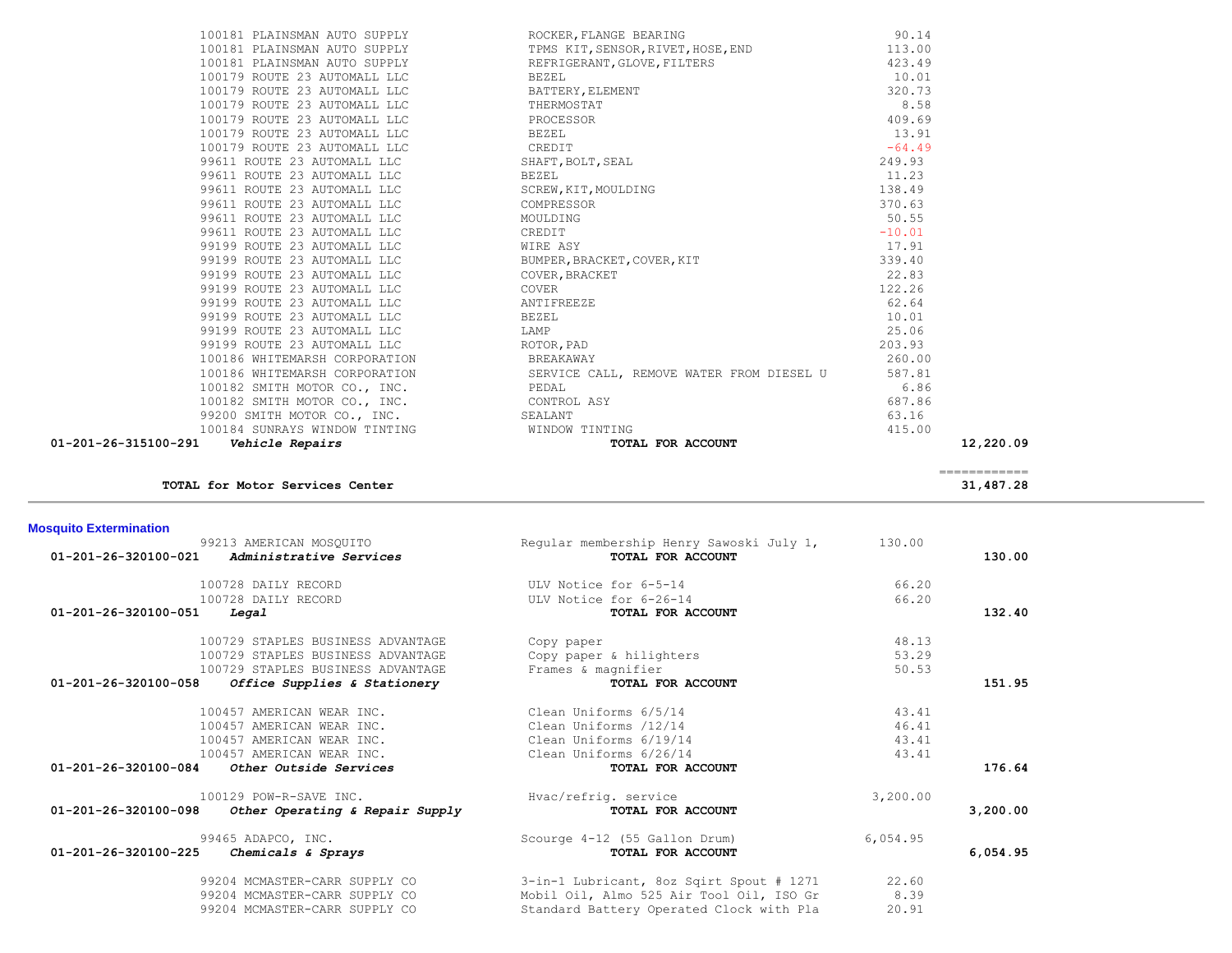| <b>Mosquito Extermination</b>                                              |                                                               |          |          |
|----------------------------------------------------------------------------|---------------------------------------------------------------|----------|----------|
| 99213 AMERICAN MOSOUITO<br>01-201-26-320100-021<br>Administrative Services | Regular membership Henry Sawoski July 1,<br>TOTAL FOR ACCOUNT | 130.00   | 130.00   |
| 100728 DAILY RECORD                                                        | ULV Notice for 6-5-14                                         | 66.20    |          |
| 100728 DAILY RECORD                                                        | ULV Notice for 6-26-14                                        | 66.20    |          |
| 01-201-26-320100-051<br>Legal                                              | TOTAL FOR ACCOUNT                                             |          | 132.40   |
| 100729 STAPLES BUSINESS ADVANTAGE                                          | Copy paper                                                    | 48.13    |          |
| 100729 STAPLES BUSINESS ADVANTAGE                                          | Copy paper & hilighters                                       | 53.29    |          |
| 100729 STAPLES BUSINESS ADVANTAGE                                          | Frames & magnifier                                            | 50.53    |          |
| $01 - 201 - 26 - 320100 - 058$<br>Office Supplies & Stationery             | TOTAL FOR ACCOUNT                                             |          | 151.95   |
| 100457 AMERICAN WEAR INC.                                                  | Clean Uniforms 6/5/14                                         | 43.41    |          |
| 100457 AMERICAN WEAR INC.                                                  | Clean Uniforms /12/14                                         | 46.41    |          |
| 100457 AMERICAN WEAR INC.                                                  | Clean Uniforms 6/19/14                                        | 43.41    |          |
| 100457 AMERICAN WEAR INC.                                                  | Clean Uniforms 6/26/14                                        | 43.41    |          |
| $01-201-26-320100-084$ Other Outside Services                              | TOTAL FOR ACCOUNT                                             |          | 176.64   |
| 100129 POW-R-SAVE INC.                                                     | Hvac/refrig. service                                          | 3,200.00 |          |
| $01 - 201 - 26 - 320100 - 098$<br>Other Operating & Repair Supply          | TOTAL FOR ACCOUNT                                             |          | 3,200,00 |
| 99465 ADAPCO, INC.                                                         | Scourge 4-12 (55 Gallon Drum)                                 | 6,054.95 |          |
| $01 - 201 - 26 - 320100 - 225$<br>Chemicals & Sprays                       | TOTAL FOR ACCOUNT                                             |          | 6,054.95 |
| 99204 MCMASTER-CARR SUPPLY CO                                              | 3-in-1 Lubricant, 8oz Sqirt Spout # 1271                      | 22.60    |          |
| 99204 MCMASTER-CARR SUPPLY CO                                              | Mobil Oil, Almo 525 Air Tool Oil, ISO Gr                      | 8.39     |          |
| 99204 MCMASTER-CARR SUPPLY CO                                              | Standard Battery Operated Clock with Pla                      | 20.91    |          |

|  |  |  | <b>TOTAL for Motor Services Center</b> |  |
|--|--|--|----------------------------------------|--|
|--|--|--|----------------------------------------|--|

|                                 | ______________ |
|---------------------------------|----------------|
| TOTAL for Motor Services Center | 31,487.28      |
|                                 |                |

|   | 100181 PLAINSMAN AUTO SUPPLY                    |
|---|-------------------------------------------------|
|   | 100181 PLAINSMAN AUTO SUPPLY                    |
|   | 100179 ROUTE 23 AUTOMALL LLC                    |
|   | 100179 ROUTE 23 AUTOMALL LLC                    |
|   | 100179 ROUTE 23 AUTOMALL LLC                    |
|   | 100179 ROUTE 23 AUTOMALL LLC                    |
|   | 100179 ROUTE 23 AUTOMALL LLC                    |
|   | 100179 ROUTE 23 AUTOMALL LLC                    |
|   | 99611 ROUTE 23 AUTOMALL LLC                     |
|   | 99611 ROUTE 23 AUTOMALL LLC                     |
|   | 99611 ROUTE 23 AUTOMALL LLC                     |
|   | 99611 ROUTE 23 AUTOMALL LLC                     |
|   | 99611 ROUTE 23 AUTOMALL LLC                     |
|   | 99611 ROUTE 23 AUTOMALL LLC                     |
|   | 99199 ROUTE 23 AUTOMALL LLC                     |
|   | 99199 ROUTE 23 AUTOMALL LLC                     |
|   | 99199 ROUTE 23 AUTOMALL LLC                     |
|   | 99199 ROUTE 23 AUTOMALL LLC                     |
|   | 99199 ROUTE 23 AUTOMALL LLC                     |
|   | 99199 ROUTE 23 AUTOMALL LLC                     |
|   | 99199 ROUTE 23 AUTOMALL LLC                     |
|   | 99199 ROUTE 23 AUTOMALL LLC                     |
|   | 100186 WHITEMARSH CORPORATION                   |
|   | 100186 WHITEMARSH CORPORATION                   |
|   | 100182 SMITH MOTOR CO., INC.                    |
|   | 100182 SMITH MOTOR CO., INC.                    |
|   | 99200 SMITH MOTOR CO., INC.                     |
|   | 100184 SUNRAYS WINDOW TINTING                   |
| . | $21.51.00 \cdot 0.01$ $22.1.1.7.00 \cdot 0.1.1$ |

| TOTAL FOR ACCOUNT<br>01-201-26-315100-291    Vehicle Repairs                                                                                                                                                                                                                                                                                                                                                                           | 12,220.09 |
|----------------------------------------------------------------------------------------------------------------------------------------------------------------------------------------------------------------------------------------------------------------------------------------------------------------------------------------------------------------------------------------------------------------------------------------|-----------|
| 415.00                                                                                                                                                                                                                                                                                                                                                                                                                                 |           |
| 99200 SMITH MOTOR CO., INC.<br>100184 SUNRAYS WINDOW TINTING WINDOW TINTING<br>63.16                                                                                                                                                                                                                                                                                                                                                   |           |
| 100182 SMITH MOTOR CO., INC. CONTROL ASY<br>687.86                                                                                                                                                                                                                                                                                                                                                                                     |           |
|                                                                                                                                                                                                                                                                                                                                                                                                                                        |           |
| $\texttt{100186}\ \texttt{WHTEMARSH}\ \texttt{CORPORTION}\qquad \qquad \texttt{SERVICE}\ \texttt{CALL}\ \texttt{REMOVE}\ \texttt{WATER}\ \texttt{FROM}\ \texttt{DIESEL}\ \texttt{U}\qquad \qquad 587.81 \\ \texttt{100182}\ \texttt{SMITH}\ \texttt{MOTOR}\ \texttt{CO}\,,\ \texttt{INC}\texttt{C}\ \texttt{N}\qquad \qquad \texttt{PEDAL}\qquad \qquad 6.86$                                                                          |           |
| 100186 WHITEMARSH CORPORATION BREAKAWAY<br>260.00                                                                                                                                                                                                                                                                                                                                                                                      |           |
| 99611 ROUTE 23 AUTOMALL LLC<br>99199 ROUTE 23 AUTOMALL LLC<br>99199 ROUTE 23 AUTOMALL LLC<br>99199 ROUTE 23 AUTOMALL LLC<br>99199 ROUTE 23 AUTOMALL LLC<br>99199 ROUTE 23 AUTOMALL LLC<br>99199 ROUTE 23 AUTOMALL LLC<br>99199 ROUTE 23 AUTO<br>203.93                                                                                                                                                                                 |           |
| 25.06                                                                                                                                                                                                                                                                                                                                                                                                                                  |           |
| 10.01                                                                                                                                                                                                                                                                                                                                                                                                                                  |           |
| 62.64                                                                                                                                                                                                                                                                                                                                                                                                                                  |           |
| 122.26                                                                                                                                                                                                                                                                                                                                                                                                                                 |           |
| 22.83                                                                                                                                                                                                                                                                                                                                                                                                                                  |           |
| 339.40                                                                                                                                                                                                                                                                                                                                                                                                                                 |           |
| 17.91                                                                                                                                                                                                                                                                                                                                                                                                                                  |           |
| $-10.01$                                                                                                                                                                                                                                                                                                                                                                                                                               |           |
| $100181\ \texttt{PIAINSMAN} \ \texttt{AUTO SUPPLY} \ \texttt{TPMS \ KIT, SENSOR, RIVER, HOSE, END} \ \texttt{100179 \ ROUTE 23 AUTOMALL LLC} \ \texttt{REFRIGERANT, GLOVE, FILTERS} \ \texttt{100179 \ ROUTE 23 AUTOMALL LLC} \ \texttt{BEXEL} \ \texttt{100179 \ ROUTE 23 AUTOMALL LLC} \ \texttt{BROCESOR} \ \texttt{100179 \ ROUTE 23 AUTOMALL LLC} \ \texttt{BROCESOR} \ \texttt{100179 \ ROUTE 23 AUTOMALL LLC} \ \text$<br>50.55 |           |
| 370.63                                                                                                                                                                                                                                                                                                                                                                                                                                 |           |
| 138.49                                                                                                                                                                                                                                                                                                                                                                                                                                 |           |
| 11.23                                                                                                                                                                                                                                                                                                                                                                                                                                  |           |
| 249.93                                                                                                                                                                                                                                                                                                                                                                                                                                 |           |
| $-64.49$                                                                                                                                                                                                                                                                                                                                                                                                                               |           |
| 13.91                                                                                                                                                                                                                                                                                                                                                                                                                                  |           |
| 409.69                                                                                                                                                                                                                                                                                                                                                                                                                                 |           |
| 8.58                                                                                                                                                                                                                                                                                                                                                                                                                                   |           |
| 320.73                                                                                                                                                                                                                                                                                                                                                                                                                                 |           |
| 423.49<br>10.01                                                                                                                                                                                                                                                                                                                                                                                                                        |           |
| 100181 PLAINSMAN AUTO SUPPLY TPMS KIT, SENSOR, RIVET, HOSE, END 113.00                                                                                                                                                                                                                                                                                                                                                                 |           |
| ROCKER, FLANGE BEARING<br>90.14<br>100181 PLAINSMAN AUTO SUPPLY                                                                                                                                                                                                                                                                                                                                                                        |           |
|                                                                                                                                                                                                                                                                                                                                                                                                                                        |           |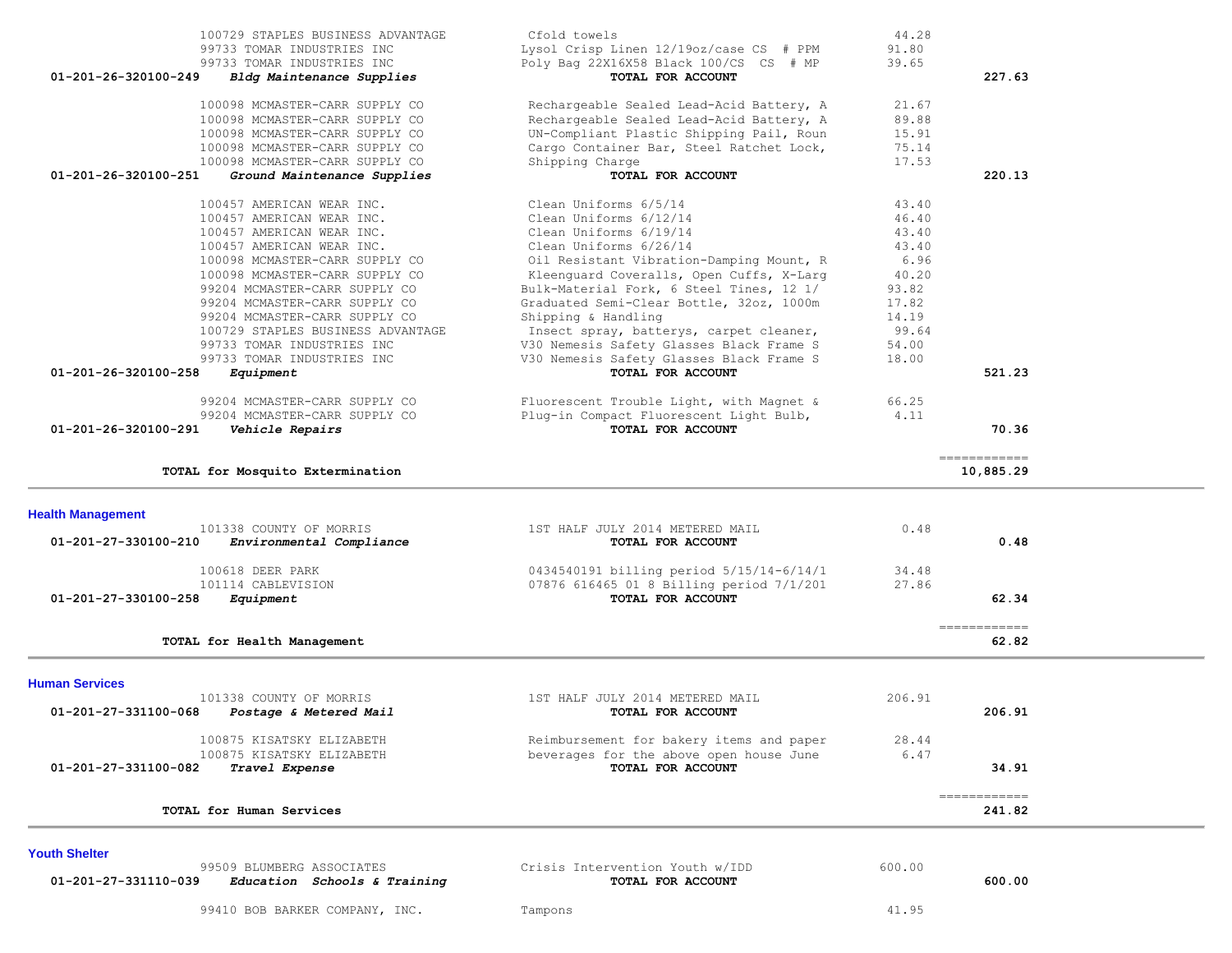| 100098 MCMASTER-CARR SUPPLY CO                       | Rechargeable Sealed Lead-Acid Battery, A | 21.67  |                        |
|------------------------------------------------------|------------------------------------------|--------|------------------------|
| 100098 MCMASTER-CARR SUPPLY CO                       | Rechargeable Sealed Lead-Acid Battery, A | 89.88  |                        |
|                                                      |                                          |        |                        |
| 100098 MCMASTER-CARR SUPPLY CO                       | UN-Compliant Plastic Shipping Pail, Roun | 15.91  |                        |
| 100098 MCMASTER-CARR SUPPLY CO                       | Cargo Container Bar, Steel Ratchet Lock, | 75.14  |                        |
| 100098 MCMASTER-CARR SUPPLY CO                       | Shipping Charge                          | 17.53  |                        |
| 01-201-26-320100-251<br>Ground Maintenance Supplies  | TOTAL FOR ACCOUNT                        |        | 220.13                 |
| 100457 AMERICAN WEAR INC.                            | Clean Uniforms 6/5/14                    | 43.40  |                        |
| 100457 AMERICAN WEAR INC.                            | Clean Uniforms 6/12/14                   | 46.40  |                        |
| 100457 AMERICAN WEAR INC.                            | Clean Uniforms 6/19/14                   | 43.40  |                        |
| 100457 AMERICAN WEAR INC.                            | Clean Uniforms 6/26/14                   | 43.40  |                        |
|                                                      |                                          | 6.96   |                        |
| 100098 MCMASTER-CARR SUPPLY CO                       | Oil Resistant Vibration-Damping Mount, R |        |                        |
| 100098 MCMASTER-CARR SUPPLY CO                       | Kleenguard Coveralls, Open Cuffs, X-Larg | 40.20  |                        |
| 99204 MCMASTER-CARR SUPPLY CO                        | Bulk-Material Fork, 6 Steel Tines, 12 1/ | 93.82  |                        |
| 99204 MCMASTER-CARR SUPPLY CO                        | Graduated Semi-Clear Bottle, 32oz, 1000m | 17.82  |                        |
| 99204 MCMASTER-CARR SUPPLY CO                        | Shipping & Handling                      | 14.19  |                        |
| 100729 STAPLES BUSINESS ADVANTAGE                    | Insect spray, batterys, carpet cleaner,  | 99.64  |                        |
| 99733 TOMAR INDUSTRIES INC                           | V30 Nemesis Safety Glasses Black Frame S | 54.00  |                        |
| 99733 TOMAR INDUSTRIES INC                           | V30 Nemesis Safety Glasses Black Frame S | 18.00  |                        |
| 01-201-26-320100-258<br>Equipment                    | TOTAL FOR ACCOUNT                        |        | 521.23                 |
|                                                      |                                          |        |                        |
| 99204 MCMASTER-CARR SUPPLY CO                        | Fluorescent Trouble Light, with Magnet & | 66.25  |                        |
| 99204 MCMASTER-CARR SUPPLY CO                        | Plug-in Compact Fluorescent Light Bulb,  | 4.11   |                        |
| 01-201-26-320100-291<br>Vehicle Repairs              | TOTAL FOR ACCOUNT                        |        | 70.36                  |
|                                                      |                                          |        | ============           |
| TOTAL for Mosquito Extermination                     |                                          |        | 10,885.29              |
| <b>Health Management</b>                             |                                          |        |                        |
| 101338 COUNTY OF MORRIS                              | 1ST HALF JULY 2014 METERED MAIL          | 0.48   |                        |
| 01-201-27-330100-210<br>Environmental Compliance     | TOTAL FOR ACCOUNT                        |        | 0.48                   |
|                                                      |                                          |        |                        |
| 100618 DEER PARK                                     | 0434540191 billing period 5/15/14-6/14/1 | 34.48  |                        |
| 101114 CABLEVISION                                   | 07876 616465 01 8 Billing period 7/1/201 | 27.86  |                        |
| 01-201-27-330100-258<br>Equipment                    | TOTAL FOR ACCOUNT                        |        | 62.34                  |
|                                                      |                                          |        |                        |
|                                                      |                                          |        | ------------           |
| TOTAL for Health Management                          |                                          |        | 62.82                  |
|                                                      |                                          |        |                        |
| <b>Human Services</b><br>101338 COUNTY OF MORRIS     | 1ST HALF JULY 2014 METERED MAIL          | 206.91 |                        |
|                                                      |                                          |        |                        |
| 01-201-27-331100-068<br>Postage & Metered Mail       | TOTAL FOR ACCOUNT                        |        | 206.91                 |
| 100875 KISATSKY ELIZABETH                            | Reimbursement for bakery items and paper | 28.44  |                        |
| 100875 KISATSKY ELIZABETH                            | beverages for the above open house June  | 6.47   |                        |
| 01-201-27-331100-082<br>Travel Expense               | TOTAL FOR ACCOUNT                        |        | 34.91                  |
|                                                      |                                          |        |                        |
| TOTAL for Human Services                             |                                          |        | ------------<br>241.82 |
|                                                      |                                          |        |                        |
| <b>Youth Shelter</b>                                 |                                          |        |                        |
| 99509 BLUMBERG ASSOCIATES                            | Crisis Intervention Youth w/IDD          | 600.00 |                        |
| 01-201-27-331110-039<br>Education Schools & Training | TOTAL FOR ACCOUNT                        |        | 600.00                 |
|                                                      |                                          |        |                        |
| 99410 BOB BARKER COMPANY, INC.                       | Tampons                                  | 41.95  |                        |

100729 STAPLES BUSINESS ADVANTAGE Cfold towels the 12/19oz/case CS # PPM 44.28<br>1.80 99733 TOMAR INDUSTRIES INC the Lysol Crisp Linen 12/19oz/case CS # PPM 91.80 99733 TOMAR INDUSTRIES INC Lysol Crisp Linen 12/19oz/case CS # PPM 91.80

 **01-201-26-320100-249** *Bldg Maintenance Supplies* **TOTAL FOR ACCOUNT 227.63**

Poly Bag 22X16X58 Black 100/CS CS # MP<br>**TOTAL FOR ACCOUNT**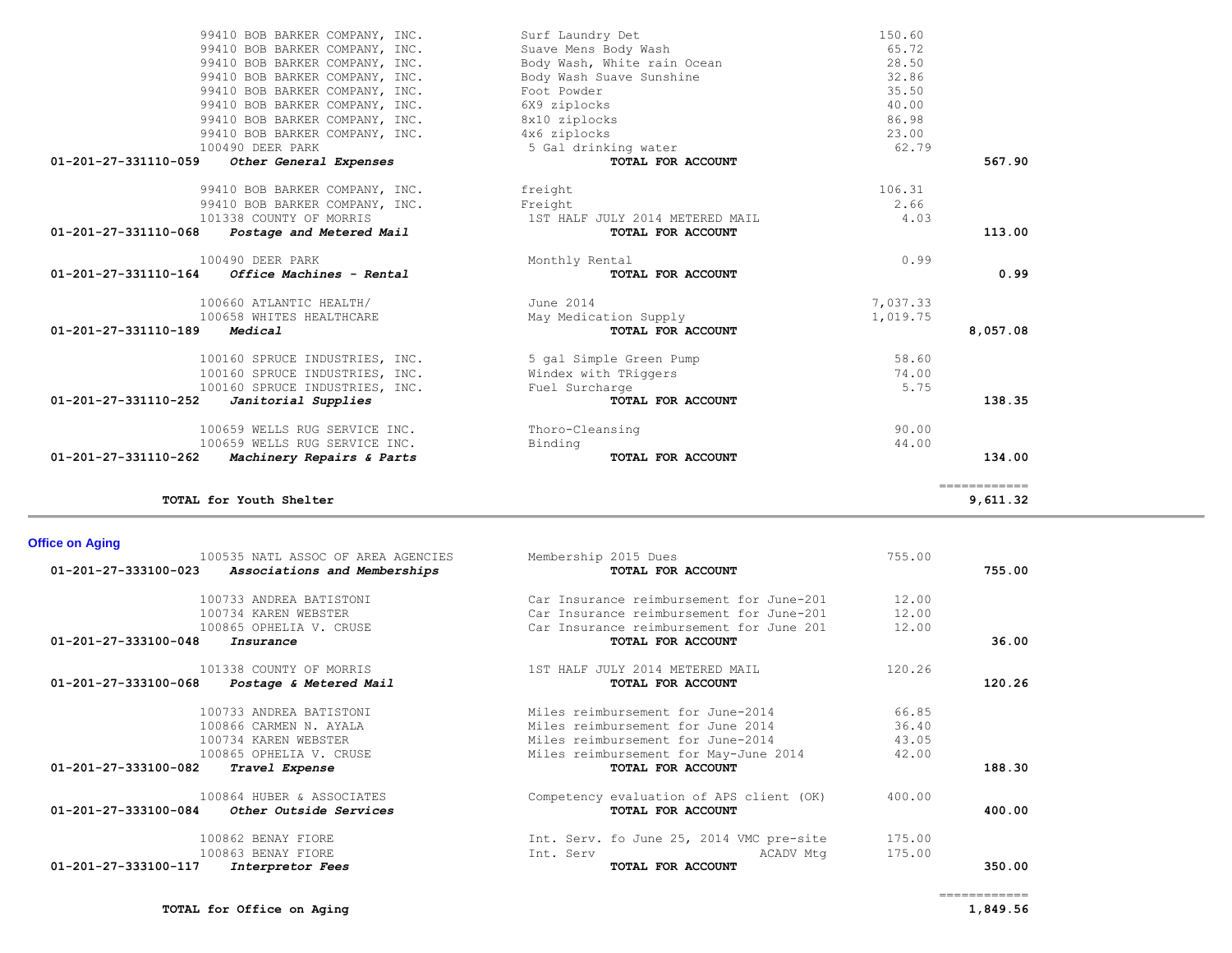## **01-201-27-333100-048** *Insurance* **TOTAL FOR ACCOUNT 36.00** 101338 COUNTY OF MORRIS 1ST HALF JULY 2014 METERED MAIL 120.26  **01-201-27-333100-068** *Postage & Metered Mail* **TOTAL FOR ACCOUNT 120.26** 100733 ANDREA BATISTONI Miles reimbursement for June-2014 66.85 Miles reimbursement for June 2014 100734 KAREN WEBSTER Miles reimbursement for June-2014 43.05 100865 OPHELIA V. CRUSE 100865 OPHELIA V. CRUSE 12.00<br>2 **Travel Expense** 12.00  **01-201-27-333100-082** *Travel Expense* **TOTAL FOR ACCOUNT 188.30** 100864 HUBER & ASSOCIATES Competency evaluation of APS client (OK) 400.00  **01-201-27-333100-084** *Other Outside Services* **TOTAL FOR ACCOUNT 400.00** 100862 BENAY FIORE Int. Serv. fo June 25, 2014 VMC pre-site 175.00 100863 BENAY FIORE **Int. Serv ACADV Mtg** 100863 BENAY FIORE  **01-201-27-333100-117** *Interpretor Fees* **TOTAL FOR ACCOUNT 350.00**

============

| 01-201-27-331110-068<br>Postage and Metered Mail  | TOTAL FOR ACCOUNT       |          | 113.00   |
|---------------------------------------------------|-------------------------|----------|----------|
| 100490 DEER PARK                                  | Monthly Rental          | 0.99     |          |
| 01-201-27-331110-164<br>Office Machines - Rental  | TOTAL FOR ACCOUNT       |          | 0.99     |
| 100660 ATLANTIC HEALTH/                           | June 2014               | 7,037.33 |          |
| 100658 WHITES HEALTHCARE                          | May Medication Supply   | 1,019.75 |          |
| 01-201-27-331110-189<br>Medical                   | TOTAL FOR ACCOUNT       |          | 8,057.08 |
| 100160 SPRUCE INDUSTRIES, INC.                    | 5 gal Simple Green Pump | 58.60    |          |
| 100160 SPRUCE INDUSTRIES, INC.                    | Windex with TRiggers    | 74.00    |          |
| 100160 SPRUCE INDUSTRIES, INC.                    | Fuel Surcharge          | 5.75     |          |
| 01-201-27-331110-252<br>Janitorial Supplies       | TOTAL FOR ACCOUNT       |          | 138.35   |
| 100659 WELLS RUG SERVICE INC.                     | Thoro-Cleansing         | 90.00    |          |
| 100659 WELLS RUG SERVICE INC.                     | Binding                 | 44.00    |          |
| 01-201-27-331110-262<br>Machinery Repairs & Parts | TOTAL FOR ACCOUNT       |          | 134.00   |

**TOTAL for Youth Shelter 9,611.32**

100535 NATL ASSOC OF AREA AGENCIES Membership 2015 Dues 755.00<br>3 **Associations and Memberships 755.00 TOTAL FOR ACCOUNT 01-201-27-333100-023** *Associations and Memberships* **TOTAL FOR ACCOUNT 755.00**

> 100733 ANDREA BATISTONI Car Insurance reimbursement for June-201 12.00 100734 KAREN WEBSTER Car Insurance reimbursement for June-201 12.00 100865 OPHELIA V. CRUSE Car Insurance reimbursement for June 201 12.00

# 99410 BOB BARKER COMPANY, INC. freight 99410 BOB BARKER COMPANY, INC. Freight 2.666 Freight 2.666 Freight 2.666 Freight 2.666 Freight 2.666 Freight 2.666 Freight 2.666 Freight 2.666 Freight 2.666 Freight 2.666 Freight 2.666 Freight 2.666 Freight 2.666 Freight 2 101338 COUNTY OF MORRIS

**Office on Aging** 

# 01-201-27-331110-059 Other General Expenses

| $0.1, 0.01, 0.7, 0.7, 0.01, 0.01, 0.01, 0.01, 0.01, 0.01, 0.01, 0.01, 0.01, 0.01, 0.01, 0.01, 0.01, 0.01, 0.01, 0.01, 0.01, 0.01, 0.01, 0.01, 0.01, 0.01, 0.01, 0.01, 0.01, 0.01, 0.01, 0.01, 0.01, 0.01, 0.01, 0.01, 0.01, 0$ | $m \wedge m \wedge r$ $m \wedge m \wedge m \wedge m \wedge m$ |        |
|--------------------------------------------------------------------------------------------------------------------------------------------------------------------------------------------------------------------------------|---------------------------------------------------------------|--------|
| 100490 DEER PARK                                                                                                                                                                                                               | 5 Gal drinking water                                          | 62.7   |
| 99410 BOB BARKER COMPANY, INC.                                                                                                                                                                                                 | 4x6 ziplocks                                                  | 23.00  |
| 99410 BOB BARKER COMPANY, INC.                                                                                                                                                                                                 | 8x10 ziplocks                                                 | 86.98  |
| 99410 BOB BARKER COMPANY, INC.                                                                                                                                                                                                 | 6X9 ziplocks                                                  | 40.00  |
| 99410 BOB BARKER COMPANY, INC.                                                                                                                                                                                                 | Foot Powder                                                   | 35.50  |
| 99410 BOB BARKER COMPANY, INC.                                                                                                                                                                                                 | Body Wash Suave Sunshine                                      | 32.86  |
| 99410 BOB BARKER COMPANY, INC.                                                                                                                                                                                                 | Body Wash, White rain Ocean                                   | 28.50  |
| 99410 BOB BARKER COMPANY, INC.                                                                                                                                                                                                 | Suave Mens Body Wash                                          | 65.72  |
| 99410 BOB BARKER COMPANY, INC.                                                                                                                                                                                                 | Surf Laundry Det                                              | 150.60 |

| 99410 BOB BARKER COMPANY, INC.                   | Surf Laundry Det                | 150.60   |          |
|--------------------------------------------------|---------------------------------|----------|----------|
| 99410 BOB BARKER COMPANY, INC.                   | Suave Mens Body Wash            | 65.72    |          |
| 99410 BOB BARKER COMPANY, INC.                   | Body Wash, White rain Ocean     | 28.50    |          |
| 99410 BOB BARKER COMPANY, INC.                   | Body Wash Suave Sunshine        | 32.86    |          |
| 99410 BOB BARKER COMPANY, INC.                   | Foot Powder                     | 35.50    |          |
| 99410 BOB BARKER COMPANY, INC.                   | 6X9 ziplocks                    | 40.00    |          |
| 99410 BOB BARKER COMPANY, INC.                   | 8x10 ziplocks                   | 86.98    |          |
| 99410 BOB BARKER COMPANY, INC.                   | 4x6 ziplocks                    | 23.00    |          |
| 100490 DEER PARK                                 | 5 Gal drinking water            | 62.79    |          |
| 01-201-27-331110-059 Other General Expenses      | <b>TOTAL FOR ACCOUNT</b>        |          | 567.90   |
| 99410 BOB BARKER COMPANY, INC.                   | freight                         | 106.31   |          |
| 99410 BOB BARKER COMPANY, INC.                   | Freight                         | 2.66     |          |
| 101338 COUNTY OF MORRIS                          | 1ST HALF JULY 2014 METERED MAIL | 4.03     |          |
| $01-201-27-331110-068$ Postage and Metered Mail  | TOTAL FOR ACCOUNT               |          | 113.00   |
| 100490 DEER PARK                                 | Monthly Rental                  | 0.99     |          |
| 01-201-27-331110-164<br>Office Machines - Rental | TOTAL FOR ACCOUNT               |          | 0.99     |
| 100660 ATLANTIC HEALTH/                          | June 2014                       | 7,037.33 |          |
| 100658 WHITES HEALTHCARE                         | May Medication Supply           | 1,019.75 |          |
| 01-201-27-331110-189<br>Medical                  | TOTAL FOR ACCOUNT               |          | 8,057.08 |
| 100160 SPRUCE INDUSTRIES, INC.                   | 5 gal Simple Green Pump         | 58.60    |          |
| 100160 SPRUCE INDUSTRIES, INC.                   | Windex with TRiggers            | 74.00    |          |
|                                                  |                                 |          |          |
| 100160 SPRUCE INDUSTRIES, INC.                   | Fuel Surcharge                  | 5.75     |          |
| 01-201-27-331110-252<br>Janitorial Supplies      | TOTAL FOR ACCOUNT               |          |          |
| 100659 WELLS RUG SERVICE INC.                    | Thoro-Cleansing                 | 90.00    | 138.35   |
| 100659 WELLS RUG SERVICE INC.                    | Binding                         | 44.00    |          |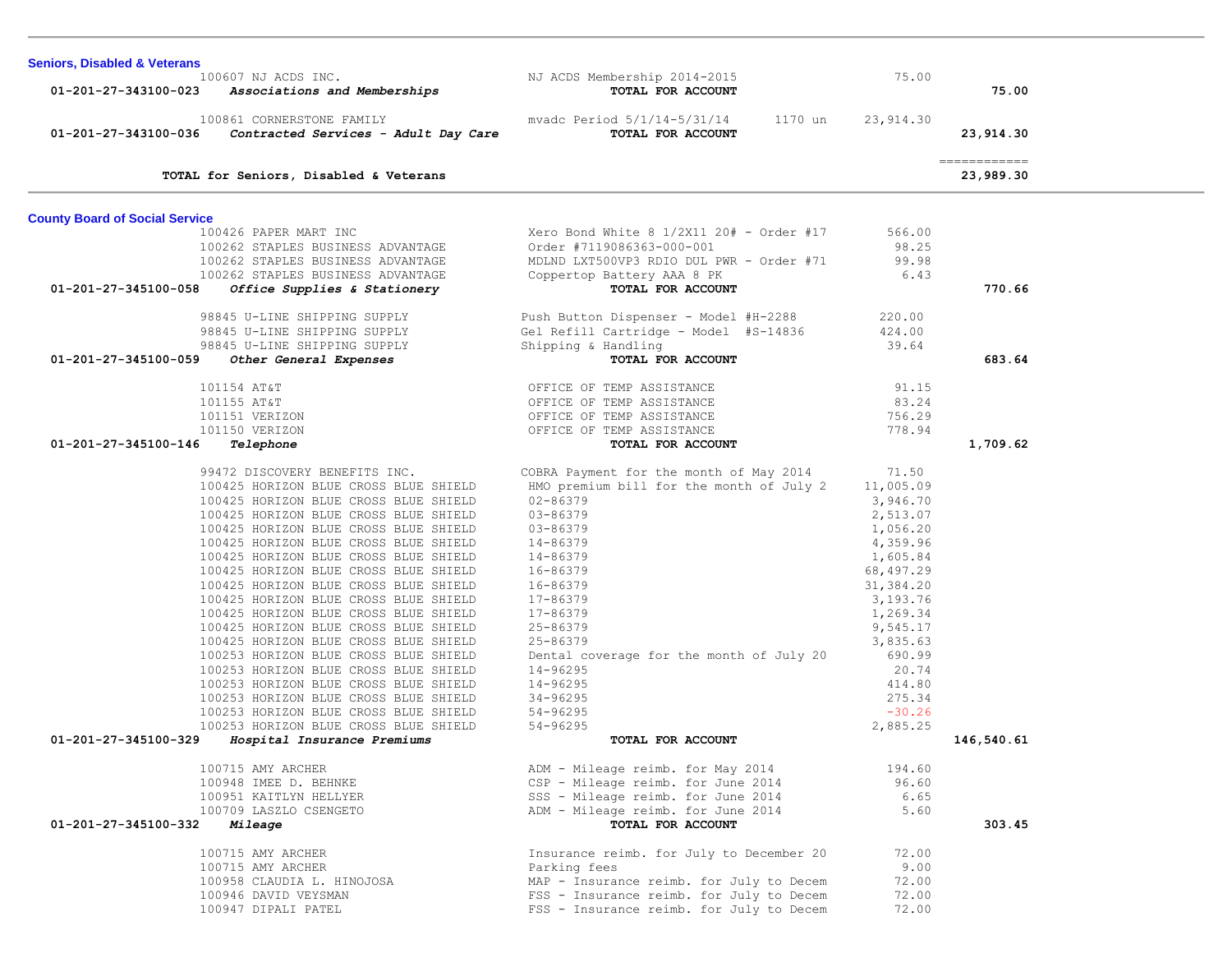| <b>Seniors, Disabled &amp; Veterans</b> |                                        |                                            |           |                            |
|-----------------------------------------|----------------------------------------|--------------------------------------------|-----------|----------------------------|
|                                         | 100607 NJ ACDS INC.                    | NJ ACDS Membership 2014-2015               | 75.00     |                            |
| 01-201-27-343100-023                    | Associations and Memberships           | TOTAL FOR ACCOUNT                          |           | 75.00                      |
|                                         | 100861 CORNERSTONE FAMILY              | mvadc Period 5/1/14-5/31/14<br>1170 un     | 23,914.30 |                            |
| 01-201-27-343100-036                    | Contracted Services - Adult Day Care   | TOTAL FOR ACCOUNT                          |           | 23,914.30                  |
|                                         | TOTAL for Seniors, Disabled & Veterans |                                            |           | -------------<br>23,989.30 |
|                                         |                                        |                                            |           |                            |
| <b>County Board of Social Service</b>   | 100426 PAPER MART INC                  | Xero Bond White $8$ 1/2X11 20# - Order #17 | 566.00    |                            |
|                                         | 100262 STAPLES BUSINESS ADVANTAGE      | Order #7119086363-000-001                  | 98.25     |                            |
|                                         | 100262 STAPLES BUSINESS ADVANTAGE      | MDLND LXT500VP3 RDIO DUL PWR - Order #71   | 99.98     |                            |
|                                         | 100262 STAPLES BUSINESS ADVANTAGE      | Coppertop Battery AAA 8 PK                 | 6.43      |                            |
| 01-201-27-345100-058                    | Office Supplies & Stationery           | TOTAL FOR ACCOUNT                          |           | 770.66                     |
|                                         |                                        |                                            |           |                            |
|                                         | 98845 U-LINE SHIPPING SUPPLY           | Push Button Dispenser - Model #H-2288      | 220.00    |                            |
|                                         | 98845 U-LINE SHIPPING SUPPLY           | Gel Refill Cartridge - Model #S-14836      | 424.00    |                            |
|                                         | 98845 U-LINE SHIPPING SUPPLY           | Shipping & Handling                        | 39.64     |                            |
| 01-201-27-345100-059                    | Other General Expenses                 | TOTAL FOR ACCOUNT                          |           | 683.64                     |
|                                         |                                        |                                            |           |                            |
|                                         | 101154 AT&T                            | OFFICE OF TEMP ASSISTANCE                  | 91.15     |                            |
|                                         | 101155 AT&T                            | OFFICE OF TEMP ASSISTANCE                  | 83.24     |                            |
|                                         | 101151 VERIZON                         | OFFICE OF TEMP ASSISTANCE                  | 756.29    |                            |
|                                         | 101150 VERIZON                         | OFFICE OF TEMP ASSISTANCE                  | 778.94    |                            |
| 01-201-27-345100-146                    | Telephone                              | TOTAL FOR ACCOUNT                          |           | 1,709.62                   |
|                                         | 99472 DISCOVERY BENEFITS INC.          | COBRA Payment for the month of May 2014    | 71.50     |                            |
|                                         | 100425 HORIZON BLUE CROSS BLUE SHIELD  | HMO premium bill for the month of July 2   | 11,005.09 |                            |
|                                         | 100425 HORIZON BLUE CROSS BLUE SHIELD  | $02 - 86379$                               | 3,946.70  |                            |
|                                         | 100425 HORIZON BLUE CROSS BLUE SHIELD  | 03-86379                                   | 2,513.07  |                            |
|                                         | 100425 HORIZON BLUE CROSS BLUE SHIELD  | 03-86379                                   | 1,056.20  |                            |
|                                         | 100425 HORIZON BLUE CROSS BLUE SHIELD  | 14-86379                                   | 4,359.96  |                            |
|                                         | 100425 HORIZON BLUE CROSS BLUE SHIELD  | 14-86379                                   | 1,605.84  |                            |
|                                         | 100425 HORIZON BLUE CROSS BLUE SHIELD  | 16-86379                                   | 68,497.29 |                            |
|                                         | 100425 HORIZON BLUE CROSS BLUE SHIELD  | 16-86379                                   | 31,384.20 |                            |
|                                         | 100425 HORIZON BLUE CROSS BLUE SHIELD  | 17-86379                                   | 3,193.76  |                            |
|                                         | 100425 HORIZON BLUE CROSS BLUE SHIELD  | 17-86379                                   | 1,269.34  |                            |
|                                         | 100425 HORIZON BLUE CROSS BLUE SHIELD  | 25-86379                                   | 9,545.17  |                            |
|                                         | 100425 HORIZON BLUE CROSS BLUE SHIELD  | 25-86379                                   | 3,835.63  |                            |
|                                         | 100253 HORIZON BLUE CROSS BLUE SHIELD  | Dental coverage for the month of July 20   | 690.99    |                            |
|                                         | 100253 HORIZON BLUE CROSS BLUE SHIELD  | 14-96295                                   | 20.74     |                            |
|                                         | 100253 HORIZON BLUE CROSS BLUE SHIELD  | 14-96295                                   | 414.80    |                            |
|                                         | 100253 HORIZON BLUE CROSS BLUE SHIELD  | $34 - 96295$                               | 275.34    |                            |
|                                         | 100253 HORIZON BLUE CROSS BLUE SHIELD  | 54-96295                                   | $-30.26$  |                            |
|                                         | 100253 HORIZON BLUE CROSS BLUE SHIELD  | 54-96295                                   | 2,885.25  |                            |
| 01-201-27-345100-329                    | Hospital Insurance Premiums            | TOTAL FOR ACCOUNT                          |           | 146,540.61                 |
|                                         | 100715 AMY ARCHER                      | ADM - Mileage reimb. for May 2014          | 194.60    |                            |
|                                         | 100948 IMEE D. BEHNKE                  | CSP - Mileage reimb. for June 2014         | 96.60     |                            |
|                                         | 100951 KAITLYN HELLYER                 | SSS - Mileage reimb. for June 2014         | 6.65      |                            |
|                                         | 100709 LASZLO CSENGETO                 | ADM - Mileage reimb. for June 2014         | 5.60      |                            |
| 01-201-27-345100-332                    | Mileage                                | TOTAL FOR ACCOUNT                          |           | 303.45                     |
|                                         | 100715 AMY ARCHER                      | Insurance reimb. for July to December 20   | 72.00     |                            |
|                                         | 100715 AMY ARCHER                      | Parking fees                               | 9.00      |                            |
|                                         | 100958 CLAUDIA L. HINOJOSA             | MAP - Insurance reimb. for July to Decem   | 72.00     |                            |
|                                         | 100946 DAVID VEYSMAN                   | FSS - Insurance reimb. for July to Decem   | 72.00     |                            |
|                                         | 100947 DIPALI PATEL                    | FSS - Insurance reimb. for July to Decem   | 72.00     |                            |
|                                         |                                        |                                            |           |                            |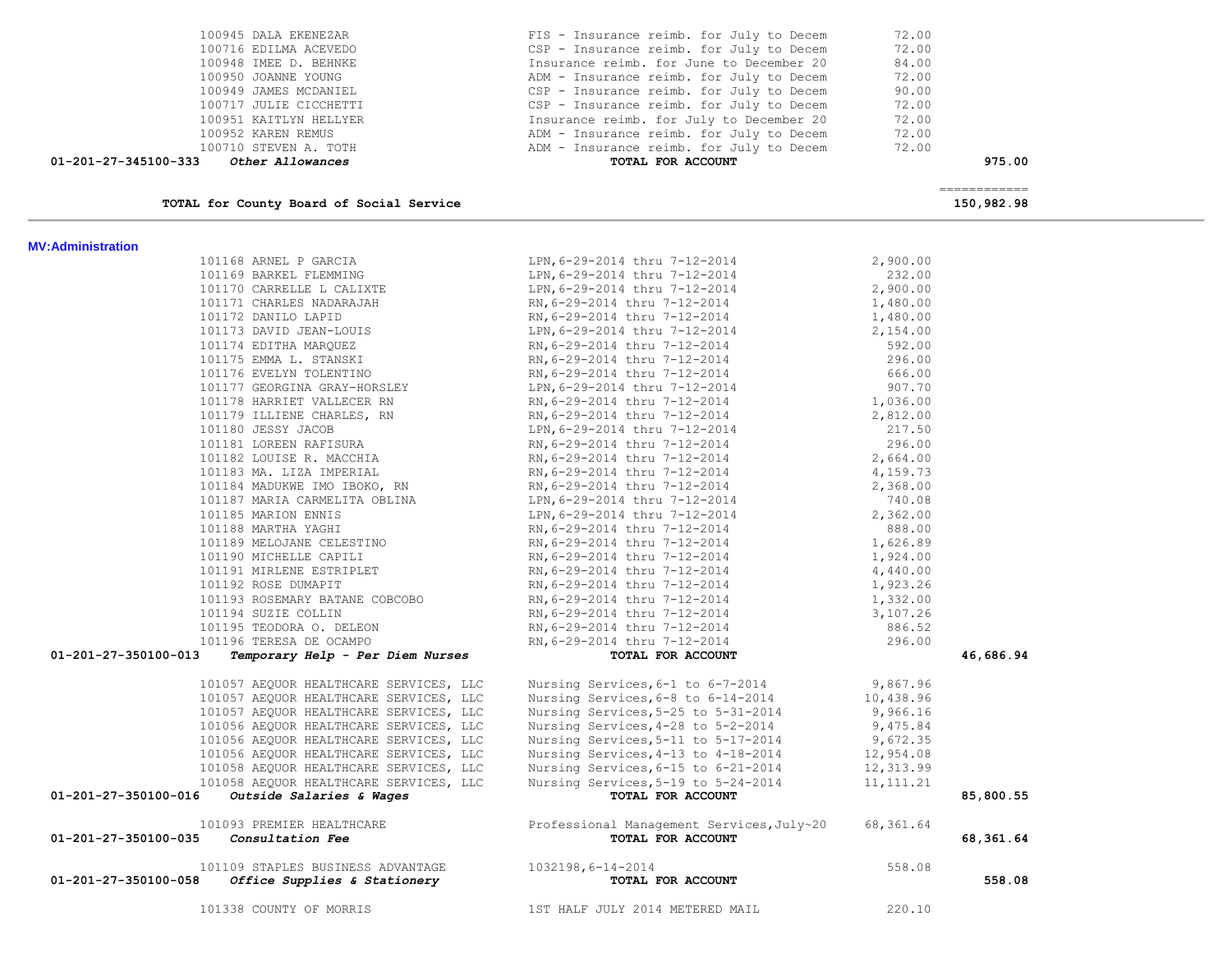| 100949 JAMES MCDANIEL<br>01-201-27-345100-333 Other Allowances                                            | CSP - Insurance reimb. for July to Decem<br>100717 JULIE CICCHETTI<br>100717 JULIE CICCHETTI<br>100951 KAITLYN HELLYER<br>100952 KAREN REMUS<br>100710 STEVEN A. TOTH<br>100710 STEVEN A. TOTH<br>200962 KAREN REMUS<br>200962 KAREN REMUS<br>200962 KAREN REMUS<br>200962 KAREN REMUS<br>2009<br>TOTAL FOR ACCOUNT | 90.00<br>72.00<br>72.00<br>72.00<br>72.00 | 975.00                                                                                                                                                                                                                                                                                                                                                                                                                                                                                 |
|-----------------------------------------------------------------------------------------------------------|---------------------------------------------------------------------------------------------------------------------------------------------------------------------------------------------------------------------------------------------------------------------------------------------------------------------|-------------------------------------------|----------------------------------------------------------------------------------------------------------------------------------------------------------------------------------------------------------------------------------------------------------------------------------------------------------------------------------------------------------------------------------------------------------------------------------------------------------------------------------------|
|                                                                                                           |                                                                                                                                                                                                                                                                                                                     |                                           | $\begin{array}{cccccccccc} \multicolumn{2}{c}{} & \multicolumn{2}{c}{} & \multicolumn{2}{c}{} & \multicolumn{2}{c}{} & \multicolumn{2}{c}{} & \multicolumn{2}{c}{} & \multicolumn{2}{c}{} & \multicolumn{2}{c}{} & \multicolumn{2}{c}{} & \multicolumn{2}{c}{} & \multicolumn{2}{c}{} & \multicolumn{2}{c}{} & \multicolumn{2}{c}{} & \multicolumn{2}{c}{} & \multicolumn{2}{c}{} & \multicolumn{2}{c}{} & \multicolumn{2}{c}{} & \multicolumn{2}{c}{} & \multicolumn{2}{c}{} & \mult$ |
| TOTAL for County Board of Social Service                                                                  |                                                                                                                                                                                                                                                                                                                     |                                           | 150,982.98                                                                                                                                                                                                                                                                                                                                                                                                                                                                             |
| <b>MV:Administration</b>                                                                                  |                                                                                                                                                                                                                                                                                                                     |                                           |                                                                                                                                                                                                                                                                                                                                                                                                                                                                                        |
| 101168 ARNEL P GARCIA (LPN, 6-29-2014 thru 7-12-2014)                                                     |                                                                                                                                                                                                                                                                                                                     | 2,900.00                                  |                                                                                                                                                                                                                                                                                                                                                                                                                                                                                        |
| 101169 BARKEL FLEMMING                                                                                    | LPN, 6-29-2014 thru 7-12-2014<br>LPN, 6-29-2014 thru 7-12-2014                                                                                                                                                                                                                                                      | 232.00                                    |                                                                                                                                                                                                                                                                                                                                                                                                                                                                                        |
| 101170 CARRELLE L CALIXTE                                                                                 |                                                                                                                                                                                                                                                                                                                     | 2,900.00                                  |                                                                                                                                                                                                                                                                                                                                                                                                                                                                                        |
| 101171 CHARLES NADARAJAH RN, 6-29-2014 thru 7-12-2014<br>101172 DANILO LAPID RN, 6-29-2014 thru 7-12-2014 |                                                                                                                                                                                                                                                                                                                     | 1,480.00                                  |                                                                                                                                                                                                                                                                                                                                                                                                                                                                                        |
|                                                                                                           |                                                                                                                                                                                                                                                                                                                     | 1,480.00                                  |                                                                                                                                                                                                                                                                                                                                                                                                                                                                                        |
| 101173 DAVID JEAN-LOUIS                                                                                   | LPN, 6-29-2014 thru 7-12-2014                                                                                                                                                                                                                                                                                       | 2,154.00                                  |                                                                                                                                                                                                                                                                                                                                                                                                                                                                                        |
|                                                                                                           |                                                                                                                                                                                                                                                                                                                     | 592.00                                    |                                                                                                                                                                                                                                                                                                                                                                                                                                                                                        |
|                                                                                                           | 101174 EDITHA MARQUEZ<br>101174 EDITHA MARQUEZ<br>101175 EMMA L. STANSKI<br>101175 EMMA L. STANSKI<br>101176 EVELYN TOLENTINO<br>101176 EVELYN TOLENTINO<br>101177 GEORGINA GRAY-HORSLEY<br>101179 ILIENER CHARLES, RN<br>101179 ILIENER CHARL                                                                      | 296.00                                    |                                                                                                                                                                                                                                                                                                                                                                                                                                                                                        |
|                                                                                                           |                                                                                                                                                                                                                                                                                                                     | 666.00                                    |                                                                                                                                                                                                                                                                                                                                                                                                                                                                                        |
|                                                                                                           |                                                                                                                                                                                                                                                                                                                     | 907.70                                    |                                                                                                                                                                                                                                                                                                                                                                                                                                                                                        |
|                                                                                                           |                                                                                                                                                                                                                                                                                                                     | 1,036.00                                  |                                                                                                                                                                                                                                                                                                                                                                                                                                                                                        |
|                                                                                                           |                                                                                                                                                                                                                                                                                                                     | 2,812.00<br>217.50                        |                                                                                                                                                                                                                                                                                                                                                                                                                                                                                        |
| 101180 JESSY JACOB                                                                                        | LPN, 6-29-2014 thru 7-12-2014                                                                                                                                                                                                                                                                                       | 296.00                                    |                                                                                                                                                                                                                                                                                                                                                                                                                                                                                        |
|                                                                                                           | 101181 LOREEN RAFISURA<br>101182 LOUISE R. MACCHIA<br>101183 MA. LIZA IMPERIAL<br>101183 MA. LIZA IMPERIAL<br>101184 MADUKWE IMO IBOKO, RN RN, 6-29-2014 thru 7-12-2014<br>101184 MADUKWE IMO IBOKO, RN RN, 6-29-2014 thru 7-12-2014<br>10                                                                          | 2,664.00                                  |                                                                                                                                                                                                                                                                                                                                                                                                                                                                                        |
|                                                                                                           |                                                                                                                                                                                                                                                                                                                     | 4,159.73                                  |                                                                                                                                                                                                                                                                                                                                                                                                                                                                                        |
|                                                                                                           |                                                                                                                                                                                                                                                                                                                     | 2,368.00                                  |                                                                                                                                                                                                                                                                                                                                                                                                                                                                                        |
|                                                                                                           |                                                                                                                                                                                                                                                                                                                     | 740.08                                    |                                                                                                                                                                                                                                                                                                                                                                                                                                                                                        |
| 101185 MARION ENNIS                                                                                       |                                                                                                                                                                                                                                                                                                                     | 2,362.00                                  |                                                                                                                                                                                                                                                                                                                                                                                                                                                                                        |
| 101188 MARTHA YAGHI                                                                                       | LPN, 6-29-2014 thru 7-12-2014<br>RN, 6-29-2014 thru 7-12-2014<br>RN, 6-29-2014 thru 7-12-2014<br>RN, 6-29-2014 thru 7-12-2014<br>RN, 6-29-2014 thru 7-12-2014<br>RN, 6-29-2014 thru 7-12-2014<br>RN, 6-29-2014 thru 7-12-2014                                                                                       | 888.00                                    |                                                                                                                                                                                                                                                                                                                                                                                                                                                                                        |
| 101189 MELOJANE CELESTINO                                                                                 |                                                                                                                                                                                                                                                                                                                     | 1,626.89                                  |                                                                                                                                                                                                                                                                                                                                                                                                                                                                                        |
| 101190 MICHELLE CAPILI                                                                                    |                                                                                                                                                                                                                                                                                                                     | 1,924.00                                  |                                                                                                                                                                                                                                                                                                                                                                                                                                                                                        |
| 101191 MIRLENE ESTRIPLET                                                                                  |                                                                                                                                                                                                                                                                                                                     | 4,440.00                                  |                                                                                                                                                                                                                                                                                                                                                                                                                                                                                        |
| 101192 ROSE DUMAPIT                                                                                       |                                                                                                                                                                                                                                                                                                                     | 1,923.26                                  |                                                                                                                                                                                                                                                                                                                                                                                                                                                                                        |
| 101193 ROSEMARY BATANE COBCOBO                                                                            |                                                                                                                                                                                                                                                                                                                     | 1,332.00                                  |                                                                                                                                                                                                                                                                                                                                                                                                                                                                                        |
| 101194 SUZIE COLLIN                                                                                       |                                                                                                                                                                                                                                                                                                                     | 3,107.26                                  |                                                                                                                                                                                                                                                                                                                                                                                                                                                                                        |
| 101195 TEODORA O. DELEON                                                                                  |                                                                                                                                                                                                                                                                                                                     | 886.52                                    |                                                                                                                                                                                                                                                                                                                                                                                                                                                                                        |
| 101196 TERESA DE OCAMPO                                                                                   | RN, 6-29-2014 thru 7-12-2014<br>RN, 6-29-2014 thru 7-12-2014<br>RN, 6-29-2014 thru 7-12-2014<br>RN, 6-29-2014 thru 7-12-2014                                                                                                                                                                                        | 296.00                                    |                                                                                                                                                                                                                                                                                                                                                                                                                                                                                        |
| 01-201-27-350100-013<br>Temporary Help - Per Diem Nurses                                                  | TOTAL FOR ACCOUNT                                                                                                                                                                                                                                                                                                   |                                           | 46,686.94                                                                                                                                                                                                                                                                                                                                                                                                                                                                              |
| 101057 AEQUOR HEALTHCARE SERVICES, LLC                                                                    |                                                                                                                                                                                                                                                                                                                     | 9,867.96                                  |                                                                                                                                                                                                                                                                                                                                                                                                                                                                                        |
| 101057 AEQUOR HEALTHCARE SERVICES, LLC                                                                    | Nursing Services, $6-1$ to $6-7-2014$<br>Nursing Services, $6-8$ to $6-14-2014$                                                                                                                                                                                                                                     | 10,438.96                                 |                                                                                                                                                                                                                                                                                                                                                                                                                                                                                        |
| 101057 AEOUOR HEALTHCARE SERVICES, LLC                                                                    | Nursing Services, 5-25 to 5-31-2014                                                                                                                                                                                                                                                                                 | 9,966.16                                  |                                                                                                                                                                                                                                                                                                                                                                                                                                                                                        |
| 101056 AEQUOR HEALTHCARE SERVICES, LLC                                                                    | Nursing Services, 4-28 to 5-2-2014                                                                                                                                                                                                                                                                                  | 9,475.84                                  |                                                                                                                                                                                                                                                                                                                                                                                                                                                                                        |
| 101056 AEQUOR HEALTHCARE SERVICES, LLC                                                                    | Nursing Services, 5-11 to 5-17-2014                                                                                                                                                                                                                                                                                 | 9,672.35                                  |                                                                                                                                                                                                                                                                                                                                                                                                                                                                                        |
| 101056 AEQUOR HEALTHCARE SERVICES, LLC                                                                    | Nursing Services, 4-13 to 4-18-2014                                                                                                                                                                                                                                                                                 | 12,954.08                                 |                                                                                                                                                                                                                                                                                                                                                                                                                                                                                        |
| 101058 AEQUOR HEALTHCARE SERVICES, LLC                                                                    | Nursing Services, 6-15 to 6-21-2014                                                                                                                                                                                                                                                                                 | 12,313.99                                 |                                                                                                                                                                                                                                                                                                                                                                                                                                                                                        |
| 101058 AEQUOR HEALTHCARE SERVICES, LLC                                                                    | Nursing Services, 5-19 to 5-24-2014                                                                                                                                                                                                                                                                                 | 11, 111. 21                               |                                                                                                                                                                                                                                                                                                                                                                                                                                                                                        |
| 01-201-27-350100-016 Outside Salaries & Wages                                                             | TOTAL FOR ACCOUNT                                                                                                                                                                                                                                                                                                   |                                           | 85,800.55                                                                                                                                                                                                                                                                                                                                                                                                                                                                              |
| 101093 PREMIER HEALTHCARE<br>01-201-27-350100-035 Consultation Fee                                        | Professional Management Services, July~20<br>TOTAL FOR ACCOUNT                                                                                                                                                                                                                                                      | 68,361.64                                 | 68,361.64                                                                                                                                                                                                                                                                                                                                                                                                                                                                              |
| 101109 STAPLES BUSINESS ADVANTAGE                                                                         | 1032198,6-14-2014                                                                                                                                                                                                                                                                                                   | 558.08                                    |                                                                                                                                                                                                                                                                                                                                                                                                                                                                                        |
| 01-201-27-350100-058<br>Office Supplies & Stationery                                                      | TOTAL FOR ACCOUNT                                                                                                                                                                                                                                                                                                   |                                           | 558.08                                                                                                                                                                                                                                                                                                                                                                                                                                                                                 |
| 101338 COUNTY OF MORRIS                                                                                   | 1ST HALF JULY 2014 METERED MAIL                                                                                                                                                                                                                                                                                     | 220.10                                    |                                                                                                                                                                                                                                                                                                                                                                                                                                                                                        |

100945 DALA EKENEZAR FIS - Insurance reimb. for July to Decem 72.00<br>100716 EDILMA ACEVEDO CSP - Insurance reimb. for July to Decem 72.00 100716 EDILMA ACEVEDO CSP - Insurance reimb. for July to Decem 72.00<br>100948 IMEE D. BEHNKE COME CONTRAGEMENT CONTRACTED FOR THE SECTION RALL RESPONDENT COME ACTIONAL CONTRACTED BA 100948 IMEE D. BEHNKE Insurance reimb. for June to December 20 84.00

ADM - Insurance reimb. for July to Decem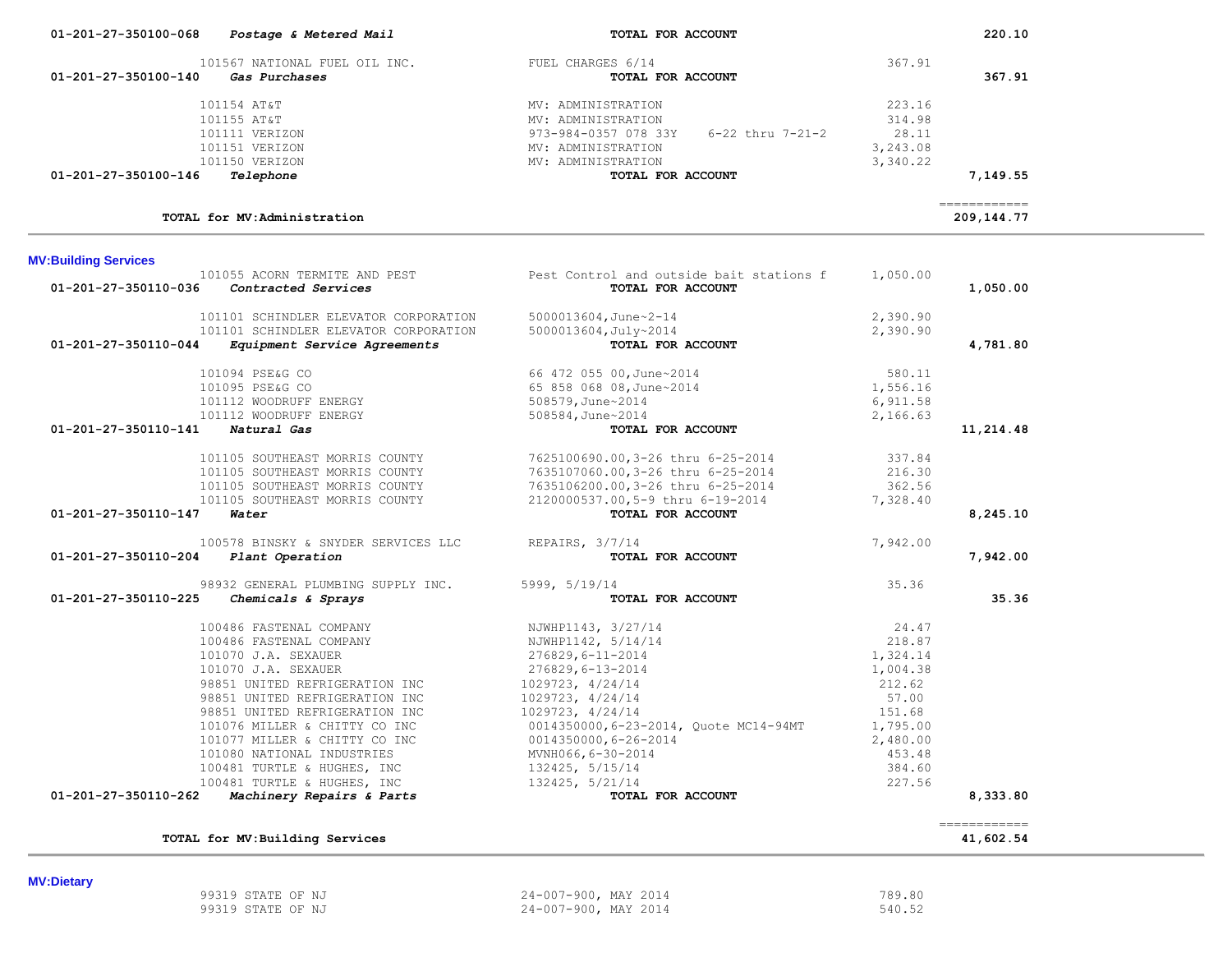| 01-201-27-350100-068        | Postage & Metered Mail                          | TOTAL FOR ACCOUNT                                  |          | 220.10                     |
|-----------------------------|-------------------------------------------------|----------------------------------------------------|----------|----------------------------|
|                             | 101567 NATIONAL FUEL OIL INC. FUEL CHARGES 6/14 |                                                    | 367.91   |                            |
| 01-201-27-350100-140        | Gas Purchases                                   | TOTAL FOR ACCOUNT                                  |          | 367.91                     |
|                             |                                                 |                                                    |          |                            |
|                             | 101154 AT&T                                     | MV: ADMINISTRATION                                 | 223.16   |                            |
|                             | 101155 AT&T                                     | MV: ADMINISTRATION                                 | 314.98   |                            |
|                             | 101111 VERIZON                                  | 973-984-0357 078 33Y<br>$6 - 22$ thru $7 - 21 - 2$ | 28.11    |                            |
|                             | 101151 VERIZON                                  | MV: ADMINISTRATION                                 | 3,243.08 |                            |
|                             | 101150 VERIZON                                  | MV: ADMINISTRATION                                 | 3,340.22 |                            |
| 01-201-27-350100-146        | Telephone                                       | TOTAL FOR ACCOUNT                                  |          | 7,149.55                   |
|                             | TOTAL for MV:Administration                     |                                                    |          | ------------<br>209,144.77 |
| <b>MV:Building Services</b> |                                                 |                                                    |          |                            |
|                             | 101055 ACORN TERMITE AND PEST                   | Pest Control and outside bait stations f           | 1,050.00 |                            |
| 01-201-27-350110-036        | Contracted Services                             | TOTAL FOR ACCOUNT                                  |          | 1,050.00                   |
|                             | 101101 SCHINDLER ELEVATOR CORPORATION           | 5000013604, June~2-14                              | 2,390.90 |                            |
|                             | 101101 SCHINDLER ELEVATOR CORPORATION           | 5000013604, July~2014                              | 2,390.90 |                            |
| 01-201-27-350110-044        | Equipment Service Agreements                    | TOTAL FOR ACCOUNT                                  |          | 4,781.80                   |
|                             | 101094 PSE&G CO                                 | 66 472 055 00, June~2014                           | 580.11   |                            |
|                             | 101095 PSE&G CO                                 | 65 858 068 08, June~2014                           | 1,556.16 |                            |
|                             | 101112 WOODRUFF ENERGY                          | 508579, June~2014                                  | 6,911.58 |                            |
|                             | 101112 WOODRUFF ENERGY                          | 508584, June~2014                                  | 2,166.63 |                            |
| 01-201-27-350110-141        | Natural Gas                                     | TOTAL FOR ACCOUNT                                  |          | 11,214.48                  |
|                             | 101105 SOUTHEAST MORRIS COUNTY                  | 7625100690.00, 3-26 thru 6-25-2014                 | 337.84   |                            |
|                             | 101105 SOUTHEAST MORRIS COUNTY                  | 7635107060.00,3-26 thru 6-25-2014                  | 216.30   |                            |
|                             | 101105 SOUTHEAST MORRIS COUNTY                  | 7635106200.00,3-26 thru 6-25-2014                  | 362.56   |                            |
|                             | 101105 SOUTHEAST MORRIS COUNTY                  | 2120000537.00,5-9 thru 6-19-2014                   | 7,328.40 |                            |
| 01-201-27-350110-147        | Water                                           | TOTAL FOR ACCOUNT                                  |          | 8,245.10                   |
|                             | 100578 BINSKY & SNYDER SERVICES LLC             | REPAIRS, 3/7/14                                    | 7,942.00 |                            |
| 01-201-27-350110-204        | Plant Operation                                 | TOTAL FOR ACCOUNT                                  |          | 7,942.00                   |
|                             | 98932 GENERAL PLUMBING SUPPLY INC.              | 5999, 5/19/14                                      | 35.36    |                            |
| 01-201-27-350110-225        | Chemicals & Sprays                              | TOTAL FOR ACCOUNT                                  |          | 35.36                      |
|                             | 100486 FASTENAL COMPANY                         | NJWHP1143, 3/27/14                                 | 24.47    |                            |
|                             | 100486 FASTENAL COMPANY                         | NJWHP1142, 5/14/14                                 | 218.87   |                            |
|                             | 101070 J.A. SEXAUER                             | $276829, 6 - 11 - 2014$                            | 1,324.14 |                            |
|                             | 101070 J.A. SEXAUER                             | 276829,6-13-2014                                   | 1,004.38 |                            |
|                             | 98851 UNITED REFRIGERATION INC                  | 1029723, 4/24/14                                   | 212.62   |                            |
|                             | 98851 UNITED REFRIGERATION INC                  | 1029723, 4/24/14                                   | 57.00    |                            |
|                             | 98851 UNITED REFRIGERATION INC                  | 1029723, 4/24/14                                   | 151.68   |                            |
|                             | 101076 MILLER & CHITTY CO INC                   | 0014350000, 6-23-2014, Quote MC14-94MT             | 1,795.00 |                            |
|                             | 101077 MILLER & CHITTY CO INC                   | $0014350000, 6 - 26 - 2014$                        | 2,480.00 |                            |
|                             | 101080 NATIONAL INDUSTRIES                      | MVNH066, 6-30-2014                                 | 453.48   |                            |
|                             | 100481 TURTLE & HUGHES, INC                     | 132425, 5/15/14                                    | 384.60   |                            |
|                             | 100481 TURTLE & HUGHES, INC                     | 132425, 5/21/14                                    | 227.56   |                            |
| 01-201-27-350110-262        | Machinery Repairs & Parts                       | TOTAL FOR ACCOUNT                                  |          | 8,333.80                   |
|                             |                                                 |                                                    |          | ============               |
|                             | TOTAL for MV: Building Services                 |                                                    |          | 41,602.54                  |

**MV:Dietary** 

99319 STATE OF NJ 24-007-900, MAY 2014 540.52

99319 STATE OF NJ 24-007-900, MAY 2014 789.80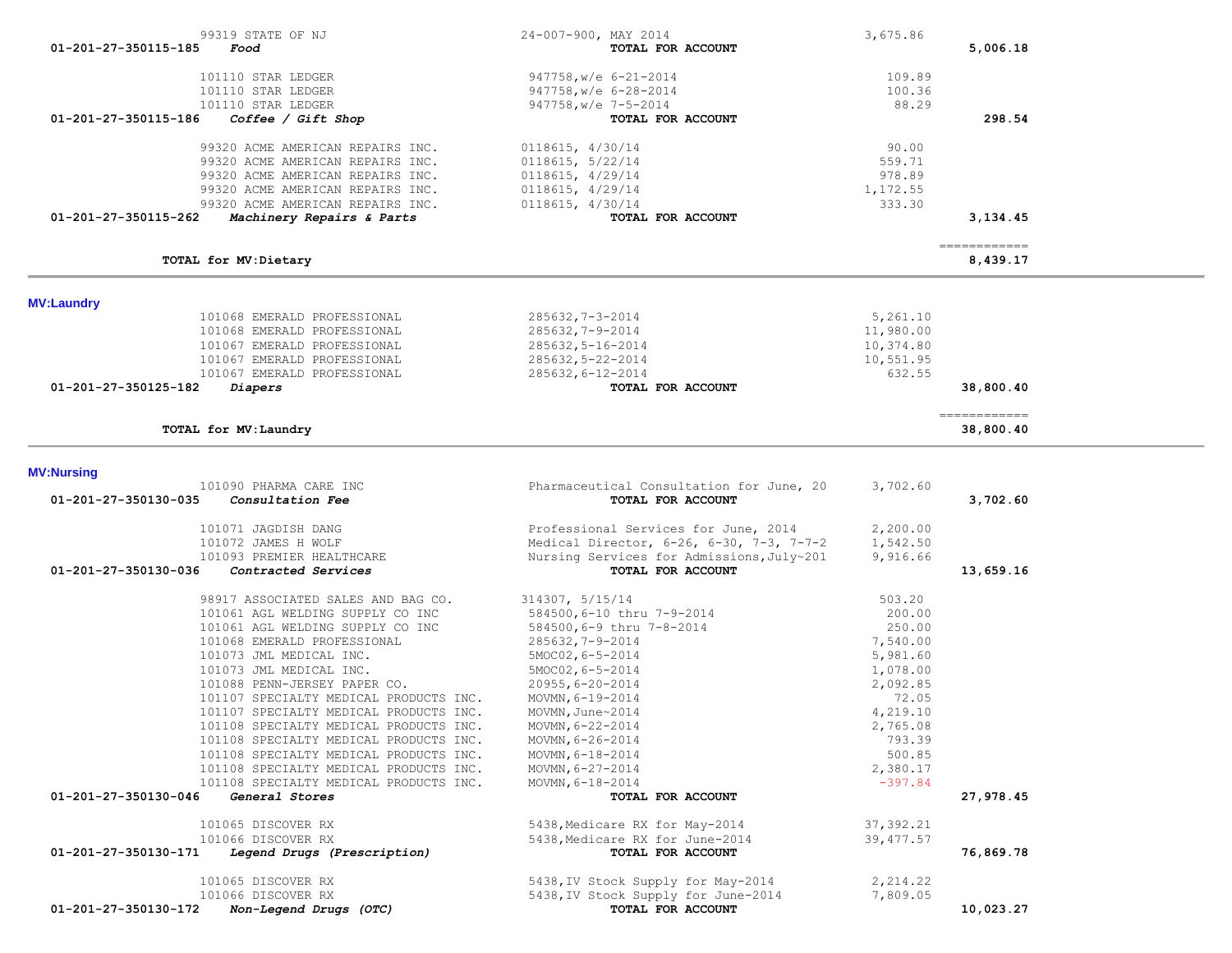| 99319 STATE OF NJ                                                        | 24-007-900, MAY 2014                                           | 3,675.86             |                            |
|--------------------------------------------------------------------------|----------------------------------------------------------------|----------------------|----------------------------|
| 01-201-27-350115-185<br>Food                                             | TOTAL FOR ACCOUNT                                              |                      | 5,006.18                   |
| 101110 STAR LEDGER                                                       | $947758$ , w/e $6-21-2014$                                     | 109.89               |                            |
| 101110 STAR LEDGER                                                       | 947758, w/e 6-28-2014                                          | 100.36               |                            |
| 101110 STAR LEDGER                                                       | 947758, w/e 7-5-2014                                           | 88.29                |                            |
| 01-201-27-350115-186<br>Coffee / Giff Shop                               | TOTAL FOR ACCOUNT                                              |                      | 298.54                     |
| 99320 ACME AMERICAN REPAIRS INC.                                         | 0118615, 4/30/14                                               | 90.00                |                            |
| 99320 ACME AMERICAN REPAIRS INC.                                         | 0118615, 5/22/14                                               | 559.71               |                            |
| 99320 ACME AMERICAN REPAIRS INC.                                         | 0118615, 4/29/14                                               | 978.89               |                            |
| 99320 ACME AMERICAN REPAIRS INC.<br>99320 ACME AMERICAN REPAIRS INC.     | 0118615, 4/29/14<br>0118615, 4/30/14                           | 1,172.55<br>333.30   |                            |
| 01-201-27-350115-262<br>Machinery Repairs & Parts                        | TOTAL FOR ACCOUNT                                              |                      | 3,134.45                   |
|                                                                          |                                                                |                      | -------------              |
| TOTAL for MV: Dietary                                                    |                                                                |                      | 8,439.17                   |
|                                                                          |                                                                |                      |                            |
| <b>MV:Laundry</b><br>101068 EMERALD PROFESSIONAL                         | $285632, 7 - 3 - 2014$                                         | 5,261.10             |                            |
| 101068 EMERALD PROFESSIONAL                                              | $285632, 7 - 9 - 2014$                                         | 11,980.00            |                            |
| 101067 EMERALD PROFESSIONAL                                              | 285632,5-16-2014                                               | 10,374.80            |                            |
| 101067 EMERALD PROFESSIONAL                                              | 285632, 5-22-2014                                              | 10,551.95            |                            |
| 101067 EMERALD PROFESSIONAL                                              | 285632,6-12-2014                                               | 632.55               |                            |
| 01-201-27-350125-182<br>Diapers                                          | TOTAL FOR ACCOUNT                                              |                      | 38,800.40                  |
| TOTAL for MV: Laundry                                                    |                                                                |                      | -------------<br>38,800.40 |
|                                                                          |                                                                |                      |                            |
| <b>MV:Nursing</b>                                                        |                                                                |                      |                            |
| 101090 PHARMA CARE INC                                                   | Pharmaceutical Consultation for June, 20                       | 3,702.60             |                            |
| 01-201-27-350130-035<br>Consultation Fee                                 | TOTAL FOR ACCOUNT                                              |                      | 3,702.60                   |
| 101071 JAGDISH DANG                                                      | Professional Services for June, 2014                           | 2,200.00             |                            |
| 101072 JAMES H WOLF                                                      | Medical Director, 6-26, 6-30, 7-3, 7-7-2                       | 1,542.50             |                            |
| 101093 PREMIER HEALTHCARE<br>01-201-27-350130-036<br>Contracted Services | Nursing Services for Admissions, July~201<br>TOTAL FOR ACCOUNT | 9,916.66             | 13,659.16                  |
|                                                                          |                                                                |                      |                            |
| 98917 ASSOCIATED SALES AND BAG CO.                                       | 314307, 5/15/14                                                | 503.20               |                            |
| 101061 AGL WELDING SUPPLY CO INC                                         | 584500, 6-10 thru 7-9-2014                                     | 200.00               |                            |
| 101061 AGL WELDING SUPPLY CO INC                                         | 584500,6-9 thru 7-8-2014                                       | 250.00               |                            |
| 101068 EMERALD PROFESSIONAL<br>101073 JML MEDICAL INC.                   | $285632, 7 - 9 - 2014$<br>5MOC02, 6-5-2014                     | 7,540.00<br>5,981.60 |                            |
| 101073 JML MEDICAL INC.                                                  | 5MOC02, 6-5-2014                                               | 1,078.00             |                            |
| 101088 PENN-JERSEY PAPER CO.                                             | $20955, 6 - 20 - 2014$                                         | 2,092.85             |                            |
| 101107 SPECIALTY MEDICAL PRODUCTS INC.                                   | MOVMN, $6 - 19 - 2014$                                         | 72.05                |                            |
| 101107 SPECIALTY MEDICAL PRODUCTS INC.                                   | MOVMN, June~2014                                               | 4,219.10             |                            |
| 101108 SPECIALTY MEDICAL PRODUCTS INC.                                   | MOVMN, 6-22-2014                                               | 2,765.08             |                            |
| 101108 SPECIALTY MEDICAL PRODUCTS INC.                                   | MOVMN, 6-26-2014                                               | 793.39               |                            |
| 101108 SPECIALTY MEDICAL PRODUCTS INC.                                   | MOVMN, 6-18-2014                                               | 500.85               |                            |
| 101108 SPECIALTY MEDICAL PRODUCTS INC.                                   | MOVMN, 6-27-2014                                               | 2,380.17             |                            |
| 101108 SPECIALTY MEDICAL PRODUCTS INC.                                   | MOVMN, $6 - 18 - 2014$                                         | $-397.84$            |                            |
| 01-201-27-350130-046<br>General Stores                                   | TOTAL FOR ACCOUNT                                              |                      | 27,978.45                  |
| 101065 DISCOVER RX                                                       | 5438, Medicare RX for May-2014                                 | 37, 392.21           |                            |
| 101066 DISCOVER RX                                                       | 5438, Medicare RX for June-2014                                | 39, 477.57           |                            |
| Legend Drugs (Prescription)<br>01-201-27-350130-171                      | TOTAL FOR ACCOUNT                                              |                      | 76,869.78                  |
| 101065 DISCOVER RX                                                       | 5438, IV Stock Supply for May-2014                             | 2, 214.22            |                            |
| 101066 DISCOVER RX                                                       | 5438, IV Stock Supply for June-2014                            | 7,809.05             |                            |
| 01-201-27-350130-172 Non-Legend Drugs (OTC)                              | TOTAL FOR ACCOUNT                                              |                      | 10,023.27                  |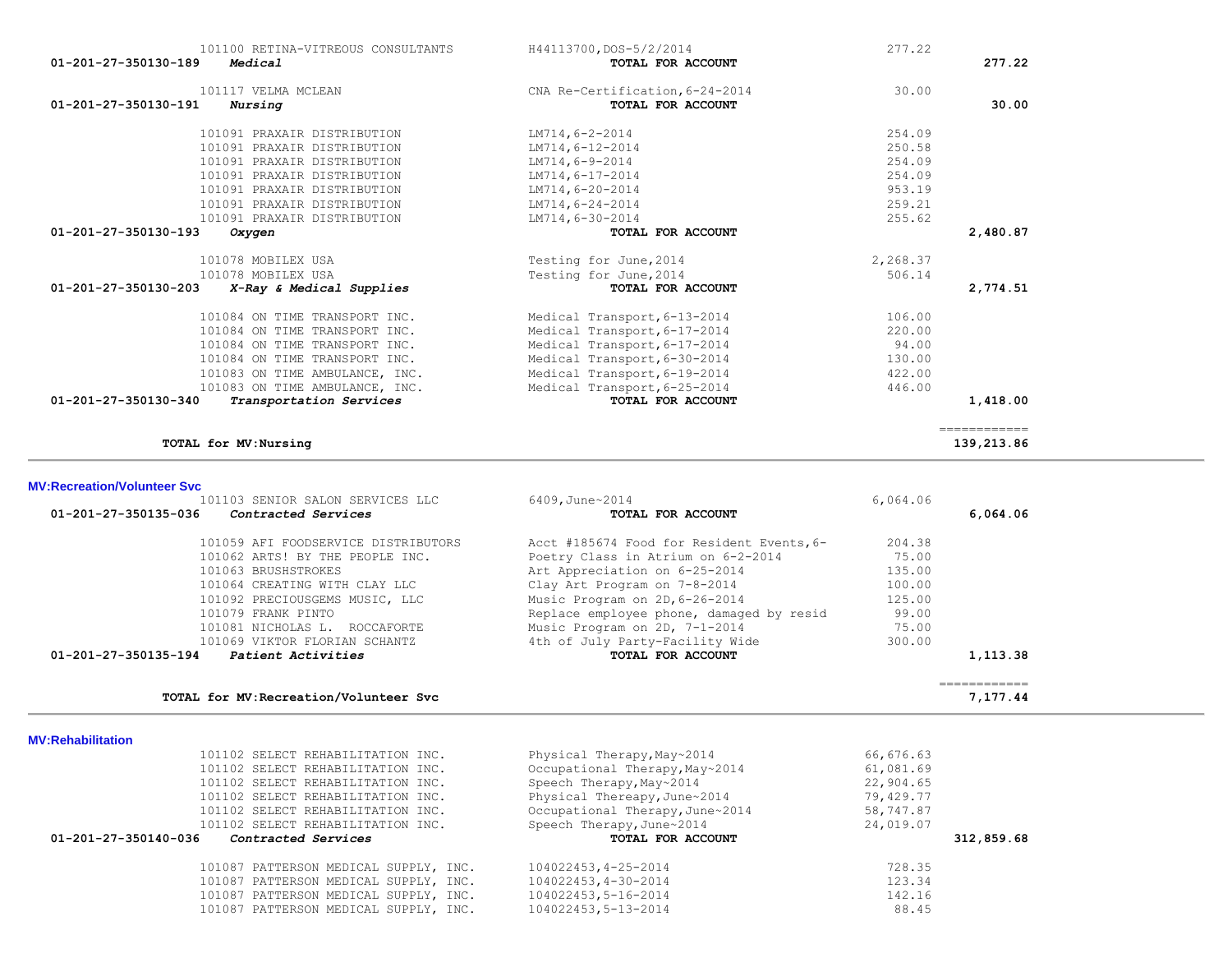| 101100 RETINA-VITREOUS CONSULTANTS<br>01-201-27-350130-189<br>Medical | H44113700, DOS-5/2/2014<br>TOTAL FOR ACCOUNT         | 277.22   | 277.22       |
|-----------------------------------------------------------------------|------------------------------------------------------|----------|--------------|
| 101117 VELMA MCLEAN<br>01-201-27-350130-191<br>Nursing                | CNA Re-Certification, 6-24-2014<br>TOTAL FOR ACCOUNT | 30.00    | 30.00        |
| 101091 PRAXAIR DISTRIBUTION                                           | LM714,6-2-2014                                       | 254.09   |              |
| 101091 PRAXAIR DISTRIBUTION                                           | LM714,6-12-2014                                      | 250.58   |              |
| 101091 PRAXAIR DISTRIBUTION                                           | LM714,6-9-2014                                       | 254.09   |              |
| 101091 PRAXAIR DISTRIBUTION                                           | LM714,6-17-2014                                      | 254.09   |              |
| 101091 PRAXAIR DISTRIBUTION                                           | LM714,6-20-2014                                      | 953.19   |              |
| 101091 PRAXAIR DISTRIBUTION                                           | LM714,6-24-2014                                      | 259.21   |              |
| 101091 PRAXAIR DISTRIBUTION                                           | LM714,6-30-2014                                      | 255.62   |              |
| 01-201-27-350130-193<br>Oxygen                                        | TOTAL FOR ACCOUNT                                    |          | 2,480.87     |
| 101078 MOBILEX USA                                                    | Testing for June, 2014                               | 2,268.37 |              |
| 101078 MOBILEX USA                                                    | Testing for June, 2014                               | 506.14   |              |
| $01 - 201 - 27 - 350130 - 203$<br>X-Ray & Medical Supplies            | TOTAL FOR ACCOUNT                                    |          | 2,774.51     |
| 101084 ON TIME TRANSPORT INC.                                         | Medical Transport, 6-13-2014                         | 106.00   |              |
| 101084 ON TIME TRANSPORT INC.                                         | Medical Transport, 6-17-2014                         | 220.00   |              |
| 101084 ON TIME TRANSPORT INC.                                         | Medical Transport, 6-17-2014                         | 94.00    |              |
| 101084 ON TIME TRANSPORT INC.                                         | Medical Transport, 6-30-2014                         | 130.00   |              |
| 101083 ON TIME AMBULANCE, INC.                                        | Medical Transport, 6-19-2014                         | 422.00   |              |
| 101083 ON TIME AMBULANCE, INC.                                        | Medical Transport, 6-25-2014                         | 446.00   |              |
| 01-201-27-350130-340<br>Transportation Services                       | TOTAL FOR ACCOUNT                                    |          | 1,418.00     |
|                                                                       |                                                      |          | ------------ |
| TOTAL for MV: Nursing                                                 |                                                      |          | 139,213.86   |

## **MV:Recreation/Volunteer Svc**

|                      | 101059 AFI FOODSERVICE DISTRIBUTORS | Acct #185674 Food for Resident Events, 6- | 204.38 |          |
|----------------------|-------------------------------------|-------------------------------------------|--------|----------|
|                      | 101062 ARTS! BY THE PEOPLE INC.     | Poetry Class in Atrium on 6-2-2014        | 75.00  |          |
|                      | 101063 BRUSHSTROKES                 | Art Appreciation on 6-25-2014             | 135.00 |          |
|                      | 101064 CREATING WITH CLAY LLC       | Clay Art Program on 7-8-2014              | 100.00 |          |
|                      | 101092 PRECIOUSGEMS MUSIC, LLC      | Music Program on 2D, 6-26-2014            | 125.00 |          |
|                      | 101079 FRANK PINTO                  | Replace employee phone, damaged by resid  | 99.00  |          |
|                      | 101081 NICHOLAS L. ROCCAFORTE       | Music Program on 2D, 7-1-2014             | 75.00  |          |
|                      | 101069 VIKTOR FLORIAN SCHANTZ       | 4th of July Party-Facility Wide           | 300.00 |          |
| 01-201-27-350135-194 | Patient Activities                  | TOTAL FOR ACCOUNT                         |        | 1,113.38 |

|  | <b>MV:Rehabilitation</b> |  |
|--|--------------------------|--|

| <u>MV.NGHADHILALIVII</u>                    |                                 |            |
|---------------------------------------------|---------------------------------|------------|
| 101102 SELECT REHABILITATION INC.           | Physical Therapy, May~2014      | 66,676.63  |
| 101102 SELECT REHABILITATION INC.           | Occupational Therapy, May~2014  | 61,081.69  |
| 101102 SELECT REHABILITATION INC.           | Speech Therapy, May~2014        | 22,904.65  |
| 101102 SELECT REHABILITATION INC.           | Physical Thereapy, June~2014    | 79,429.77  |
| 101102 SELECT REHABILITATION INC.           | Occupational Therapy, June~2014 | 58,747.87  |
| 101102 SELECT REHABILITATION INC.           | Speech Therapy, June~2014       | 24,019.07  |
|                                             |                                 |            |
| 01-201-27-350140-036<br>Contracted Services | TOTAL FOR ACCOUNT               | 312,859.68 |
| 101087 PATTERSON MEDICAL SUPPLY, INC.       | 104022453, 4-25-2014            | 728.35     |
| 101087 PATTERSON MEDICAL SUPPLY, INC.       | 104022453, 4-30-2014            | 123.34     |
| 101087 PATTERSON MEDICAL SUPPLY, INC.       | 104022453,5-16-2014             | 142.16     |
| 101087 PATTERSON MEDICAL SUPPLY, INC.       | 104022453,5-13-2014             | 88.45      |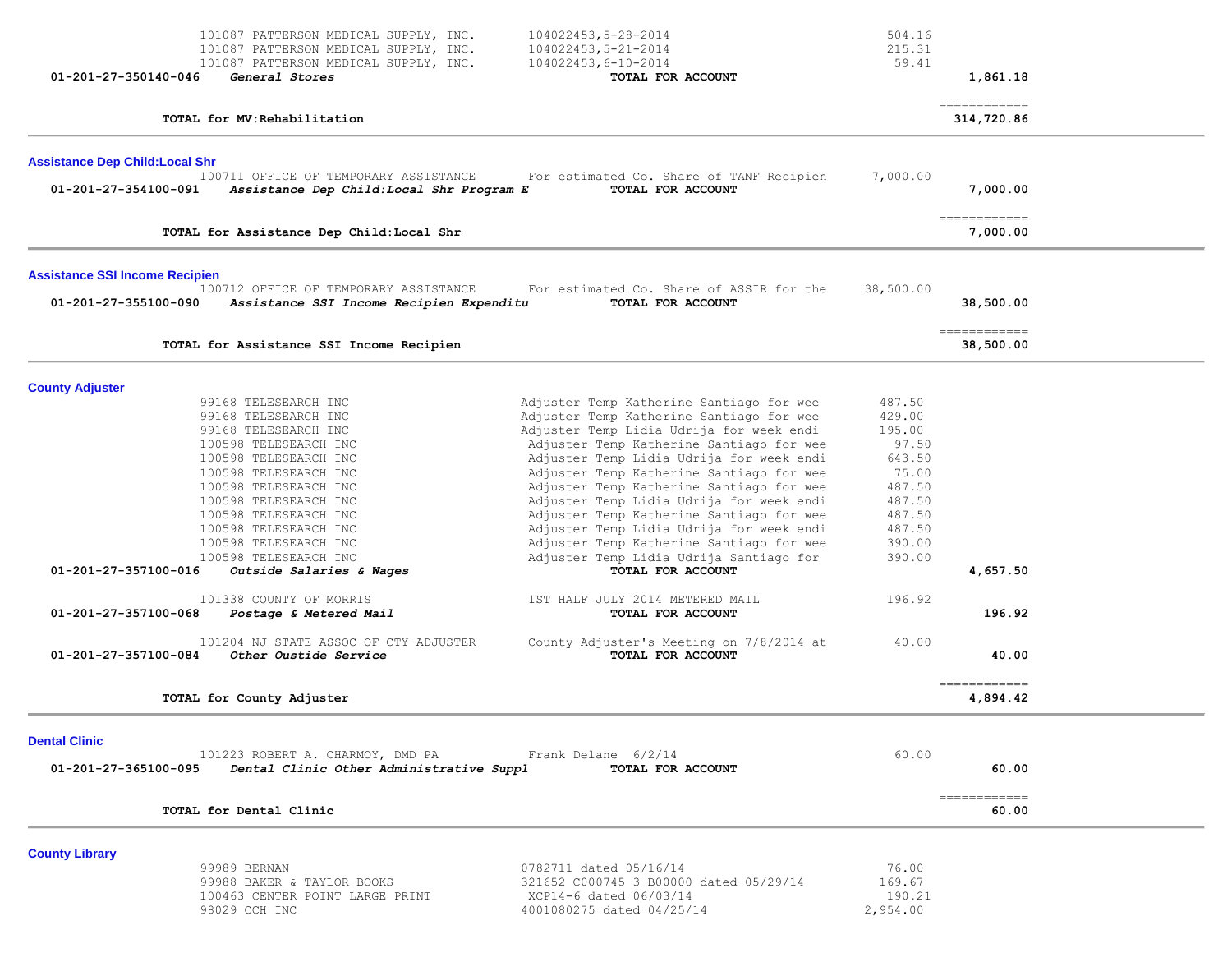| $01 - 201 - 27 - 350140 - 046$                                                                 | 101087 PATTERSON MEDICAL SUPPLY, INC.<br>101087 PATTERSON MEDICAL SUPPLY, INC.<br>101087 PATTERSON MEDICAL SUPPLY, INC.<br>General Stores                                                                                                                                                                                                                                                                                                                                             | 104022453,5-28-2014<br>104022453,5-21-2014<br>$104022453, 6 - 10 - 2014$<br>TOTAL FOR ACCOUNT                                                                                                                                                                                                                                                                                                                                                                                                                                                                                                                                                                                                    | 504.16<br>215.31<br>59.41                                                                                                             | 1,861.18                                                |  |
|------------------------------------------------------------------------------------------------|---------------------------------------------------------------------------------------------------------------------------------------------------------------------------------------------------------------------------------------------------------------------------------------------------------------------------------------------------------------------------------------------------------------------------------------------------------------------------------------|--------------------------------------------------------------------------------------------------------------------------------------------------------------------------------------------------------------------------------------------------------------------------------------------------------------------------------------------------------------------------------------------------------------------------------------------------------------------------------------------------------------------------------------------------------------------------------------------------------------------------------------------------------------------------------------------------|---------------------------------------------------------------------------------------------------------------------------------------|---------------------------------------------------------|--|
|                                                                                                | TOTAL for MV: Rehabilitation                                                                                                                                                                                                                                                                                                                                                                                                                                                          |                                                                                                                                                                                                                                                                                                                                                                                                                                                                                                                                                                                                                                                                                                  |                                                                                                                                       | ------------<br>314,720.86                              |  |
| <b>Assistance Dep Child: Local Shr</b><br>01-201-27-354100-091                                 | 100711 OFFICE OF TEMPORARY ASSISTANCE<br>Assistance Dep Child:Local Shr Program E                                                                                                                                                                                                                                                                                                                                                                                                     | For estimated Co. Share of TANF Recipien<br>TOTAL FOR ACCOUNT                                                                                                                                                                                                                                                                                                                                                                                                                                                                                                                                                                                                                                    | 7,000.00                                                                                                                              | 7,000.00                                                |  |
|                                                                                                | TOTAL for Assistance Dep Child: Local Shr                                                                                                                                                                                                                                                                                                                                                                                                                                             |                                                                                                                                                                                                                                                                                                                                                                                                                                                                                                                                                                                                                                                                                                  |                                                                                                                                       | ------------<br>7,000.00                                |  |
| <b>Assistance SSI Income Recipien</b><br>01-201-27-355100-090                                  | 100712 OFFICE OF TEMPORARY ASSISTANCE<br>Assistance SSI Income Recipien Expenditu                                                                                                                                                                                                                                                                                                                                                                                                     | For estimated Co. Share of ASSIR for the<br>TOTAL FOR ACCOUNT                                                                                                                                                                                                                                                                                                                                                                                                                                                                                                                                                                                                                                    | 38,500.00                                                                                                                             | 38,500.00                                               |  |
|                                                                                                | TOTAL for Assistance SSI Income Recipien                                                                                                                                                                                                                                                                                                                                                                                                                                              |                                                                                                                                                                                                                                                                                                                                                                                                                                                                                                                                                                                                                                                                                                  |                                                                                                                                       | -------------<br>38,500.00                              |  |
| <b>County Adjuster</b><br>01-201-27-357100-016<br>01-201-27-357100-068<br>01-201-27-357100-084 | 99168 TELESEARCH INC<br>99168 TELESEARCH INC<br>99168 TELESEARCH INC<br>100598 TELESEARCH INC<br>100598 TELESEARCH INC<br>100598 TELESEARCH INC<br>100598 TELESEARCH INC<br>100598 TELESEARCH INC<br>100598 TELESEARCH INC<br>100598 TELESEARCH INC<br>100598 TELESEARCH INC<br>100598 TELESEARCH INC<br>Outside Salaries & Wages<br>101338 COUNTY OF MORRIS<br>Postage & Metered Mail<br>101204 NJ STATE ASSOC OF CTY ADJUSTER<br>Other Oustide Service<br>TOTAL for County Adjuster | Adjuster Temp Katherine Santiago for wee<br>Adjuster Temp Katherine Santiago for wee<br>Adjuster Temp Lidia Udrija for week endi<br>Adjuster Temp Katherine Santiago for wee<br>Adjuster Temp Lidia Udrija for week endi<br>Adjuster Temp Katherine Santiago for wee<br>Adjuster Temp Katherine Santiago for wee<br>Adjuster Temp Lidia Udrija for week endi<br>Adjuster Temp Katherine Santiago for wee<br>Adjuster Temp Lidia Udrija for week endi<br>Adjuster Temp Katherine Santiago for wee<br>Adjuster Temp Lidia Udrija Santiago for<br>TOTAL FOR ACCOUNT<br>1ST HALF JULY 2014 METERED MAIL<br>TOTAL FOR ACCOUNT<br>County Adjuster's Meeting on 7/8/2014 at<br><b>TOTAL FOR ACCOUNT</b> | 487.50<br>429.00<br>195.00<br>97.50<br>643.50<br>75.00<br>487.50<br>487.50<br>487.50<br>487.50<br>390.00<br>390.00<br>196.92<br>40.00 | 4,657.50<br>196.92<br>40.00<br>------------<br>4,894.42 |  |
| <b>Dental Clinic</b><br>01-201-27-365100-095                                                   | 101223 ROBERT A. CHARMOY, DMD PA<br>Dental Clinic Other Administrative Suppl<br>TOTAL for Dental Clinic                                                                                                                                                                                                                                                                                                                                                                               | Frank Delane 6/2/14<br>TOTAL FOR ACCOUNT                                                                                                                                                                                                                                                                                                                                                                                                                                                                                                                                                                                                                                                         | 60.00                                                                                                                                 | 60.00<br>============<br>60.00                          |  |
| <b>County Library</b>                                                                          | 99989 BERNAN<br>99988 BAKER & TAYLOR BOOKS<br>100463 CENTER POINT LARGE PRINT<br>98029 CCH INC                                                                                                                                                                                                                                                                                                                                                                                        | 0782711 dated 05/16/14<br>321652 C000745 3 B00000 dated 05/29/14<br>XCP14-6 dated 06/03/14<br>4001080275 dated 04/25/14                                                                                                                                                                                                                                                                                                                                                                                                                                                                                                                                                                          | 76.00<br>169.67<br>190.21<br>2,954.00                                                                                                 |                                                         |  |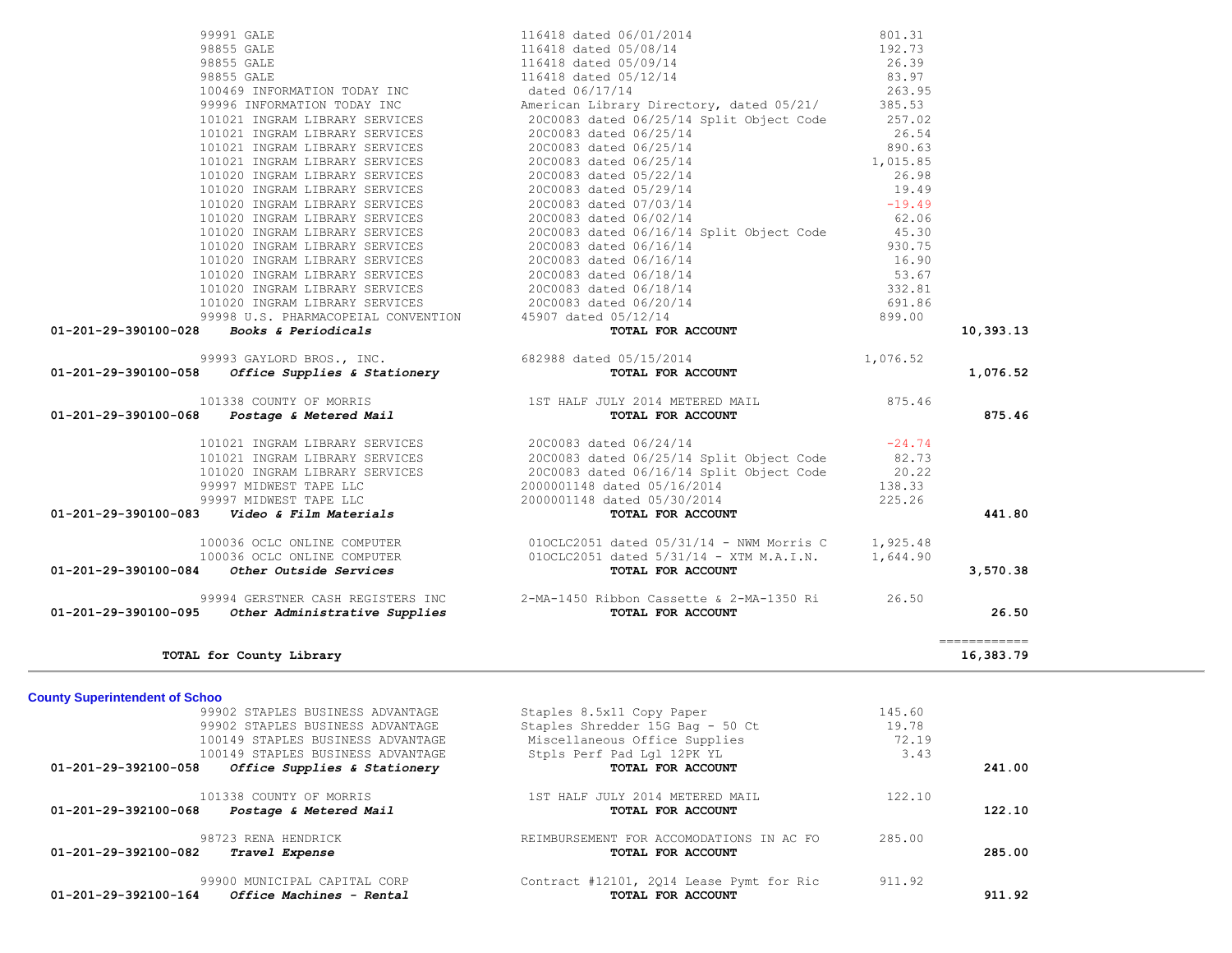|                                       | $01-201-29-390100-083$ Video & Film Materials         | TOTAL FOR ACCOUNT                                                       |        | 441.80                    |
|---------------------------------------|-------------------------------------------------------|-------------------------------------------------------------------------|--------|---------------------------|
|                                       | 100036 OCLC ONLINE COMPUTER                           | $010CLC2051$ dated $05/31/14$ - NWM Morris C $1,925.48$                 |        |                           |
| 01-201-29-390100-084                  | 100036 OCLC ONLINE COMPUTER<br>Other Outside Services | 010CLC2051 dated $5/31/14$ - XTM M.A.I.N. 1,644.90<br>TOTAL FOR ACCOUNT |        | 3,570.38                  |
|                                       | 99994 GERSTNER CASH REGISTERS INC                     | 2-MA-1450 Ribbon Cassette & 2-MA-1350 Ri 26.50                          |        |                           |
| 01-201-29-390100-095                  | Other Administrative Supplies                         | TOTAL FOR ACCOUNT                                                       |        | 26.50                     |
|                                       | TOTAL for County Library                              |                                                                         |        | ============<br>16,383.79 |
| <b>County Superintendent of Schoo</b> |                                                       |                                                                         |        |                           |
|                                       | 99902 STAPLES BUSINESS ADVANTAGE                      | Staples 8.5x11 Copy Paper                                               | 145.60 |                           |
|                                       | 99902 STAPLES BUSINESS ADVANTAGE                      | Staples Shredder 15G Bag - 50 Ct                                        | 19.78  |                           |
|                                       | 100149 STAPLES BUSINESS ADVANTAGE                     | Miscellaneous Office Supplies                                           | 72.19  |                           |
|                                       | 100149 STAPLES BUSINESS ADVANTAGE                     | Stpls Perf Pad Lgl 12PK YL                                              | 3.43   |                           |
|                                       | $01-201-29-392100-058$ Office Supplies & Stationery   | TOTAL FOR ACCOUNT                                                       |        | 241.00                    |
|                                       | 101338 COUNTY OF MORRIS                               | 1ST HALF JULY 2014 METERED MAIL                                         | 122.10 |                           |
| 01-201-29-392100-068                  | Postage & Metered Mail                                | TOTAL FOR ACCOUNT                                                       |        | 122.10                    |
|                                       | 98723 RENA HENDRICK                                   | REIMBURSEMENT FOR ACCOMODATIONS IN AC FO                                | 285.00 |                           |
| 01-201-29-392100-082                  | Travel Expense                                        | TOTAL FOR ACCOUNT                                                       |        | 285.00                    |
|                                       | 99900 MUNICIPAL CAPITAL CORP                          | Contract #12101, 2014 Lease Pymt for Ric                                | 911.92 |                           |
| 01-201-29-392100-164                  | Office Machines - Rental                              | TOTAL FOR ACCOUNT                                                       |        | 911.92                    |
|                                       |                                                       |                                                                         |        |                           |

 101020 INGRAM LIBRARY SERVICES 20C0083 dated 06/16/14 Split Object Code 20.22 99997 MIDWEST TAPE LLC 2000001148 dated 05/16/2014 138.33

99997 MIDWEST TAPE LLC 2000001148 dated 05/30/2014

| 201-29-390100-028<br><b>Books &amp; Periodicals</b>                         |
|-----------------------------------------------------------------------------|
| 99993 GAYLORD BROS., INC.<br>201-29-390100-058 Office Supplies & Stationery |
| 101338 COUNTY OF MORRIS<br>201-29-390100-068<br>Postage & Metered Mail      |

| 99993 GAYLORD BROS., INC.                          | $m \wedge m \wedge r$ $m \wedge n \wedge n \wedge m \wedge m$ | 1,076.52 |
|----------------------------------------------------|---------------------------------------------------------------|----------|
|                                                    | 682988 dated 05/15/2014                                       |          |
| $01 - 201 - 29 - 390100 - 028$ Books & Periodicals | TOTAL FOR ACCOUNT                                             |          |
| 99998 U.S. PHARMACOPEIAL CONVENTION                | 45907 dated 05/12/14                                          | 899.00   |
| 101020 INGRAM LIBRARY SERVICES                     | 20C0083 dated 06/20/14                                        | 691.86   |
| 101020 INGRAM LIBRARY SERVICES                     | 20C0083 dated 06/18/14                                        | 332.81   |
| 101020 INGRAM LIBRARY SERVICES                     | 20C0083 dated 06/18/14                                        | 53.67    |
| 101020 INGRAM LIBRARY SERVICES                     | 20C0083 dated 06/16/14                                        | 16.90    |
| 101020 INGRAM LIBRARY SERVICES                     | 20C0083 dated 06/16/14                                        | 930.75   |
| 101020 INGRAM LIBRARY SERVICES                     | 20C0083 dated 06/16/14 Split Object Code                      | 45.30    |
| 101020 INGRAM LIBRARY SERVICES                     | 20C0083 dated 06/02/14                                        | 62.06    |

| 99991 GALE<br>98855 GALE<br>98855 GALE<br>98855 GALE                                                                     | 116418 dated 05/12/14                                                                                                                                                                                                                                                                                            |          |           |
|--------------------------------------------------------------------------------------------------------------------------|------------------------------------------------------------------------------------------------------------------------------------------------------------------------------------------------------------------------------------------------------------------------------------------------------------------|----------|-----------|
|                                                                                                                          | 116418 dated 06/01/2014<br>116418 dated 05/08/14<br>116418 dated 05/09/14<br>116418 dated 05/12/14<br>26.39<br>dated 06/17/14<br>285.53<br>285.53<br>285.53<br>285.53<br>205.53<br>263.95<br>100469 INFORMATION TODAY INC dated 06/17/14<br>19996 INFORMATION TODAY INC American Library Directory, dated 05/21/ |          |           |
|                                                                                                                          |                                                                                                                                                                                                                                                                                                                  |          |           |
|                                                                                                                          |                                                                                                                                                                                                                                                                                                                  |          |           |
|                                                                                                                          | 99990 INFORMATION IODAT INC.<br>101021 INGRAM LIBRARY SERVICES<br>101021 INGRAM LIBRARY SERVICES<br>101021 INGRAM LIBRARY SERVICES<br>2000083 dated 06/25/14<br>101020 INGRAM LIBRARY SERVICES<br>2000083 dated 06/25/14<br>101020 INGRAM LI                                                                     |          |           |
|                                                                                                                          |                                                                                                                                                                                                                                                                                                                  |          |           |
|                                                                                                                          |                                                                                                                                                                                                                                                                                                                  |          |           |
|                                                                                                                          |                                                                                                                                                                                                                                                                                                                  |          |           |
|                                                                                                                          |                                                                                                                                                                                                                                                                                                                  |          |           |
|                                                                                                                          |                                                                                                                                                                                                                                                                                                                  |          |           |
|                                                                                                                          |                                                                                                                                                                                                                                                                                                                  |          |           |
|                                                                                                                          | 101020 INGRAM LIBRARY SERVICES 2000083 dated 06/16/14 Split Object Code 45.30                                                                                                                                                                                                                                    |          |           |
|                                                                                                                          |                                                                                                                                                                                                                                                                                                                  |          |           |
|                                                                                                                          |                                                                                                                                                                                                                                                                                                                  |          |           |
|                                                                                                                          |                                                                                                                                                                                                                                                                                                                  |          |           |
|                                                                                                                          |                                                                                                                                                                                                                                                                                                                  |          |           |
|                                                                                                                          | 101020 INGRAM LIBRARY SERVICES<br>101020 INGRAM LIBRARY SERVICES 2000083 dated 06/20/14<br>00008 H S PHARMACOPETAI.CONVENTION 45907 dated 05/12/14                                                                                                                                                               |          |           |
|                                                                                                                          | 899.00                                                                                                                                                                                                                                                                                                           |          |           |
| 01-201-29-390100-028 Books & Periodicals                                                                                 | TOTAL FOR ACCOUNT                                                                                                                                                                                                                                                                                                |          | 10,393.13 |
| 99993 GAYLORD BROS., INC. 682988 dated 05/15/2014<br>01-201-29-390100-058 Office Supplies & Stationery TOTAL FOR ACCOUNT |                                                                                                                                                                                                                                                                                                                  | 1,076.52 |           |
|                                                                                                                          |                                                                                                                                                                                                                                                                                                                  |          | 1,076.52  |
|                                                                                                                          |                                                                                                                                                                                                                                                                                                                  | 875.46   |           |
|                                                                                                                          |                                                                                                                                                                                                                                                                                                                  |          | 875.46    |
| 101021 INGRAM LIBRARY SERVICES 2000083 dated $06/24/14$                                                                  |                                                                                                                                                                                                                                                                                                                  | $-24.74$ |           |
|                                                                                                                          | 101021 INGRAM LIBRARY SERVICES 20C0083 dated 06/25/14 Split Object Code 82.73                                                                                                                                                                                                                                    |          |           |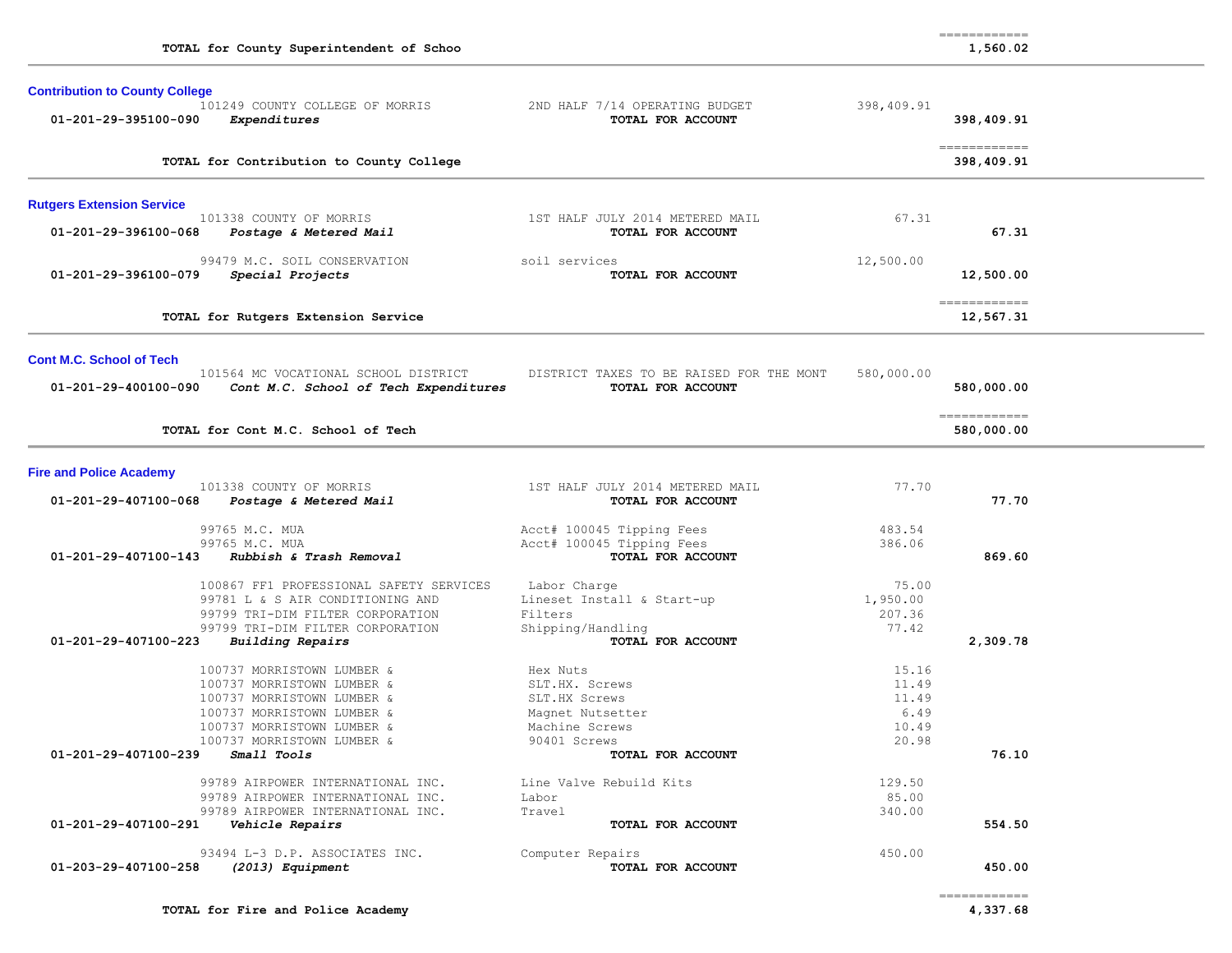| TOTAL for County Superintendent of Schoo                                                                                                                                                               |                                                                                                   |                                                   | 1,560.02                    |  |
|--------------------------------------------------------------------------------------------------------------------------------------------------------------------------------------------------------|---------------------------------------------------------------------------------------------------|---------------------------------------------------|-----------------------------|--|
| <b>Contribution to County College</b><br>101249 COUNTY COLLEGE OF MORRIS<br>01-201-29-395100-090<br>Expenditures                                                                                       | 2ND HALF 7/14 OPERATING BUDGET<br>TOTAL FOR ACCOUNT                                               | 398,409.91                                        | 398,409.91                  |  |
| TOTAL for Contribution to County College                                                                                                                                                               |                                                                                                   |                                                   | -------------<br>398,409.91 |  |
| <b>Rutgers Extension Service</b>                                                                                                                                                                       |                                                                                                   |                                                   |                             |  |
| 101338 COUNTY OF MORRIS<br>01-201-29-396100-068<br>Postage & Metered Mail                                                                                                                              | 1ST HALF JULY 2014 METERED MAIL<br>TOTAL FOR ACCOUNT                                              | 67.31                                             | 67.31                       |  |
| 99479 M.C. SOIL CONSERVATION<br>01-201-29-396100-079<br>Special Projects                                                                                                                               | soil services<br>TOTAL FOR ACCOUNT                                                                | 12,500.00                                         | 12,500.00                   |  |
| TOTAL for Rutgers Extension Service                                                                                                                                                                    |                                                                                                   |                                                   | -------------<br>12,567.31  |  |
| <b>Cont M.C. School of Tech</b>                                                                                                                                                                        |                                                                                                   |                                                   |                             |  |
| 101564 MC VOCATIONAL SCHOOL DISTRICT<br>01-201-29-400100-090<br>Cont M.C. School of Tech Expenditures                                                                                                  | DISTRICT TAXES TO BE RAISED FOR THE MONT<br>TOTAL FOR ACCOUNT                                     | 580,000.00                                        | 580,000.00                  |  |
| TOTAL for Cont M.C. School of Tech                                                                                                                                                                     |                                                                                                   |                                                   | -------------<br>580,000.00 |  |
| <b>Fire and Police Academy</b>                                                                                                                                                                         |                                                                                                   |                                                   |                             |  |
| 101338 COUNTY OF MORRIS<br>01-201-29-407100-068<br>Postage & Metered Mail                                                                                                                              | 1ST HALF JULY 2014 METERED MAIL<br>TOTAL FOR ACCOUNT                                              | 77.70                                             | 77.70                       |  |
| 99765 M.C. MUA<br>99765 M.C. MUA<br>01-201-29-407100-143<br>Rubbish & Trash Removal                                                                                                                    | Acct# 100045 Tipping Fees<br>Acct# 100045 Tipping Fees<br>TOTAL FOR ACCOUNT                       | 483.54<br>386.06                                  | 869.60                      |  |
| 100867 FF1 PROFESSIONAL SAFETY SERVICES<br>99781 L & S AIR CONDITIONING AND<br>99799 TRI-DIM FILTER CORPORATION<br>99799 TRI-DIM FILTER CORPORATION<br>01-201-29-407100-223<br><b>Building Repairs</b> | Labor Charge<br>Lineset Install & Start-up<br>Filters<br>Shipping/Handling<br>TOTAL FOR ACCOUNT   | 75.00<br>1,950.00<br>207.36<br>77.42              | 2,309.78                    |  |
| 100737 MORRISTOWN LUMBER &<br>100737 MORRISTOWN LUMBER &<br>100737 MORRISTOWN LUMBER &<br>100737 MORRISTOWN LUMBER &<br>100737 MORRISTOWN LUMBER &<br>100737 MORRISTOWN LUMBER &                       | Hex Nuts<br>SLT.HX. Screws<br>SLT.HX Screws<br>Magnet Nutsetter<br>Machine Screws<br>90401 Screws | 15.16<br>11.49<br>11.49<br>6.49<br>10.49<br>20.98 |                             |  |
| 01-201-29-407100-239<br><i>Small Tools</i>                                                                                                                                                             | TOTAL FOR ACCOUNT                                                                                 |                                                   | 76.10                       |  |
| 99789 AIRPOWER INTERNATIONAL INC.<br>99789 AIRPOWER INTERNATIONAL INC.<br>99789 AIRPOWER INTERNATIONAL INC.<br>01-201-29-407100-291<br>Vehicle Repairs                                                 | Line Valve Rebuild Kits<br>Labor<br>Travel<br>TOTAL FOR ACCOUNT                                   | 129.50<br>85.00<br>340.00                         | 554.50                      |  |
| 93494 L-3 D.P. ASSOCIATES INC.<br>01-203-29-407100-258<br>(2013) Equipment                                                                                                                             | Computer Repairs<br>TOTAL FOR ACCOUNT                                                             | 450.00                                            | 450.00<br>------------      |  |

============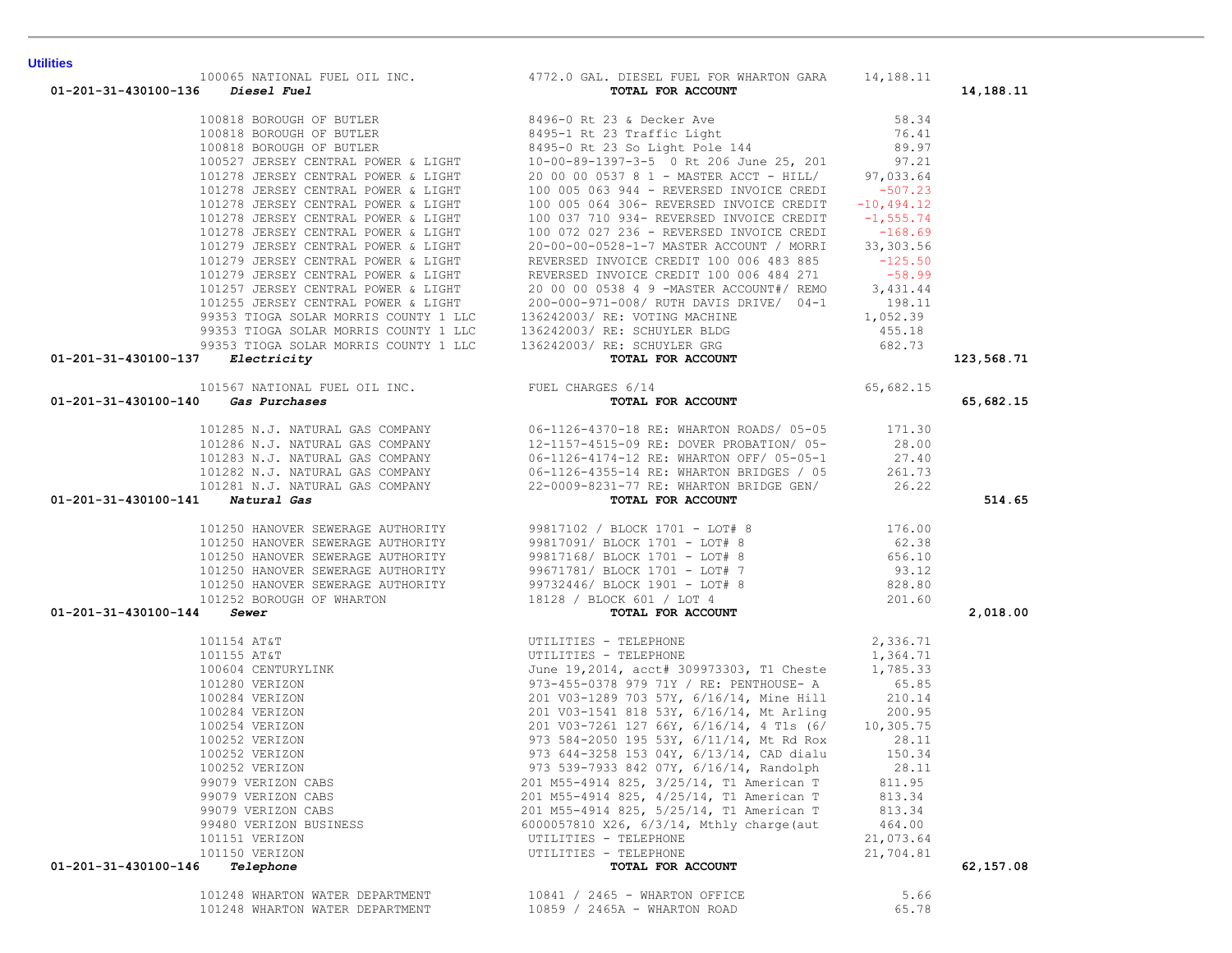| $01 - 201 - 31 - 430100 - 137$ Electricity |                                                                                                                                                                                                                                                                                                                                                                                          |           | 123,568.71 |
|--------------------------------------------|------------------------------------------------------------------------------------------------------------------------------------------------------------------------------------------------------------------------------------------------------------------------------------------------------------------------------------------------------------------------------------------|-----------|------------|
|                                            |                                                                                                                                                                                                                                                                                                                                                                                          |           |            |
|                                            |                                                                                                                                                                                                                                                                                                                                                                                          |           |            |
| 01-201-31-430100-140 Gas Purchases         | Electricity<br>101567 NATIONAL FUEL OIL INC.<br>101567 NATIONAL FUEL OIL INC.<br>FUEL CHARGES 6/14<br>FUEL CHARGES 6/14<br><b>101225 N.J. WINCORES</b>                                                                                                                                                                                                                                   |           | 65,682.15  |
|                                            |                                                                                                                                                                                                                                                                                                                                                                                          |           |            |
|                                            |                                                                                                                                                                                                                                                                                                                                                                                          |           |            |
|                                            |                                                                                                                                                                                                                                                                                                                                                                                          |           |            |
|                                            |                                                                                                                                                                                                                                                                                                                                                                                          |           |            |
|                                            |                                                                                                                                                                                                                                                                                                                                                                                          |           |            |
| 01-201-31-430100-141 Natural Gas           | $\begin{array}{cccc} 101285 \text{ N.J. } \text{NATURAL GAS COMPANY} \end{array} & \begin{array}{cccc} 06-1126-4370-18 & \text{RE: } \text{WHARTON ROADS/} & 05-05 & 171.30 \\ 101286 \text{ N.J. } \text{NATURAL GAS COMPANY} & 12-1157-4515-09 & \text{RE: } \text{DOVER PROBATION/} & 05- & 28.00 \\ 101283 \text{ N.J. } \text{NATURAL GAS COMPANY} & 06-1126-4174-12 & \text{RE: }$ |           | 514.65     |
|                                            |                                                                                                                                                                                                                                                                                                                                                                                          |           |            |
|                                            |                                                                                                                                                                                                                                                                                                                                                                                          |           |            |
|                                            |                                                                                                                                                                                                                                                                                                                                                                                          |           |            |
|                                            |                                                                                                                                                                                                                                                                                                                                                                                          |           |            |
|                                            |                                                                                                                                                                                                                                                                                                                                                                                          |           |            |
|                                            |                                                                                                                                                                                                                                                                                                                                                                                          |           |            |
| 01-201-31-430100-144 Sewer                 |                                                                                                                                                                                                                                                                                                                                                                                          |           | 2,018.00   |
|                                            |                                                                                                                                                                                                                                                                                                                                                                                          |           |            |
|                                            |                                                                                                                                                                                                                                                                                                                                                                                          |           |            |
|                                            |                                                                                                                                                                                                                                                                                                                                                                                          |           |            |
|                                            |                                                                                                                                                                                                                                                                                                                                                                                          |           |            |
|                                            |                                                                                                                                                                                                                                                                                                                                                                                          |           |            |
|                                            |                                                                                                                                                                                                                                                                                                                                                                                          |           |            |
|                                            |                                                                                                                                                                                                                                                                                                                                                                                          |           |            |
|                                            |                                                                                                                                                                                                                                                                                                                                                                                          |           |            |
|                                            |                                                                                                                                                                                                                                                                                                                                                                                          |           |            |
|                                            |                                                                                                                                                                                                                                                                                                                                                                                          |           |            |
|                                            |                                                                                                                                                                                                                                                                                                                                                                                          |           |            |
|                                            | 99079 VERIZON CABS<br>201 M55-4914 825, 4/25/14, T1 American T 813.34                                                                                                                                                                                                                                                                                                                    |           |            |
| 99079 VERIZON CABS                         | 201 M55-4914 825, 5/25/14, T1 American T                                                                                                                                                                                                                                                                                                                                                 | 813.34    |            |
| 99480 VERIZON BUSINESS                     | 6000057810 X26, 6/3/14, Mthly charge (aut                                                                                                                                                                                                                                                                                                                                                | 464.00    |            |
| 101151 VERIZON                             | UTILITIES - TELEPHONE                                                                                                                                                                                                                                                                                                                                                                    | 21,073.64 |            |
| 101150 VERIZON                             | UTILITIES - TELEPHONE                                                                                                                                                                                                                                                                                                                                                                    | 21,704.81 |            |
| 01-201-31-430100-146<br>Telephone          | TOTAL FOR ACCOUNT                                                                                                                                                                                                                                                                                                                                                                        |           | 62,157.08  |
|                                            |                                                                                                                                                                                                                                                                                                                                                                                          |           |            |
| 101248 WHARTON WATER DEPARTMENT            | 10841 / 2465 - WHARTON OFFICE                                                                                                                                                                                                                                                                                                                                                            | 5.66      |            |
| 101248 WHARTON WATER DEPARTMENT            | 10859 / 2465A - WHARTON ROAD                                                                                                                                                                                                                                                                                                                                                             | 65.78     |            |

100065 NATIONAL FUEL OIL INC. 4772.0 GAL. DIESEL FUEL FOR WHARTON GARA 14,188.11<br>6 Diesel Fuel tor and the Total for account

**Utilities** 

 **01-201-31-430100-136** *Diesel Fuel* **TOTAL FOR ACCOUNT 14,188.11**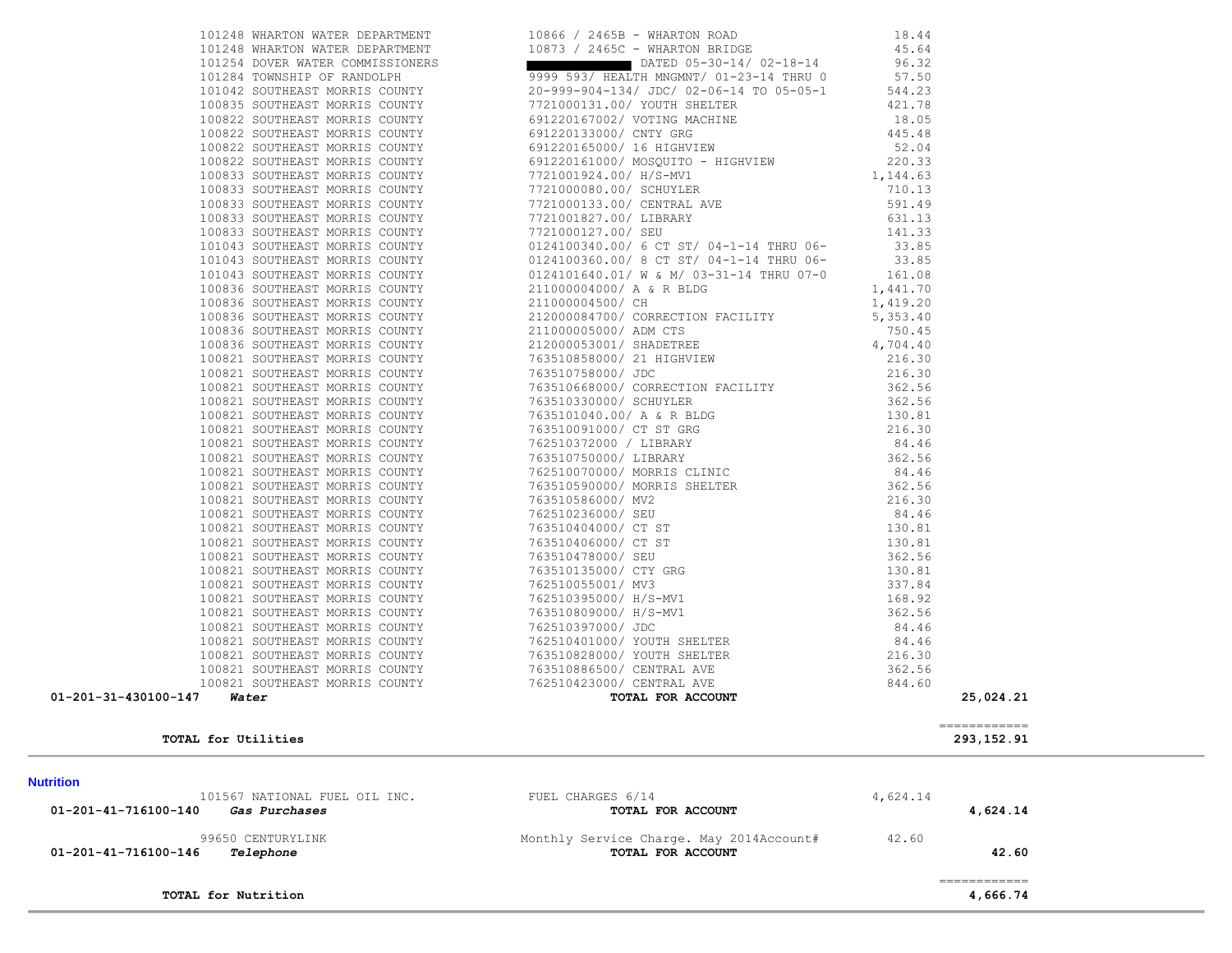| TOTAL for Nutrition                                                                       |                                                                                                                                                                                               |                        | 4,666.74              |  |
|-------------------------------------------------------------------------------------------|-----------------------------------------------------------------------------------------------------------------------------------------------------------------------------------------------|------------------------|-----------------------|--|
| 99650 CENTURYLINK<br>$01 - 201 - 41 - 716100 - 146$ Telephone                             | Monthly Service Charge. May 2014Account# 42.60<br>TOTAL FOR ACCOUNT                                                                                                                           |                        | 42.60<br>============ |  |
|                                                                                           |                                                                                                                                                                                               |                        |                       |  |
| 101567 NATIONAL FUEL OIL INC. THE FUEL CHARGES 6/14<br>01-201-41-716100-140 Gas Purchases | TOTAL FOR ACCOUNT                                                                                                                                                                             | 4,624.14               | 4,624.14              |  |
| <b>Nutrition</b>                                                                          |                                                                                                                                                                                               |                        |                       |  |
|                                                                                           |                                                                                                                                                                                               |                        |                       |  |
| TOTAL for Utilities                                                                       |                                                                                                                                                                                               |                        | 293, 152.91           |  |
|                                                                                           |                                                                                                                                                                                               |                        | -------------         |  |
| 01-201-31-430100-147<br>Water                                                             | TOTAL FOR ACCOUNT                                                                                                                                                                             |                        | 25,024.21             |  |
|                                                                                           |                                                                                                                                                                                               |                        |                       |  |
|                                                                                           |                                                                                                                                                                                               |                        |                       |  |
|                                                                                           |                                                                                                                                                                                               |                        |                       |  |
|                                                                                           |                                                                                                                                                                                               |                        |                       |  |
|                                                                                           |                                                                                                                                                                                               |                        |                       |  |
|                                                                                           |                                                                                                                                                                                               |                        |                       |  |
|                                                                                           |                                                                                                                                                                                               |                        |                       |  |
|                                                                                           |                                                                                                                                                                                               |                        |                       |  |
|                                                                                           |                                                                                                                                                                                               |                        |                       |  |
|                                                                                           |                                                                                                                                                                                               |                        |                       |  |
|                                                                                           |                                                                                                                                                                                               |                        |                       |  |
|                                                                                           |                                                                                                                                                                                               |                        |                       |  |
|                                                                                           |                                                                                                                                                                                               |                        |                       |  |
|                                                                                           |                                                                                                                                                                                               |                        |                       |  |
|                                                                                           |                                                                                                                                                                                               |                        |                       |  |
|                                                                                           |                                                                                                                                                                                               |                        |                       |  |
|                                                                                           |                                                                                                                                                                                               |                        |                       |  |
|                                                                                           |                                                                                                                                                                                               |                        |                       |  |
|                                                                                           |                                                                                                                                                                                               |                        |                       |  |
|                                                                                           |                                                                                                                                                                                               |                        |                       |  |
|                                                                                           |                                                                                                                                                                                               |                        |                       |  |
|                                                                                           |                                                                                                                                                                                               |                        |                       |  |
|                                                                                           |                                                                                                                                                                                               |                        |                       |  |
|                                                                                           |                                                                                                                                                                                               |                        |                       |  |
| 100836 SOUTHEAST MORRIS COUNTY                                                            | 211000004500/ CH<br>212000084700/ CORRECTION FACILITY<br>211000005000/ ADM CTS                                                                                                                | 750.45                 |                       |  |
| 100836 SOUTHEAST MORRIS COUNTY                                                            |                                                                                                                                                                                               | $\frac{1}{5}$ , 353.40 |                       |  |
| 100836 SOUTHEAST MORRIS COUNTY                                                            |                                                                                                                                                                                               | 1,419.20               |                       |  |
| 100836 SOUTHEAST MORRIS COUNTY                                                            | 0124100360.00/ 8 CT ST/ 04-1-14 THRU 06-<br>0124101640.01/ W & M/ 03-31-14 THRU 07-0<br>211000004000/ A & R BLDG                                                                              | 1,441.70               |                       |  |
| 101043 SOUTHEAST MORRIS COUNTY                                                            | 7721001827.00/ SEU<br>7721000127.00/ SEU<br>0124100340.00/ 6 CT ST/ 04-1-14 THRU 06-<br>0124100360.00/ 8 CT ST/ 04-1-14 THRU 06-<br>23.85<br>0124100360.00/ 8 CT 13-31-14 THRU 07-0<br>141170 |                        |                       |  |
| 101043 SOUTHEAST MORRIS COUNTY                                                            |                                                                                                                                                                                               |                        |                       |  |
| 101043 SOUTHEAST MORRIS COUNTY                                                            |                                                                                                                                                                                               |                        |                       |  |
| 100833 SOUTHEAST MORRIS COUNTY<br>100833 SOUTHEAST MORRIS COUNTY                          | 7721001827.00/ LIBRARY                                                                                                                                                                        |                        |                       |  |
| 100833 SOUTHEAST MORRIS COUNTY                                                            | 7721000133.00/ CENTRAL AVE                                                                                                                                                                    | 591.49<br>631.13       |                       |  |
| 100833 SOUTHEAST MORRIS COUNTY                                                            | 7721000080.00/ SCHUYLER                                                                                                                                                                       | 710.13                 |                       |  |
|                                                                                           |                                                                                                                                                                                               |                        |                       |  |

 101248 WHARTON WATER DEPARTMENT 10866 / 2465B - WHARTON ROAD 18.44 101248 WHARTON WATER DEPARTMENT 10873 / 2465C - WHARTON BRIDGE 45.64

 100822 SOUTHEAST MORRIS COUNTY 691220133000/ CNTY GRG 445.48 100822 SOUTHEAST MORRIS COUNTY 691220165000/ 16 HIGHVIEW 52.04

100833 SOUTHEAST MORRIS COUNTY 7721001924.00/ H/S-MV1 1 100833 SOUTHEAST MORRIS COUNTY

101254 DOVER WATER COMMISSIONERS **DESCRIPTION CONSTRUCTED** DATED 05-30-14/ 02-18-14 96.32 101284 TOWNSHIP OF RANDOLPH 9999 593/ HEALTH MNGMNT/ 01-23-14 THRU 0 57.50 101042 SOUTHEAST MORRIS COUNTY 20-999-904-134/ JDC/ 02-06-14 TO 05-05-1 544.23 100835 SOUTHEAST MORRIS COUNTY 7721000131.00/ YOUTH SHELTER 421.78 100822 SOUTHEAST MORRIS COUNTY 691220167002/ VOTING MACHINE 18.05

100822 SOUTHEAST MORRIS COUNTY 691220161000/ MOSQUITO - HIGHVIEW 220.33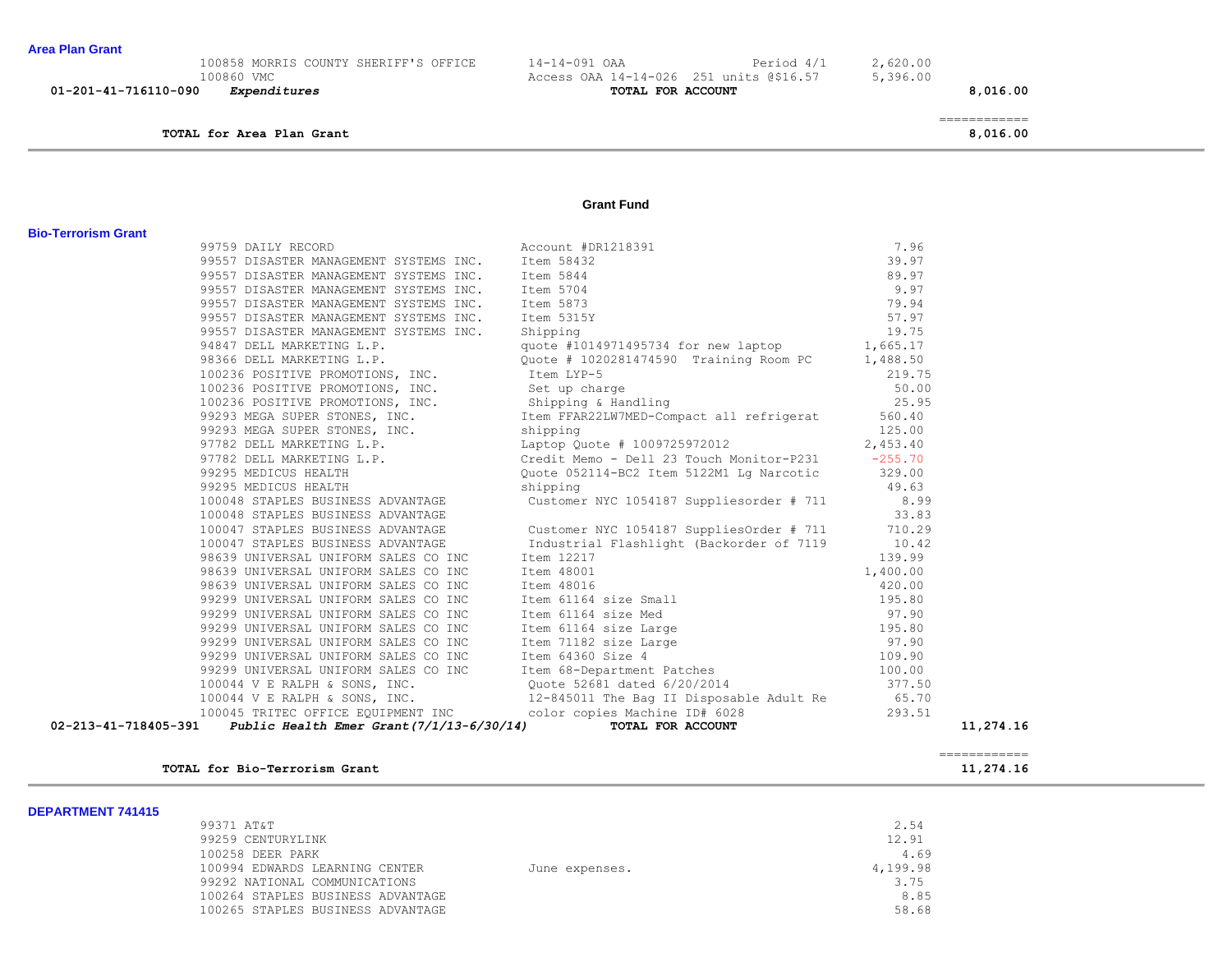## **TOTAL for Area Plan Grant 8,016.00**

| 01-201-41-716110-090<br><i>Expenditures</i> | TOTAL FOR ACCOUNT                       |            |          | 8,016.00 |
|---------------------------------------------|-----------------------------------------|------------|----------|----------|
| 100860 VMC                                  | Access OAA 14-14-026 251 units @\$16.57 |            | 5,396.00 |          |
| 100858 MORRIS COUNTY SHERIFF'S OFFICE       | $14 - 14 - 091$ OAA                     | Period 4/1 | 2,620.00 |          |

============

**Grant Fund** 

| 02-213-41-718405-391 Public Health Emer Grant $(7/1/13-6/30/14)$ |                                                                                                                                                                                                                                                              |                 | 11,274.16<br>------------ |
|------------------------------------------------------------------|--------------------------------------------------------------------------------------------------------------------------------------------------------------------------------------------------------------------------------------------------------------|-----------------|---------------------------|
|                                                                  |                                                                                                                                                                                                                                                              |                 |                           |
|                                                                  |                                                                                                                                                                                                                                                              |                 |                           |
|                                                                  |                                                                                                                                                                                                                                                              |                 |                           |
|                                                                  |                                                                                                                                                                                                                                                              |                 |                           |
|                                                                  |                                                                                                                                                                                                                                                              |                 |                           |
|                                                                  |                                                                                                                                                                                                                                                              |                 |                           |
|                                                                  |                                                                                                                                                                                                                                                              |                 |                           |
|                                                                  |                                                                                                                                                                                                                                                              |                 |                           |
|                                                                  |                                                                                                                                                                                                                                                              |                 |                           |
|                                                                  |                                                                                                                                                                                                                                                              |                 |                           |
|                                                                  |                                                                                                                                                                                                                                                              |                 |                           |
|                                                                  |                                                                                                                                                                                                                                                              |                 |                           |
|                                                                  |                                                                                                                                                                                                                                                              |                 |                           |
|                                                                  |                                                                                                                                                                                                                                                              |                 |                           |
| 100047 STAPLES BUSINESS ADVANTAGE                                | Industrial Flashlight (Backorder of 7119                                                                                                                                                                                                                     | 10.42           |                           |
|                                                                  | 100047 STAPLES BUSINESS ADVANTAGE Customer NYC 1054187 SuppliesOrder # 711 710.29                                                                                                                                                                            |                 |                           |
| 100048 STAPLES BUSINESS ADVANTAGE                                |                                                                                                                                                                                                                                                              | 33.83           |                           |
|                                                                  | 100048 STAPLES BUSINESS ADVANTAGE Customer NYC 1054187 Suppliesorder # 711 8.99                                                                                                                                                                              |                 |                           |
| 99295 MEDICUS HEALTH                                             | 9464/ DELL MARKETING L.P.<br>98366 DELL MARKETING L.P.<br>100236 POSITIVE PROMOTIONS, INC.<br>100236 POSITIVE PROMOTIONS, INC.<br>565.17<br>100236 POSITIVE PROMOTIONS, INC.<br>565.17<br>100236 POSITIVE PROMOTIONS, INC.<br>565.17<br>100236 P<br>shipping | 49.63           |                           |
|                                                                  |                                                                                                                                                                                                                                                              |                 |                           |
|                                                                  |                                                                                                                                                                                                                                                              |                 |                           |
|                                                                  |                                                                                                                                                                                                                                                              |                 |                           |
|                                                                  |                                                                                                                                                                                                                                                              |                 |                           |
|                                                                  |                                                                                                                                                                                                                                                              | 25.95           |                           |
|                                                                  |                                                                                                                                                                                                                                                              |                 |                           |
|                                                                  |                                                                                                                                                                                                                                                              | 219.75<br>50.00 |                           |
|                                                                  |                                                                                                                                                                                                                                                              |                 |                           |
| 94847 DELL MARKETING L.P.                                        | quote #1014971495734 for new laptop 1,665.17                                                                                                                                                                                                                 |                 |                           |
|                                                                  |                                                                                                                                                                                                                                                              |                 |                           |
|                                                                  |                                                                                                                                                                                                                                                              |                 |                           |
|                                                                  |                                                                                                                                                                                                                                                              |                 |                           |
|                                                                  |                                                                                                                                                                                                                                                              |                 |                           |
|                                                                  |                                                                                                                                                                                                                                                              |                 |                           |
|                                                                  | 99759 DAILY RECORD<br>99557 DISASTER MANAGEMENT SYSTEMS INC. Item 58432<br>99557 DISASTER MANAGEMENT SYSTEMS INC. Item 5844<br>99557 DISASTER MANAGEMENT SYSTEMS INC. Item 5704<br>99557 DISASTER MANAGEMENT SYSTEMS INC. Item 5873<br>9                     |                 |                           |
|                                                                  |                                                                                                                                                                                                                                                              |                 |                           |

| DEPARTMENT 741415 |                                   |                |          |
|-------------------|-----------------------------------|----------------|----------|
|                   | 99371 AT&T                        |                | 2.54     |
|                   | 99259 CENTURYLINK                 |                | 12.91    |
|                   | 100258 DEER PARK                  |                | 4.69     |
|                   | 100994 EDWARDS LEARNING CENTER    | June expenses. | 4,199.98 |
|                   | 99292 NATIONAL COMMUNICATIONS     |                | 3.75     |
|                   | 100264 STAPLES BUSINESS ADVANTAGE |                | 8.85     |
|                   | 100265 STAPLES BUSINESS ADVANTAGE |                | 58.68    |
|                   |                                   |                |          |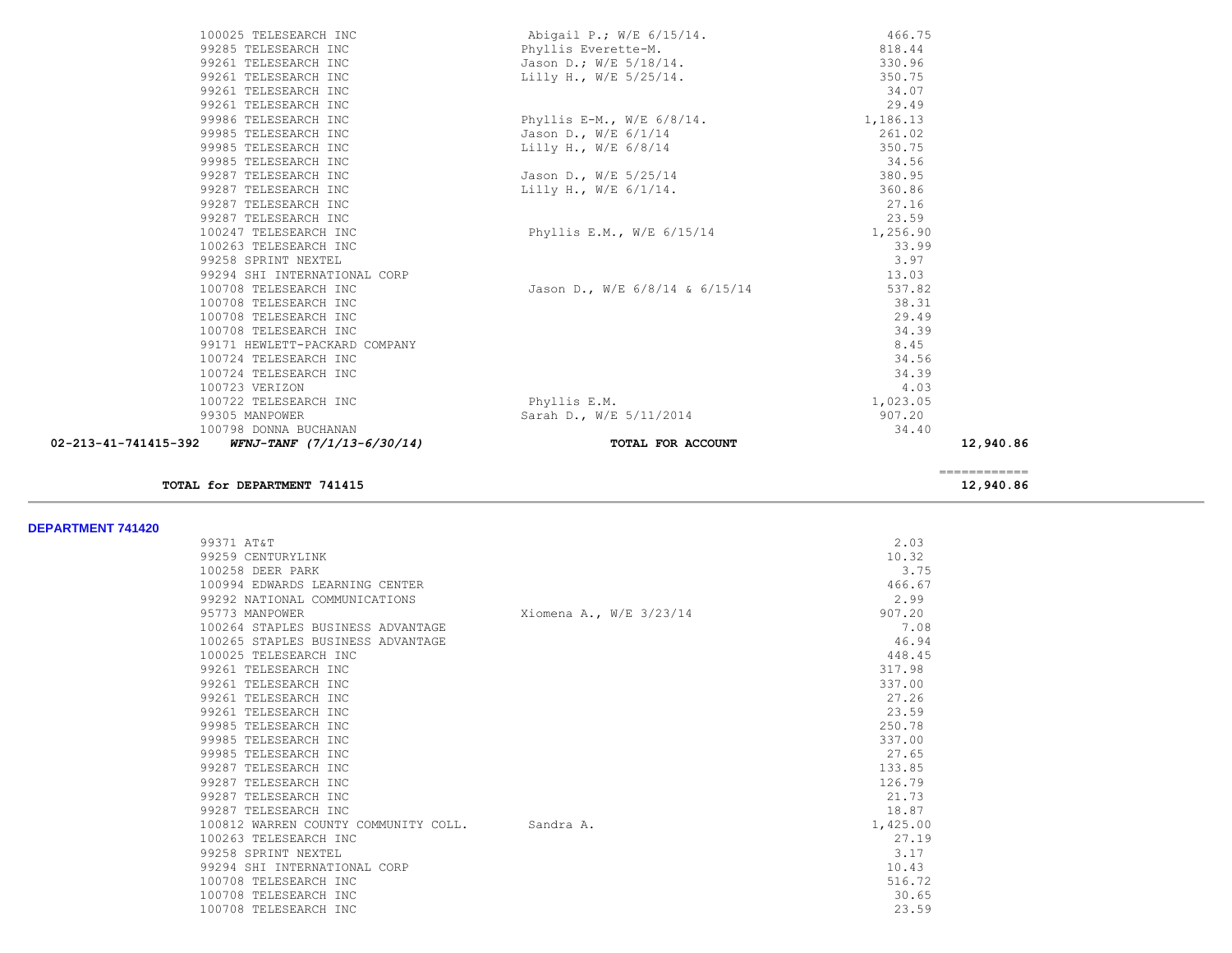| 100025 TELESEARCH INC                                  | Abigail P.; W/E 6/15/14.       | 466.75    |  |
|--------------------------------------------------------|--------------------------------|-----------|--|
| 99285 TELESEARCH INC                                   | Phyllis Everette-M.            | 818.44    |  |
| 99261 TELESEARCH INC                                   | Jason D.; W/E 5/18/14.         | 330.96    |  |
| 99261 TELESEARCH INC                                   | Lilly H., W/E 5/25/14.         | 350.75    |  |
| 99261 TELESEARCH INC                                   |                                | 34.07     |  |
| 99261 TELESEARCH INC                                   |                                | 29.49     |  |
| 99986 TELESEARCH INC                                   | Phyllis E-M., W/E $6/8/14$ .   | 1,186.13  |  |
| 99985 TELESEARCH INC                                   | Jason D., W/E 6/1/14           | 261.02    |  |
| 99985 TELESEARCH INC                                   | Lilly H., W/E $6/8/14$         | 350.75    |  |
| 99985 TELESEARCH INC                                   |                                | 34.56     |  |
| 99287 TELESEARCH INC                                   | Jason D., W/E 5/25/14          | 380.95    |  |
| 99287 TELESEARCH INC                                   | Lilly H., W/E $6/1/14$ .       | 360.86    |  |
| 99287 TELESEARCH INC                                   |                                | 27.16     |  |
| 99287 TELESEARCH INC                                   |                                | 23.59     |  |
| 100247 TELESEARCH INC                                  | Phyllis E.M., W/E 6/15/14      | 1,256.90  |  |
| 100263 TELESEARCH INC                                  |                                | 33.99     |  |
| 99258 SPRINT NEXTEL                                    |                                | 3.97      |  |
| 99294 SHI INTERNATIONAL CORP                           |                                | 13.03     |  |
| 100708 TELESEARCH INC                                  | Jason D., W/E 6/8/14 & 6/15/14 | 537.82    |  |
| 100708 TELESEARCH INC                                  |                                | 38.31     |  |
| 100708 TELESEARCH INC                                  |                                | 29.49     |  |
| 100708 TELESEARCH INC                                  |                                | 34.39     |  |
| 99171 HEWLETT-PACKARD COMPANY                          |                                | 8.45      |  |
| 100724 TELESEARCH INC                                  |                                | 34.56     |  |
| 100724 TELESEARCH INC                                  |                                | 34.39     |  |
| 100723 VERIZON                                         |                                | 4.03      |  |
| 100722 TELESEARCH INC                                  | Phyllis E.M.                   | 1,023.05  |  |
| 99305 MANPOWER                                         | Sarah D., W/E 5/11/2014        | 907.20    |  |
| 100798 DONNA BUCHANAN                                  |                                | 34.40     |  |
| 02-213-41-741415-392<br>$WFNJ-TANF$ $(7/1/13-6/30/14)$ | TOTAL FOR ACCOUNT              | 12,940.86 |  |
|                                                        |                                |           |  |

**TOTAL for DEPARTMENT 741415** 12, 940.86

============

**DEPARTMENT 741420** 

| PLI AN IMLNI 19194V |                                                |                         |          |
|---------------------|------------------------------------------------|-------------------------|----------|
|                     | 99371 AT&T                                     |                         | 2.03     |
|                     | 99259 CENTURYLINK                              |                         | 10.32    |
|                     | 100258 DEER PARK                               |                         | 3.75     |
|                     | 100994 EDWARDS LEARNING CENTER                 |                         | 466.67   |
|                     | 99292 NATIONAL COMMUNICATIONS                  |                         | 2.99     |
|                     | 95773 MANPOWER                                 | Xiomena A., W/E 3/23/14 | 907.20   |
|                     | 100264 STAPLES BUSINESS ADVANTAGE              |                         | 7.08     |
|                     | 100265 STAPLES BUSINESS ADVANTAGE              |                         | 46.94    |
|                     | 100025 TELESEARCH INC                          |                         | 448.45   |
|                     | 99261 TELESEARCH INC                           |                         | 317.98   |
|                     | 99261 TELESEARCH INC                           |                         | 337.00   |
|                     | 99261 TELESEARCH INC                           |                         | 27.26    |
|                     | 99261 TELESEARCH INC                           |                         | 23.59    |
|                     | 99985 TELESEARCH INC                           |                         | 250.78   |
|                     | 99985 TELESEARCH INC                           |                         | 337.00   |
|                     | 99985 TELESEARCH INC                           |                         | 27.65    |
|                     | 99287 TELESEARCH INC                           |                         | 133.85   |
|                     | 99287 TELESEARCH INC                           |                         | 126.79   |
|                     | 99287 TELESEARCH INC                           |                         | 21.73    |
|                     | 99287 TELESEARCH INC                           |                         | 18.87    |
|                     | 100812 WARREN COUNTY COMMUNITY COLL. Sandra A. |                         | 1,425.00 |
|                     | 100263 TELESEARCH INC                          |                         | 27.19    |
|                     | 99258 SPRINT NEXTEL                            |                         | 3.17     |
|                     | 99294 SHI INTERNATIONAL CORP                   |                         | 10.43    |
|                     | 100708 TELESEARCH INC                          |                         | 516.72   |
|                     | 100708 TELESEARCH INC                          |                         | 30.65    |
|                     | 100708 TELESEARCH INC                          |                         | 23.59    |
|                     |                                                |                         |          |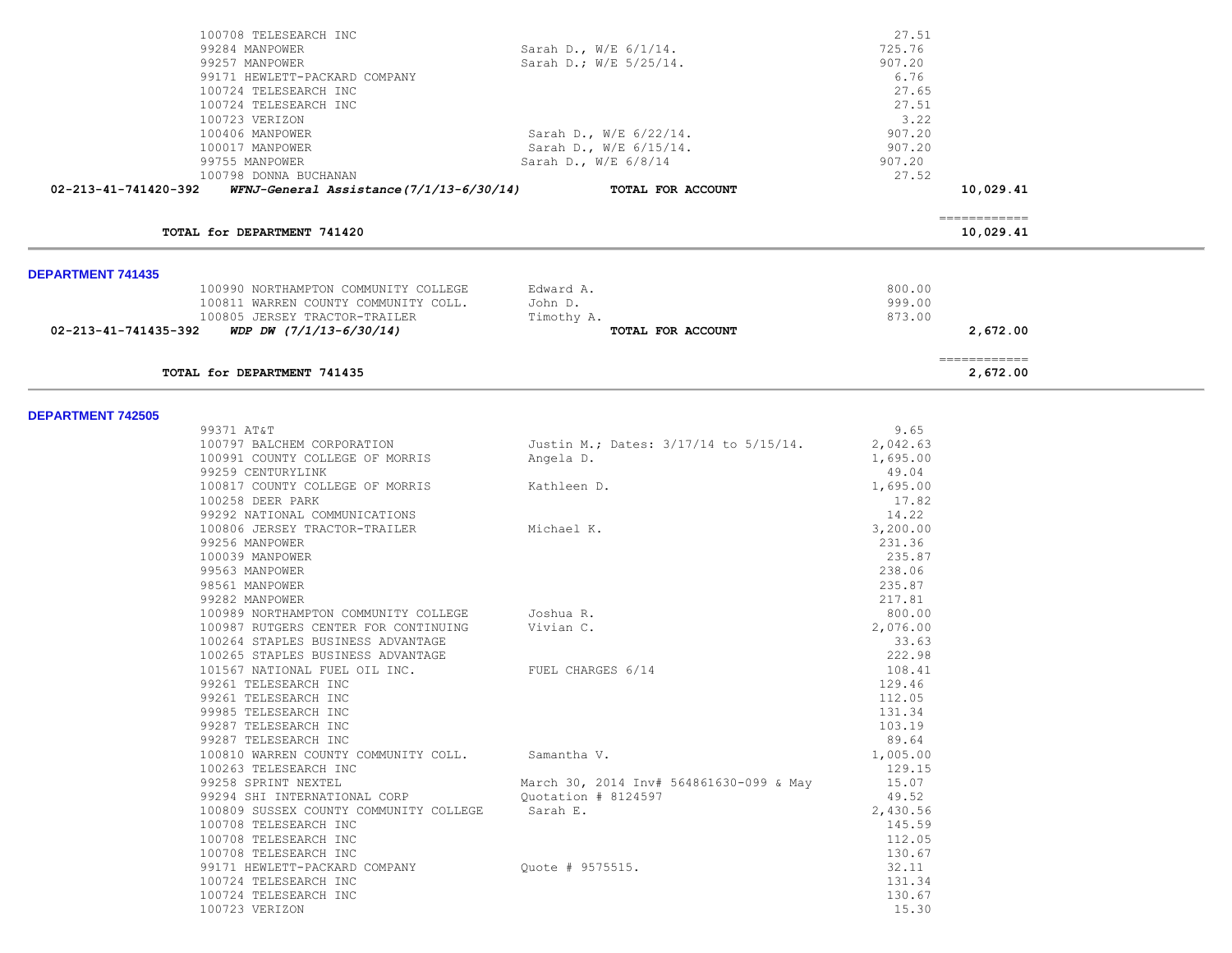| 100708 TELESEARCH INC                                            |                                         | 27.51    |                            |  |
|------------------------------------------------------------------|-----------------------------------------|----------|----------------------------|--|
| 99284 MANPOWER                                                   | Sarah D., W/E 6/1/14.                   | 725.76   |                            |  |
| 99257 MANPOWER                                                   | Sarah D.; W/E 5/25/14.                  | 907.20   |                            |  |
| 99171 HEWLETT-PACKARD COMPANY                                    |                                         | 6.76     |                            |  |
| 100724 TELESEARCH INC                                            |                                         | 27.65    |                            |  |
| 100724 TELESEARCH INC                                            |                                         | 27.51    |                            |  |
| 100723 VERIZON                                                   |                                         | 3.22     |                            |  |
| 100406 MANPOWER                                                  | Sarah D., W/E 6/22/14.                  | 907.20   |                            |  |
| 100017 MANPOWER                                                  | Sarah D., W/E 6/15/14.                  | 907.20   |                            |  |
| 99755 MANPOWER                                                   | Sarah D., W/E 6/8/14                    | 907.20   |                            |  |
| 100798 DONNA BUCHANAN                                            |                                         | 27.52    |                            |  |
| WFNJ-General Assistance(7/1/13-6/30/14)<br>02-213-41-741420-392  | TOTAL FOR ACCOUNT                       |          | 10,029.41                  |  |
| TOTAL for DEPARTMENT 741420                                      |                                         |          | -------------<br>10,029.41 |  |
|                                                                  |                                         |          |                            |  |
| <b>DEPARTMENT 741435</b><br>100990 NORTHAMPTON COMMUNITY COLLEGE | Edward A.                               | 800.00   |                            |  |
| 100811 WARREN COUNTY COMMUNITY COLL.                             | John D.                                 | 999.00   |                            |  |
| 100805 JERSEY TRACTOR-TRAILER                                    | Timothy A.                              | 873.00   |                            |  |
| WDP DW $(7/1/13-6/30/14)$<br>02-213-41-741435-392                | TOTAL FOR ACCOUNT                       |          | 2,672.00                   |  |
|                                                                  |                                         |          |                            |  |
| TOTAL for DEPARTMENT 741435                                      |                                         |          | ============<br>2,672.00   |  |
| <b>DEPARTMENT 742505</b>                                         |                                         |          |                            |  |
| 99371 AT&T                                                       |                                         | 9.65     |                            |  |
| 100797 BALCHEM CORPORATION                                       | Justin M.; Dates: 3/17/14 to 5/15/14.   | 2,042.63 |                            |  |
| 100991 COUNTY COLLEGE OF MORRIS                                  | Angela D.                               | 1,695.00 |                            |  |
| 99259 CENTURYLINK                                                |                                         | 49.04    |                            |  |
| 100817 COUNTY COLLEGE OF MORRIS                                  | Kathleen D.                             | 1,695.00 |                            |  |
| 100258 DEER PARK                                                 |                                         | 17.82    |                            |  |
| 99292 NATIONAL COMMUNICATIONS                                    |                                         | 14.22    |                            |  |
| 100806 JERSEY TRACTOR-TRAILER                                    | Michael K.                              | 3,200.00 |                            |  |
| 99256 MANPOWER                                                   |                                         | 231.36   |                            |  |
| 100039 MANPOWER                                                  |                                         | 235.87   |                            |  |
| 99563 MANPOWER                                                   |                                         | 238.06   |                            |  |
| 98561 MANPOWER                                                   |                                         | 235.87   |                            |  |
| 99282 MANPOWER                                                   |                                         | 217.81   |                            |  |
| 100989 NORTHAMPTON COMMUNITY COLLEGE                             | Joshua R.                               | 800.00   |                            |  |
| 100987 RUTGERS CENTER FOR CONTINUING                             | Vivian C.                               | 2,076.00 |                            |  |
| 100264 STAPLES BUSINESS ADVANTAGE                                |                                         | 33.63    |                            |  |
| 100265 STAPLES BUSINESS ADVANTAGE                                |                                         | 222.98   |                            |  |
| 101567 NATIONAL FUEL OIL INC.                                    | FUEL CHARGES 6/14                       | 108.41   |                            |  |
| 99261 TELESEARCH INC                                             |                                         | 129.46   |                            |  |
| 99261 TELESEARCH INC                                             |                                         | 112.05   |                            |  |
| 99985 TELESEARCH INC                                             |                                         | 131.34   |                            |  |
| 99287 TELESEARCH INC                                             |                                         | 103.19   |                            |  |
| 99287 TELESEARCH INC                                             |                                         | 89.64    |                            |  |
| 100810 WARREN COUNTY COMMUNITY COLL.                             | Samantha V.                             | 1,005.00 |                            |  |
| 100263 TELESEARCH INC                                            |                                         | 129.15   |                            |  |
| 99258 SPRINT NEXTEL                                              | March 30, 2014 Inv# 564861630-099 & May | 15.07    |                            |  |
| 99294 SHI INTERNATIONAL CORP                                     | Quotation # 8124597                     | 49.52    |                            |  |
| 100809 SUSSEX COUNTY COMMUNITY COLLEGE                           | Sarah E.                                | 2,430.56 |                            |  |
| 100708 TELESEARCH INC                                            |                                         | 145.59   |                            |  |
| 100708 TELESEARCH INC                                            |                                         | 112.05   |                            |  |
| 100708 TELESEARCH INC                                            |                                         | 130.67   |                            |  |
| 99171 HEWLETT-PACKARD COMPANY                                    | Quote # 9575515.                        | 32.11    |                            |  |
| 100724 TELESEARCH INC                                            |                                         | 131.34   |                            |  |
| 100724 TELESEARCH INC                                            |                                         | 130.67   |                            |  |
| 100723 VERIZON                                                   |                                         | 15.30    |                            |  |
|                                                                  |                                         |          |                            |  |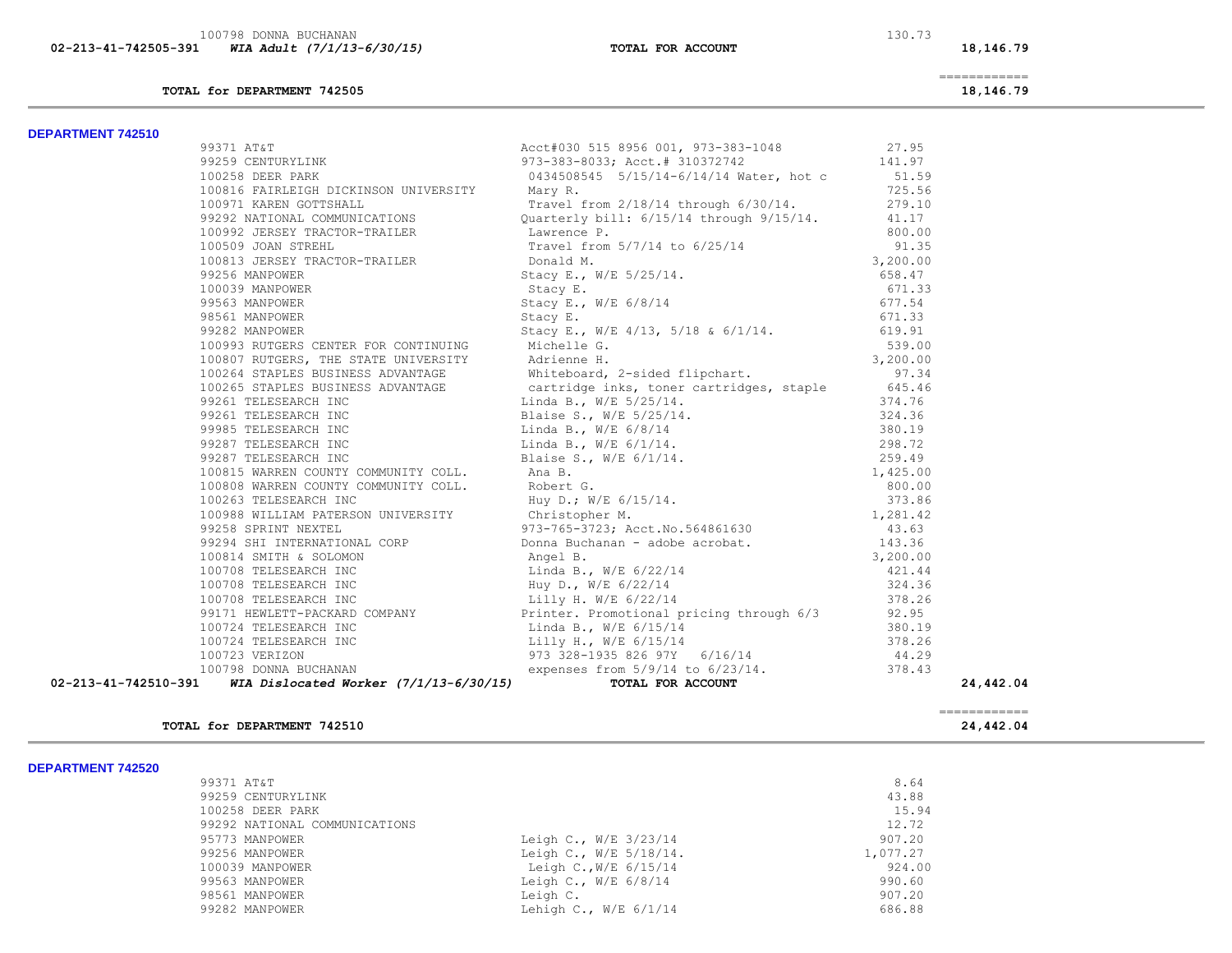100798 DONNA BUCHANAN 130.73<br> **130.73** 130.73 **MIA Adult (7/1/13-6/30/15) 02-213-41-742505-391** *WIA Adult (7/1/13-6/30/15)* **TOTAL FOR ACCOUNT 18,146.79**

**TOTAL for DEPARTMENT 742505 18,146.79**

============

## **DEPARTMENT 742510**

| <b>DEPARIMENI 742310</b> |                                                             |                                                                                                                                                                                                                                          |           |
|--------------------------|-------------------------------------------------------------|------------------------------------------------------------------------------------------------------------------------------------------------------------------------------------------------------------------------------------------|-----------|
|                          |                                                             |                                                                                                                                                                                                                                          |           |
|                          |                                                             |                                                                                                                                                                                                                                          |           |
|                          |                                                             | 99371 AT&T<br>99259 CENTURYLINK<br>973-383-8033; Acct.# 310372742 141.97<br>973-383-8033; Acct.# 310372742 141.97<br>973-383-8033; Acct.# 310372742 141.97<br>973-383-8033; Acct.# 310372742 141.97<br>973-383-8033; Acct.# 310372742 14 |           |
|                          |                                                             |                                                                                                                                                                                                                                          |           |
|                          |                                                             |                                                                                                                                                                                                                                          |           |
|                          |                                                             |                                                                                                                                                                                                                                          |           |
|                          |                                                             |                                                                                                                                                                                                                                          |           |
|                          |                                                             |                                                                                                                                                                                                                                          |           |
|                          |                                                             |                                                                                                                                                                                                                                          |           |
|                          |                                                             |                                                                                                                                                                                                                                          |           |
|                          |                                                             |                                                                                                                                                                                                                                          |           |
|                          |                                                             |                                                                                                                                                                                                                                          |           |
|                          |                                                             |                                                                                                                                                                                                                                          |           |
|                          |                                                             |                                                                                                                                                                                                                                          |           |
|                          |                                                             |                                                                                                                                                                                                                                          |           |
|                          |                                                             |                                                                                                                                                                                                                                          |           |
|                          |                                                             |                                                                                                                                                                                                                                          |           |
|                          |                                                             |                                                                                                                                                                                                                                          |           |
|                          |                                                             |                                                                                                                                                                                                                                          |           |
|                          |                                                             |                                                                                                                                                                                                                                          |           |
|                          |                                                             |                                                                                                                                                                                                                                          |           |
|                          |                                                             |                                                                                                                                                                                                                                          |           |
|                          |                                                             |                                                                                                                                                                                                                                          |           |
|                          |                                                             |                                                                                                                                                                                                                                          |           |
|                          |                                                             |                                                                                                                                                                                                                                          |           |
|                          |                                                             |                                                                                                                                                                                                                                          |           |
|                          |                                                             |                                                                                                                                                                                                                                          |           |
|                          |                                                             |                                                                                                                                                                                                                                          |           |
|                          |                                                             |                                                                                                                                                                                                                                          |           |
|                          |                                                             |                                                                                                                                                                                                                                          |           |
|                          |                                                             |                                                                                                                                                                                                                                          |           |
|                          |                                                             |                                                                                                                                                                                                                                          |           |
|                          |                                                             |                                                                                                                                                                                                                                          |           |
|                          |                                                             |                                                                                                                                                                                                                                          |           |
|                          |                                                             |                                                                                                                                                                                                                                          |           |
|                          |                                                             |                                                                                                                                                                                                                                          |           |
|                          |                                                             |                                                                                                                                                                                                                                          |           |
|                          |                                                             |                                                                                                                                                                                                                                          |           |
|                          | 02-213-41-742510-391 WIA Dislocated Worker (7/1/13-6/30/15) | 3929 CRITERINAIRY 1973-3131-000131 (1973-214)<br>1972-2022 CRIENGON UNIVERSITY (1413-214)<br>1972-2022 CRIENGON UNIVERSITY (1413-214)<br>1972-2023 CRIENGON DEVICATION: 1973-2023 (1974-1974)<br>1973-2023 LEMEN CRIENGON-TRAILLER DE    | 24,442.04 |

### **TOTAL for DEPARTMENT 742510 24,442.04**

| <b>DEPARTMENT 742520</b> |  |
|--------------------------|--|
|--------------------------|--|

| DEPARIMENI (42520) |                               |                         |          |
|--------------------|-------------------------------|-------------------------|----------|
|                    | 99371 AT&T                    |                         | 8.64     |
|                    | 99259 CENTURYLINK             |                         | 43.88    |
|                    | 100258 DEER PARK              |                         | 15.94    |
|                    | 99292 NATIONAL COMMUNICATIONS |                         | 12.72    |
|                    | 95773 MANPOWER                | Leigh C., W/E 3/23/14   | 907.20   |
|                    | 99256 MANPOWER                | Leigh C., W/E 5/18/14.  | 1,077.27 |
|                    | 100039 MANPOWER               | Leigh C., W/E $6/15/14$ | 924.00   |
|                    | 99563 MANPOWER                | Leigh C., $W/E$ 6/8/14  | 990.60   |
|                    | 98561 MANPOWER                | Leigh C.                | 907.20   |
|                    | 99282 MANPOWER                | Lehigh C., $W/E$ 6/1/14 | 686.88   |
|                    |                               |                         |          |

============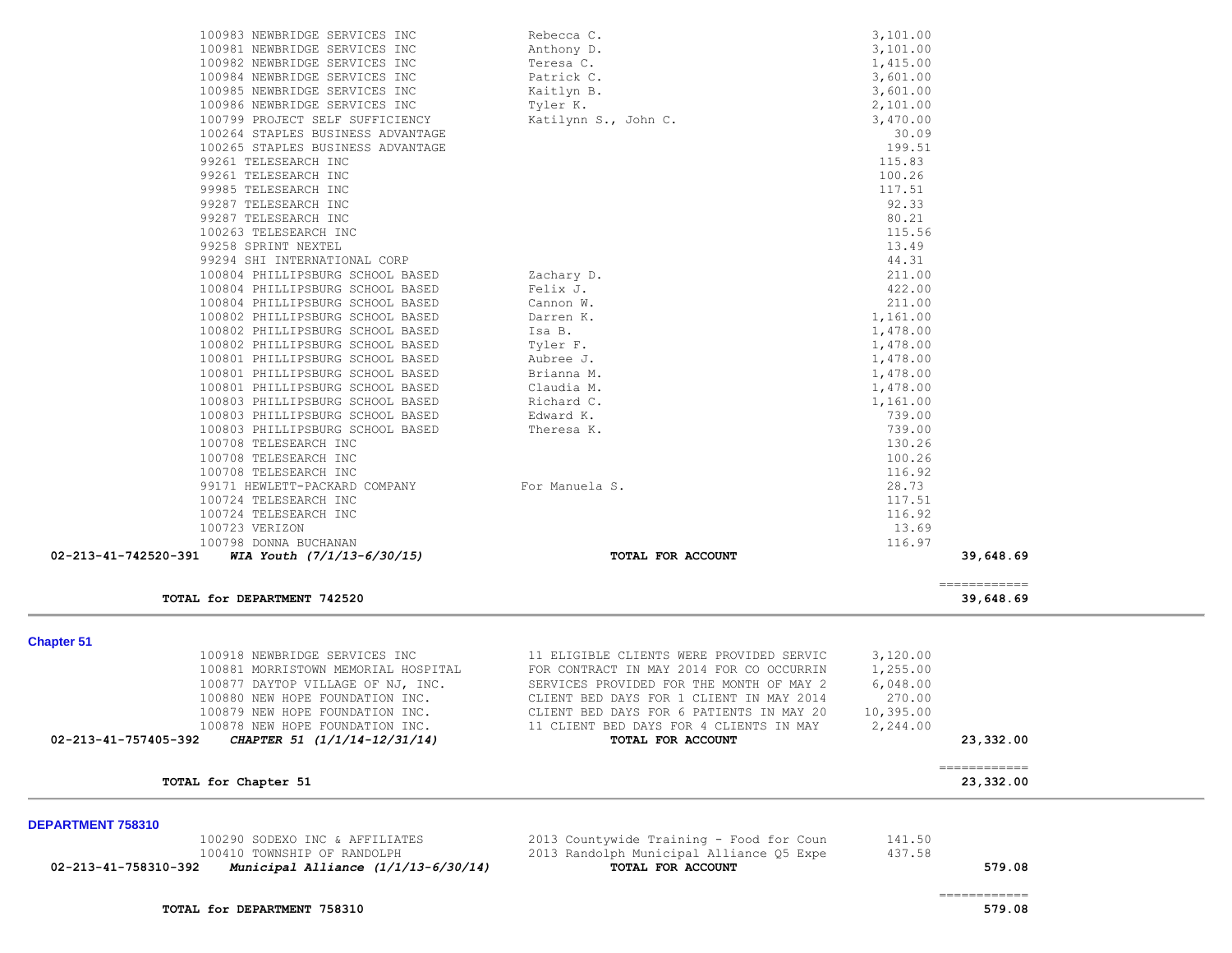|                      | 100265 STAPLES BUSINESS ADVANTAGE     |                                          | 199.51    |                                                                                                                                                                                                                                                                                                                                                                                                                                                                                                     |  |
|----------------------|---------------------------------------|------------------------------------------|-----------|-----------------------------------------------------------------------------------------------------------------------------------------------------------------------------------------------------------------------------------------------------------------------------------------------------------------------------------------------------------------------------------------------------------------------------------------------------------------------------------------------------|--|
|                      | 99261 TELESEARCH INC                  |                                          | 115.83    |                                                                                                                                                                                                                                                                                                                                                                                                                                                                                                     |  |
|                      | 99261 TELESEARCH INC                  |                                          | 100.26    |                                                                                                                                                                                                                                                                                                                                                                                                                                                                                                     |  |
|                      | 99985 TELESEARCH INC                  |                                          | 117.51    |                                                                                                                                                                                                                                                                                                                                                                                                                                                                                                     |  |
|                      | 99287 TELESEARCH INC                  |                                          | 92.33     |                                                                                                                                                                                                                                                                                                                                                                                                                                                                                                     |  |
|                      | 99287 TELESEARCH INC                  |                                          | 80.21     |                                                                                                                                                                                                                                                                                                                                                                                                                                                                                                     |  |
|                      | 100263 TELESEARCH INC                 |                                          | 115.56    |                                                                                                                                                                                                                                                                                                                                                                                                                                                                                                     |  |
|                      | 99258 SPRINT NEXTEL                   |                                          | 13.49     |                                                                                                                                                                                                                                                                                                                                                                                                                                                                                                     |  |
|                      | 99294 SHI INTERNATIONAL CORP          |                                          | 44.31     |                                                                                                                                                                                                                                                                                                                                                                                                                                                                                                     |  |
|                      | 100804 PHILLIPSBURG SCHOOL BASED      | Zachary D.                               | 211.00    |                                                                                                                                                                                                                                                                                                                                                                                                                                                                                                     |  |
|                      | 100804 PHILLIPSBURG SCHOOL BASED      | Felix J.                                 | 422.00    |                                                                                                                                                                                                                                                                                                                                                                                                                                                                                                     |  |
|                      | 100804 PHILLIPSBURG SCHOOL BASED      | Cannon W.                                | 211.00    |                                                                                                                                                                                                                                                                                                                                                                                                                                                                                                     |  |
|                      | 100802 PHILLIPSBURG SCHOOL BASED      | Darren K.                                | 1,161.00  |                                                                                                                                                                                                                                                                                                                                                                                                                                                                                                     |  |
|                      | 100802 PHILLIPSBURG SCHOOL BASED      | Isa B.                                   | 1,478.00  |                                                                                                                                                                                                                                                                                                                                                                                                                                                                                                     |  |
|                      | 100802 PHILLIPSBURG SCHOOL BASED      | Tyler F.                                 | 1,478.00  |                                                                                                                                                                                                                                                                                                                                                                                                                                                                                                     |  |
|                      | 100801 PHILLIPSBURG SCHOOL BASED      | Aubree J.                                | 1,478.00  |                                                                                                                                                                                                                                                                                                                                                                                                                                                                                                     |  |
|                      | 100801 PHILLIPSBURG SCHOOL BASED      | Brianna M.                               | 1,478.00  |                                                                                                                                                                                                                                                                                                                                                                                                                                                                                                     |  |
|                      | 100801 PHILLIPSBURG SCHOOL BASED      | Claudia M.                               | 1,478.00  |                                                                                                                                                                                                                                                                                                                                                                                                                                                                                                     |  |
|                      | 100803 PHILLIPSBURG SCHOOL BASED      | Richard C.                               | 1,161.00  |                                                                                                                                                                                                                                                                                                                                                                                                                                                                                                     |  |
|                      | 100803 PHILLIPSBURG SCHOOL BASED      | Edward K.                                | 739.00    |                                                                                                                                                                                                                                                                                                                                                                                                                                                                                                     |  |
|                      | 100803 PHILLIPSBURG SCHOOL BASED      | Theresa K.                               | 739.00    |                                                                                                                                                                                                                                                                                                                                                                                                                                                                                                     |  |
|                      | 100708 TELESEARCH INC                 |                                          | 130.26    |                                                                                                                                                                                                                                                                                                                                                                                                                                                                                                     |  |
|                      | 100708 TELESEARCH INC                 |                                          | 100.26    |                                                                                                                                                                                                                                                                                                                                                                                                                                                                                                     |  |
|                      | 100708 TELESEARCH INC                 |                                          | 116.92    |                                                                                                                                                                                                                                                                                                                                                                                                                                                                                                     |  |
|                      | 99171 HEWLETT-PACKARD COMPANY         | For Manuela S.                           | 28.73     |                                                                                                                                                                                                                                                                                                                                                                                                                                                                                                     |  |
|                      | 100724 TELESEARCH INC                 |                                          | 117.51    |                                                                                                                                                                                                                                                                                                                                                                                                                                                                                                     |  |
|                      | 100724 TELESEARCH INC                 |                                          | 116.92    |                                                                                                                                                                                                                                                                                                                                                                                                                                                                                                     |  |
|                      | 100723 VERIZON                        |                                          | 13.69     |                                                                                                                                                                                                                                                                                                                                                                                                                                                                                                     |  |
|                      | 100798 DONNA BUCHANAN                 |                                          | 116.97    |                                                                                                                                                                                                                                                                                                                                                                                                                                                                                                     |  |
| 02-213-41-742520-391 | WIA Youth $(7/1/13-6/30/15)$          | TOTAL FOR ACCOUNT                        |           | 39,648.69                                                                                                                                                                                                                                                                                                                                                                                                                                                                                           |  |
|                      |                                       |                                          |           |                                                                                                                                                                                                                                                                                                                                                                                                                                                                                                     |  |
|                      | TOTAL for DEPARTMENT 742520           |                                          |           | $\begin{array}{cccccccccc} \multicolumn{2}{c}{} & \multicolumn{2}{c}{} & \multicolumn{2}{c}{} & \multicolumn{2}{c}{} & \multicolumn{2}{c}{} & \multicolumn{2}{c}{} & \multicolumn{2}{c}{} & \multicolumn{2}{c}{} & \multicolumn{2}{c}{} & \multicolumn{2}{c}{} & \multicolumn{2}{c}{} & \multicolumn{2}{c}{} & \multicolumn{2}{c}{} & \multicolumn{2}{c}{} & \multicolumn{2}{c}{} & \multicolumn{2}{c}{} & \multicolumn{2}{c}{} & \multicolumn{2}{c}{} & \multicolumn{2}{c}{} & \mult$<br>39,648.69 |  |
|                      |                                       |                                          |           |                                                                                                                                                                                                                                                                                                                                                                                                                                                                                                     |  |
| <b>Chapter 51</b>    |                                       |                                          |           |                                                                                                                                                                                                                                                                                                                                                                                                                                                                                                     |  |
|                      | 100918 NEWBRIDGE SERVICES INC         | 11 ELIGIBLE CLIENTS WERE PROVIDED SERVIC | 3,120.00  |                                                                                                                                                                                                                                                                                                                                                                                                                                                                                                     |  |
|                      | 100881 MORRISTOWN MEMORIAL HOSPITAL   | FOR CONTRACT IN MAY 2014 FOR CO OCCURRIN | 1,255.00  |                                                                                                                                                                                                                                                                                                                                                                                                                                                                                                     |  |
|                      | 100877 DAYTOP VILLAGE OF NJ, INC.     | SERVICES PROVIDED FOR THE MONTH OF MAY 2 | 6,048.00  |                                                                                                                                                                                                                                                                                                                                                                                                                                                                                                     |  |
|                      | 100880 NEW HOPE FOUNDATION INC.       | CLIENT BED DAYS FOR 1 CLIENT IN MAY 2014 | 270.00    |                                                                                                                                                                                                                                                                                                                                                                                                                                                                                                     |  |
|                      | 100879 NEW HOPE FOUNDATION INC.       | CLIENT BED DAYS FOR 6 PATIENTS IN MAY 20 | 10,395.00 |                                                                                                                                                                                                                                                                                                                                                                                                                                                                                                     |  |
|                      | 100878 NEW HOPE FOUNDATION INC.       | 11 CLIENT BED DAYS FOR 4 CLIENTS IN MAY  | 2,244.00  |                                                                                                                                                                                                                                                                                                                                                                                                                                                                                                     |  |
| 02-213-41-757405-392 | CHAPTER 51 (1/1/14-12/31/14)          | TOTAL FOR ACCOUNT                        |           | 23,332.00                                                                                                                                                                                                                                                                                                                                                                                                                                                                                           |  |
|                      |                                       |                                          |           |                                                                                                                                                                                                                                                                                                                                                                                                                                                                                                     |  |
|                      | TOTAL for Chapter 51                  |                                          |           | ============<br>23,332.00                                                                                                                                                                                                                                                                                                                                                                                                                                                                           |  |
|                      |                                       |                                          |           |                                                                                                                                                                                                                                                                                                                                                                                                                                                                                                     |  |
| DEPARTMENT 758310    |                                       |                                          |           |                                                                                                                                                                                                                                                                                                                                                                                                                                                                                                     |  |
|                      | 100290 SODEXO INC & AFFILIATES        | 2013 Countywide Training - Food for Coun | 141.50    |                                                                                                                                                                                                                                                                                                                                                                                                                                                                                                     |  |
|                      | 100410 TOWNSHIP OF RANDOLPH           | 2013 Randolph Municipal Alliance Q5 Expe | 437.58    |                                                                                                                                                                                                                                                                                                                                                                                                                                                                                                     |  |
| 02-213-41-758310-392 | Municipal Alliance $(1/1/13-6/30/14)$ | TOTAL FOR ACCOUNT                        |           | 579.08                                                                                                                                                                                                                                                                                                                                                                                                                                                                                              |  |
|                      |                                       |                                          |           |                                                                                                                                                                                                                                                                                                                                                                                                                                                                                                     |  |
|                      |                                       |                                          |           | ============                                                                                                                                                                                                                                                                                                                                                                                                                                                                                        |  |
|                      | TOTAL for DEPARTMENT 758310           |                                          |           | 579.08                                                                                                                                                                                                                                                                                                                                                                                                                                                                                              |  |
|                      |                                       |                                          |           |                                                                                                                                                                                                                                                                                                                                                                                                                                                                                                     |  |

-

100983 NEWBRIDGE SERVICES INC<br>
100981 NEWBRIDGE SERVICES INC<br>
2,101.00 100981 NEWBRIDGE SERVICES INC Anthony D. 3,101.00 100982 NEWBRIDGE SERVICES INC Teresa C. 1,415.00

 100985 NEWBRIDGE SERVICES INC Kaitlyn B. 3,601.00 100986 NEWBRIDGE SERVICES INC Tyler K. 2,101.00 100799 PROJECT SELF SUFFICIENCY Katilynn S., John C. 3,470.00 100264 STAPLES BUSINESS ADVANTAGE 30.09

100984 NEWBRIDGE SERVICES INC **Patrick C.**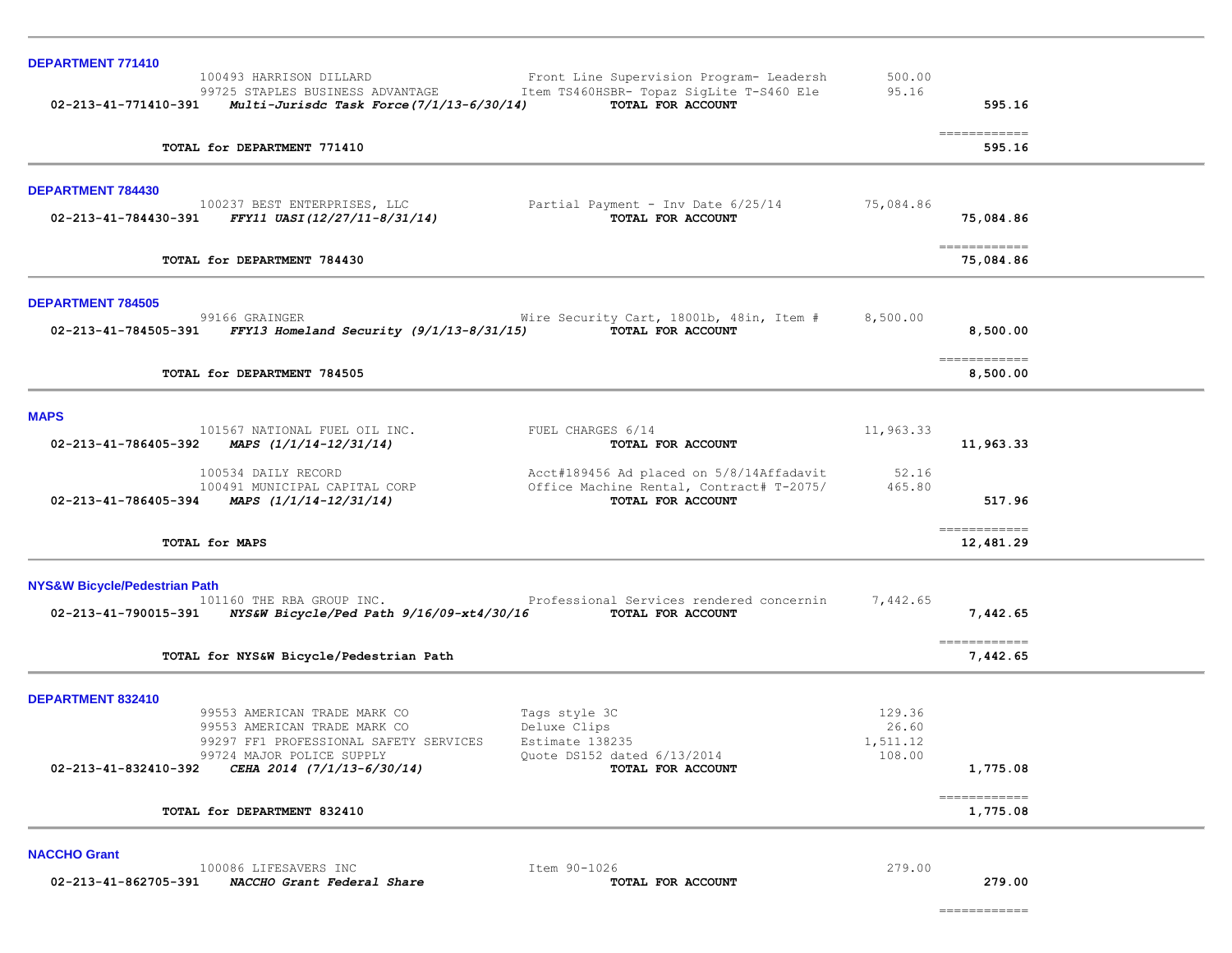| DEPARTMENT 771410                        |                                                                                                                  |                                                               |                             |                            |
|------------------------------------------|------------------------------------------------------------------------------------------------------------------|---------------------------------------------------------------|-----------------------------|----------------------------|
|                                          | 100493 HARRISON DILLARD                                                                                          | Front Line Supervision Program- Leadersh                      | 500.00                      |                            |
|                                          | 99725 STAPLES BUSINESS ADVANTAGE<br>$02 - 213 - 41 - 771410 - 391$ Multi-Jurisdc Task Force $(7/1/13 - 6/30/14)$ | Item TS460HSBR- Topaz SigLite T-S460 Ele<br>TOTAL FOR ACCOUNT | 95.16                       | 595.16                     |
|                                          |                                                                                                                  |                                                               |                             |                            |
|                                          | TOTAL for DEPARTMENT 771410                                                                                      |                                                               |                             | -------------<br>595.16    |
| DEPARTMENT 784430                        |                                                                                                                  |                                                               |                             |                            |
|                                          | 100237 BEST ENTERPRISES, LLC<br>$02 - 213 - 41 - 784430 - 391$ FFY11 UASI(12/27/11-8/31/14)                      | Partial Payment - Inv Date 6/25/14<br>TOTAL FOR ACCOUNT       | 75,084.86                   | 75,084.86                  |
|                                          | TOTAL for DEPARTMENT 784430                                                                                      |                                                               |                             | ============<br>75,084.86  |
| <b>DEPARTMENT 784505</b>                 |                                                                                                                  |                                                               |                             |                            |
|                                          | 99166 GRAINGER<br>02-213-41-784505-391 FFY13 Homeland Security $(9/1/13-8/31/15)$                                | Wire Security Cart, 1800lb, 48in, Item #<br>TOTAL FOR ACCOUNT | 8,500.00                    | 8,500.00                   |
|                                          | TOTAL for DEPARTMENT 784505                                                                                      |                                                               |                             | ------------<br>8,500.00   |
| <b>MAPS</b>                              |                                                                                                                  |                                                               |                             |                            |
|                                          | 101567 NATIONAL FUEL OIL INC.<br>02-213-41-786405-392 MAPS $(1/1/14-12/31/14)$                                   | FUEL CHARGES 6/14<br>TOTAL FOR ACCOUNT                        | 11,963.33                   | 11,963.33                  |
|                                          | 100534 DAILY RECORD                                                                                              | Acct#189456 Ad placed on 5/8/14Affadavit                      | 52.16                       |                            |
|                                          | 100491 MUNICIPAL CAPITAL CORP<br>02-213-41-786405-394 MAPS $(1/1/14-12/31/14)$                                   | Office Machine Rental, Contract# T-2075/<br>TOTAL FOR ACCOUNT | 465.80                      | 517.96                     |
|                                          | TOTAL for MAPS                                                                                                   |                                                               |                             | -------------<br>12,481.29 |
| <b>NYS&amp;W Bicycle/Pedestrian Path</b> | 101160 THE RBA GROUP INC.                                                                                        | Professional Services rendered concernin                      | 7,442.65                    |                            |
|                                          | 02-213-41-790015-391 NYS&W Bicycle/Ped Path 9/16/09-xt4/30/16 TOTAL FOR ACCOUNT                                  |                                                               |                             | 7,442.65                   |
|                                          | TOTAL for NYS&W Bicycle/Pedestrian Path                                                                          |                                                               |                             | -------------<br>7,442.65  |
| DEPARTMENT 832410                        |                                                                                                                  |                                                               |                             |                            |
|                                          | 99553 AMERICAN TRADE MARK CO<br>99553 AMERICAN TRADE MARK CO<br>99297 FF1 PROFESSIONAL SAFETY SERVICES           | Tags style 3C<br>Deluxe Clips<br>Estimate 138235              | 129.36<br>26.60<br>1,511.12 |                            |
| 02-213-41-832410-392                     | 99724 MAJOR POLICE SUPPLY<br>CEHA 2014 (7/1/13-6/30/14)                                                          | Quote DS152 dated 6/13/2014<br>TOTAL FOR ACCOUNT              | 108.00                      | 1,775.08                   |
|                                          | TOTAL for DEPARTMENT 832410                                                                                      |                                                               |                             | ============<br>1,775.08   |
| <b>NACCHO Grant</b>                      |                                                                                                                  |                                                               |                             |                            |
| 02-213-41-862705-391                     | 100086 LIFESAVERS INC<br>NACCHO Grant Federal Share                                                              | Item 90-1026<br>TOTAL FOR ACCOUNT                             | 279.00                      | 279.00                     |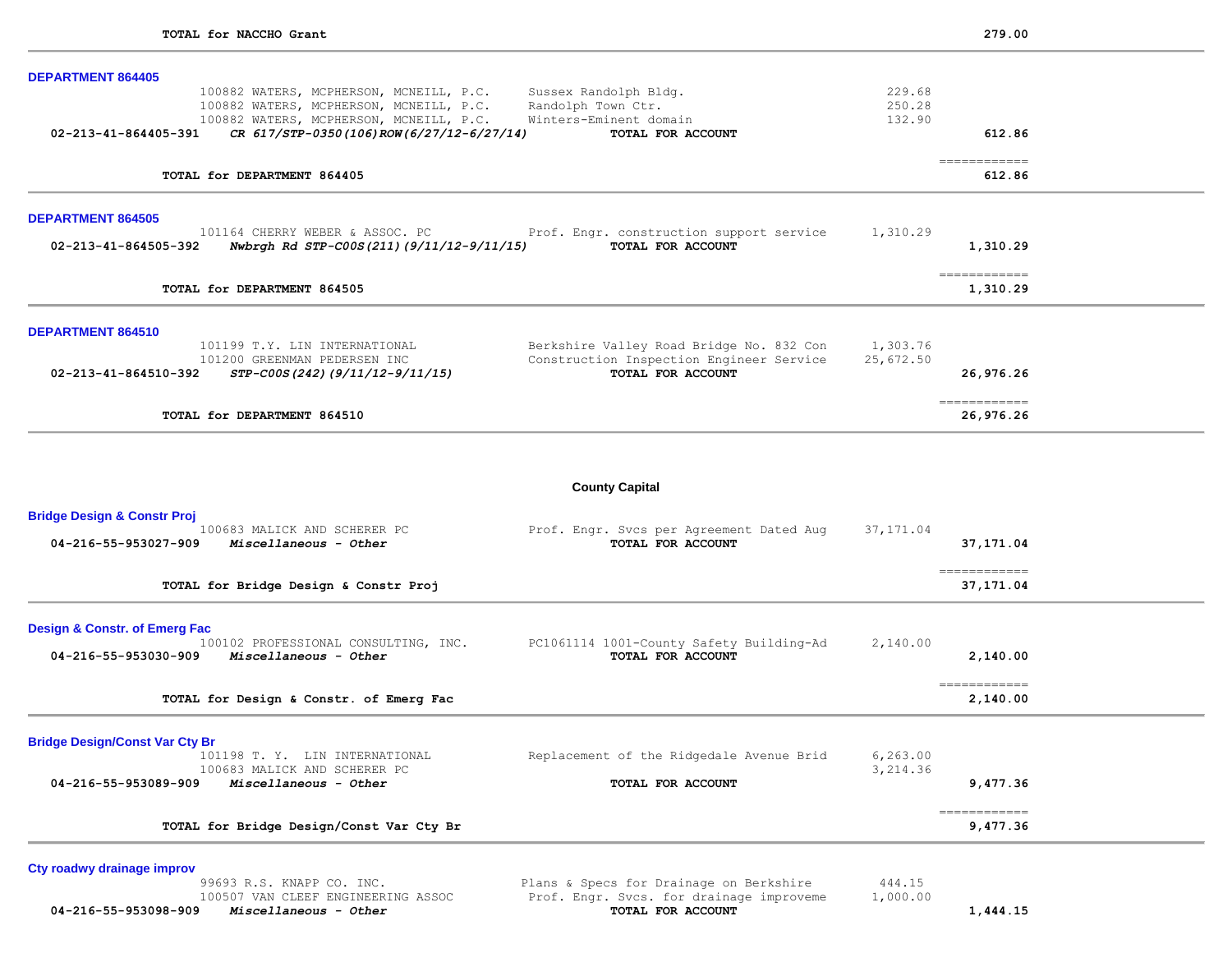| <b>DEPARTMENT 864405</b>                                                                                                                                                                          |                                                                                            |                            |                                                                                                                                                                                                                                                                                                                                                                                                                                                                                                  |  |
|---------------------------------------------------------------------------------------------------------------------------------------------------------------------------------------------------|--------------------------------------------------------------------------------------------|----------------------------|--------------------------------------------------------------------------------------------------------------------------------------------------------------------------------------------------------------------------------------------------------------------------------------------------------------------------------------------------------------------------------------------------------------------------------------------------------------------------------------------------|--|
| 100882 WATERS, MCPHERSON, MCNEILL, P.C.<br>100882 WATERS, MCPHERSON, MCNEILL, P.C.<br>100882 WATERS, MCPHERSON, MCNEILL, P.C.<br>02-213-41-864405-391<br>CR 617/STP-0350(106)ROW(6/27/12-6/27/14) | Sussex Randolph Bldg.<br>Randolph Town Ctr.<br>Winters-Eminent domain<br>TOTAL FOR ACCOUNT | 229.68<br>250.28<br>132.90 | 612.86                                                                                                                                                                                                                                                                                                                                                                                                                                                                                           |  |
| TOTAL for DEPARTMENT 864405                                                                                                                                                                       |                                                                                            |                            | $\begin{array}{cccccccccc} \multicolumn{2}{c}{} & \multicolumn{2}{c}{} & \multicolumn{2}{c}{} & \multicolumn{2}{c}{} & \multicolumn{2}{c}{} & \multicolumn{2}{c}{} & \multicolumn{2}{c}{} & \multicolumn{2}{c}{} & \multicolumn{2}{c}{} & \multicolumn{2}{c}{} & \multicolumn{2}{c}{} & \multicolumn{2}{c}{} & \multicolumn{2}{c}{} & \multicolumn{2}{c}{} & \multicolumn{2}{c}{} & \multicolumn{2}{c}{} & \multicolumn{2}{c}{} & \multicolumn{2}{c}{} & \multicolumn{2}{c}{} & \mult$<br>612.86 |  |
| <b>DEPARTMENT 864505</b><br>101164 CHERRY WEBER & ASSOC. PC                                                                                                                                       | Prof. Engr. construction support service                                                   | 1,310.29                   |                                                                                                                                                                                                                                                                                                                                                                                                                                                                                                  |  |
| Nwbrgh Rd STP-C00S(211)(9/11/12-9/11/15)<br>02-213-41-864505-392                                                                                                                                  | TOTAL FOR ACCOUNT                                                                          |                            | 1,310.29                                                                                                                                                                                                                                                                                                                                                                                                                                                                                         |  |
| TOTAL for DEPARTMENT 864505                                                                                                                                                                       |                                                                                            |                            | -------------<br>1,310.29                                                                                                                                                                                                                                                                                                                                                                                                                                                                        |  |
| <b>DEPARTMENT 864510</b><br>101199 T.Y. LIN INTERNATIONAL                                                                                                                                         | Berkshire Valley Road Bridge No. 832 Con                                                   | 1,303.76                   |                                                                                                                                                                                                                                                                                                                                                                                                                                                                                                  |  |
| 101200 GREENMAN PEDERSEN INC<br>STP-C00S(242)(9/11/12-9/11/15)<br>02-213-41-864510-392                                                                                                            | Construction Inspection Engineer Service<br>TOTAL FOR ACCOUNT                              | 25,672.50                  | 26,976.26                                                                                                                                                                                                                                                                                                                                                                                                                                                                                        |  |
| TOTAL for DEPARTMENT 864510                                                                                                                                                                       |                                                                                            |                            | 26,976.26                                                                                                                                                                                                                                                                                                                                                                                                                                                                                        |  |
|                                                                                                                                                                                                   | <b>County Capital</b>                                                                      |                            |                                                                                                                                                                                                                                                                                                                                                                                                                                                                                                  |  |
| <b>Bridge Design &amp; Constr Proj</b><br>100683 MALICK AND SCHERER PC<br>04-216-55-953027-909<br>Miscellaneous - Other                                                                           | Prof. Engr. Svcs per Agreement Dated Aug<br>TOTAL FOR ACCOUNT                              | 37, 171.04                 | 37, 171.04                                                                                                                                                                                                                                                                                                                                                                                                                                                                                       |  |
| TOTAL for Bridge Design & Constr Proj                                                                                                                                                             |                                                                                            |                            | -------------<br>37,171.04                                                                                                                                                                                                                                                                                                                                                                                                                                                                       |  |
| <b>Design &amp; Constr. of Emerg Fac</b><br>100102 PROFESSIONAL CONSULTING, INC.<br>Miscellaneous - Other<br>04-216-55-953030-909                                                                 | PC1061114 1001-County Safety Building-Ad<br>TOTAL FOR ACCOUNT                              | 2,140.00                   | 2,140.00                                                                                                                                                                                                                                                                                                                                                                                                                                                                                         |  |
| TOTAL for Design & Constr. of Emerg Fac                                                                                                                                                           |                                                                                            |                            | -------------<br>2,140.00                                                                                                                                                                                                                                                                                                                                                                                                                                                                        |  |
| <b>Bridge Design/Const Var Cty Br</b>                                                                                                                                                             | .<br>and the state of the state of the state of                                            | $\sim$ 0.60 0.0            |                                                                                                                                                                                                                                                                                                                                                                                                                                                                                                  |  |

| 101198 T.Y. LIN INTERNATIONAL<br>100683 MALICK AND SCHERER PC | Replacement of the Ridgedale Avenue Brid | 6, 263.00<br>3,214.36 |
|---------------------------------------------------------------|------------------------------------------|-----------------------|
| 04-216-55-953089-909<br>Miscellaneous - Other                 | TOTAL FOR ACCOUNT                        | 9,477.36              |
| TOTAL for Bridge Design/Const Var Cty Br                      |                                          | 9,477.36              |

Cty roadwy drainage improv<br>99693 R.S. KNAPP CO. INC.  **04-216-55-953098-909** *Miscellaneous - Other* **TOTAL FOR ACCOUNT 1,444.15**

99693 R.S. KNAPP CO. INC.<br>
100507 VAN CLEEF ENGINEERING ASSOC Prof. Engr. Svcs. for drainage improveme 1,000.00 1005. Engr. Svcs. for drainage improveme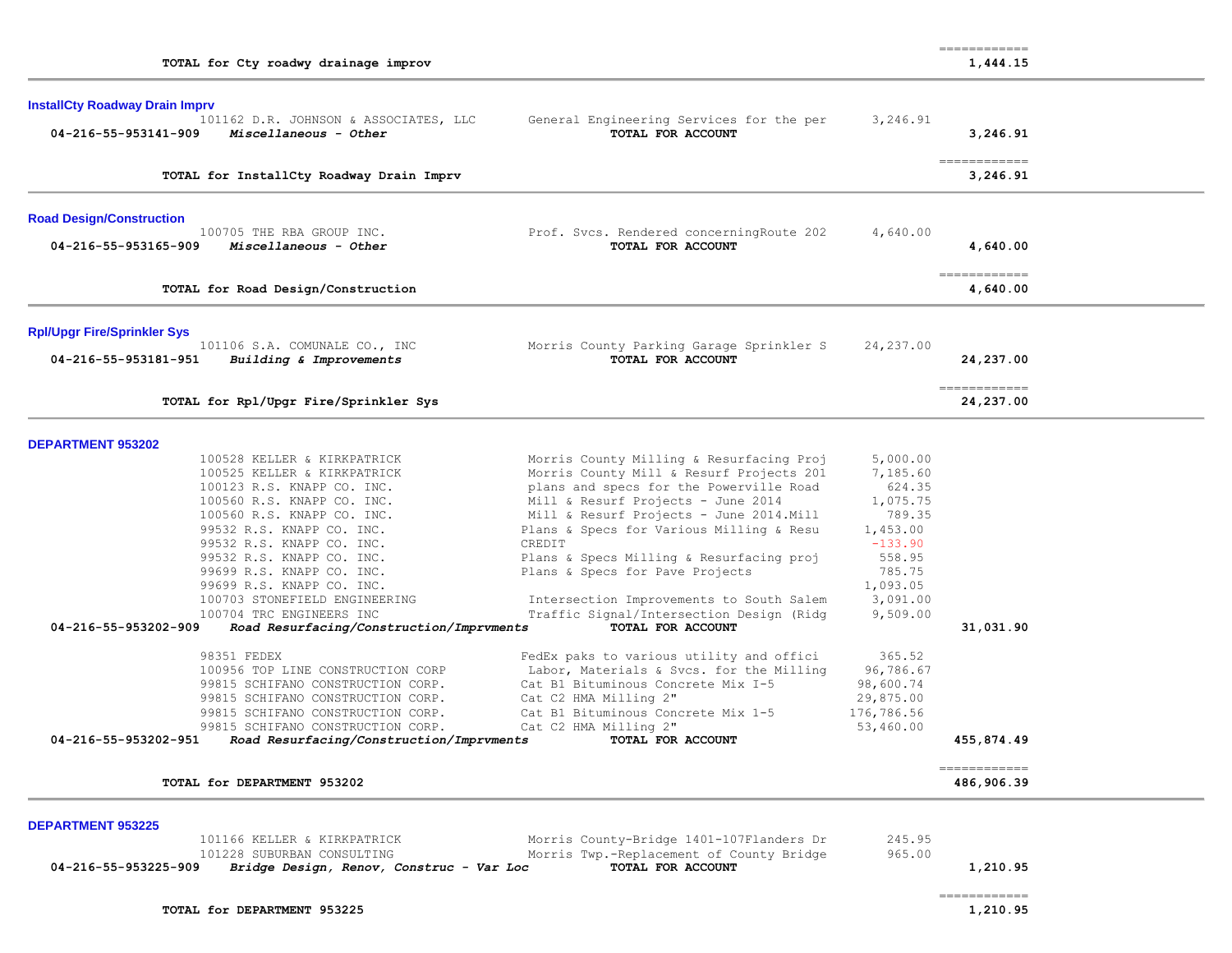|                                                        |                                          |                                                    |                       | -------------              |  |
|--------------------------------------------------------|------------------------------------------|----------------------------------------------------|-----------------------|----------------------------|--|
| TOTAL for Cty roadwy drainage improv                   |                                          |                                                    |                       | 1,444.15                   |  |
|                                                        |                                          |                                                    |                       |                            |  |
| <b>InstallCty Roadway Drain Imprv</b>                  | 101162 D.R. JOHNSON & ASSOCIATES, LLC    | General Engineering Services for the per           | 3,246.91              |                            |  |
| 04-216-55-953141-909                                   | Miscellaneous - Other                    | TOTAL FOR ACCOUNT                                  |                       | 3,246.91                   |  |
|                                                        |                                          |                                                    |                       |                            |  |
|                                                        | TOTAL for InstallCty Roadway Drain Imprv |                                                    |                       | ============<br>3,246.91   |  |
| <b>Road Design/Construction</b>                        |                                          |                                                    |                       |                            |  |
| 100705 THE RBA GROUP INC.                              |                                          | Prof. Svcs. Rendered concerningRoute 202           | 4,640.00              |                            |  |
| 04-216-55-953165-909                                   | Miscellaneous - Other                    | TOTAL FOR ACCOUNT                                  |                       | 4,640.00                   |  |
|                                                        |                                          |                                                    |                       |                            |  |
| TOTAL for Road Design/Construction                     |                                          |                                                    |                       | ------------<br>4,640.00   |  |
| <b>Rpl/Upgr Fire/Sprinkler Sys</b>                     |                                          |                                                    |                       |                            |  |
|                                                        | 101106 S.A. COMUNALE CO., INC            | Morris County Parking Garage Sprinkler S           | 24,237.00             |                            |  |
| 04-216-55-953181-951                                   | Building & Improvements                  | TOTAL FOR ACCOUNT                                  |                       | 24,237.00                  |  |
|                                                        |                                          |                                                    |                       | ------------               |  |
|                                                        | TOTAL for Rpl/Upgr Fire/Sprinkler Sys    |                                                    |                       | 24,237.00                  |  |
| <b>DEPARTMENT 953202</b>                               |                                          |                                                    |                       |                            |  |
|                                                        | 100528 KELLER & KIRKPATRICK              | Morris County Milling & Resurfacing Proj           | 5,000.00              |                            |  |
|                                                        | 100525 KELLER & KIRKPATRICK              | Morris County Mill & Resurf Projects 201           | 7,185.60              |                            |  |
| 100123 R.S. KNAPP CO. INC.                             |                                          | plans and specs for the Powerville Road            | 624.35                |                            |  |
| 100560 R.S. KNAPP CO. INC.                             |                                          | Mill & Resurf Projects - June 2014                 | 1,075.75              |                            |  |
| 100560 R.S. KNAPP CO. INC.                             |                                          | Mill & Resurf Projects - June 2014. Mill           | 789.35                |                            |  |
| 99532 R.S. KNAPP CO. INC.<br>99532 R.S. KNAPP CO. INC. |                                          | Plans & Specs for Various Milling & Resu<br>CREDIT | 1,453.00<br>$-133.90$ |                            |  |
| 99532 R.S. KNAPP CO. INC.                              |                                          | Plans & Specs Milling & Resurfacing proj           | 558.95                |                            |  |
| 99699 R.S. KNAPP CO. INC.                              |                                          | Plans & Specs for Pave Projects                    | 785.75                |                            |  |
| 99699 R.S. KNAPP CO. INC.                              |                                          |                                                    | 1,093.05              |                            |  |
|                                                        | 100703 STONEFIELD ENGINEERING            | Intersection Improvements to South Salem           | 3,091.00              |                            |  |
| 100704 TRC ENGINEERS INC                               |                                          | Traffic Signal/Intersection Design (Ridg           | 9,509.00              |                            |  |
| 04-216-55-953202-909                                   | Road Resurfacing/Construction/Imprvments | TOTAL FOR ACCOUNT                                  |                       | 31,031.90                  |  |
| 98351 FEDEX                                            |                                          | FedEx paks to various utility and offici           | 365.52                |                            |  |
|                                                        | 100956 TOP LINE CONSTRUCTION CORP        | Labor, Materials & Svcs. for the Milling           | 96,786.67             |                            |  |
|                                                        | 99815 SCHIFANO CONSTRUCTION CORP.        | Cat B1 Bituminous Concrete Mix I-5                 | 98,600.74             |                            |  |
|                                                        | 99815 SCHIFANO CONSTRUCTION CORP.        | Cat C2 HMA Milling 2"                              | 29,875.00             |                            |  |
|                                                        | 99815 SCHIFANO CONSTRUCTION CORP.        | Cat B1 Bituminous Concrete Mix 1-5                 | 176,786.56            |                            |  |
|                                                        | 99815 SCHIFANO CONSTRUCTION CORP.        | Cat C2 HMA Milling 2"                              | 53,460.00             |                            |  |
| 04-216-55-953202-951                                   | Road Resurfacing/Construction/Imprvments | TOTAL FOR ACCOUNT                                  |                       | 455,874.49                 |  |
| TOTAL for DEPARTMENT 953202                            |                                          |                                                    |                       | ------------<br>486,906.39 |  |
|                                                        |                                          |                                                    |                       |                            |  |
| <b>DEPARTMENT 953225</b>                               | 101166 KELLER & KIRKPATRICK              | Morris County-Bridge 1401-107Flanders Dr           | 245.95                |                            |  |
| 101228 SUBURBAN CONSULTING                             |                                          | Morris Twp.-Replacement of County Bridge           | 965.00                |                            |  |
| 04-216-55-953225-909                                   | Bridge Design, Renov, Construc - Var Loc | TOTAL FOR ACCOUNT                                  |                       | 1,210.95                   |  |
|                                                        |                                          |                                                    |                       | ============               |  |
| TOTAL for DEPARTMENT 953225                            |                                          |                                                    |                       | 1,210.95                   |  |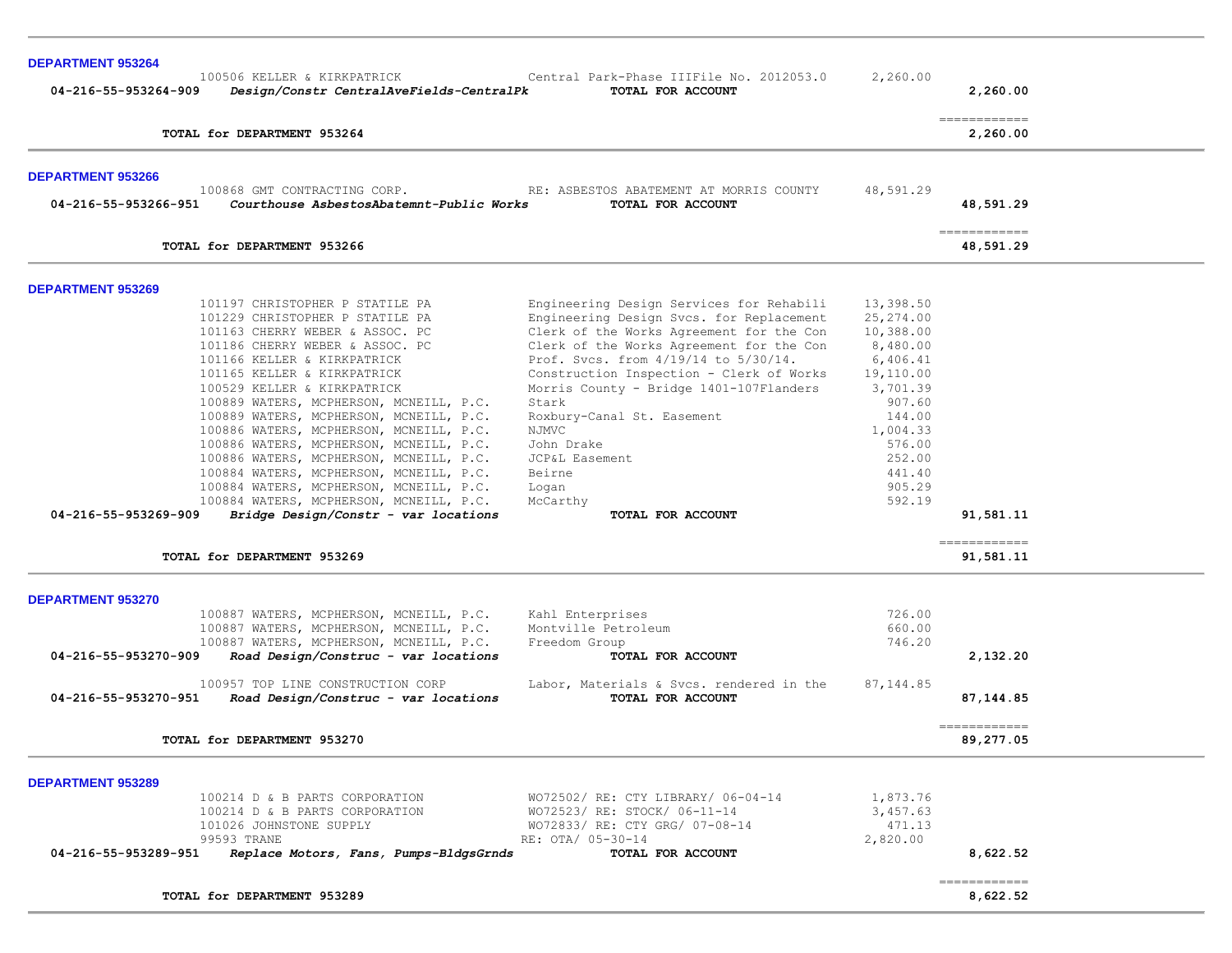| <b>DEPARTMENT 953264</b><br>100506 KELLER & KIRKPATRICK                                                                                                                                                                                                                                                                                                                                                                                                                                                                                                                                                                                                       | Central Park-Phase IIIFile No. 2012053.0                                                                                                                                                                                                                                                                                                                                                                                                        |                                                                                                                                                                        |                            |
|---------------------------------------------------------------------------------------------------------------------------------------------------------------------------------------------------------------------------------------------------------------------------------------------------------------------------------------------------------------------------------------------------------------------------------------------------------------------------------------------------------------------------------------------------------------------------------------------------------------------------------------------------------------|-------------------------------------------------------------------------------------------------------------------------------------------------------------------------------------------------------------------------------------------------------------------------------------------------------------------------------------------------------------------------------------------------------------------------------------------------|------------------------------------------------------------------------------------------------------------------------------------------------------------------------|----------------------------|
| Design/Constr CentralAveFields-CentralPk<br>04-216-55-953264-909                                                                                                                                                                                                                                                                                                                                                                                                                                                                                                                                                                                              | TOTAL FOR ACCOUNT                                                                                                                                                                                                                                                                                                                                                                                                                               | 2,260.00                                                                                                                                                               | 2,260.00                   |
| TOTAL for DEPARTMENT 953264                                                                                                                                                                                                                                                                                                                                                                                                                                                                                                                                                                                                                                   |                                                                                                                                                                                                                                                                                                                                                                                                                                                 |                                                                                                                                                                        | -------------<br>2,260.00  |
| <b>DEPARTMENT 953266</b>                                                                                                                                                                                                                                                                                                                                                                                                                                                                                                                                                                                                                                      |                                                                                                                                                                                                                                                                                                                                                                                                                                                 |                                                                                                                                                                        |                            |
| 100868 GMT CONTRACTING CORP. THE: ASBESTOS ABATEMENT AT MORRIS COUNTY<br>Courthouse AsbestosAbatemnt-Public Works<br>04-216-55-953266-951                                                                                                                                                                                                                                                                                                                                                                                                                                                                                                                     | TOTAL FOR ACCOUNT                                                                                                                                                                                                                                                                                                                                                                                                                               | 48,591.29                                                                                                                                                              | 48,591.29                  |
| TOTAL for DEPARTMENT 953266                                                                                                                                                                                                                                                                                                                                                                                                                                                                                                                                                                                                                                   |                                                                                                                                                                                                                                                                                                                                                                                                                                                 |                                                                                                                                                                        | ------------<br>48,591.29  |
| <b>DEPARTMENT 953269</b>                                                                                                                                                                                                                                                                                                                                                                                                                                                                                                                                                                                                                                      |                                                                                                                                                                                                                                                                                                                                                                                                                                                 |                                                                                                                                                                        |                            |
| 101197 CHRISTOPHER P STATILE PA<br>101229 CHRISTOPHER P STATILE PA<br>101163 CHERRY WEBER & ASSOC. PC<br>101186 CHERRY WEBER & ASSOC. PC<br>101166 KELLER & KIRKPATRICK<br>101165 KELLER & KIRKPATRICK<br>100529 KELLER & KIRKPATRICK<br>100889 WATERS, MCPHERSON, MCNEILL, P.C.<br>100889 WATERS, MCPHERSON, MCNEILL, P.C.<br>100886 WATERS, MCPHERSON, MCNEILL, P.C.<br>100886 WATERS, MCPHERSON, MCNEILL, P.C.<br>100886 WATERS, MCPHERSON, MCNEILL, P.C.<br>100884 WATERS, MCPHERSON, MCNEILL, P.C.<br>100884 WATERS, MCPHERSON, MCNEILL, P.C.<br>100884 WATERS, MCPHERSON, MCNEILL, P.C.<br>Bridge Design/Constr - var locations<br>04-216-55-953269-909 | Engineering Design Services for Rehabili<br>Engineering Design Svcs. for Replacement<br>Clerk of the Works Agreement for the Con<br>Clerk of the Works Agreement for the Con<br>Prof. Svcs. from 4/19/14 to 5/30/14.<br>Construction Inspection - Clerk of Works<br>Morris County - Bridge 1401-107Flanders<br>Stark<br>Roxbury-Canal St. Easement<br>NJMVC<br>John Drake<br>JCP&L Easement<br>Beirne<br>Logan<br>McCarthy<br>TOTAL FOR ACCOUNT | 13,398.50<br>25,274.00<br>10,388.00<br>8,480.00<br>6,406.41<br>19,110.00<br>3,701.39<br>907.60<br>144.00<br>1,004.33<br>576.00<br>252.00<br>441.40<br>905.29<br>592.19 | 91,581.11                  |
| TOTAL for DEPARTMENT 953269                                                                                                                                                                                                                                                                                                                                                                                                                                                                                                                                                                                                                                   |                                                                                                                                                                                                                                                                                                                                                                                                                                                 |                                                                                                                                                                        | -------------<br>91,581.11 |
| <b>DEPARTMENT 953270</b>                                                                                                                                                                                                                                                                                                                                                                                                                                                                                                                                                                                                                                      |                                                                                                                                                                                                                                                                                                                                                                                                                                                 |                                                                                                                                                                        |                            |
| 100887 WATERS, MCPHERSON, MCNEILL, P.C.<br>100887 WATERS, MCPHERSON, MCNEILL, P.C.<br>100887 WATERS, MCPHERSON, MCNEILL, P.C.<br>Road Design/Construc - var locations<br>04-216-55-953270-909                                                                                                                                                                                                                                                                                                                                                                                                                                                                 | Kahl Enterprises<br>Montville Petroleum<br>Freedom Group<br>TOTAL FOR ACCOUNT                                                                                                                                                                                                                                                                                                                                                                   | 726.00<br>660.00<br>746.20                                                                                                                                             | 2,132.20                   |
| 100957 TOP LINE CONSTRUCTION CORP<br>Road Design/Construc - var locations<br>04-216-55-953270-951                                                                                                                                                                                                                                                                                                                                                                                                                                                                                                                                                             | Labor, Materials & Svcs. rendered in the<br>TOTAL FOR ACCOUNT                                                                                                                                                                                                                                                                                                                                                                                   | 87,144.85                                                                                                                                                              | 87, 144.85                 |
| TOTAL for DEPARTMENT 953270                                                                                                                                                                                                                                                                                                                                                                                                                                                                                                                                                                                                                                   |                                                                                                                                                                                                                                                                                                                                                                                                                                                 |                                                                                                                                                                        | -------------<br>89,277.05 |
| <b>DEPARTMENT 953289</b>                                                                                                                                                                                                                                                                                                                                                                                                                                                                                                                                                                                                                                      |                                                                                                                                                                                                                                                                                                                                                                                                                                                 |                                                                                                                                                                        |                            |
| 100214 D & B PARTS CORPORATION<br>100214 D & B PARTS CORPORATION<br>101026 JOHNSTONE SUPPLY<br>99593 TRANE<br>04-216-55-953289-951 Replace Motors, Fans, Pumps-BldgsGrnds                                                                                                                                                                                                                                                                                                                                                                                                                                                                                     | WO72502/ RE: CTY LIBRARY/ 06-04-14<br>WO72523/ RE: STOCK/ 06-11-14<br>WO72833/ RE: CTY GRG/ 07-08-14<br>RE: OTA/ 05-30-14<br>TOTAL FOR ACCOUNT                                                                                                                                                                                                                                                                                                  | 1,873.76<br>3,457.63<br>471.13<br>2,820.00                                                                                                                             | 8,622.52                   |
| TOTAL for DEPARTMENT 953289                                                                                                                                                                                                                                                                                                                                                                                                                                                                                                                                                                                                                                   |                                                                                                                                                                                                                                                                                                                                                                                                                                                 |                                                                                                                                                                        | ============<br>8,622.52   |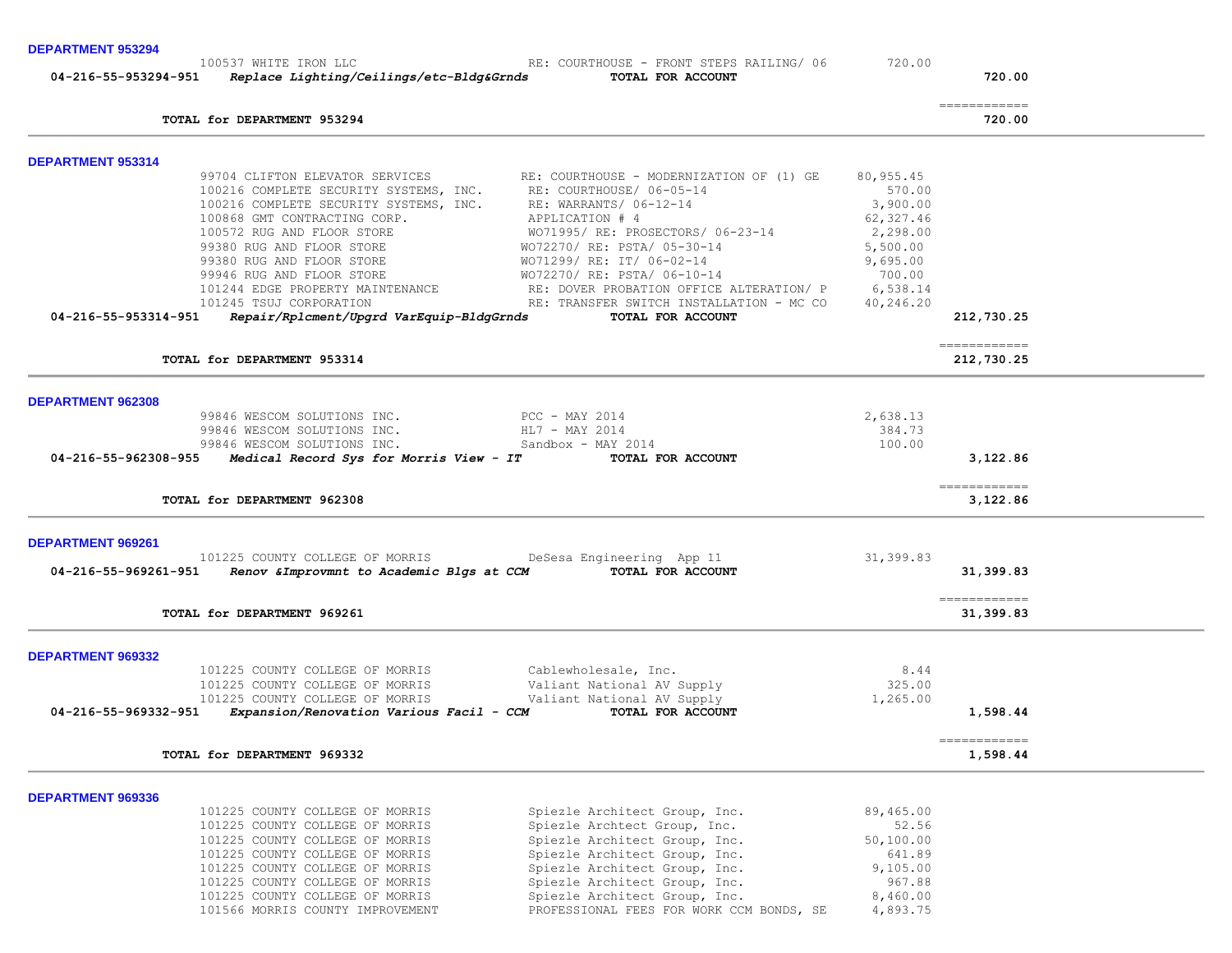**DEPARTMENT 953294** 

|                          | 100537 WHITE IRON LLC                                                                                         | RE: COURTHOUSE - FRONT STEPS RAILING/ 06                                                                                                 | 720.00                |                                                                                                                                                                                                                                                                                                                                                                                                                                                                                                  |
|--------------------------|---------------------------------------------------------------------------------------------------------------|------------------------------------------------------------------------------------------------------------------------------------------|-----------------------|--------------------------------------------------------------------------------------------------------------------------------------------------------------------------------------------------------------------------------------------------------------------------------------------------------------------------------------------------------------------------------------------------------------------------------------------------------------------------------------------------|
|                          | 04-216-55-953294-951 Replace Lighting/Ceilings/etc-Bldg&Grnds                                                 | TOTAL FOR ACCOUNT                                                                                                                        |                       | 720.00                                                                                                                                                                                                                                                                                                                                                                                                                                                                                           |
|                          | TOTAL for DEPARTMENT 953294                                                                                   |                                                                                                                                          |                       | $\begin{array}{cccccccccc} \multicolumn{2}{c}{} & \multicolumn{2}{c}{} & \multicolumn{2}{c}{} & \multicolumn{2}{c}{} & \multicolumn{2}{c}{} & \multicolumn{2}{c}{} & \multicolumn{2}{c}{} & \multicolumn{2}{c}{} & \multicolumn{2}{c}{} & \multicolumn{2}{c}{} & \multicolumn{2}{c}{} & \multicolumn{2}{c}{} & \multicolumn{2}{c}{} & \multicolumn{2}{c}{} & \multicolumn{2}{c}{} & \multicolumn{2}{c}{} & \multicolumn{2}{c}{} & \multicolumn{2}{c}{} & \multicolumn{2}{c}{} & \mult$<br>720.00 |
| <b>DEPARTMENT 953314</b> |                                                                                                               |                                                                                                                                          |                       |                                                                                                                                                                                                                                                                                                                                                                                                                                                                                                  |
|                          |                                                                                                               | 99704 CLIFTON ELEVATOR SERVICES RE: COURTHOUSE - MODERNIZATION OF (1) GE 100216 COMPLETE SECURITY SYSTEMS, INC. RE: COURTHOUSE/ 06-05-14 | 80,955.45             |                                                                                                                                                                                                                                                                                                                                                                                                                                                                                                  |
|                          |                                                                                                               |                                                                                                                                          | 570.00                |                                                                                                                                                                                                                                                                                                                                                                                                                                                                                                  |
|                          | 100216 COMPLETE SECURITY SYSTEMS, INC. RE: WARRANTS/ 06-12-14<br>100868 GMT CONTRACTING CORP. APPLICATION # 4 |                                                                                                                                          | 3,900.00              |                                                                                                                                                                                                                                                                                                                                                                                                                                                                                                  |
|                          | 100572 RUG AND FLOOR STORE                                                                                    |                                                                                                                                          | 62,327.46<br>2,298.00 |                                                                                                                                                                                                                                                                                                                                                                                                                                                                                                  |
|                          | 99380 RUG AND FLOOR STORE                                                                                     |                                                                                                                                          | 5,500.00              |                                                                                                                                                                                                                                                                                                                                                                                                                                                                                                  |
|                          | 99380 RUG AND FLOOR STORE                                                                                     |                                                                                                                                          | 9,695.00              |                                                                                                                                                                                                                                                                                                                                                                                                                                                                                                  |
|                          | 99946 RUG AND FLOOR STORE                                                                                     | WO71995/RE: PROSECTORS/06-23-14<br>WO71995/RE: PSTA/05-30-14<br>WO71299/RE: IT/06-02-14<br>WO72270/RE: PSTA/06-10-14                     | 700.00                |                                                                                                                                                                                                                                                                                                                                                                                                                                                                                                  |
|                          |                                                                                                               | 101244 EDGE PROPERTY MAINTENANCE RE: DOVER PROBATION OFFICE ALTERATION/P                                                                 | 6,538.14              |                                                                                                                                                                                                                                                                                                                                                                                                                                                                                                  |
|                          | 101245 TSUJ CORPORATION                                                                                       | RE: TRANSFER SWITCH INSTALLATION - MC CO                                                                                                 | 40,246.20             |                                                                                                                                                                                                                                                                                                                                                                                                                                                                                                  |
| 04-216-55-953314-951     | Repair/Rplcment/Upgrd VarEquip-BldgGrnds                                                                      | TOTAL FOR ACCOUNT                                                                                                                        |                       | 212,730.25                                                                                                                                                                                                                                                                                                                                                                                                                                                                                       |
|                          | TOTAL for DEPARTMENT 953314                                                                                   |                                                                                                                                          |                       | ------------<br>212,730.25                                                                                                                                                                                                                                                                                                                                                                                                                                                                       |
|                          |                                                                                                               |                                                                                                                                          |                       |                                                                                                                                                                                                                                                                                                                                                                                                                                                                                                  |
| <b>DEPARTMENT 962308</b> | 99846 WESCOM SOLUTIONS INC. PCC - MAY 2014                                                                    |                                                                                                                                          | 2,638.13              |                                                                                                                                                                                                                                                                                                                                                                                                                                                                                                  |
|                          | 99846 WESCOM SOLUTIONS INC.                                                                                   | HL7 - MAY 2014                                                                                                                           | 384.73                |                                                                                                                                                                                                                                                                                                                                                                                                                                                                                                  |
|                          | 99846 WESCOM SOLUTIONS INC.                                                                                   | Sandbox - MAY 2014                                                                                                                       | 100.00                |                                                                                                                                                                                                                                                                                                                                                                                                                                                                                                  |
| 04-216-55-962308-955     | Medical Record Sys for Morris View - IT                                                                       | TOTAL FOR ACCOUNT                                                                                                                        |                       | 3,122.86                                                                                                                                                                                                                                                                                                                                                                                                                                                                                         |
|                          | TOTAL for DEPARTMENT 962308                                                                                   |                                                                                                                                          |                       | ============<br>3,122.86                                                                                                                                                                                                                                                                                                                                                                                                                                                                         |
| DEPARTMENT 969261        |                                                                                                               |                                                                                                                                          |                       |                                                                                                                                                                                                                                                                                                                                                                                                                                                                                                  |
|                          | 101225 COUNTY COLLEGE OF MORRIS                                                                               | DeSesa Engineering App 11                                                                                                                | 31,399.83             |                                                                                                                                                                                                                                                                                                                                                                                                                                                                                                  |
| 04-216-55-969261-951     | Renov & Improvmnt to Academic Blgs at CCM TOTAL FOR ACCOUNT                                                   |                                                                                                                                          |                       | 31,399.83                                                                                                                                                                                                                                                                                                                                                                                                                                                                                        |
|                          | TOTAL for DEPARTMENT 969261                                                                                   |                                                                                                                                          |                       | -------------<br>31,399.83                                                                                                                                                                                                                                                                                                                                                                                                                                                                       |
| <b>DEPARTMENT 969332</b> |                                                                                                               |                                                                                                                                          |                       |                                                                                                                                                                                                                                                                                                                                                                                                                                                                                                  |
|                          | 101225 COUNTY COLLEGE OF MORRIS                                                                               | Cablewholesale, Inc.                                                                                                                     | 8.44                  |                                                                                                                                                                                                                                                                                                                                                                                                                                                                                                  |
|                          | 101225 COUNTY COLLEGE OF MORRIS                                                                               | Valiant National AV Supply                                                                                                               | 325.00                |                                                                                                                                                                                                                                                                                                                                                                                                                                                                                                  |
|                          | 101225 COUNTY COLLEGE OF MORRIS                                                                               | Valiant National AV Supply                                                                                                               | 1,265.00              |                                                                                                                                                                                                                                                                                                                                                                                                                                                                                                  |
| 04-216-55-969332-951     | Expansion/Renovation Various Facil - CCM                                                                      | TOTAL FOR ACCOUNT                                                                                                                        |                       | 1,598.44                                                                                                                                                                                                                                                                                                                                                                                                                                                                                         |
|                          | TOTAL for DEPARTMENT 969332                                                                                   |                                                                                                                                          |                       | ============<br>1,598.44                                                                                                                                                                                                                                                                                                                                                                                                                                                                         |
|                          |                                                                                                               |                                                                                                                                          |                       |                                                                                                                                                                                                                                                                                                                                                                                                                                                                                                  |
| DEPARTMENT 969336        |                                                                                                               |                                                                                                                                          |                       |                                                                                                                                                                                                                                                                                                                                                                                                                                                                                                  |
|                          | 101225 COUNTY COLLEGE OF MORRIS<br>101225 COUNTY COLLEGE OF MORRIS                                            | Spiezle Architect Group, Inc.<br>Spiezle Archtect Group, Inc.                                                                            | 89,465.00<br>52.56    |                                                                                                                                                                                                                                                                                                                                                                                                                                                                                                  |
|                          | 101225 COUNTY COLLEGE OF MORRIS                                                                               | Spiezle Architect Group, Inc.                                                                                                            | 50,100.00             |                                                                                                                                                                                                                                                                                                                                                                                                                                                                                                  |
|                          | 101225 COUNTY COLLEGE OF MORRIS                                                                               | Spiezle Architect Group, Inc.                                                                                                            | 641.89                |                                                                                                                                                                                                                                                                                                                                                                                                                                                                                                  |
|                          | 101225 COUNTY COLLEGE OF MORRIS                                                                               | Spiezle Architect Group, Inc.                                                                                                            | 9,105.00              |                                                                                                                                                                                                                                                                                                                                                                                                                                                                                                  |
|                          | 101225 COUNTY COLLEGE OF MORRIS                                                                               | Spiezle Architect Group, Inc.                                                                                                            | 967.88                |                                                                                                                                                                                                                                                                                                                                                                                                                                                                                                  |

 101225 COUNTY COLLEGE OF MORRIS Spiezle Architect Group, Inc. 8,460.00 101566 MORRIS COUNTY IMPROVEMENT PROFESSIONAL FEES FOR WORK CCM BONDS, SE 4,893.75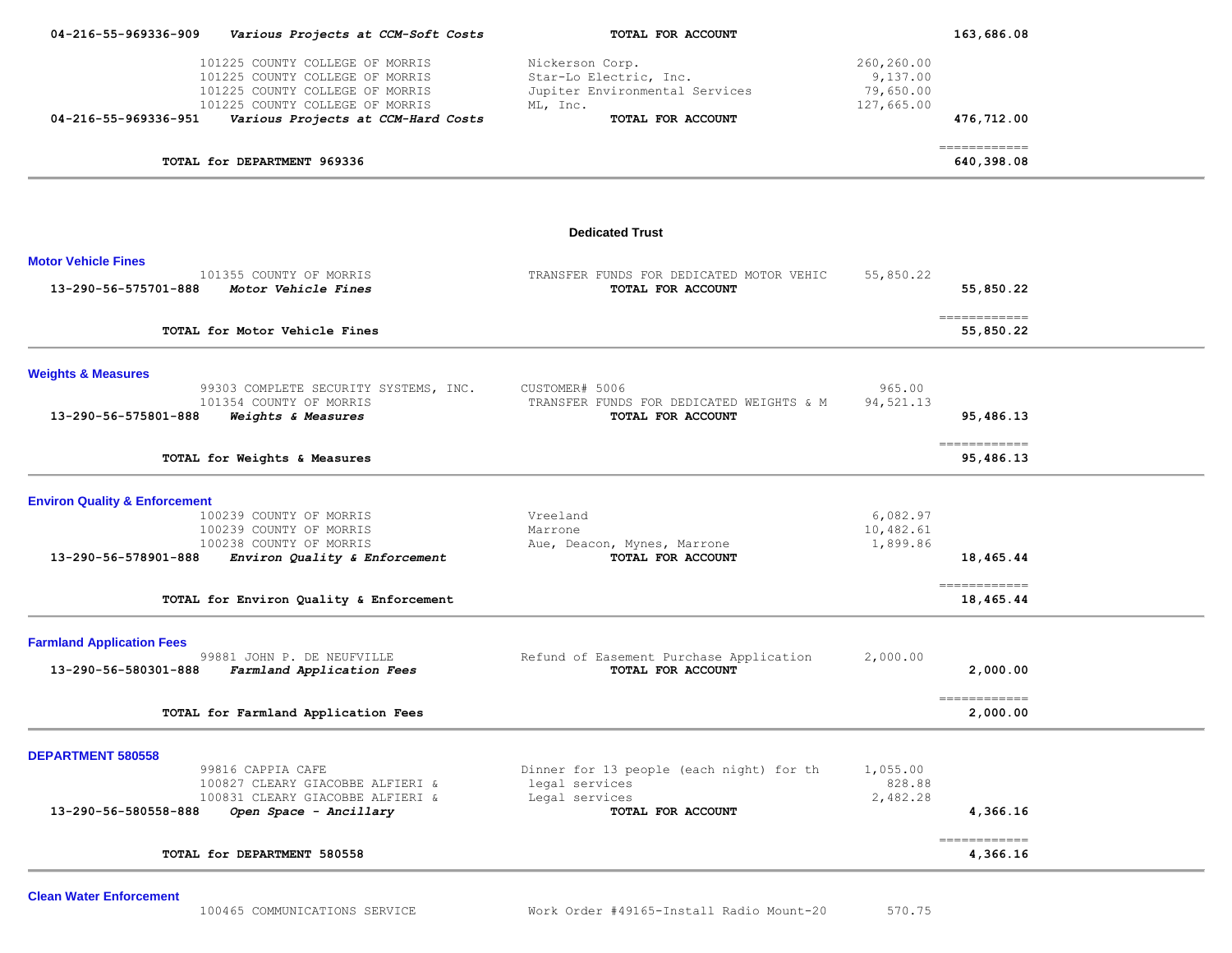| Various Projects at CCM-Soft Costs                                                                                                                                             | TOTAL FOR ACCOUNT                                                                                            | 163,686.08                                        |            |                                                                                                              |
|--------------------------------------------------------------------------------------------------------------------------------------------------------------------------------|--------------------------------------------------------------------------------------------------------------|---------------------------------------------------|------------|--------------------------------------------------------------------------------------------------------------|
| 101225 COUNTY COLLEGE OF MORRIS<br>101225 COUNTY COLLEGE OF MORRIS<br>101225 COUNTY COLLEGE OF MORRIS<br>101225 COUNTY COLLEGE OF MORRIS<br>Various Projects at CCM-Hard Costs | Nickerson Corp.<br>Star-Lo Electric, Inc.<br>Jupiter Environmental Services<br>ML, Inc.<br>TOTAL FOR ACCOUNT | 260,260.00<br>9,137.00<br>79,650.00<br>127,665.00 | 476,712.00 |                                                                                                              |
| TOTAL for DEPARTMENT 969336                                                                                                                                                    |                                                                                                              |                                                   | 640,398.08 |                                                                                                              |
|                                                                                                                                                                                | <b>Dedicated Trust</b>                                                                                       |                                                   |            |                                                                                                              |
| 101355 COUNTY OF MORRIS<br>Motor Vehicle Fines                                                                                                                                 | TRANSFER FUNDS FOR DEDICATED MOTOR VEHIC<br>TOTAL FOR ACCOUNT                                                | 55,850.22                                         | 55,850.22  |                                                                                                              |
| TOTAL for Motor Vehicle Fines                                                                                                                                                  |                                                                                                              |                                                   | 55,850.22  |                                                                                                              |
| 99303 COMPLETE SECURITY SYSTEMS, INC.<br>101354 COUNTY OF MORRIS<br>Weights & Measures                                                                                         | CUSTOMER# 5006<br>TRANSFER FUNDS FOR DEDICATED WEIGHTS & M<br>TOTAL FOR ACCOUNT                              | 965.00<br>94,521.13                               | 95,486.13  |                                                                                                              |
| TOTAL for Weights & Measures                                                                                                                                                   |                                                                                                              |                                                   | 95,486.13  |                                                                                                              |
| <b>Environ Quality &amp; Enforcement</b><br>100239 COUNTY OF MORRIS<br>100239 COUNTY OF MORRIS<br>100238 COUNTY OF MORRIS<br>Environ Quality & Enforcement                     | Vreeland<br>Marrone<br>Aue, Deacon, Mynes, Marrone<br>TOTAL FOR ACCOUNT                                      | 6,082.97<br>10,482.61<br>1,899.86                 | 18,465.44  |                                                                                                              |
| TOTAL for Environ Quality & Enforcement                                                                                                                                        |                                                                                                              |                                                   | 18,465.44  |                                                                                                              |
| 99881 JOHN P. DE NEUFVILLE<br>Farmland Application Fees                                                                                                                        | Refund of Easement Purchase Application<br>TOTAL FOR ACCOUNT                                                 | 2,000.00                                          | 2,000.00   |                                                                                                              |
|                                                                                                                                                                                |                                                                                                              |                                                   |            |                                                                                                              |
| 99816 CAPPIA CAFE<br>100827 CLEARY GIACOBBE ALFIERI &<br>100831 CLEARY GIACOBBE ALFIERI &<br>Open Space - Ancillary                                                            | Dinner for 13 people (each night) for th<br>legal services<br>Legal services<br>TOTAL FOR ACCOUNT            | 1,055.00<br>828.88<br>2,482.28                    | 4,366.16   |                                                                                                              |
| TOTAL for DEPARTMENT 580558                                                                                                                                                    |                                                                                                              |                                                   | 4,366.16   |                                                                                                              |
|                                                                                                                                                                                | TOTAL for Farmland Application Fees                                                                          |                                                   |            | -------------<br>-------------<br>-------------<br>------------<br>-------------<br>2,000.00<br>============ |

**Clean Water Enforcement**